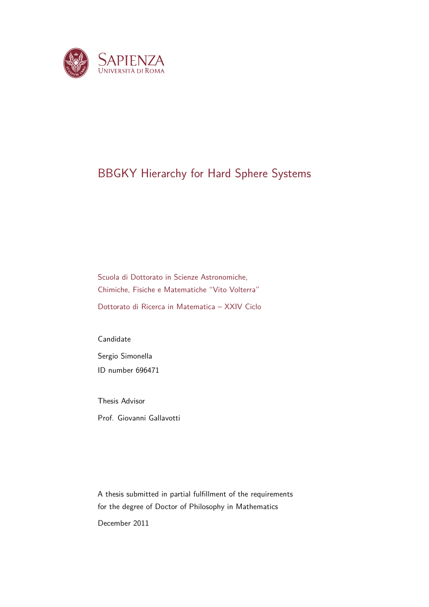

## BBGKY Hierarchy for Hard Sphere Systems

Scuola di Dottorato in Scienze Astronomiche, Chimiche, Fisiche e Matematiche "Vito Volterra" Dottorato di Ricerca in Matematica – XXIV Ciclo

Candidate Sergio Simonella ID number 696471

Thesis Advisor Prof. Giovanni Gallavotti

A thesis submitted in partial fulfillment of the requirements for the degree of Doctor of Philosophy in Mathematics

December 2011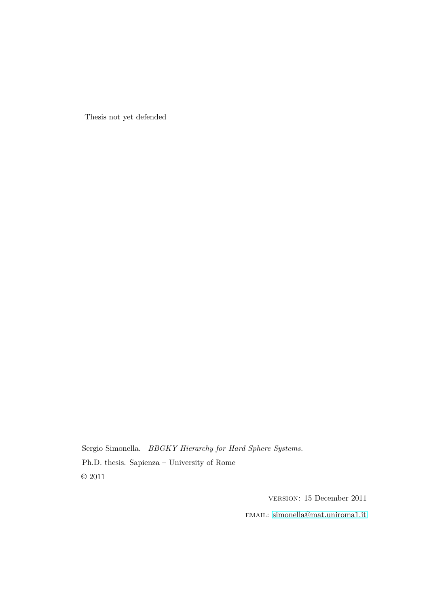Thesis not yet defended

Sergio Simonella. *BBGKY Hierarchy for Hard Sphere Systems.* Ph.D. thesis. Sapienza – University of Rome  $\odot$  2011

version: 15 December 2011

email: [simonella@mat.uniroma1.it](mailto:simonella@mat.uniroma1.it)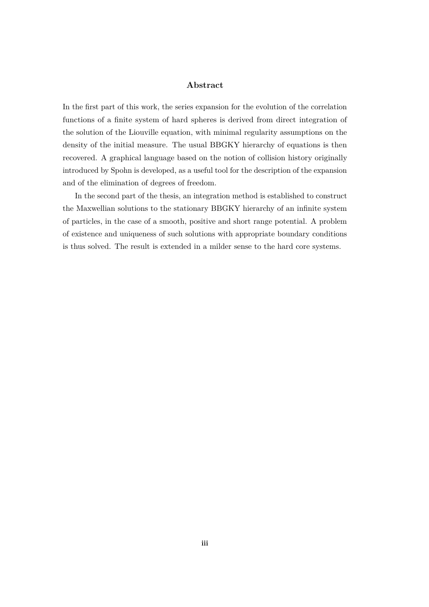#### **Abstract**

In the first part of this work, the series expansion for the evolution of the correlation functions of a finite system of hard spheres is derived from direct integration of the solution of the Liouville equation, with minimal regularity assumptions on the density of the initial measure. The usual BBGKY hierarchy of equations is then recovered. A graphical language based on the notion of collision history originally introduced by Spohn is developed, as a useful tool for the description of the expansion and of the elimination of degrees of freedom.

In the second part of the thesis, an integration method is established to construct the Maxwellian solutions to the stationary BBGKY hierarchy of an infinite system of particles, in the case of a smooth, positive and short range potential. A problem of existence and uniqueness of such solutions with appropriate boundary conditions is thus solved. The result is extended in a milder sense to the hard core systems.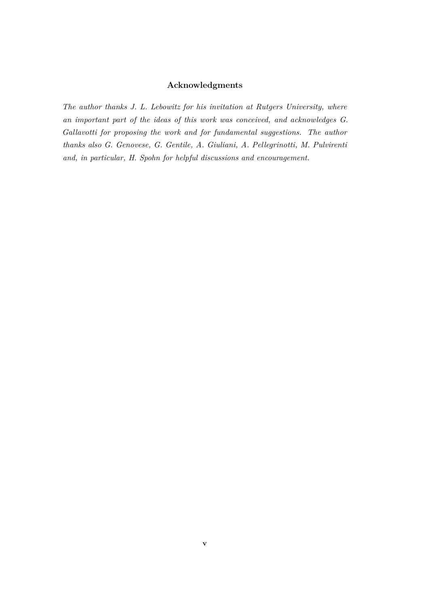### **Acknowledgments**

*The author thanks J. L. Lebowitz for his invitation at Rutgers University, where an important part of the ideas of this work was conceived, and acknowledges G. Gallavotti for proposing the work and for fundamental suggestions. The author thanks also G. Genovese, G. Gentile, A. Giuliani, A. Pellegrinotti, M. Pulvirenti and, in particular, H. Spohn for helpful discussions and encouragement.*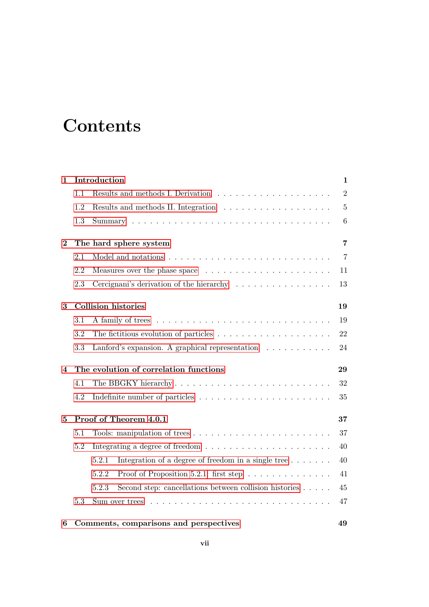# **Contents**

| $\mathbf{1}$ |     | Introduction                                                                       | $\mathbf{1}$    |
|--------------|-----|------------------------------------------------------------------------------------|-----------------|
|              | 1.1 |                                                                                    | $\overline{2}$  |
|              | 1.2 |                                                                                    | $\overline{5}$  |
|              | 1.3 |                                                                                    | $6\phantom{.}6$ |
| $\bf{2}$     |     | The hard sphere system                                                             | $\overline{7}$  |
|              | 2.1 |                                                                                    | $\overline{7}$  |
|              | 2.2 | Measures over the phase space $\dots \dots \dots \dots \dots \dots \dots$          | 11              |
|              | 2.3 | Cercignani's derivation of the hierarchy                                           | 13              |
| 3            |     | <b>Collision histories</b>                                                         | 19              |
|              | 3.1 |                                                                                    | 19              |
|              | 3.2 | The fictitious evolution of particles $\ldots \ldots \ldots \ldots \ldots \ldots$  | 22              |
|              | 3.3 | Lanford's expansion. A graphical representation $\ldots \ldots \ldots$             | 24              |
| 4            |     | The evolution of correlation functions                                             | 29              |
|              | 4.1 | The BBGKY hierarchy                                                                | 32              |
|              | 4.2 | Indefinite number of particles $\dots \dots \dots \dots \dots \dots \dots \dots$   | 35              |
| 5            |     | Proof of Theorem 4.0.1                                                             | 37              |
|              | 5.1 |                                                                                    | 37              |
|              | 5.2 | Integrating a degree of freedom $\ldots \ldots \ldots \ldots \ldots \ldots \ldots$ | 40              |
|              |     | Integration of a degree of freedom in a single tree $\dots \dots$<br>5.2.1         | 40              |
|              |     | 5.2.2<br>Proof of Proposition 5.2.1: first step $\ldots \ldots \ldots \ldots$      | 41              |
|              |     | 5.2.3<br>Second step: cancellations between collision histories $\dots$ .          | 45              |
|              | 5.3 | Sum over trees $\dots$ .                                                           | 47              |
| 6            |     | Comments, comparisons and perspectives                                             | 49              |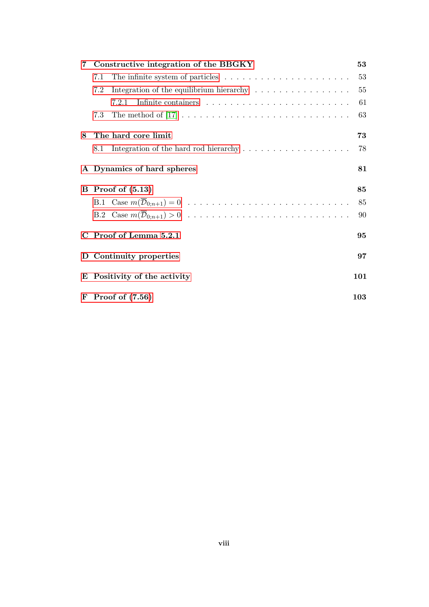| $7\phantom{.}$ | Constructive integration of the BBGKY |                                                                              |     |
|----------------|---------------------------------------|------------------------------------------------------------------------------|-----|
|                | 7.1                                   | The infinite system of particles $\dots \dots \dots \dots \dots \dots \dots$ | 53  |
|                | 7.2                                   | Integration of the equilibrium hierarchy $\dots \dots \dots \dots \dots$     | 55  |
|                |                                       | 7.2.1                                                                        | 61  |
|                | 7.3                                   |                                                                              | 63  |
| 8              |                                       | The hard core limit                                                          | 73  |
|                | 8.1                                   |                                                                              | 78  |
|                |                                       | A Dynamics of hard spheres                                                   | 81  |
|                |                                       | $\mathbf{B}$ Proof of $(5.13)$                                               | 85  |
|                |                                       |                                                                              | 85  |
|                |                                       |                                                                              | 90  |
|                |                                       | C Proof of Lemma 5.2.1                                                       | 95  |
|                |                                       | D Continuity properties                                                      | 97  |
|                | E Positivity of the activity          |                                                                              | 101 |
|                |                                       | $\mathbf{F}$ Proof of $(7.56)$                                               | 103 |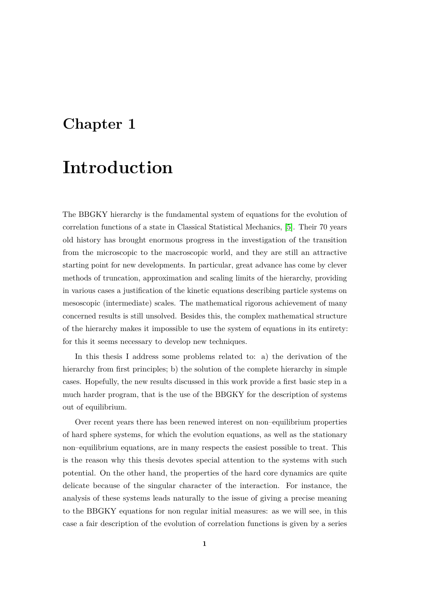## <span id="page-8-0"></span>**Chapter 1**

## **Introduction**

The BBGKY hierarchy is the fundamental system of equations for the evolution of correlation functions of a state in Classical Statistical Mechanics, [\[5\]](#page-112-0). Their 70 years old history has brought enormous progress in the investigation of the transition from the microscopic to the macroscopic world, and they are still an attractive starting point for new developments. In particular, great advance has come by clever methods of truncation, approximation and scaling limits of the hierarchy, providing in various cases a justification of the kinetic equations describing particle systems on mesoscopic (intermediate) scales. The mathematical rigorous achievement of many concerned results is still unsolved. Besides this, the complex mathematical structure of the hierarchy makes it impossible to use the system of equations in its entirety: for this it seems necessary to develop new techniques.

In this thesis I address some problems related to: a) the derivation of the hierarchy from first principles; b) the solution of the complete hierarchy in simple cases. Hopefully, the new results discussed in this work provide a first basic step in a much harder program, that is the use of the BBGKY for the description of systems out of equilibrium.

Over recent years there has been renewed interest on non–equilibrium properties of hard sphere systems, for which the evolution equations, as well as the stationary non–equilibrium equations, are in many respects the easiest possible to treat. This is the reason why this thesis devotes special attention to the systems with such potential. On the other hand, the properties of the hard core dynamics are quite delicate because of the singular character of the interaction. For instance, the analysis of these systems leads naturally to the issue of giving a precise meaning to the BBGKY equations for non regular initial measures: as we will see, in this case a fair description of the evolution of correlation functions is given by a series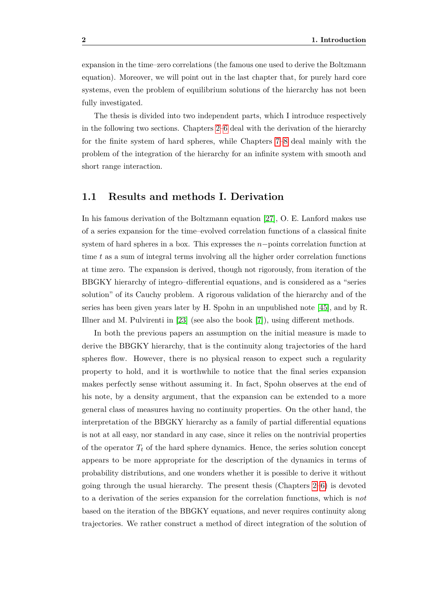expansion in the time–zero correlations (the famous one used to derive the Boltzmann equation). Moreover, we will point out in the last chapter that, for purely hard core systems, even the problem of equilibrium solutions of the hierarchy has not been fully investigated.

The thesis is divided into two independent parts, which I introduce respectively in the following two sections. Chapters [2–](#page-14-0)[6](#page-56-0) deal with the derivation of the hierarchy for the finite system of hard spheres, while Chapters [7–](#page-60-0)[8](#page-80-0) deal mainly with the problem of the integration of the hierarchy for an infinite system with smooth and short range interaction.

#### <span id="page-9-0"></span>**1.1 Results and methods I. Derivation**

In his famous derivation of the Boltzmann equation [\[27\]](#page-114-0), O. E. Lanford makes use of a series expansion for the time–evolved correlation functions of a classical finite system of hard spheres in a box. This expresses the *n*−points correlation function at time *t* as a sum of integral terms involving all the higher order correlation functions at time zero. The expansion is derived, though not rigorously, from iteration of the BBGKY hierarchy of integro–differential equations, and is considered as a "series solution" of its Cauchy problem. A rigorous validation of the hierarchy and of the series has been given years later by H. Spohn in an unpublished note [\[45\]](#page-115-0), and by R. Illner and M. Pulvirenti in [\[23\]](#page-113-1) (see also the book [\[7\]](#page-112-1)), using different methods.

In both the previous papers an assumption on the initial measure is made to derive the BBGKY hierarchy, that is the continuity along trajectories of the hard spheres flow. However, there is no physical reason to expect such a regularity property to hold, and it is worthwhile to notice that the final series expansion makes perfectly sense without assuming it. In fact, Spohn observes at the end of his note, by a density argument, that the expansion can be extended to a more general class of measures having no continuity properties. On the other hand, the interpretation of the BBGKY hierarchy as a family of partial differential equations is not at all easy, nor standard in any case, since it relies on the nontrivial properties of the operator  $T_t$  of the hard sphere dynamics. Hence, the series solution concept appears to be more appropriate for the description of the dynamics in terms of probability distributions, and one wonders whether it is possible to derive it without going through the usual hierarchy. The present thesis (Chapters [2–](#page-14-0)[6\)](#page-56-0) is devoted to a derivation of the series expansion for the correlation functions, which is *not* based on the iteration of the BBGKY equations, and never requires continuity along trajectories. We rather construct a method of direct integration of the solution of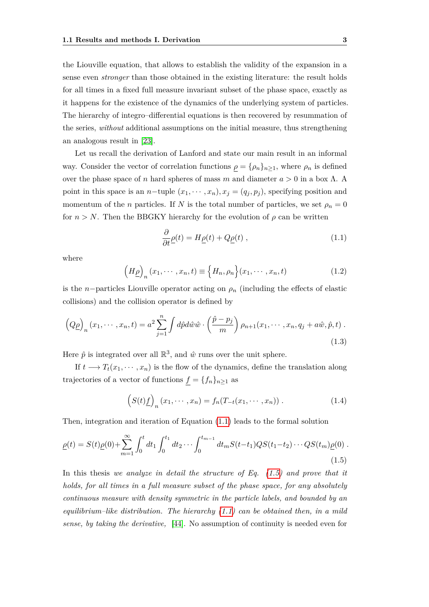the Liouville equation, that allows to establish the validity of the expansion in a sense even *stronger* than those obtained in the existing literature: the result holds for all times in a fixed full measure invariant subset of the phase space, exactly as it happens for the existence of the dynamics of the underlying system of particles. The hierarchy of integro–differential equations is then recovered by resummation of the series, *without* additional assumptions on the initial measure, thus strengthening an analogous result in [\[23\]](#page-113-1).

Let us recall the derivation of Lanford and state our main result in an informal way. Consider the vector of correlation functions  $\rho = {\rho_n}_{n \geq 1}$ , where  $\rho_n$  is defined over the phase space of *n* hard spheres of mass *m* and diameter *a >* 0 in a box Λ. A point in this space is an *n*−tuple  $(x_1, \dots, x_n)$ ,  $x_j = (q_j, p_j)$ , specifying position and momentum of the *n* particles. If *N* is the total number of particles, we set  $\rho_n = 0$ for  $n > N$ . Then the BBGKY hierarchy for the evolution of  $\rho$  can be written

<span id="page-10-0"></span>
$$
\frac{\partial}{\partial t}\underline{\rho}(t) = H\underline{\rho}(t) + Q\underline{\rho}(t) , \qquad (1.1)
$$

where

$$
\left(H_{\underline{\rho}}\right)_n(x_1,\cdots,x_n,t) \equiv \left\{H_n,\rho_n\right\}(x_1,\cdots,x_n,t) \tag{1.2}
$$

is the *n*−particles Liouville operator acting on  $\rho_n$  (including the effects of elastic collisions) and the collision operator is defined by

<span id="page-10-2"></span>
$$
\left(Q_{\underline{\rho}}\right)_n(x_1,\cdots,x_n,t) = a^2 \sum_{j=1}^n \int d\hat{p} d\hat{w} \hat{w} \cdot \left(\frac{\hat{p}-p_j}{m}\right) \rho_{n+1}(x_1,\cdots,x_n,q_j+a\hat{w},\hat{p},t) .
$$
\n(1.3)

Here  $\hat{p}$  is integrated over all  $\mathbb{R}^3$ , and  $\hat{w}$  runs over the unit sphere.

If  $t \longrightarrow T_t(x_1, \dots, x_n)$  is the flow of the dynamics, define the translation along trajectories of a vector of functions  $\underline{f} = \{f_n\}_{n\geq 1}$  as

$$
\left(S(t)\underline{f}\right)_n(x_1,\cdots,x_n) = f_n(T_{-t}(x_1,\cdots,x_n))\,. \tag{1.4}
$$

Then, integration and iteration of Equation [\(1.1\)](#page-10-0) leads to the formal solution

<span id="page-10-1"></span>
$$
\underline{\rho}(t) = S(t)\underline{\rho}(0) + \sum_{m=1}^{\infty} \int_0^t dt_1 \int_0^{t_1} dt_2 \cdots \int_0^{t_{m-1}} dt_m S(t-t_1) Q S(t_1-t_2) \cdots Q S(t_m) \underline{\rho}(0) .
$$
\n(1.5)

In this thesis *we analyze in detail the structure of Eq. [\(1.5\)](#page-10-1) and prove that it holds, for all times in a full measure subset of the phase space, for any absolutely continuous measure with density symmetric in the particle labels, and bounded by an equilibrium–like distribution. The hierarchy [\(1.1\)](#page-10-0) can be obtained then, in a mild sense, by taking the derivative,* [\[44\]](#page-115-1). No assumption of continuity is needed even for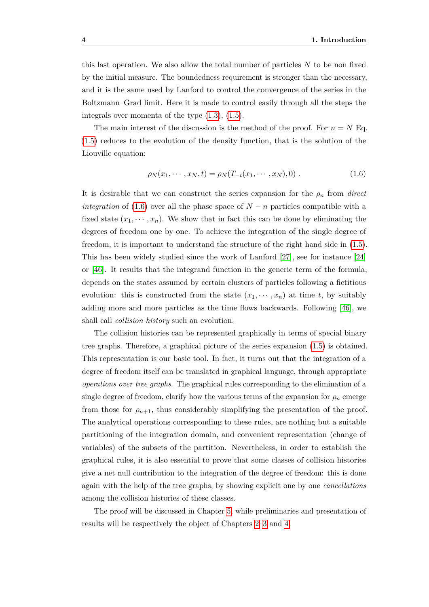this last operation. We also allow the total number of particles *N* to be non fixed by the initial measure. The boundedness requirement is stronger than the necessary, and it is the same used by Lanford to control the convergence of the series in the Boltzmann–Grad limit. Here it is made to control easily through all the steps the integrals over momenta of the type [\(1.3\)](#page-10-2), [\(1.5\)](#page-10-1).

The main interest of the discussion is the method of the proof. For  $n = N$  Eq. [\(1.5\)](#page-10-1) reduces to the evolution of the density function, that is the solution of the Liouville equation:

<span id="page-11-0"></span>
$$
\rho_N(x_1, \cdots, x_N, t) = \rho_N(T_{-t}(x_1, \cdots, x_N), 0) \,. \tag{1.6}
$$

It is desirable that we can construct the series expansion for the  $\rho_n$  from *direct integration* of [\(1.6\)](#page-11-0) over all the phase space of  $N - n$  particles compatible with a fixed state  $(x_1, \dots, x_n)$ . We show that in fact this can be done by eliminating the degrees of freedom one by one. To achieve the integration of the single degree of freedom, it is important to understand the structure of the right hand side in [\(1.5\)](#page-10-1). This has been widely studied since the work of Lanford [\[27\]](#page-114-0), see for instance [\[24\]](#page-114-1) or [\[46\]](#page-115-2). It results that the integrand function in the generic term of the formula, depends on the states assumed by certain clusters of particles following a fictitious evolution: this is constructed from the state  $(x_1, \dots, x_n)$  at time *t*, by suitably adding more and more particles as the time flows backwards. Following [\[46\]](#page-115-2), we shall call *collision history* such an evolution.

The collision histories can be represented graphically in terms of special binary tree graphs. Therefore, a graphical picture of the series expansion [\(1.5\)](#page-10-1) is obtained. This representation is our basic tool. In fact, it turns out that the integration of a degree of freedom itself can be translated in graphical language, through appropriate *operations over tree graphs*. The graphical rules corresponding to the elimination of a single degree of freedom, clarify how the various terms of the expansion for  $\rho_n$  emerge from those for  $\rho_{n+1}$ , thus considerably simplifying the presentation of the proof. The analytical operations corresponding to these rules, are nothing but a suitable partitioning of the integration domain, and convenient representation (change of variables) of the subsets of the partition. Nevertheless, in order to establish the graphical rules, it is also essential to prove that some classes of collision histories give a net null contribution to the integration of the degree of freedom: this is done again with the help of the tree graphs, by showing explicit one by one *cancellations* among the collision histories of these classes.

The proof will be discussed in Chapter [5,](#page-44-0) while preliminaries and presentation of results will be respectively the object of Chapters [2–](#page-14-0)[3](#page-26-0) and [4.](#page-36-0)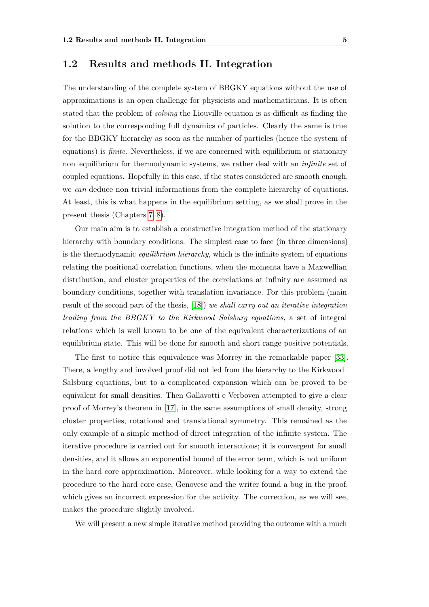### <span id="page-12-0"></span>**1.2 Results and methods II. Integration**

The understanding of the complete system of BBGKY equations without the use of approximations is an open challenge for physicists and mathematicians. It is often stated that the problem of *solving* the Liouville equation is as difficult as finding the solution to the corresponding full dynamics of particles. Clearly the same is true for the BBGKY hierarchy as soon as the number of particles (hence the system of equations) is *finite*. Nevertheless, if we are concerned with equilibrium or stationary non–equilibrium for thermodynamic systems, we rather deal with an *infinite* set of coupled equations. Hopefully in this case, if the states considered are smooth enough, we *can* deduce non trivial informations from the complete hierarchy of equations. At least, this is what happens in the equilibrium setting, as we shall prove in the present thesis (Chapters [7](#page-60-0)[–8\)](#page-80-0).

Our main aim is to establish a constructive integration method of the stationary hierarchy with boundary conditions. The simplest case to face (in three dimensions) is the thermodynamic *equilibrium hierarchy*, which is the infinite system of equations relating the positional correlation functions, when the momenta have a Maxwellian distribution, and cluster properties of the correlations at infinity are assumed as boundary conditions, together with translation invariance. For this problem (main result of the second part of the thesis, [\[18\]](#page-113-2)) *we shall carry out an iterative integration leading from the BBGKY to the Kirkwood–Salsburg equations*, a set of integral relations which is well known to be one of the equivalent characterizations of an equilibrium state. This will be done for smooth and short range positive potentials.

The first to notice this equivalence was Morrey in the remarkable paper [\[33\]](#page-114-2). There, a lengthy and involved proof did not led from the hierarchy to the Kirkwood– Salsburg equations, but to a complicated expansion which can be proved to be equivalent for small densities. Then Gallavotti e Verboven attempted to give a clear proof of Morrey's theorem in [\[17\]](#page-113-0), in the same assumptions of small density, strong cluster properties, rotational and translational symmetry. This remained as the only example of a simple method of direct integration of the infinite system. The iterative procedure is carried out for smooth interactions; it is convergent for small densities, and it allows an exponential bound of the error term, which is not uniform in the hard core approximation. Moreover, while looking for a way to extend the procedure to the hard core case, Genovese and the writer found a bug in the proof, which gives an incorrect expression for the activity. The correction, as we will see, makes the procedure slightly involved.

We will present a new simple iterative method providing the outcome with a much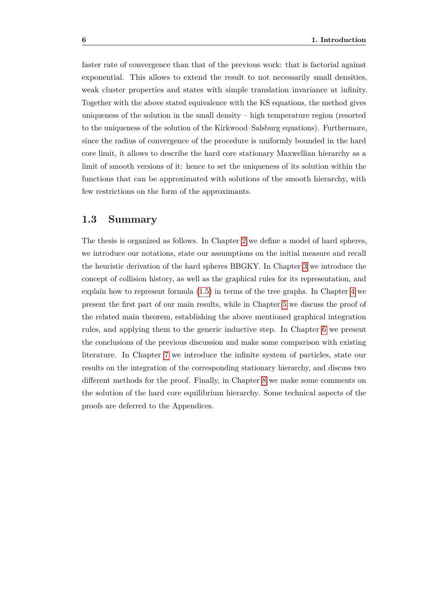faster rate of convergence than that of the previous work: that is factorial against exponential. This allows to extend the result to not necessarily small densities, weak cluster properties and states with simple translation invariance at infinity. Together with the above stated equivalence with the KS equations, the method gives uniqueness of the solution in the small density – high temperature region (resorted to the uniqueness of the solution of the Kirkwood–Salsburg equations). Furthermore, since the radius of convergence of the procedure is uniformly bounded in the hard core limit, it allows to describe the hard core stationary Maxwellian hierarchy as a limit of smooth versions of it: hence to set the uniqueness of its solution within the functions that can be approximated with solutions of the smooth hierarchy, with few restrictions on the form of the approximants.

### <span id="page-13-0"></span>**1.3 Summary**

The thesis is organized as follows. In Chapter [2](#page-14-0) we define a model of hard spheres, we introduce our notations, state our assumptions on the initial measure and recall the heuristic derivation of the hard spheres BBGKY. In Chapter [3](#page-26-0) we introduce the concept of collision history, as well as the graphical rules for its representation, and explain how to represent formula [\(1.5\)](#page-10-1) in terms of the tree graphs. In Chapter [4](#page-36-0) we present the first part of our main results, while in Chapter [5](#page-44-0) we discuss the proof of the related main theorem, establishing the above mentioned graphical integration rules, and applying them to the generic inductive step. In Chapter [6](#page-56-0) we present the conclusions of the previous discussion and make some comparison with existing literature. In Chapter [7](#page-60-0) we introduce the infinite system of particles, state our results on the integration of the corresponding stationary hierarchy, and discuss two different methods for the proof. Finally, in Chapter [8](#page-80-0) we make some comments on the solution of the hard core equilibrium hierarchy. Some technical aspects of the proofs are deferred to the Appendices.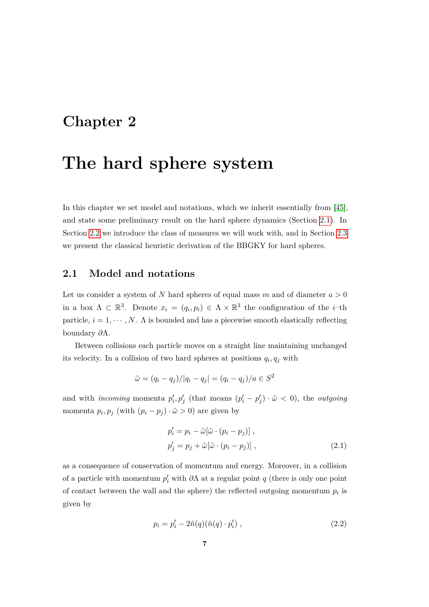### <span id="page-14-0"></span>**Chapter 2**

## **The hard sphere system**

In this chapter we set model and notations, which we inherit essentially from [\[45\]](#page-115-0), and state some preliminary result on the hard sphere dynamics (Section [2.1\)](#page-14-1). In Section [2.2](#page-18-0) we introduce the class of measures we will work with, and in Section [2.3](#page-20-0) we present the classical heuristic derivation of the BBGKY for hard spheres.

### <span id="page-14-1"></span>**2.1 Model and notations**

Let us consider a system of  $N$  hard spheres of equal mass  $m$  and of diameter  $a > 0$ in a box  $\Lambda \subset \mathbb{R}^3$ . Denote  $x_i = (q_i, p_i) \in \Lambda \times \mathbb{R}^3$  the configuration of the *i*-th particle,  $i = 1, \dots, N$ .  $\Lambda$  is bounded and has a piecewise smooth elastically reflecting boundary *∂*Λ.

Between collisions each particle moves on a straight line maintaining unchanged its velocity. In a collision of two hard spheres at positions  $q_i, q_j$  with

$$
\hat{\omega} = (q_i - q_j)/|q_i - q_j| = (q_i - q_j)/a \in S^2
$$

and with *incoming* momenta  $p'_i, p'_j$  (that means  $(p'_i - p'_j) \cdot \hat{\omega} < 0$ ), the *outgoing* momenta  $p_i, p_j$  (with  $(p_i - p_j) \cdot \hat{\omega} > 0$ ) are given by

<span id="page-14-2"></span>
$$
p'_{i} = p_{i} - \hat{\omega}[\hat{\omega} \cdot (p_{i} - p_{j})],
$$
  
\n
$$
p'_{j} = p_{j} + \hat{\omega}[\hat{\omega} \cdot (p_{i} - p_{j})],
$$
\n(2.1)

as a consequence of conservation of momentum and energy. Moreover, in a collision of a particle with momentum  $p'_i$  with  $\partial \Lambda$  at a regular point  $q$  (there is only one point of contact between the wall and the sphere) the reflected outgoing momentum  $p_i$  is given by

<span id="page-14-3"></span>
$$
p_i = p'_i - 2\hat{n}(q)(\hat{n}(q) \cdot p'_i) , \qquad (2.2)
$$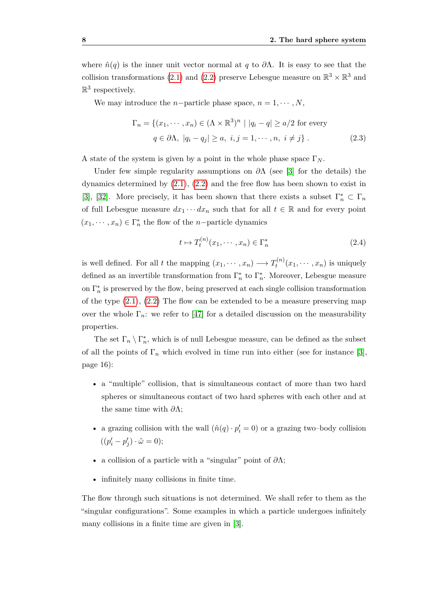where  $\hat{n}(q)$  is the inner unit vector normal at *q* to  $\partial \Lambda$ . It is easy to see that the collision transformations [\(2.1\)](#page-14-2) and [\(2.2\)](#page-14-3) preserve Lebesgue measure on  $\mathbb{R}^3 \times \mathbb{R}^3$  and  $\mathbb{R}^3$  respectively.

We may introduce the *n*−particle phase space,  $n = 1, \dots, N$ ,

$$
\Gamma_n = \{ (x_1, \dots, x_n) \in (\Lambda \times \mathbb{R}^3)^n \mid |q_i - q| \ge a/2 \text{ for every}
$$
  
  $q \in \partial \Lambda, |q_i - q_j| \ge a, i, j = 1, \dots, n, i \ne j \}.$  (2.3)

A state of the system is given by a point in the whole phase space  $\Gamma_N$ .

Under few simple regularity assumptions on *∂*Λ (see [\[3\]](#page-112-2) for the details) the dynamics determined by  $(2.1)$ ,  $(2.2)$  and the free flow has been shown to exist in [\[3\]](#page-112-2), [\[32\]](#page-114-3). More precisely, it has been shown that there exists a subset  $\Gamma_n^* \subset \Gamma_n$ of full Lebesgue measure  $dx_1 \cdots dx_n$  such that for all  $t \in \mathbb{R}$  and for every point  $(x_1, \dots, x_n) \in \Gamma_n^*$  the flow of the *n*−particle dynamics

<span id="page-15-0"></span>
$$
t \mapsto T_t^{(n)}(x_1, \cdots, x_n) \in \Gamma_n^*
$$
\n<sup>(2.4)</sup>

is well defined. For all *t* the mapping  $(x_1, \dots, x_n) \longrightarrow T_t^{(n)}$  $t^{(n)}(x_1,\dots,x_n)$  is uniquely defined as an invertible transformation from  $\Gamma_n^*$  to  $\Gamma_n^*$ . Moreover, Lebesgue measure on  $\Gamma_n^*$  is preserved by the flow, being preserved at each single collision transformation of the type [\(2.1\)](#page-14-2), [\(2.2\)](#page-14-3) The flow can be extended to be a measure preserving map over the whole  $\Gamma_n$ : we refer to [\[47\]](#page-115-3) for a detailed discussion on the measurability properties.

The set  $\Gamma_n \setminus \Gamma_n^*$ , which is of null Lebesgue measure, can be defined as the subset of all the points of  $\Gamma_n$  which evolved in time run into either (see for instance [\[3\]](#page-112-2), page 16):

- a "multiple" collision, that is simultaneous contact of more than two hard spheres or simultaneous contact of two hard spheres with each other and at the same time with *∂*Λ;
- a grazing collision with the wall  $(\hat{n}(q) \cdot p'_i = 0)$  or a grazing two–body collision  $((p'_i - p'_j) \cdot \hat{\omega} = 0);$
- a collision of a particle with a "singular" point of *∂*Λ;
- infinitely many collisions in finite time.

The flow through such situations is not determined. We shall refer to them as the "singular configurations". Some examples in which a particle undergoes infinitely many collisions in a finite time are given in [\[3\]](#page-112-2).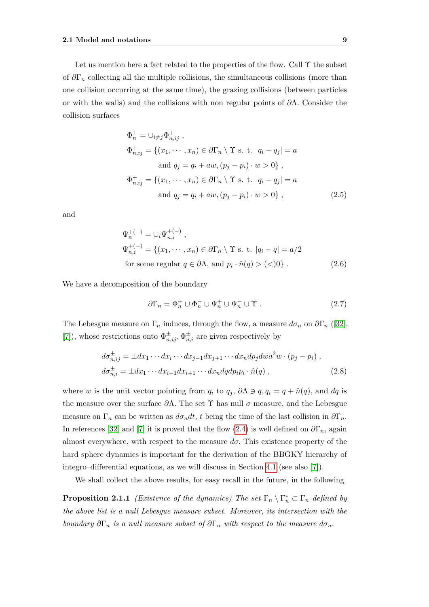Let us mention here a fact related to the properties of the flow. Call  $\Upsilon$  the subset of  $\partial\Gamma_n$  collecting all the multiple collisions, the simultaneous collisions (more than one collision occurring at the same time), the grazing collisions (between particles or with the walls) and the collisions with non regular points of *∂*Λ*.* Consider the collision surfaces

$$
\Phi_n^+ = \bigcup_{i \neq j} \Phi_{n,ij}^+,
$$
  
\n
$$
\Phi_{n,ij}^+ = \{(x_1, \dots, x_n) \in \partial \Gamma_n \setminus \Upsilon \text{ s. t. } |q_i - q_j| = a
$$
  
\nand  $q_j = q_i + aw, (p_j - p_i) \cdot w > 0 \},$   
\n
$$
\Phi_{n,ij}^+ = \{(x_1, \dots, x_n) \in \partial \Gamma_n \setminus \Upsilon \text{ s. t. } |q_i - q_j| = a
$$
  
\nand  $q_j = q_i + aw, (p_j - p_i) \cdot w > 0 \},$  (2.5)

and

$$
\Psi_n^{+(-)} = \bigcup_i \Psi_{n,i}^{+(-)},
$$
\n
$$
\Psi_{n,i}^{+(-)} = \{(x_1, \dots, x_n) \in \partial \Gamma_n \setminus \Upsilon \text{ s. t. } |q_i - q| = a/2
$$
\nfor some regular  $q \in \partial \Lambda$ , and  $p_i \cdot \hat{n}(q) > (<0$ )\n. (2.6)

We have a decomposition of the boundary

<span id="page-16-0"></span>
$$
\partial \Gamma_n = \Phi_n^+ \cup \Phi_n^- \cup \Psi_n^+ \cup \Psi_n^- \cup \Upsilon . \tag{2.7}
$$

The Lebesgue measure on  $\Gamma_n$  induces, through the flow, a measure  $d\sigma_n$  on  $\partial \Gamma_n$  ([\[32\]](#page-114-3), [\[7\]](#page-112-1)), whose restrictions onto  $\Phi_{n,ij}^{\pm}$ ,  $\Phi_{n,i}^{\pm}$  are given respectively by

$$
d\sigma_{n,ij}^{\pm} = \pm dx_1 \cdots dx_i \cdots dx_{j-1} dx_{j+1} \cdots dx_n dp_j dwa^2 w \cdot (p_j - p_i) ,
$$
  
\n
$$
d\sigma_{n,i}^{\pm} = \pm dx_1 \cdots dx_{i-1} dx_{i+1} \cdots dx_n dq dp_i p_i \cdot \hat{n}(q) ,
$$
\n(2.8)

where *w* is the unit vector pointing from  $q_i$  to  $q_j$ ,  $\partial \Lambda \ni q, q_i = q + \hat{n}(q)$ , and  $dq$  is the measure over the surface  $\partial \Lambda$ . The set  $\Upsilon$  has null  $\sigma$  measure, and the Lebesgue measure on  $\Gamma_n$  can be written as  $d\sigma_n dt$ , t being the time of the last collision in  $\partial \Gamma_n$ . In references [\[32\]](#page-114-3) and [\[7\]](#page-112-1) it is proved that the flow [\(2.4\)](#page-15-0) is well defined on  $\partial\Gamma_n$ , again almost everywhere, with respect to the measure  $d\sigma$ . This existence property of the hard sphere dynamics is important for the derivation of the BBGKY hierarchy of integro–differential equations, as we will discuss in Section [4.1](#page-39-0) (see also [\[7\]](#page-112-1)).

We shall collect the above results, for easy recall in the future, in the following

**Proposition 2.1.1** *(Existence of the dynamics)* The set  $\Gamma_n \setminus \Gamma_n^* \subset \Gamma_n$  *defined by the above list is a null Lebesgue measure subset. Moreover, its intersection with the boundary*  $\partial\Gamma_n$  *is a null measure subset of*  $\partial\Gamma_n$  *with respect to the measure*  $d\sigma_n$ *.*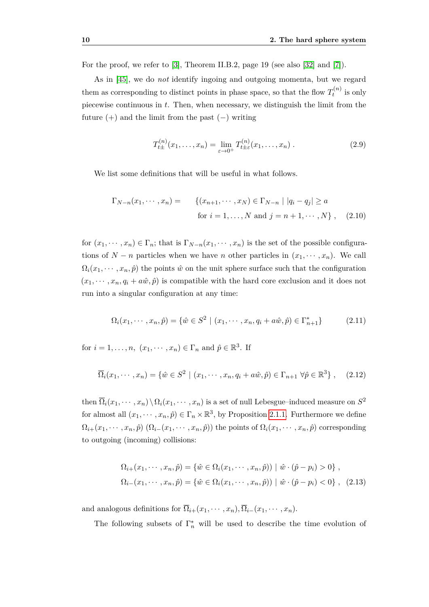For the proof, we refer to [\[3\]](#page-112-2), Theorem II.B.2, page 19 (see also [\[32\]](#page-114-3) and [\[7\]](#page-112-1)).

As in [\[45\]](#page-115-0), we do *not* identify ingoing and outgoing momenta, but we regard them as corresponding to distinct points in phase space, so that the flow  $T_t^{(n)}$  $t^{(n)}$  is only piecewise continuous in *t*. Then, when necessary, we distinguish the limit from the future  $(+)$  and the limit from the past  $(-)$  writing

$$
T_{t\pm}^{(n)}(x_1,\ldots,x_n) = \lim_{\varepsilon \to 0^+} T_{t\pm}^{(n)}(x_1,\ldots,x_n) . \tag{2.9}
$$

We list some definitions that will be useful in what follows.

$$
\Gamma_{N-n}(x_1, \dots, x_n) = \{ (x_{n+1}, \dots, x_N) \in \Gamma_{N-n} \mid |q_i - q_j| \ge a \text{ for } i = 1, \dots, N \text{ and } j = n+1, \dots, N \}, \quad (2.10)
$$

for  $(x_1, \dots, x_n) \in \Gamma_n$ ; that is  $\Gamma_{N-n}(x_1, \dots, x_n)$  is the set of the possible configurations of *N* − *n* particles when we have *n* other particles in  $(x_1, \dots, x_n)$ . We call  $\Omega_i(x_1, \dots, x_n, \hat{p})$  the points  $\hat{w}$  on the unit sphere surface such that the configuration  $(x_1, \dots, x_n, q_i + a\hat{w}, \hat{p})$  is compatible with the hard core exclusion and it does not run into a singular configuration at any time:

<span id="page-17-0"></span>
$$
\Omega_i(x_1, \cdots, x_n, \hat{p}) = \{ \hat{w} \in S^2 \mid (x_1, \cdots, x_n, q_i + a\hat{w}, \hat{p}) \in \Gamma_{n+1}^* \}
$$
(2.11)

for  $i = 1, \ldots, n$ ,  $(x_1, \cdots, x_n) \in \Gamma_n$  and  $\hat{p} \in \mathbb{R}^3$ . If

$$
\overline{\Omega}_i(x_1,\dots,x_n) = \{ \hat{w} \in S^2 \mid (x_1,\dots,x_n,q_i+a\hat{w},\hat{p}) \in \Gamma_{n+1} \,\forall \hat{p} \in \mathbb{R}^3 \},\tag{2.12}
$$

then  $\overline{\Omega}_i(x_1,\dots,x_n) \setminus \Omega_i(x_1,\dots,x_n)$  is a set of null Lebesgue–induced measure on  $S^2$ for almost all  $(x_1, \dots, x_n, \hat{p}) \in \Gamma_n \times \mathbb{R}^3$ , by Proposition [2.1.1.](#page-16-0) Furthermore we define  $\Omega_{i+}(x_1,\dots,x_n,\hat{p})$   $(\Omega_{i-}(x_1,\dots,x_n,\hat{p}))$  the points of  $\Omega_i(x_1,\dots,x_n,\hat{p})$  corresponding to outgoing (incoming) collisions:

$$
\Omega_{i+}(x_1, \dots, x_n, \hat{p}) = \{ \hat{w} \in \Omega_i(x_1, \dots, x_n, \hat{p}) \mid \hat{w} \cdot (\hat{p} - p_i) > 0 \},
$$
  

$$
\Omega_{i-}(x_1, \dots, x_n, \hat{p}) = \{ \hat{w} \in \Omega_i(x_1, \dots, x_n, \hat{p}) \mid \hat{w} \cdot (\hat{p} - p_i) < 0 \}, \quad (2.13)
$$

and analogous definitions for  $\overline{\Omega}_{i+}(x_1,\dots,x_n), \overline{\Omega}_{i-}(x_1,\dots,x_n)$ .

The following subsets of  $\Gamma_n^*$  will be used to describe the time evolution of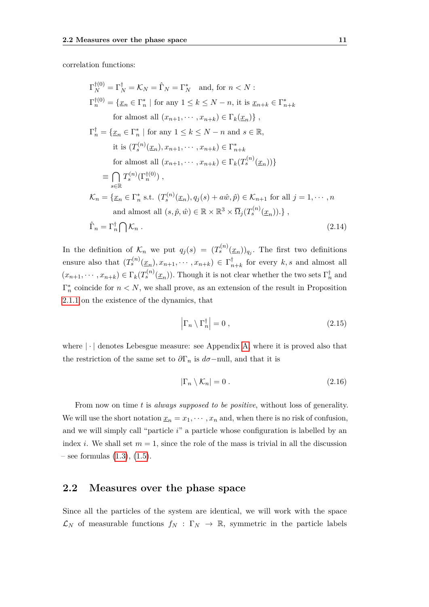correlation functions:

<span id="page-18-1"></span>
$$
\Gamma_N^{\dagger(0)} = \Gamma_N^{\dagger} = \mathcal{K}_N = \hat{\Gamma}_N = \Gamma_N^*
$$
 and, for  $n < N$ :  
\n
$$
\Gamma_n^{\dagger(0)} = \{ \underline{x}_n \in \Gamma_n^* \mid \text{for any } 1 \leq k \leq N - n, \text{ it is } \underline{x}_{n+k} \in \Gamma_{n+k}^*
$$
\nfor almost all  $(x_{n+1}, \dots, x_{n+k}) \in \Gamma_k(\underline{x}_n) \}$ ,  
\n
$$
\Gamma_n^{\dagger} = \{ \underline{x}_n \in \Gamma_n^* \mid \text{for any } 1 \leq k \leq N - n \text{ and } s \in \mathbb{R},
$$
\nit it is  $(T_s^{(n)}(\underline{x}_n), x_{n+1}, \dots, x_{n+k}) \in \Gamma_{n+k}^*$   
\nfor almost all  $(x_{n+1}, \dots, x_{n+k}) \in \Gamma_k(T_s^{(n)}(\underline{x}_n)) \}$   
\n
$$
\equiv \bigcap_{s \in \mathbb{R}} T_s^{(n)}(\Gamma_n^{\dagger(0)}) ,
$$
\n
$$
\mathcal{K}_n = \{ \underline{x}_n \in \Gamma_n^* \text{ s.t. } (T_s^{(n)}(\underline{x}_n), q_j(s) + a\hat{w}, \hat{p}) \in \mathcal{K}_{n+1} \text{ for all } j = 1, \dots, n
$$
\nand almost all  $(s, \hat{p}, \hat{w}) \in \mathbb{R} \times \mathbb{R}^3 \times \overline{\Omega}_j(T_s^{(n)}(\underline{x}_n)) . \}$ ,  
\n
$$
\hat{\Gamma}_n = \Gamma_n^{\dagger} \bigcap \mathcal{K}_n .
$$
\n(2.14)

In the definition of  $\mathcal{K}_n$  we put  $q_j(s) = (T_s^{(n)}(\underline{x}_n))_{q_j}$ . The first two definitions ensure also that  $(T_s^{(n)}(\underline{x}_n), x_{n+1}, \cdots, x_{n+k}) \in \Gamma_\tau^\dagger$  $n_{n+k}$  for every  $k, s$  and almost all  $(x_{n+1}, \dots, x_{n+k}) \in \Gamma_k(T_s^{(n)}(\underline{x}_n))$ . Though it is not clear whether the two sets  $\Gamma_n^{\dagger}$  and  $\Gamma_n^*$  coincide for  $n < N$ , we shall prove, as an extension of the result in Proposition [2.1.1](#page-16-0) on the existence of the dynamics, that

$$
\left|\Gamma_n \setminus \Gamma_n^{\dagger}\right| = 0\,,\tag{2.15}
$$

where  $|\cdot|$  denotes Lebesgue measure: see Appendix [A,](#page-88-0) where it is proved also that the restriction of the same set to  $\partial \Gamma_n$  is  $d\sigma$ -null, and that it is

$$
|\Gamma_n \setminus \mathcal{K}_n| = 0. \tag{2.16}
$$

From now on time *t* is *always supposed to be positive*, without loss of generality. We will use the short notation  $\underline{x}_n = x_1, \cdots, x_n$  and, when there is no risk of confusion, and we will simply call "particle *i*" a particle whose configuration is labelled by an index *i*. We shall set  $m = 1$ , since the role of the mass is trivial in all the discussion  $-$  see formulas  $(1.3)$ ,  $(1.5)$ .

### <span id="page-18-0"></span>**2.2 Measures over the phase space**

Since all the particles of the system are identical, we will work with the space  $\mathcal{L}_N$  of measurable functions  $f_N : \Gamma_N \to \mathbb{R}$ , symmetric in the particle labels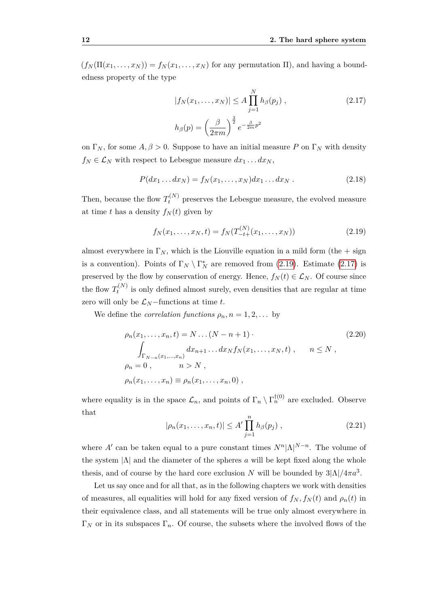$(f_N(\Pi(x_1,\ldots,x_N)) = f_N(x_1,\ldots,x_N)$  for any permutation  $\Pi$ ), and having a boundedness property of the type

<span id="page-19-1"></span>
$$
|f_N(x_1,\ldots,x_N)| \le A \prod_{j=1}^N h_\beta(p_j) ,
$$
\n
$$
h_\beta(p) = \left(\frac{\beta}{2\pi m}\right)^{\frac{3}{2}} e^{-\frac{\beta}{2m}p^2}
$$
\n(2.17)

on  $\Gamma_N$ , for some  $A, \beta > 0$ . Suppose to have an initial measure P on  $\Gamma_N$  with density  $f_N \in \mathcal{L}_N$  with respect to Lebesgue measure  $dx_1 \dots dx_N$ ,

$$
P(dx_1 \dots dx_N) = f_N(x_1, \dots, x_N) dx_1 \dots dx_N.
$$
 (2.18)

Then, because the flow  $T_t^{(N)}$  preserves the Lebesgue measure, the evolved measure at time *t* has a density  $f_N(t)$  given by

<span id="page-19-0"></span>
$$
f_N(x_1, \dots, x_N, t) = f_N(T_{-t+}^{(N)}(x_1, \dots, x_N))
$$
\n(2.19)

almost everywhere in  $\Gamma_N$ , which is the Liouville equation in a mild form (the  $+$  sign is a convention). Points of  $\Gamma_N \setminus \Gamma_N^*$  are removed from [\(2.19\)](#page-19-0). Estimate [\(2.17\)](#page-19-1) is preserved by the flow by conservation of energy. Hence,  $f_N(t) \in \mathcal{L}_N$ . Of course since the flow  $T_t^{(N)}$  $t^{(N)}$  is only defined almost surely, even densities that are regular at time zero will only be  $\mathcal{L}_N$  −functions at time *t*.

We define the *correlation functions*  $\rho_n$ ,  $n = 1, 2, \ldots$  by

<span id="page-19-2"></span>
$$
\rho_n(x_1, ..., x_n, t) = N ... (N - n + 1)
$$
\n
$$
\int_{\Gamma_{N-n}(x_1, ..., x_n)} dx_{n+1} ... dx_N f_N(x_1, ..., x_N, t) , \quad n \le N ,
$$
\n
$$
\rho_n = 0 , \quad n > N ,
$$
\n
$$
\rho_n(x_1, ..., x_n) \equiv \rho_n(x_1, ..., x_n, 0) ,
$$
\n(2.20)

where equality is in the space  $\mathcal{L}_n$ , and points of  $\Gamma_n \setminus \Gamma_n^{\dagger(0)}$  are excluded. Observe that

<span id="page-19-3"></span>
$$
|\rho_n(x_1,\ldots,x_n,t)| \le A' \prod_{j=1}^n h_\beta(p_j) , \qquad (2.21)
$$

where *A'* can be taken equal to a pure constant times  $N^n |\Lambda|^{N-n}$ . The volume of the system  $|\Lambda|$  and the diameter of the spheres *a* will be kept fixed along the whole thesis, and of course by the hard core exclusion *N* will be bounded by  $3|\Lambda|/4\pi a^3$ .

Let us say once and for all that, as in the following chapters we work with densities of measures, all equalities will hold for any fixed version of  $f_N$ ,  $f_N(t)$  and  $\rho_n(t)$  in their equivalence class, and all statements will be true only almost everywhere in Γ*<sup>N</sup>* or in its subspaces Γ*n*. Of course, the subsets where the involved flows of the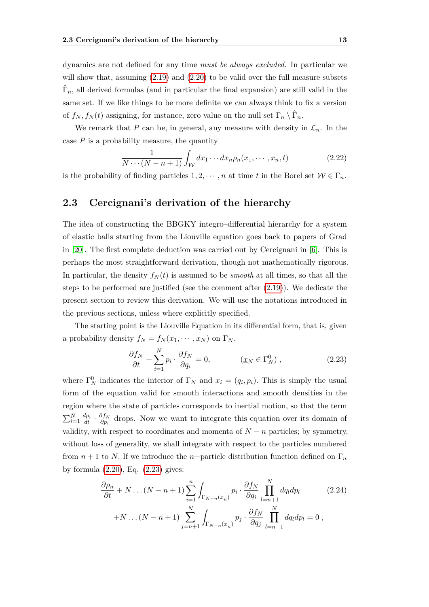dynamics are not defined for any time *must be always excluded*. In particular we will show that, assuming  $(2.19)$  and  $(2.20)$  to be valid over the full measure subsets  $\hat{\Gamma}_n$ , all derived formulas (and in particular the final expansion) are still valid in the same set. If we like things to be more definite we can always think to fix a version of  $f_N, f_N(t)$  assigning, for instance, zero value on the null set  $\Gamma_n \setminus \hat{\Gamma}_n$ .

We remark that *P* can be, in general, any measure with density in  $\mathcal{L}_n$ . In the case  $P$  is a probability measure, the quantity

$$
\frac{1}{N\cdots(N-n+1)}\int_{\mathcal{W}}dx_1\cdots dx_n\rho_n(x_1,\cdots,x_n,t)
$$
\n(2.22)

is the probability of finding particles  $1, 2, \dots, n$  at time *t* in the Borel set  $W \in \Gamma_n$ .

### <span id="page-20-0"></span>**2.3 Cercignani's derivation of the hierarchy**

The idea of constructing the BBGKY integro–differential hierarchy for a system of elastic balls starting from the Liouville equation goes back to papers of Grad in [\[20\]](#page-113-3). The first complete deduction was carried out by Cercignani in [\[6\]](#page-112-3). This is perhaps the most straightforward derivation, though not mathematically rigorous. In particular, the density  $f_N(t)$  is assumed to be *smooth* at all times, so that all the steps to be performed are justified (see the comment after [\(2.19\)](#page-19-0)). We dedicate the present section to review this derivation. We will use the notations introduced in the previous sections, unless where explicitly specified.

The starting point is the Liouville Equation in its differential form, that is, given a probability density  $f_N = f_N(x_1, \dots, x_N)$  on  $\Gamma_N$ ,

<span id="page-20-1"></span>
$$
\frac{\partial f_N}{\partial t} + \sum_{i=1}^{N} p_i \cdot \frac{\partial f_N}{\partial q_i} = 0, \qquad (\underline{x}_N \in \Gamma_N^0), \qquad (2.23)
$$

where  $\Gamma_N^0$  indicates the interior of  $\Gamma_N$  and  $x_i = (q_i, p_i)$ . This is simply the usual form of the equation valid for smooth interactions and smooth densities in the region where the state of particles corresponds to inertial motion, so that the term  $\sum_{i=1}^{N} \frac{dp_i}{dt} \cdot \frac{\partial f_N}{\partial p_i}$ *∂<sub>p<sub>i</sub>*</sub> drops. Now we want to integrate this equation over its domain of validity, with respect to coordinates and momenta of  $N - n$  particles; by symmetry, without loss of generality, we shall integrate with respect to the particles numbered from  $n + 1$  to *N*. If we introduce the *n*−particle distribution function defined on  $\Gamma_n$ by formula [\(2.20\)](#page-19-2), Eq. [\(2.23\)](#page-20-1) gives:

<span id="page-20-2"></span>
$$
\frac{\partial \rho_n}{\partial t} + N \dots (N - n + 1) \sum_{i=1}^n \int_{\Gamma_{N-n}(\underline{x}_n)} p_i \cdot \frac{\partial f_N}{\partial q_i} \prod_{l=n+1}^N dq_l dp_l \qquad (2.24)
$$

$$
+ N \dots (N - n + 1) \sum_{j=n+1}^N \int_{\Gamma_{N-n}(\underline{x}_n)} p_j \cdot \frac{\partial f_N}{\partial q_j} \prod_{l=n+1}^N dq_l dp_l = 0,
$$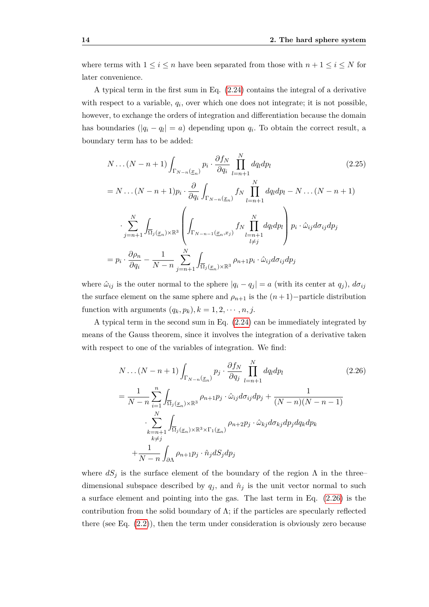where terms with  $1 \leq i \leq n$  have been separated from those with  $n + 1 \leq i \leq N$  for later convenience.

A typical term in the first sum in Eq. [\(2.24\)](#page-20-2) contains the integral of a derivative with respect to a variable,  $q_i$ , over which one does not integrate; it is not possible, however, to exchange the orders of integration and differentiation because the domain has boundaries  $(|q_i - q_i| = a)$  depending upon  $q_i$ . To obtain the correct result, a boundary term has to be added:

<span id="page-21-1"></span>
$$
N \dots (N - n + 1) \int_{\Gamma_{N-n}(\underline{x}_n)} p_i \cdot \frac{\partial f_N}{\partial q_i} \prod_{l=n+1}^N dq_l dp_l \qquad (2.25)
$$
  
=  $N \dots (N - n + 1) p_i \cdot \frac{\partial}{\partial q_i} \int_{\Gamma_{N-n}(\underline{x}_n)} f_N \prod_{l=n+1}^N dq_l dp_l - N \dots (N - n + 1)$   

$$
\cdot \sum_{j=n+1}^N \int_{\overline{\Omega}_j(\underline{x}_n) \times \mathbb{R}^3} \left( \int_{\Gamma_{N-n-1}(\underline{x}_n, x_j)} f_N \prod_{l=n+1}^N dq_l dp_l \right) p_i \cdot \hat{\omega}_{ij} d\sigma_{ij} dp_j
$$
  
=  $p_i \cdot \frac{\partial \rho_n}{\partial q_i} - \frac{1}{N-n} \sum_{j=n+1}^N \int_{\overline{\Omega}_j(\underline{x}_n) \times \mathbb{R}^3} \rho_{n+1} p_i \cdot \hat{\omega}_{ij} d\sigma_{ij} dp_j$  (2.25)

where  $\hat{\omega}_{ij}$  is the outer normal to the sphere  $|q_i - q_j| = a$  (with its center at  $q_j$ ),  $d\sigma_{ij}$ the surface element on the same sphere and  $\rho_{n+1}$  is the  $(n+1)$ −particle distribution function with arguments  $(q_k, p_k)$ ,  $k = 1, 2, \dots, n, j$ .

A typical term in the second sum in Eq. [\(2.24\)](#page-20-2) can be immediately integrated by means of the Gauss theorem, since it involves the integration of a derivative taken with respect to one of the variables of integration. We find:

<span id="page-21-0"></span>
$$
N \dots (N - n + 1) \int_{\Gamma_{N-n}(\underline{x}_n)} p_j \cdot \frac{\partial f_N}{\partial q_j} \prod_{l=n+1}^N dq_l dp_l
$$
\n
$$
= \frac{1}{N - n} \sum_{i=1}^n \int_{\overline{\Omega}_j(\underline{x}_n) \times \mathbb{R}^3} \rho_{n+1} p_j \cdot \hat{\omega}_{ij} d\sigma_{ij} dp_j + \frac{1}{(N - n)(N - n - 1)}
$$
\n
$$
\sum_{\substack{k=n+1\\k \neq j}}^N \int_{\overline{\Omega}_j(\underline{x}_n) \times \mathbb{R}^3 \times \Gamma_1(\underline{x}_n)} \rho_{n+2} p_j \cdot \hat{\omega}_{kj} d\sigma_{kj} dp_j dq_k dp_k
$$
\n
$$
+ \frac{1}{N - n} \int_{\partial \Lambda} \rho_{n+1} p_j \cdot \hat{n}_j dS_j dp_j
$$
\n(2.26)

where  $dS_j$  is the surface element of the boundary of the region  $\Lambda$  in the three– dimensional subspace described by  $q_j$ , and  $\hat{n}_j$  is the unit vector normal to such a surface element and pointing into the gas. The last term in Eq. [\(2.26\)](#page-21-0) is the contribution from the solid boundary of  $\Lambda$ ; if the particles are specularly reflected there (see Eq. [\(2.2\)](#page-14-3)), then the term under consideration is obviously zero because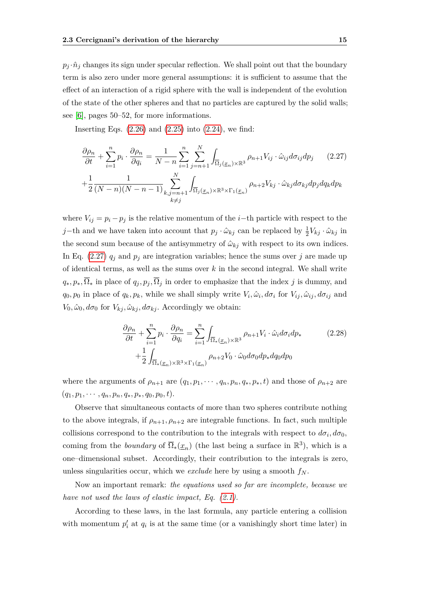$p_j \cdot \hat{n}_j$  changes its sign under specular reflection. We shall point out that the boundary term is also zero under more general assumptions: it is sufficient to assume that the effect of an interaction of a rigid sphere with the wall is independent of the evolution of the state of the other spheres and that no particles are captured by the solid walls; see [\[6\]](#page-112-3), pages 50–52, for more informations.

Inserting Eqs.  $(2.26)$  and  $(2.25)$  into  $(2.24)$ , we find:

<span id="page-22-0"></span>
$$
\frac{\partial \rho_n}{\partial t} + \sum_{i=1}^n p_i \cdot \frac{\partial \rho_n}{\partial q_i} = \frac{1}{N-n} \sum_{i=1}^n \sum_{j=n+1}^N \int_{\overline{\Omega}_j(\underline{x}_n) \times \mathbb{R}^3} \rho_{n+1} V_{ij} \cdot \hat{\omega}_{ij} d\sigma_{ij} dp_j \qquad (2.27)
$$

$$
+ \frac{1}{2} \frac{1}{(N-n)(N-n-1)} \sum_{\substack{k,j=n+1 \ k \neq j}}^N \int_{\overline{\Omega}_j(\underline{x}_n) \times \mathbb{R}^3 \times \Gamma_1(\underline{x}_n)} \rho_{n+2} V_{kj} \cdot \hat{\omega}_{kj} d\sigma_{kj} dp_j dq_k dp_k
$$

where  $V_{ij} = p_i - p_j$  is the relative momentum of the *i*−th particle with respect to the *j*−th and we have taken into account that  $p_j \cdot \hat{\omega}_{kj}$  can be replaced by  $\frac{1}{2}V_{kj} \cdot \hat{\omega}_{kj}$  in the second sum because of the antisymmetry of  $\hat{\omega}_{kj}$  with respect to its own indices. In Eq.  $(2.27)$   $q_i$  and  $p_i$  are integration variables; hence the sums over *j* are made up of identical terms, as well as the sums over *k* in the second integral. We shall write  $q_*, p_*, \overline{\Omega}_*$  in place of  $q_i, p_j, \overline{\Omega}_j$  in order to emphasize that the index *j* is dummy, and  $q_0, p_0$  in place of  $q_k, p_k$ , while we shall simply write  $V_i, \hat{\omega}_i, d\sigma_i$  for  $V_{ij}, \hat{\omega}_{ij}, d\sigma_{ij}$  and  $V_0$ ,  $\hat{\omega}_0$ ,  $d\sigma_0$  for  $V_{kj}$ ,  $\hat{\omega}_{kj}$ ,  $d\sigma_{kj}$ . Accordingly we obtain:

<span id="page-22-1"></span>
$$
\frac{\partial \rho_n}{\partial t} + \sum_{i=1}^n p_i \cdot \frac{\partial \rho_n}{\partial q_i} = \sum_{i=1}^n \int_{\overline{\Omega}_*(\underline{x}_n) \times \mathbb{R}^3} \rho_{n+1} V_i \cdot \hat{\omega}_i d\sigma_i dp_* \n+ \frac{1}{2} \int_{\overline{\Omega}_*(\underline{x}_n) \times \mathbb{R}^3 \times \Gamma_1(\underline{x}_n)} \rho_{n+2} V_0 \cdot \hat{\omega}_0 d\sigma_0 dp_* dq_0 dp_0
$$
\n(2.28)

where the arguments of  $\rho_{n+1}$  are  $(q_1, p_1, \dots, q_n, p_n, q_*, p_*, t)$  and those of  $\rho_{n+2}$  are  $(q_1, p_1, \cdots, q_n, p_n, q_*, p_*, q_0, p_0, t).$ 

Observe that simultaneous contacts of more than two spheres contribute nothing to the above integrals, if  $\rho_{n+1}, \rho_{n+2}$  are integrable functions. In fact, such multiple collisions correspond to the contribution to the integrals with respect to  $d\sigma_i$ ,  $d\sigma_0$ , coming from the *boundary* of  $\overline{\Omega}_{*}(\underline{x}_n)$  (the last being a surface in  $\mathbb{R}^3$ ), which is a one–dimensional subset. Accordingly, their contribution to the integrals is zero, unless singularities occur, which we *exclude* here by using a smooth *f<sup>N</sup> .*

Now an important remark: *the equations used so far are incomplete, because we have not used the laws of elastic impact, Eq. [\(2.1\)](#page-14-2).*

According to these laws, in the last formula, any particle entering a collision with momentum  $p'_i$  at  $q_i$  is at the same time (or a vanishingly short time later) in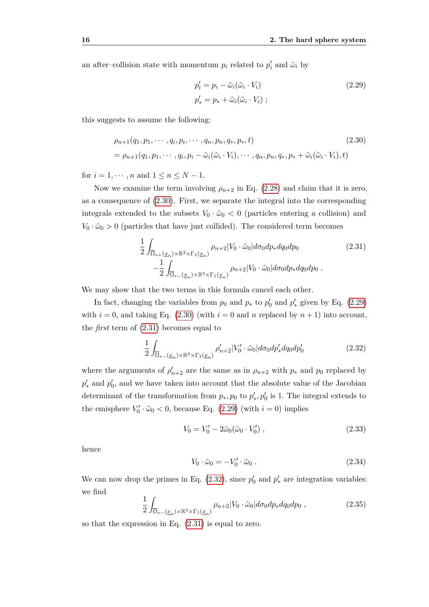an after–collision state with momentum  $p_i$  related to  $p'_i$  and  $\hat{\omega}_i$  by

<span id="page-23-1"></span>
$$
p'_{i} = p_{i} - \hat{\omega}_{i}(\hat{\omega}_{i} \cdot V_{i})
$$
  
\n
$$
p'_{*} = p_{*} + \hat{\omega}_{i}(\hat{\omega}_{i} \cdot V_{i}) ;
$$
\n(2.29)

this suggests to assume the following:

<span id="page-23-0"></span>
$$
\rho_{n+1}(q_1, p_1, \cdots, q_i, p_i, \cdots, q_n, p_n, q_*, p_*, t)
$$
\n
$$
= \rho_{n+1}(q_1, p_1, \cdots, q_i, p_i - \hat{\omega}_i(\hat{\omega}_i \cdot V_i), \cdots, q_n, p_n, q_*, p_* + \hat{\omega}_i(\hat{\omega}_i \cdot V_i), t)
$$
\n(2.30)

for  $i = 1, \dots, n$  and  $1 \le n \le N - 1$ .

Now we examine the term involving  $\rho_{n+2}$  in Eq. [\(2.28\)](#page-22-1) and claim that it is zero, as a consequence of [\(2.30\)](#page-23-0). First, we separate the integral into the corresponding integrals extended to the subsets  $V_0 \cdot \hat{\omega}_0 < 0$  (particles entering a collision) and  $V_0 \cdot \hat{\omega}_0 > 0$  (particles that have just collided). The considered term becomes

<span id="page-23-2"></span>
$$
\frac{1}{2} \int_{\overline{\Omega}_{*+}(\underline{x}_n)\times\mathbb{R}^3 \times \Gamma_1(\underline{x}_n)} \rho_{n+2} |V_0 \cdot \hat{\omega}_0| d\sigma_0 dp_* dq_0 dp_0
$$
\n
$$
- \frac{1}{2} \int_{\overline{\Omega}_{*-}(\underline{x}_n)\times\mathbb{R}^3 \times \Gamma_1(\underline{x}_n)} \rho_{n+2} |V_0 \cdot \hat{\omega}_0| d\sigma_0 dp_* dq_0 dp_0.
$$
\n(2.31)

We may show that the two terms in this formula cancel each other.

In fact, changing the variables from  $p_0$  and  $p_*$  to  $p'_0$  and  $p'_*$  given by Eq. [\(2.29\)](#page-23-1) with  $i = 0$ , and taking Eq. [\(2.30\)](#page-23-0) (with  $i = 0$  and *n* replaced by  $n + 1$ ) into account, the *first* term of [\(2.31\)](#page-23-2) becomes equal to

<span id="page-23-3"></span>
$$
\frac{1}{2} \int_{\overline{\Omega}_{*-}(\underline{x}_n)\times\mathbb{R}^3 \times \Gamma_1(\underline{x}_n)} \rho'_{n+2} |V_0' \cdot \hat{\omega}_0| d\sigma_0 dp'_* dq_0 dp'_0 \tag{2.32}
$$

where the arguments of  $\rho'_{n+2}$  are the same as in  $\rho_{n+2}$  with  $p_*$  and  $p_0$  replaced by  $p'_*$  and  $p'_0$ , and we have taken into account that the absolute value of the Jacobian determinant of the transformation from  $p_*, p_0$  to  $p'_*, p'_0$  is 1. The integral extends to the emisphere  $V'_0 \cdot \hat{\omega}_0 < 0$ , because Eq. [\(2.29\)](#page-23-1) (with  $i = 0$ ) implies

$$
V_0 = V'_0 - 2\hat{\omega}_0(\hat{\omega}_0 \cdot V'_0) , \qquad (2.33)
$$

hence

$$
V_0 \cdot \hat{\omega}_0 = -V'_0 \cdot \hat{\omega}_0 \,. \tag{2.34}
$$

We can now drop the primes in Eq.  $(2.32)$ , since  $p'_0$  and  $p'_*$  are integration variables: we find 1  $\overline{a}$ 

$$
\frac{1}{2} \int_{\overline{\Omega}_{*-}(\underline{x}_n)\times\mathbb{R}^3\times\Gamma_1(\underline{x}_n)} \rho_{n+2} |V_0 \cdot \hat{\omega}_0| d\sigma_0 dp_* dq_0 dp_0 , \qquad (2.35)
$$

so that the expression in Eq. [\(2.31\)](#page-23-2) is equal to zero.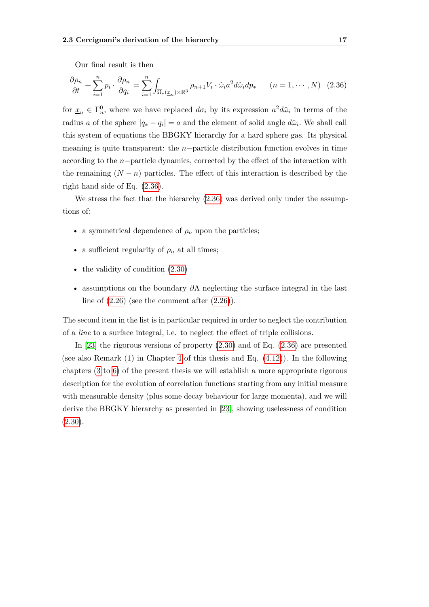Our final result is then

<span id="page-24-0"></span>
$$
\frac{\partial \rho_n}{\partial t} + \sum_{i=1}^n p_i \cdot \frac{\partial \rho_n}{\partial q_i} = \sum_{i=1}^n \int_{\overline{\Omega}_*(\underline{x}_n) \times \mathbb{R}^3} \rho_{n+1} V_i \cdot \hat{\omega}_i a^2 d\hat{\omega}_i dp_* \qquad (n = 1, \cdots, N) \tag{2.36}
$$

for  $\underline{x}_n \in \Gamma_n^0$ , where we have replaced  $d\sigma_i$  by its expression  $a^2 d\hat{\omega}_i$  in terms of the radius *a* of the sphere  $|q_* - q_i| = a$  and the element of solid angle  $d\hat{\omega}_i$ . We shall call this system of equations the BBGKY hierarchy for a hard sphere gas. Its physical meaning is quite transparent: the *n*−particle distribution function evolves in time according to the *n*−particle dynamics, corrected by the effect of the interaction with the remaining  $(N - n)$  particles. The effect of this interaction is described by the right hand side of Eq. [\(2.36\)](#page-24-0).

We stress the fact that the hierarchy  $(2.36)$  was derived only under the assumptions of:

- a symmetrical dependence of  $\rho_n$  upon the particles;
- a sufficient regularity of  $\rho_n$  at all times;
- the validity of condition  $(2.30)$
- assumptions on the boundary *∂*Λ neglecting the surface integral in the last line of  $(2.26)$  (see the comment after  $(2.26)$ ).

The second item in the list is in particular required in order to neglect the contribution of a *line* to a surface integral, i.e. to neglect the effect of triple collisions.

In [\[23\]](#page-113-1) the rigorous versions of property [\(2.30\)](#page-23-0) and of Eq. [\(2.36\)](#page-24-0) are presented (see also Remark (1) in Chapter [4](#page-36-0) of this thesis and Eq. [\(4.12\)](#page-41-0)). In the following chapters [\(3](#page-26-0) to [6\)](#page-56-0) of the present thesis we will establish a more appropriate rigorous description for the evolution of correlation functions starting from any initial measure with measurable density (plus some decay behaviour for large momenta), and we will derive the BBGKY hierarchy as presented in [\[23\]](#page-113-1), showing uselessness of condition  $(2.30).$  $(2.30).$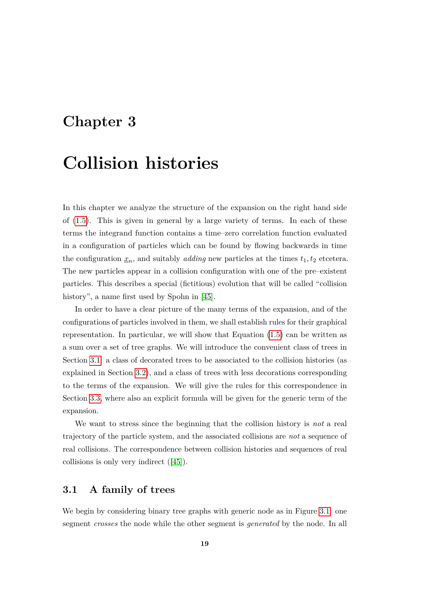### <span id="page-26-0"></span>**Chapter 3**

## **Collision histories**

In this chapter we analyze the structure of the expansion on the right hand side of [\(1.5\)](#page-10-1). This is given in general by a large variety of terms. In each of these terms the integrand function contains a time–zero correlation function evaluated in a configuration of particles which can be found by flowing backwards in time the configuration  $\underline{x}_n$ , and suitably *adding* new particles at the times  $t_1, t_2$  etcetera. The new particles appear in a collision configuration with one of the pre–existent particles. This describes a special (fictitious) evolution that will be called "collision history", a name first used by Spohn in [\[45\]](#page-115-0).

In order to have a clear picture of the many terms of the expansion, and of the configurations of particles involved in them, we shall establish rules for their graphical representation. In particular, we will show that Equation [\(1.5\)](#page-10-1) can be written as a sum over a set of tree graphs. We will introduce the convenient class of trees in Section [3.1:](#page-26-1) a class of decorated trees to be associated to the collision histories (as explained in Section [3.2\)](#page-29-0), and a class of trees with less decorations corresponding to the terms of the expansion. We will give the rules for this correspondence in Section [3.3,](#page-31-0) where also an explicit formula will be given for the generic term of the expansion.

We want to stress since the beginning that the collision history is *not* a real trajectory of the particle system, and the associated collisions are *not* a sequence of real collisions. The correspondence between collision histories and sequences of real collisions is only very indirect ([\[45\]](#page-115-0)).

### <span id="page-26-1"></span>**3.1 A family of trees**

We begin by considering binary tree graphs with generic node as in Figure [3.1:](#page-28-0) one segment *crosses* the node while the other segment is *generated* by the node. In all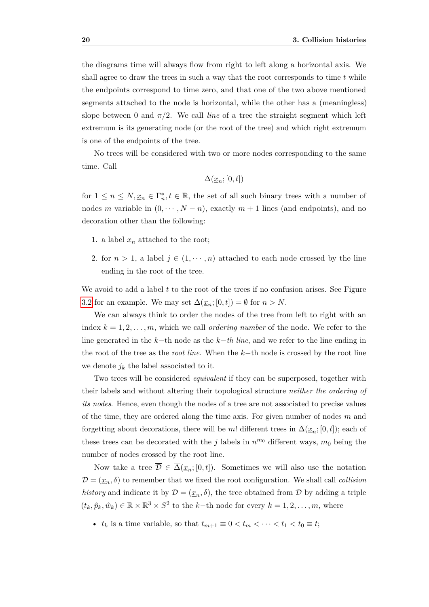the diagrams time will always flow from right to left along a horizontal axis. We shall agree to draw the trees in such a way that the root corresponds to time *t* while the endpoints correspond to time zero, and that one of the two above mentioned segments attached to the node is horizontal, while the other has a (meaningless) slope between 0 and  $\pi/2$ . We call *line* of a tree the straight segment which left extremum is its generating node (or the root of the tree) and which right extremum is one of the endpoints of the tree.

No trees will be considered with two or more nodes corresponding to the same time. Call

$$
\overline{\Delta}(\underline{x}_n;[0,t])
$$

for  $1 \leq n \leq N, \underline{x}_n \in \Gamma_n^*, t \in \mathbb{R}$ , the set of all such binary trees with a number of nodes *m* variable in  $(0, \dots, N-n)$ , exactly  $m+1$  lines (and endpoints), and no decoration other than the following:

- 1. a label  $x_n$  attached to the root;
- 2. for  $n > 1$ , a label  $j \in (1, \dots, n)$  attached to each node crossed by the line ending in the root of the tree.

We avoid to add a label *t* to the root of the trees if no confusion arises. See Figure [3.2](#page-28-1) for an example. We may set  $\overline{\Delta}(\underline{x}_n;[0,t]) = \emptyset$  for  $n > N$ .

We can always think to order the nodes of the tree from left to right with an index  $k = 1, 2, \ldots, m$ , which we call *ordering number* of the node. We refer to the line generated in the *k*−th node as the *k*−*th line*, and we refer to the line ending in the root of the tree as the *root line*. When the *k*−th node is crossed by the root line we denote  $j_k$  the label associated to it.

Two trees will be considered *equivalent* if they can be superposed, together with their labels and without altering their topological structure *neither the ordering of its nodes*. Hence, even though the nodes of a tree are not associated to precise values of the time, they are ordered along the time axis. For given number of nodes *m* and forgetting about decorations, there will be *m*! different trees in  $\overline{\Delta}(\underline{x}_n;[0,t])$ ; each of these trees can be decorated with the *j* labels in  $n^{m_0}$  different ways,  $m_0$  being the number of nodes crossed by the root line.

Now take a tree  $\overline{\mathcal{D}} \in \overline{\Delta}(\underline{x}_n; [0, t])$ . Sometimes we will also use the notation  $\overline{\mathcal{D}} = (\underline{x}_n, \overline{\delta})$  to remember that we fixed the root configuration. We shall call *collision history* and indicate it by  $\mathcal{D} = (\underline{x}_n, \delta)$ , the tree obtained from  $\overline{\mathcal{D}}$  by adding a triple  $(t_k, \hat{p}_k, \hat{w}_k) \in \mathbb{R} \times \mathbb{R}^3 \times S^2$  to the *k*−th node for every  $k = 1, 2, ..., m$ , where

•  $t_k$  is a time variable, so that  $t_{m+1} \equiv 0 < t_m < \cdots < t_1 < t_0 \equiv t$ ;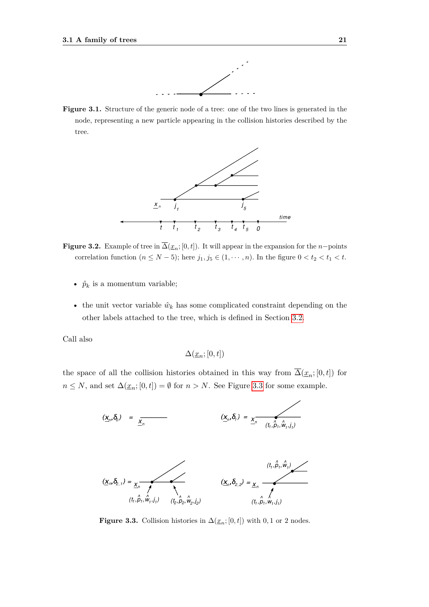

<span id="page-28-1"></span><span id="page-28-0"></span>**Figure 3.1.** Structure of the generic node of a tree: one of the two lines is generated in the node, representing a new particle appearing in the collision histories described by the tree.



**Figure 3.2.** Example of tree in  $\Delta(\underline{x}_n; [0, t])$ . It will appear in the expansion for the *n*−points correlation function  $(n \leq N - 5)$ ; here  $j_1, j_5 \in (1, \dots, n)$ . In the figure  $0 < t_2 < t_1 < t$ .

- $\hat{p}_k$  is a momentum variable;
- the unit vector variable  $\hat{w}_k$  has some complicated constraint depending on the other labels attached to the tree, which is defined in Section [3.2.](#page-29-0)

Call also

$$
\Delta(\underline{x}_n;[0,t])
$$

<span id="page-28-2"></span>the space of all the collision histories obtained in this way from  $\overline{\Delta}(\underline{x}_n;[0,t])$  for *n* ≤ *N*, and set  $\Delta(\underline{x}_n; [0, t]) = ∅$  for *n* > *N*. See Figure [3.3](#page-28-2) for some example.



**Figure 3.3.** Collision histories in  $\Delta(\underline{x}_n; [0, t])$  with 0,1 or 2 nodes.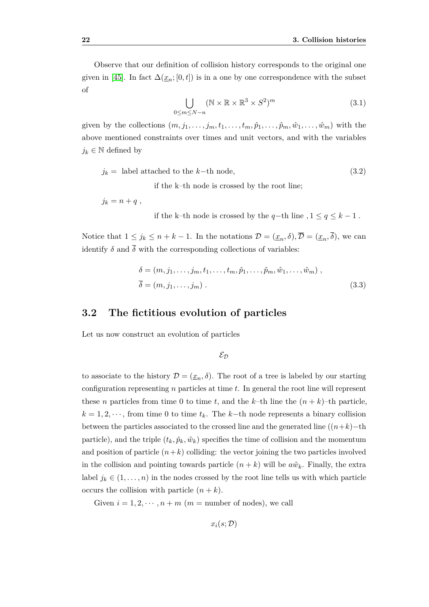Observe that our definition of collision history corresponds to the original one given in [\[45\]](#page-115-0). In fact  $\Delta(\underline{x}_n; [0, t])$  is in a one by one correspondence with the subset of

$$
\bigcup_{0 \le m \le N-n} (\mathbb{N} \times \mathbb{R} \times \mathbb{R}^3 \times S^2)^m
$$
 (3.1)

given by the collections  $(m, j_1, \ldots, j_m, t_1, \ldots, t_m, \hat{p}_1, \ldots, \hat{p}_m, \hat{w}_1, \ldots, \hat{w}_m)$  with the above mentioned constraints over times and unit vectors, and with the variables *j*<sup>*k*</sup> ∈ <sup>N</sup> defined by

<span id="page-29-1"></span>
$$
j_k = \text{ label attached to the } k-\text{th node}, \tag{3.2}
$$

if the k–th node is crossed by the root line;

 $j_k = n + q$ , if the k–th node is crossed by the *q*−th line *,* 1 ≤ *q* ≤ *k* − 1 *.*

Notice that  $1 \leq j_k \leq n + k - 1$ . In the notations  $\mathcal{D} = (\underline{x}_n, \delta), \overline{\mathcal{D}} = (\underline{x}_n, \overline{\delta})$ , we can identify  $\delta$  and  $\overline{\delta}$  with the corresponding collections of variables:

<span id="page-29-2"></span>
$$
\delta = (m, j_1, \dots, j_m, t_1, \dots, t_m, \hat{p}_1, \dots, \hat{p}_m, \hat{w}_1, \dots, \hat{w}_m),
$$
  

$$
\overline{\delta} = (m, j_1, \dots, j_m).
$$
 (3.3)

### <span id="page-29-0"></span>**3.2 The fictitious evolution of particles**

Let us now construct an evolution of particles

 $\mathcal{E}_{\mathcal{D}}$ 

to associate to the history  $\mathcal{D} = (\underline{x}_n, \delta)$ . The root of a tree is labeled by our starting configuration representing *n* particles at time *t*. In general the root line will represent these *n* particles from time 0 to time *t*, and the *k*–th line the  $(n + k)$ –th particle,  $k = 1, 2, \dots$ , from time 0 to time  $t_k$ . The  $k$ −th node represents a binary collision between the particles associated to the crossed line and the generated line  $((n+k)-th)$ particle), and the triple  $(t_k, \hat{p}_k, \hat{w}_k)$  specifies the time of collision and the momentum and position of particle  $(n+k)$  colliding: the vector joining the two particles involved in the collision and pointing towards particle  $(n + k)$  will be  $a\hat{w}_k$ . Finally, the extra label  $j_k \in (1, \ldots, n)$  in the nodes crossed by the root line tells us with which particle occurs the collision with particle  $(n + k)$ .

Given  $i = 1, 2, \dots, n + m$  ( $m =$  number of nodes), we call

$$
x_i(s; \mathcal{D})
$$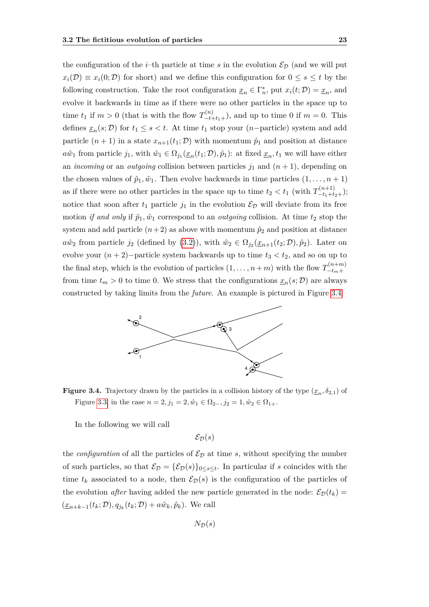the configuration of the *i*–th particle at time *s* in the evolution  $\mathcal{E}_{\mathcal{D}}$  (and we will put  $x_i(\mathcal{D}) \equiv x_i(0;\mathcal{D})$  for short) and we define this configuration for  $0 \leq s \leq t$  by the following construction. Take the root configuration  $\underline{x}_n \in \Gamma_n^*$ , put  $x_i(t; \mathcal{D}) = \underline{x}_n$ , and evolve it backwards in time as if there were no other particles in the space up to time  $t_1$  if  $m > 0$  (that is with the flow  $T_{-t+t_1+}^{(n)}$ ), and up to time 0 if  $m = 0$ . This defines  $\underline{x}_n(s; \mathcal{D})$  for  $t_1 \leq s < t$ . At time  $t_1$  stop your (*n*−particle) system and add particle  $(n + 1)$  in a state  $x_{n+1}(t_1; \mathcal{D})$  with momentum  $\hat{p}_1$  and position at distance  $a\hat{w}_1$  from particle  $j_1$ , with  $\hat{w}_1 \in \Omega_{j_1}(\underline{x}_n(t_1; \mathcal{D}), \hat{p}_1)$ : at fixed  $\underline{x}_n, t_1$  we will have either an *incoming* or an *outgoing* collision between particles  $j_1$  and  $(n + 1)$ , depending on the chosen values of  $\hat{p}_1, \hat{w}_1$ . Then evolve backwards in time particles  $(1, \ldots, n+1)$ as if there were no other particles in the space up to time  $t_2 < t_1$  (with  $T_{-t_1+t_2+}^{(n+1)}$ ); notice that soon after  $t_1$  particle  $j_1$  in the evolution  $\mathcal{E}_{\mathcal{D}}$  will deviate from its free motion *if and only* if  $\hat{p}_1, \hat{w}_1$  correspond to an *outgoing* collision. At time  $t_2$  stop the system and add particle  $(n+2)$  as above with momentum  $\hat{p}_2$  and position at distance  $a\hat{w}_2$  from particle  $j_2$  (defined by [\(3.2\)](#page-29-1)), with  $\hat{w}_2 \in \Omega_{j_2}(\underline{x}_{n+1}(t_2; \mathcal{D}), \hat{p}_2)$ . Later on evolve your  $(n+2)$ −particle system backwards up to time  $t_3 < t_2$ , and so on up to the final step, which is the evolution of particles  $(1, \ldots, n+m)$  with the flow  $T_{-tm}^{(n+m)}$ −*tm*+ from time  $t_m > 0$  to time 0. We stress that the configurations  $\underline{x}_n(s; \mathcal{D})$  are always constructed by taking limits from the *future*. An example is pictured in Figure [3.4.](#page-30-0)

<span id="page-30-0"></span>

**Figure 3.4.** Trajectory drawn by the particles in a collision history of the type  $(\underline{x}_n, \delta_{2,1})$  of Figure [3.3,](#page-28-2) in the case  $n = 2, j_1 = 2, \hat{w}_1 \in \Omega_{2-}, j_2 = 1, \hat{w}_2 \in \Omega_{1+}.$ 

In the following we will call

$$
\mathcal{E}_\mathcal{D}(s)
$$

the *configuration* of all the particles of  $\mathcal{E}_{\mathcal{D}}$  at time *s*, without specifying the number of such particles, so that  $\mathcal{E}_{\mathcal{D}} = {\mathcal{E}_{\mathcal{D}}(s)}_{0 \leq s \leq t}$ . In particular if *s* coincides with the time  $t_k$  associated to a node, then  $\mathcal{E}_{\mathcal{D}}(s)$  is the configuration of the particles of the evolution *after* having added the new particle generated in the node:  $\mathcal{E}_{\mathcal{D}}(t_k)$  =  $(\underline{x}_{n+k-1}(t_k; \mathcal{D}), q_{j_k}(t_k; \mathcal{D}) + a\hat{w}_k, \hat{p}_k)$ . We call

$$
N_{\mathcal{D}}(s)
$$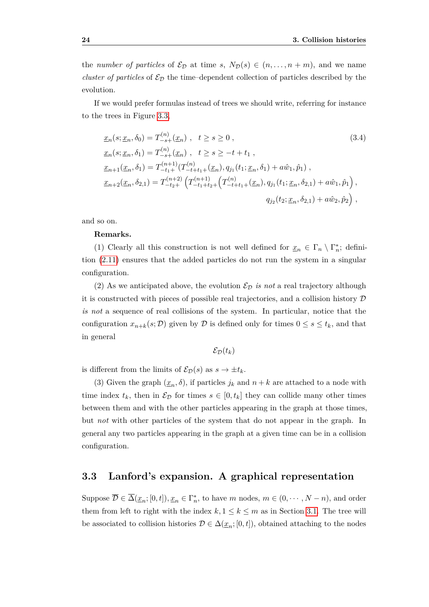the *number of particles* of  $\mathcal{E}_{\mathcal{D}}$  at time *s*,  $N_{\mathcal{D}}(s) \in (n, \ldots, n+m)$ , and we name *cluster of particles* of  $\mathcal{E}_{\mathcal{D}}$  the time–dependent collection of particles described by the evolution.

If we would prefer formulas instead of trees we should write, referring for instance to the trees in Figure [3.3,](#page-28-2)

$$
\underline{x}_{n}(s; \underline{x}_{n}, \delta_{0}) = T_{-s+}^{(n)}(\underline{x}_{n}), \quad t \geq s \geq 0,
$$
\n
$$
\underline{x}_{n}(s; \underline{x}_{n}, \delta_{1}) = T_{-s+}^{(n)}(\underline{x}_{n}), \quad t \geq s \geq -t + t_{1},
$$
\n
$$
\underline{x}_{n+1}(\underline{x}_{n}, \delta_{1}) = T_{-t_{1}+}^{(n+1)}(T_{-t+t_{1}+}^{(n)}(\underline{x}_{n}), q_{j_{1}}(t_{1}; \underline{x}_{n}, \delta_{1}) + a\hat{w}_{1}, \hat{p}_{1}),
$$
\n
$$
\underline{x}_{n+2}(\underline{x}_{n}, \delta_{2,1}) = T_{-t_{2}+}^{(n+2)}\left(T_{-t_{1}+t_{2}+}^{(n+1)}(T_{-t+t_{1}+}^{(n)}(\underline{x}_{n}), q_{j_{1}}(t_{1}; \underline{x}_{n}, \delta_{2,1}) + a\hat{w}_{1}, \hat{p}_{1}\right),
$$
\n
$$
q_{j_{2}}(t_{2}; \underline{x}_{n}, \delta_{2,1}) + a\hat{w}_{2}, \hat{p}_{2}),
$$
\n(3.4)

and so on.

#### **Remarks.**

(1) Clearly all this construction is not well defined for  $\underline{x}_n \in \Gamma_n \setminus \Gamma_n^*$ ; definition [\(2.11\)](#page-17-0) ensures that the added particles do not run the system in a singular configuration.

(2) As we anticipated above, the evolution  $\mathcal{E}_D$  *is not* a real trajectory although it is constructed with pieces of possible real trajectories, and a collision history  $\mathcal D$ *is not* a sequence of real collisions of the system. In particular, notice that the configuration  $x_{n+k}(s;\mathcal{D})$  given by  $\mathcal D$  is defined only for times  $0 \leq s \leq t_k$ , and that in general

$$
\mathcal{E}_{\mathcal{D}}(t_k)
$$

is different from the limits of  $\mathcal{E}_{\mathcal{D}}(s)$  as  $s \to \pm t_k$ .

(3) Given the graph  $(\underline{x}_n, \delta)$ , if particles  $j_k$  and  $n + k$  are attached to a node with time index  $t_k$ , then in  $\mathcal{E}_{\mathcal{D}}$  for times  $s \in [0, t_k]$  they can collide many other times between them and with the other particles appearing in the graph at those times, but *not* with other particles of the system that do not appear in the graph. In general any two particles appearing in the graph at a given time can be in a collision configuration.

### <span id="page-31-0"></span>**3.3 Lanford's expansion. A graphical representation**

Suppose  $\overline{\mathcal{D}} \in \overline{\Delta}(\underline{x}_n; [0, t]), \underline{x}_n \in \Gamma_n^*$ , to have *m* nodes,  $m \in (0, \dots, N - n)$ , and order them from left to right with the index  $k, 1 \leq k \leq m$  as in Section [3.1.](#page-26-1) The tree will be associated to collision histories  $D \in \Delta(\underline{x}_n; [0, t])$ , obtained attaching to the nodes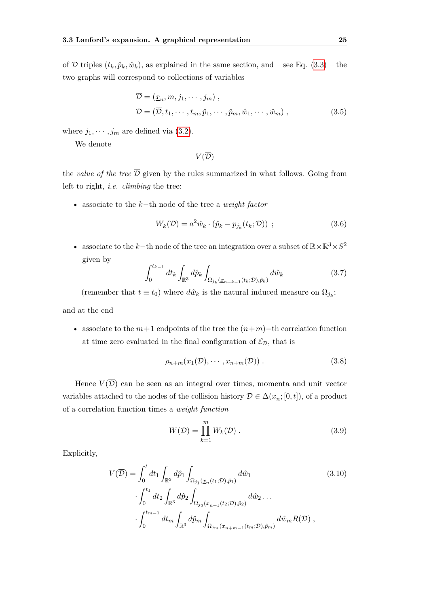of  $\overline{\mathcal{D}}$  triples  $(t_k, \hat{p}_k, \hat{w}_k)$ , as explained in the same section, and – see Eq. [\(3.3\)](#page-29-2) – the two graphs will correspond to collections of variables

$$
\overline{\mathcal{D}} = (\underline{x}_n, m, j_1, \cdots, j_m),
$$
  
\n
$$
\mathcal{D} = (\overline{\mathcal{D}}, t_1, \cdots, t_m, \hat{p}_1, \cdots, \hat{p}_m, \hat{w}_1, \cdots, \hat{w}_m),
$$
\n(3.5)

where  $j_1, \dots, j_m$  are defined via [\(3.2\)](#page-29-1).

We denote

 $V(\overline{\mathcal{D}})$ 

the *value of the tree*  $\overline{D}$  given by the rules summarized in what follows. Going from left to right, *i.e. climbing* the tree:

• associate to the *k*−th node of the tree a *weight factor*

$$
W_k(\mathcal{D}) = a^2 \hat{w}_k \cdot (\hat{p}_k - p_{j_k}(t_k; \mathcal{D})), \qquad (3.6)
$$

• associate to the *k*-th node of the tree an integration over a subset of  $\mathbb{R} \times \mathbb{R}^3 \times S^2$ given by

$$
\int_0^{t_{k-1}} dt_k \int_{\mathbb{R}^3} d\hat{p}_k \int_{\Omega_{j_k}(\underline{x}_{n+k-1}(t_k; \mathcal{D}), \hat{p}_k)} d\hat{w}_k \tag{3.7}
$$

(remember that  $t \equiv t_0$ ) where  $d\hat{w}_k$  is the natural induced measure on  $\Omega_{j_k}$ ;

and at the end

• associate to the  $m+1$  endpoints of the tree the  $(n+m)-$ th correlation function at time zero evaluated in the final configuration of  $\mathcal{E}_{\mathcal{D}}$ , that is

$$
\rho_{n+m}(x_1(\mathcal{D}),\cdots,x_{n+m}(\mathcal{D})).\tag{3.8}
$$

Hence  $V(\overline{\mathcal{D}})$  can be seen as an integral over times, momenta and unit vector variables attached to the nodes of the collision history  $\mathcal{D} \in \Delta(\underline{x}_n; [0, t])$ , of a product of a correlation function times a *weight function*

$$
W(\mathcal{D}) = \prod_{k=1}^{m} W_k(\mathcal{D}).
$$
\n(3.9)

Explicitly,

<span id="page-32-0"></span>
$$
V(\overline{\mathcal{D}}) = \int_0^t dt_1 \int_{\mathbb{R}^3} d\hat{p}_1 \int_{\Omega_{j_1}(\underline{x}_n(t_1; \mathcal{D}), \hat{p}_1)} d\hat{w}_1
$$
(3.10)  

$$
\int_0^{t_1} dt_2 \int_{\mathbb{R}^3} d\hat{p}_2 \int_{\Omega_{j_2}(\underline{x}_{n+1}(t_2; \mathcal{D}), \hat{p}_2)} d\hat{w}_2 \dots
$$
  

$$
\int_0^{t_{m-1}} dt_m \int_{\mathbb{R}^3} d\hat{p}_m \int_{\Omega_{j_m}(\underline{x}_{n+m-1}(t_m; \mathcal{D}), \hat{p}_m)} d\hat{w}_m R(\mathcal{D}),
$$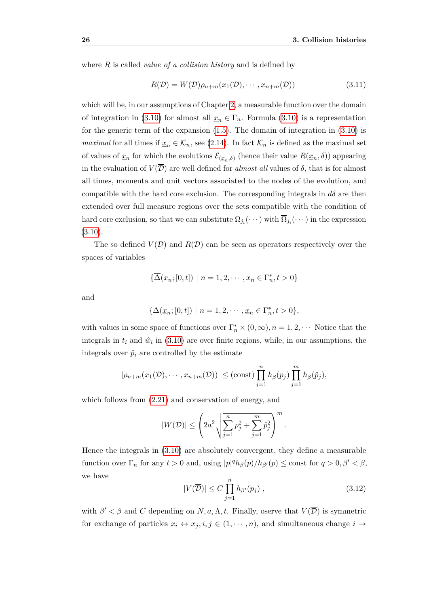where *R* is called *value of a collision history* and is defined by

$$
R(\mathcal{D}) = W(\mathcal{D})\rho_{n+m}(x_1(\mathcal{D}), \cdots, x_{n+m}(\mathcal{D}))
$$
\n(3.11)

which will be, in our assumptions of Chapter [2,](#page-14-0) a measurable function over the domain of integration in [\(3.10\)](#page-32-0) for almost all  $\underline{x}_n \in \Gamma_n$ . Formula (3.10) is a representation for the generic term of the expansion  $(1.5)$ . The domain of integration in  $(3.10)$  is *maximal* for all times if  $\underline{x}_n \in \mathcal{K}_n$ , see [\(2.14\)](#page-18-1). In fact  $\mathcal{K}_n$  is defined as the maximal set of values of  $\underline{x}_n$  for which the evolutions  $\mathcal{E}_{(\underline{x}_n,\delta)}$  (hence their value  $R(\underline{x}_n,\delta)$ ) appearing in the evaluation of  $V(\overline{\mathcal{D}})$  are well defined for *almost all* values of  $\delta$ , that is for almost all times, momenta and unit vectors associated to the nodes of the evolution, and compatible with the hard core exclusion. The corresponding integrals in  $d\delta$  are then extended over full measure regions over the sets compatible with the condition of hard core exclusion, so that we can substitute  $\Omega_{j_i}(\cdots)$  with  $\overline{\Omega}_{j_i}(\cdots)$  in the expression  $(3.10).$  $(3.10).$ 

The so defined  $V(\overline{\mathcal{D}})$  and  $R(\mathcal{D})$  can be seen as operators respectively over the spaces of variables

$$
\{\overline{\Delta}(\underline{x}_n;[0,t])\ |\ n=1,2,\cdots,\underline{x}_n\in\Gamma_n^*, t>0\}
$$

and

$$
\{\Delta(\underline{x}_n; [0, t]) \mid n = 1, 2, \cdots, \underline{x}_n \in \Gamma_n^*, t > 0\},\
$$

with values in some space of functions over  $\Gamma_n^* \times (0, \infty)$ ,  $n = 1, 2, \cdots$  Notice that the integrals in  $t_i$  and  $\hat{w}_i$  in [\(3.10\)](#page-32-0) are over finite regions, while, in our assumptions, the integrals over  $\hat{p}_i$  are controlled by the estimate

$$
|\rho_{n+m}(x_1(\mathcal{D}),\cdots,x_{n+m}(\mathcal{D}))| \leq (\text{const}) \prod_{j=1}^n h_\beta(p_j) \prod_{j=1}^m h_\beta(\hat{p}_j),
$$

which follows from [\(2.21\)](#page-19-3) and conservation of energy, and

$$
|W(\mathcal{D})| \le \left(2a^2 \sqrt{\sum_{j=1}^n p_j^2 + \sum_{j=1}^m \hat{p}_j^2}\right)^m
$$

Hence the integrals in [\(3.10\)](#page-32-0) are absolutely convergent, they define a measurable function over  $\Gamma_n$  for any  $t > 0$  and, using  $|p|^q h_\beta(p) / h_{\beta'}(p) \leq$  const for  $q > 0, \beta' < \beta$ , we have

$$
|V(\overline{\mathcal{D}})| \le C \prod_{j=1}^{n} h_{\beta'}(p_j) , \qquad (3.12)
$$

*.*

with  $\beta' < \beta$  and *C* depending on *N, a, A, t.* Finally, oserve that  $V(\overline{\mathcal{D}})$  is symmetric for exchange of particles  $x_i \leftrightarrow x_j, i, j \in (1, \dots, n)$ , and simultaneous change  $i \rightarrow$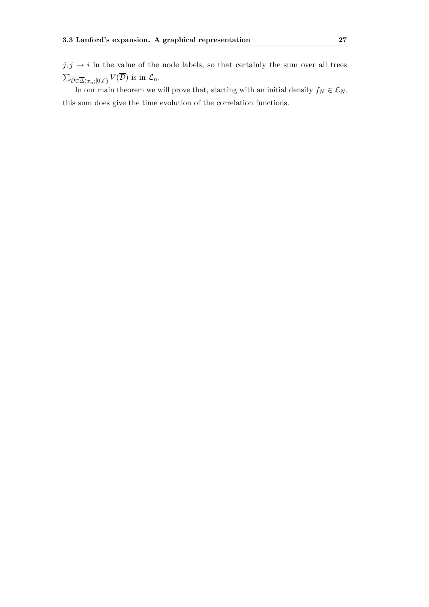$j, j \rightarrow i$  in the value of the node labels, so that certainly the sum over all trees  $\sum_{\overline{\mathcal{D}} \in \overline{\Delta}(\underline{x}_n;[0,t])} V(\overline{\mathcal{D}})$  is in  $\mathcal{L}_n$ .

In our main theorem we will prove that, starting with an initial density  $f_N \in \mathcal{L}_N$ , this sum does give the time evolution of the correlation functions.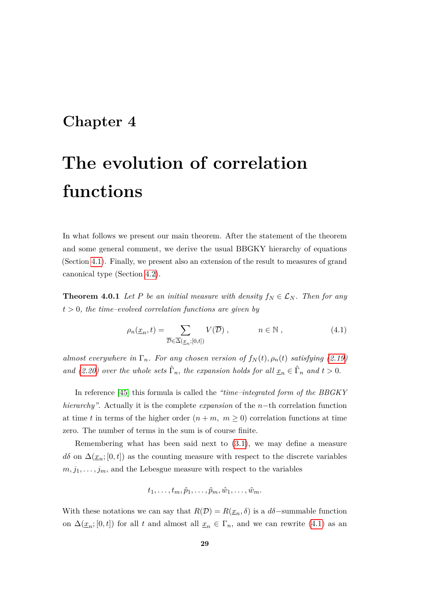# **Chapter 4**

# **The evolution of correlation functions**

In what follows we present our main theorem. After the statement of the theorem and some general comment, we derive the usual BBGKY hierarchy of equations (Section [4.1\)](#page-39-0). Finally, we present also an extension of the result to measures of grand canonical type (Section [4.2\)](#page-42-0).

<span id="page-36-1"></span>**Theorem 4.0.1** *Let P be an initial measure with density*  $f_N \in \mathcal{L}_N$ *. Then for any t >* 0*, the time–evolved correlation functions are given by*

<span id="page-36-0"></span>
$$
\rho_n(\underline{x}_n, t) = \sum_{\overline{\mathcal{D}} \in \overline{\Delta}(\underline{x}_n; [0, t])} V(\overline{\mathcal{D}}) , \qquad n \in \mathbb{N} , \qquad (4.1)
$$

*almost everywhere in*  $\Gamma_n$ *. For any chosen version of*  $f_N(t)$ *,*  $\rho_n(t)$  *satisfying [\(2.19\)](#page-19-0) and* [\(2.20\)](#page-19-1) over the whole sets  $\hat{\Gamma}_n$ , the expansion holds for all  $\underline{x}_n \in \hat{\Gamma}_n$  and  $t > 0$ .

In reference [\[45\]](#page-115-0) this formula is called the *"time–integrated form of the BBGKY hierarchy"*. Actually it is the complete *expansion* of the *n*−th correlation function at time *t* in terms of the higher order  $(n + m, m \ge 0)$  correlation functions at time zero. The number of terms in the sum is of course finite.

Remembering what has been said next to [\(3.1\)](#page-29-0), we may define a measure  $d\delta$  on  $\Delta(\underline{x}_n; [0, t])$  as the counting measure with respect to the discrete variables  $m, j_1, \ldots, j_m$ , and the Lebesgue measure with respect to the variables

$$
t_1,\ldots,t_m,\hat{p}_1,\ldots,\hat{p}_m,\hat{w}_1,\ldots,\hat{w}_m.
$$

With these notations we can say that  $R(\mathcal{D}) = R(\underline{x}_n, \delta)$  is a  $d\delta$ -summable function on  $\Delta(\underline{x}_n; [0, t])$  for all *t* and almost all  $\underline{x}_n \in \Gamma_n$ , and we can rewrite [\(4.1\)](#page-36-0) as an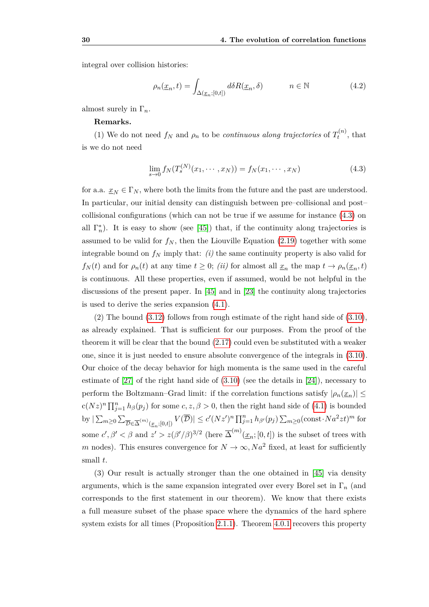integral over collision histories:

<span id="page-37-1"></span>
$$
\rho_n(\underline{x}_n, t) = \int_{\Delta(\underline{x}_n; [0, t])} d\delta R(\underline{x}_n, \delta) \qquad n \in \mathbb{N} \tag{4.2}
$$

almost surely in Γ*n*.

#### **Remarks.**

(1) We do not need  $f_N$  and  $\rho_n$  to be *continuous along trajectories* of  $T_t^{(n)}$  $t^{(n)}$ , that is we do not need

<span id="page-37-0"></span>
$$
\lim_{s \to 0} f_N(T_s^{(N)}(x_1, \cdots, x_N)) = f_N(x_1, \cdots, x_N)
$$
\n(4.3)

for a.a.  $x_N \in \Gamma_N$ , where both the limits from the future and the past are understood. In particular, our initial density can distinguish between pre–collisional and post– collisional configurations (which can not be true if we assume for instance [\(4.3\)](#page-37-0) on all  $\Gamma_n^*$ ). It is easy to show (see [\[45\]](#page-115-0)) that, if the continuity along trajectories is assumed to be valid for  $f_N$ , then the Liouville Equation [\(2.19\)](#page-19-0) together with some integrable bound on  $f_N$  imply that: *(i)* the same continuity property is also valid for *f<sub>N</sub>*(*t*) and for  $\rho_n(t)$  at any time  $t \geq 0$ ; *(ii)* for almost all  $\underline{x}_n$  the map  $t \to \rho_n(\underline{x}_n, t)$ is continuous. All these properties, even if assumed, would be not helpful in the discussions of the present paper. In [\[45\]](#page-115-0) and in [\[23\]](#page-113-0) the continuity along trajectories is used to derive the series expansion [\(4.1\)](#page-36-0).

(2) The bound [\(3.12\)](#page-33-0) follows from rough estimate of the right hand side of [\(3.10\)](#page-32-0), as already explained. That is sufficient for our purposes. From the proof of the theorem it will be clear that the bound [\(2.17\)](#page-19-2) could even be substituted with a weaker one, since it is just needed to ensure absolute convergence of the integrals in [\(3.10\)](#page-32-0). Our choice of the decay behavior for high momenta is the same used in the careful estimate of  $[27]$  of the right hand side of  $(3.10)$  (see the details in  $[24]$ ), necessary to perform the Boltzmann–Grad limit: if the correlation functions satisfy  $|\rho_n(\underline{x}_n)| \le$  $c(Nz)^n \prod_{j=1}^n h_\beta(p_j)$  for some  $c, z, \beta > 0$ , then the right hand side of [\(4.1\)](#page-36-0) is bounded by  $|\sum_{m\geq 0} \sum_{\overline{\mathcal{D}} \in \overline{\Delta}^{(m)}(\underline{x}_n;[0,t])} V(\overline{\mathcal{D}})| \leq c'(Nz')^n \prod_{j=1}^n h_{\beta'}(p_j) \sum_{m\geq 0} (\text{const} \cdot Na^2zt)^m$  for some  $c', \beta' < \beta$  and  $z' > z(\beta'/\beta)^{3/2}$  (here  $\overline{\Delta}^{(m)}(\underline{x}_n; [0, t])$  is the subset of trees with *m* nodes). This ensures convergence for  $N \to \infty$ ,  $Na^2$  fixed, at least for sufficiently small *t*.

(3) Our result is actually stronger than the one obtained in [\[45\]](#page-115-0) via density arguments, which is the same expansion integrated over every Borel set in Γ*<sup>n</sup>* (and corresponds to the first statement in our theorem). We know that there exists a full measure subset of the phase space where the dynamics of the hard sphere system exists for all times (Proposition [2.1.1\)](#page-16-0). Theorem [4.0.1](#page-36-1) recovers this property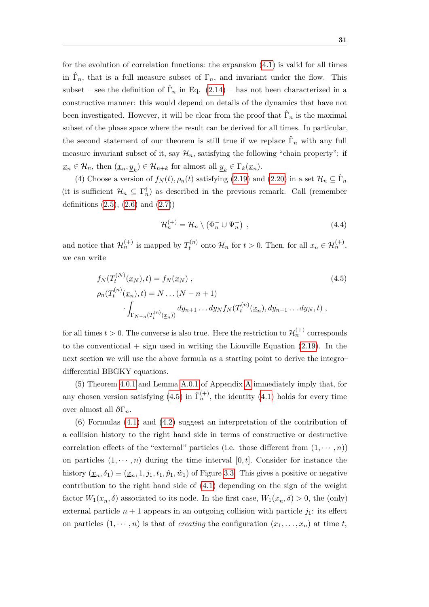for the evolution of correlation functions: the expansion [\(4.1\)](#page-36-0) is valid for all times in  $\hat{\Gamma}_n$ , that is a full measure subset of  $\Gamma_n$ , and invariant under the flow. This subset – see the definition of  $\hat{\Gamma}_n$  in Eq. [\(2.14\)](#page-18-0) – has not been characterized in a constructive manner: this would depend on details of the dynamics that have not been investigated. However, it will be clear from the proof that  $\hat{\Gamma}_n$  is the maximal subset of the phase space where the result can be derived for all times. In particular, the second statement of our theorem is still true if we replace  $\hat{\Gamma}_n$  with any full measure invariant subset of it, say  $\mathcal{H}_n$ , satisfying the following "chain property": if  $\underline{x}_n \in \mathcal{H}_n$ , then  $(\underline{x}_n, \underline{y}_k) \in \mathcal{H}_{n+k}$  for almost all  $\underline{y}_k \in \Gamma_k(\underline{x}_n)$ .

(4) Choose a version of  $f_N(t)$ ,  $\rho_n(t)$  satisfying [\(2.19\)](#page-19-0) and [\(2.20\)](#page-19-1) in a set  $\mathcal{H}_n \subseteq \hat{\Gamma}_n$ (it is sufficient  $\mathcal{H}_n \subseteq \Gamma_n^{\dagger}$ ) as described in the previous remark. Call (remember definitions  $(2.5)$ ,  $(2.6)$  and  $(2.7)$ 

$$
\mathcal{H}_n^{(+)} = \mathcal{H}_n \setminus (\Phi_n^- \cup \Psi_n^-) \tag{4.4}
$$

and notice that  $\mathcal{H}_n^{(+)}$  is mapped by  $T_t^{(n)}$  $t_t^{(n)}$  onto  $\mathcal{H}_n$  for  $t > 0$ . Then, for all  $\underline{x}_n \in \mathcal{H}_n^{(+)}$ , we can write

<span id="page-38-0"></span>
$$
f_N(T_t^{(N)}(\underline{x}_N), t) = f_N(\underline{x}_N),
$$
  
\n
$$
\rho_n(T_t^{(n)}(\underline{x}_n), t) = N \dots (N - n + 1)
$$
  
\n
$$
\int_{\Gamma_{N-n}(T_t^{(n)}(\underline{x}_n))} dy_{n+1} \dots dy_N f_N(T_t^{(n)}(\underline{x}_n), dy_{n+1} \dots dy_N, t),
$$
\n(4.5)

for all times  $t > 0$ . The converse is also true. Here the restriction to  $\mathcal{H}_n^{(+)}$  corresponds to the conventional  $+$  sign used in writing the Liouville Equation [\(2.19\)](#page-19-0). In the next section we will use the above formula as a starting point to derive the integro– differential BBGKY equations.

(5) Theorem [4.0.1](#page-36-1) and Lemma [A.0.1](#page-88-0) of Appendix [A](#page-88-1) immediately imply that, for any chosen version satisfying  $(4.5)$  in  $\hat{\Gamma}_n^{(+)}$ , the identity  $(4.1)$  holds for every time over almost all *∂*Γ*n.*

(6) Formulas [\(4.1\)](#page-36-0) and [\(4.2\)](#page-37-1) suggest an interpretation of the contribution of a collision history to the right hand side in terms of constructive or destructive correlation effects of the "external" particles (i.e. those different from  $(1, \dots, n)$ ) on particles  $(1, \dots, n)$  during the time interval  $[0, t]$ . Consider for instance the history  $(\underline{x}_n, \delta_1) \equiv (\underline{x}_n, 1, j_1, t_1, \hat{p}_1, \hat{w}_1)$  of Figure [3.3.](#page-28-0) This gives a positive or negative contribution to the right hand side of [\(4.1\)](#page-36-0) depending on the sign of the weight factor  $W_1(\underline{x}_n, \delta)$  associated to its node. In the first case,  $W_1(\underline{x}_n, \delta) > 0$ , the (only) external particle  $n+1$  appears in an outgoing collision with particle  $j_1$ : its effect on particles  $(1, \dots, n)$  is that of *creating* the configuration  $(x_1, \dots, x_n)$  at time *t*,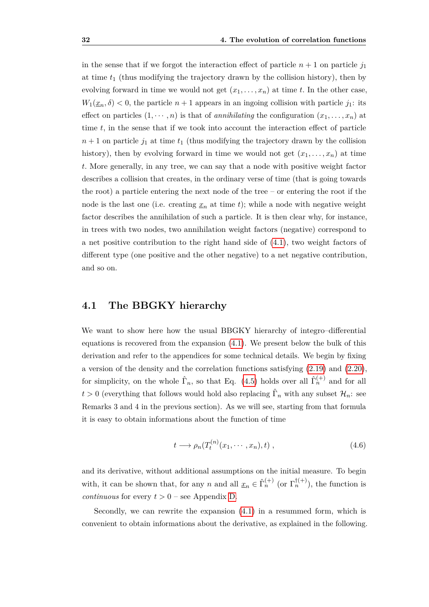in the sense that if we forgot the interaction effect of particle  $n+1$  on particle  $j_1$ at time  $t_1$  (thus modifying the trajectory drawn by the collision history), then by evolving forward in time we would not get  $(x_1, \ldots, x_n)$  at time *t*. In the other case,  $W_1(\underline{x}_n, \delta) < 0$ , the particle  $n+1$  appears in an ingoing collision with particle  $j_1$ : its effect on particles  $(1, \dots, n)$  is that of *annihilating* the configuration  $(x_1, \dots, x_n)$  at time *t,* in the sense that if we took into account the interaction effect of particle  $n+1$  on particle  $j_1$  at time  $t_1$  (thus modifying the trajectory drawn by the collision history), then by evolving forward in time we would not get  $(x_1, \ldots, x_n)$  at time *t.* More generally, in any tree, we can say that a node with positive weight factor describes a collision that creates, in the ordinary verse of time (that is going towards the root) a particle entering the next node of the tree – or entering the root if the node is the last one (i.e. creating  $x_n$  at time *t*); while a node with negative weight factor describes the annihilation of such a particle. It is then clear why, for instance, in trees with two nodes, two annihilation weight factors (negative) correspond to a net positive contribution to the right hand side of [\(4.1\)](#page-36-0), two weight factors of different type (one positive and the other negative) to a net negative contribution, and so on.

### <span id="page-39-0"></span>**4.1 The BBGKY hierarchy**

We want to show here how the usual BBGKY hierarchy of integro–differential equations is recovered from the expansion [\(4.1\)](#page-36-0). We present below the bulk of this derivation and refer to the appendices for some technical details. We begin by fixing a version of the density and the correlation functions satisfying [\(2.19\)](#page-19-0) and [\(2.20\)](#page-19-1), for simplicity, on the whole  $\hat{\Gamma}_n$ , so that Eq. [\(4.5\)](#page-38-0) holds over all  $\hat{\Gamma}_n^{(+)}$  and for all  $t > 0$  (everything that follows would hold also replacing  $\hat{\Gamma}_n$  with any subset  $\mathcal{H}_n$ : see Remarks 3 and 4 in the previous section). As we will see, starting from that formula it is easy to obtain informations about the function of time

$$
t \longrightarrow \rho_n(T_t^{(n)}(x_1, \cdots, x_n), t) , \qquad (4.6)
$$

and its derivative, without additional assumptions on the initial measure. To begin with, it can be shown that, for any *n* and all  $\underline{x}_n \in \hat{\Gamma}_n^{(+)}$  (or  $\Gamma_n^{\dagger(+)}$ ), the function is *continuous* for every  $t > 0$  – see Appendix [D.](#page-104-0)

Secondly, we can rewrite the expansion [\(4.1\)](#page-36-0) in a resummed form, which is convenient to obtain informations about the derivative, as explained in the following.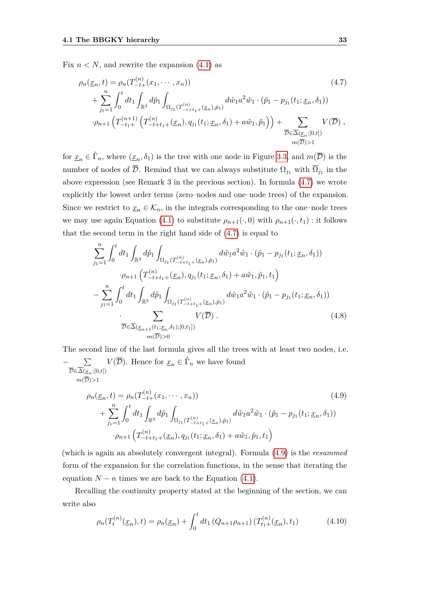Fix  $n < N$ , and rewrite the expansion  $(4.1)$  as

<span id="page-40-0"></span>
$$
\rho_n(\underline{x}_n, t) = \rho_n(T_{-t+}^{(n)}(x_1, \dots, x_n))
$$
\n
$$
+ \sum_{j_1=1}^n \int_0^t dt_1 \int_{\mathbb{R}^3} d\hat{p}_1 \int_{\Omega_{j_1}(T_{-t+1}^{(n)} + (\underline{x}_n), \hat{p}_1)} d\hat{w}_1 a^2 \hat{w}_1 \cdot (\hat{p}_1 - p_{j_1}(t_1; \underline{x}_n, \delta_1))
$$
\n
$$
\cdot \rho_{n+1} \left( T_{-t+}^{(n+1)} \left( T_{-t+1+}^{(n)}(\underline{x}_n), q_{j_1}(t_1; \underline{x}_n, \delta_1) + a\hat{w}_1, \hat{p}_1 \right) \right) + \sum_{\overline{D} \in \overline{\Delta}(\underline{x}_n; [0, t])} V(\overline{D}),
$$
\n
$$
m(\overline{D}) > 1
$$
\n
$$
(4.7)
$$

for  $\underline{x}_n \in \hat{\Gamma}_n$ , where  $(\underline{x}_n, \delta_1)$  is the tree with one node in Figure [3.3,](#page-28-0) and  $m(\overline{\mathcal{D}})$  is the number of nodes of  $\overline{\mathcal{D}}$ . Remind that we can always substitute  $\Omega_{j_1}$  with  $\overline{\Omega}_{j_1}$  in the above expression (see Remark 3 in the previous section). In formula [\(4.7\)](#page-40-0) we wrote explicitly the lowest order terms (zero–nodes and one–node trees) of the expansion. Since we restrict to  $\underline{x}_n \in \mathcal{K}_n$ , in the integrals corresponding to the one–node trees we may use again Equation [\(4.1\)](#page-36-0) to substitute  $\rho_{n+1}(\cdot, 0)$  with  $\rho_{n+1}(\cdot, t_1)$ : it follows that the second term in the right hand side of [\(4.7\)](#page-40-0) is equal to

$$
\sum_{j_1=1}^n \int_0^t dt_1 \int_{\mathbb{R}^3} d\hat{p}_1 \int_{\Omega_{j_1}(T_{-t+t_1+}^{(n)}(\underline{x}_n), \hat{p}_1)} d\hat{w}_1 a^2 \hat{w}_1 \cdot (\hat{p}_1 - p_{j_1}(t_1; \underline{x}_n, \delta_1))
$$

$$
\cdot \rho_{n+1} \left( T_{-t+t_1+}^{(n)}(\underline{x}_n), q_{j_1}(t_1; \underline{x}_n, \delta_1) + a\hat{w}_1, \hat{p}_1, t_1 \right)
$$

$$
- \sum_{j_1=1}^n \int_0^t dt_1 \int_{\mathbb{R}^3} d\hat{p}_1 \int_{\Omega_{j_1}(T_{-t+t_1+}^{(n)}(\underline{x}_n), \hat{p}_1)} d\hat{w}_1 a^2 \hat{w}_1 \cdot (\hat{p}_1 - p_{j_1}(t_1; \underline{x}_n, \delta_1))
$$

$$
\cdot \sum_{\overline{D} \in \overline{\Delta}(\underline{x}_{n+1}(t_1; \underline{x}_n, \delta_1); [0, t_1])} V(\overline{D}). \tag{4.8}
$$

The second line of the last formula gives all the trees with at least two nodes, i.e.

<span id="page-40-1"></span>
$$
-\sum_{\overline{D} \in \overline{\Delta}(\underline{x}_n;[0,t])} V(\overline{D}). \text{ Hence for } \underline{x}_n \in \widehat{\Gamma}_n \text{ we have found}
$$
\n
$$
m(\overline{D}) > 1
$$
\n
$$
\rho_n(\underline{x}_n, t) = \rho_n(T_{-t+1}^{(n)}(x_1, \dots, x_n)) + \sum_{j_1=1}^n \int_0^t dt_1 \int_{\mathbb{R}^3} d\hat{p}_1 \int_{\Omega_{j_1}(T_{-t+1}^{(n)}(x_n), \hat{p}_1)} d\hat{w}_1 a^2 \hat{w}_1 \cdot (\hat{p}_1 - p_{j_1}(t_1; \underline{x}_n, \delta_1))
$$
\n
$$
\cdot \rho_{n+1} \left( T_{-t+1+1}^{(n)}(\underline{x}_n), q_{j_1}(t_1; \underline{x}_n, \delta_1) + a\hat{w}_1, \hat{p}_1, t_1 \right)
$$
\n
$$
(4.9)
$$

(which is again an absolutely convergent integral). Formula [\(4.9\)](#page-40-1) is the *resummed* form of the expansion for the correlation functions, in the sense that iterating the equation  $N - n$  times we are back to the Equation [\(4.1\)](#page-36-0).

Recalling the continuity property stated at the beginning of the section, we can write also

<span id="page-40-2"></span>
$$
\rho_n(T_t^{(n)}(\underline{x}_n), t) = \rho_n(\underline{x}_n) + \int_0^t dt_1 (Q_{n+1}\rho_{n+1}) (T_{t_1+}^{(n)}(\underline{x}_n), t_1)
$$
(4.10)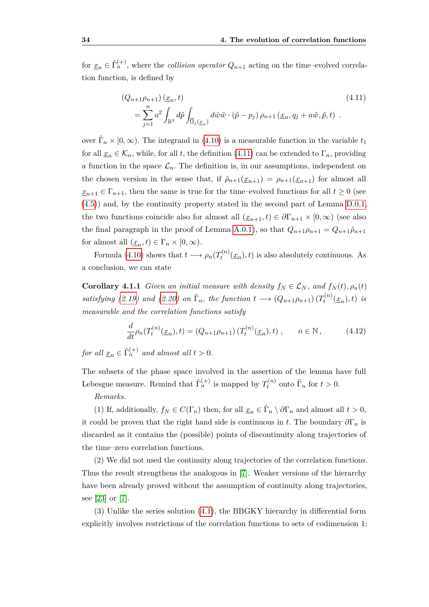for  $\underline{x}_n \in \hat{\Gamma}_n^{(+)}$ , where the *collision operator*  $Q_{n+1}$  acting on the time–evolved correlation function, is defined by

<span id="page-41-0"></span>
$$
(Q_{n+1}\rho_{n+1})\underline{(x_n,t)}
$$
\n
$$
=\sum_{j=1}^n a^2 \int_{\mathbb{R}^3} d\hat{p} \int_{\overline{\Omega}_j(\underline{x}_n)} d\hat{w}\hat{w} \cdot (\hat{p}-p_j) \rho_{n+1}(\underline{x}_n, q_j + a\hat{w}, \hat{p}, t) .
$$
\n(4.11)

over  $\hat{\Gamma}_n \times [0, \infty)$ . The integrand in [\(4.10\)](#page-40-2) is a measurable function in the variable  $t_1$ for all  $\underline{x}_n \in \mathcal{K}_n$ , while, for all *t*, the definition [\(4.11\)](#page-41-0) can be extended to  $\Gamma_n$ , providing a function in the space  $\mathcal{L}_n$ . The definition is, in our assumptions, independent on the chosen version in the sense that, if  $\tilde{\rho}_{n+1}(\underline{x}_{n+1}) = \rho_{n+1}(\underline{x}_{n+1})$  for almost all  $\underline{x}_{n+1} \in \Gamma_{n+1}$ , then the same is true for the time–evolved functions for all  $t \geq 0$  (see [\(4.5\)](#page-38-0)) and, by the continuity property stated in the second part of Lemma [D.0.1,](#page-104-1) the two functions coincide also for almost all  $(\underline{x}_{n+1}, t) \in \partial \Gamma_{n+1} \times [0, \infty)$  (see also the final paragraph in the proof of Lemma [A.0.1\)](#page-88-0), so that  $Q_{n+1}\rho_{n+1} = Q_{n+1}\tilde{\rho}_{n+1}$ for almost all  $(\underline{x}_n, t) \in \Gamma_n \times [0, \infty)$ .

Formula [\(4.10\)](#page-40-2) shows that  $t \longrightarrow \rho_n(T_t^{(n)})$  $t_t^{(n)}(\underline{x}_n), t$  is also absolutely continuous. As a conclusion, we can state

**Corollary 4.1.1** *Given an initial measure with density*  $f_N \in \mathcal{L}_N$ *, and*  $f_N(t)$ *,*  $\rho_n(t)$ *satisfying* [\(2.19\)](#page-19-0) and [\(2.20\)](#page-19-1) on  $\hat{\Gamma}_n$ , the function  $t \longrightarrow (Q_{n+1}\rho_{n+1})(T_t^{(n)})$  $a_t^{(n)}(\underline{x}_n), t$  *is measurable and the correlation functions satisfy*

$$
\frac{d}{dt}\rho_n(T_t^{(n)}(\underline{x}_n),t) = (Q_{n+1}\rho_{n+1})\left(T_t^{(n)}(\underline{x}_n),t\right), \qquad n \in \mathbb{N},\tag{4.12}
$$

*for all*  $\underline{x}_n \in \hat{\Gamma}_n^{(+)}$  *and almost all*  $t > 0$ *.* 

The subsets of the phase space involved in the assertion of the lemma have full Lebesgue measure. Remind that  $\hat{\Gamma}_n^{(+)}$  is mapped by  $T_t^{(n)}$  $\hat{\Gamma}_t^{(n)}$  onto  $\hat{\Gamma}_n$  for  $t > 0$ .

#### *Remarks.*

(1) If, additionally,  $f_N \in C(\Gamma_n)$  then, for all  $\underline{x}_n \in \widehat{\Gamma}_n \setminus \partial \Gamma_n$  and almost all  $t > 0$ , it could be proven that the right hand side is continuous in *t*. The boundary  $\partial \Gamma_n$  is discarded as it contains the (possible) points of discontinuity along trajectories of the time–zero correlation functions.

(2) We did not used the continuity along trajectories of the correlation functions. Thus the result strengthens the analogous in [\[7\]](#page-112-0). Weaker versions of the hierarchy have been already proved without the assumption of continuity along trajectories, see [\[23\]](#page-113-0) or [\[7\]](#page-112-0).

(3) Unlike the series solution [\(4.1\)](#page-36-0), the BBGKY hierarchy in differential form explicitly involves restrictions of the correlation functions to sets of codimension 1: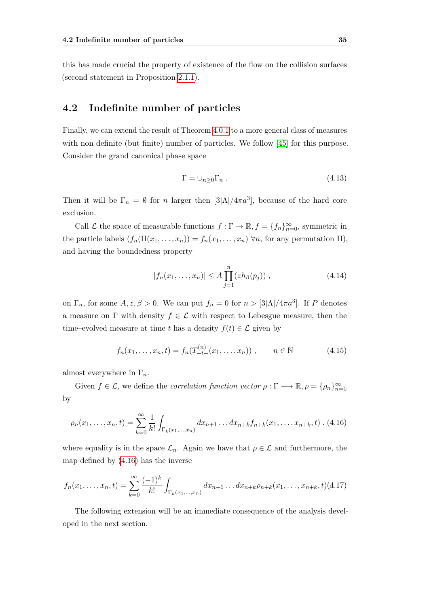this has made crucial the property of existence of the flow on the collision surfaces (second statement in Proposition [2.1.1\)](#page-16-0).

## <span id="page-42-0"></span>**4.2 Indefinite number of particles**

Finally, we can extend the result of Theorem [4.0.1](#page-36-1) to a more general class of measures with non definite (but finite) number of particles. We follow [\[45\]](#page-115-0) for this purpose. Consider the grand canonical phase space

$$
\Gamma = \cup_{n \ge 0} \Gamma_n \tag{4.13}
$$

Then it will be  $\Gamma_n = \emptyset$  for *n* larger then [3| $\Lambda$ |/4 $\pi a^3$ ], because of the hard core exclusion.

Call  $\mathcal L$  the space of measurable functions  $f : \Gamma \to \mathbb{R}$ ,  $f = \{f_n\}_{n=0}^{\infty}$ , symmetric in the particle labels  $(f_n(\Pi(x_1,\ldots,x_n)) = f_n(x_1,\ldots,x_n)$   $\forall n$ , for any permutation  $\Pi$ ), and having the boundedness property

$$
|f_n(x_1,...,x_n)| \le A \prod_{j=1}^n (zh_\beta(p_j)), \qquad (4.14)
$$

on  $\Gamma_n$ , for some  $A, z, \beta > 0$ . We can put  $f_n = 0$  for  $n > \frac{3|\Lambda|}{4\pi a^3}$ . If P denotes a measure on  $\Gamma$  with density  $f \in \mathcal{L}$  with respect to Lebesgue measure, then the time–evolved measure at time *t* has a density  $f(t) \in \mathcal{L}$  given by

<span id="page-42-2"></span>
$$
f_n(x_1, \dots, x_n, t) = f_n(T_{-t+}^{(n)}(x_1, \dots, x_n)), \qquad n \in \mathbb{N}
$$
 (4.15)

almost everywhere in Γ*n*.

Given  $f \in \mathcal{L}$ , we define the *correlation function vector*  $\rho : \Gamma \longrightarrow \mathbb{R}, \rho = {\rho_n}_{n=0}^{\infty}$ by

<span id="page-42-1"></span>
$$
\rho_n(x_1,\ldots,x_n,t) = \sum_{k=0}^{\infty} \frac{1}{k!} \int_{\Gamma_k(x_1,\ldots,x_n)} dx_{n+1}\ldots dx_{n+k} f_{n+k}(x_1,\ldots,x_{n+k},t) , (4.16)
$$

where equality is in the space  $\mathcal{L}_n$ . Again we have that  $\rho \in \mathcal{L}$  and furthermore, the map defined by [\(4.16\)](#page-42-1) has the inverse

$$
f_n(x_1,\ldots,x_n,t) = \sum_{k=0}^{\infty} \frac{(-1)^k}{k!} \int_{\Gamma_k(x_1,\ldots,x_n)} dx_{n+1}\ldots dx_{n+k}\rho_{n+k}(x_1,\ldots,x_{n+k},t)
$$
(4.17)

The following extension will be an immediate consequence of the analysis developed in the next section.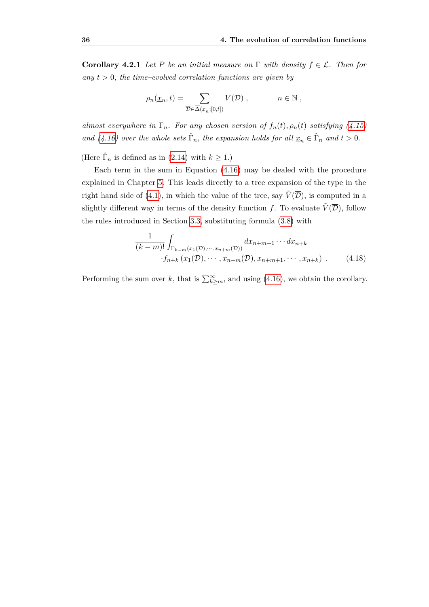**Corollary 4.2.1** *Let P be an initial measure on*  $\Gamma$  *with density*  $f \in \mathcal{L}$ *. Then for any*  $t > 0$ *, the time–evolved correlation functions are given by* 

$$
\rho_n(\underline{x}_n, t) = \sum_{\overline{\mathcal{D}} \in \overline{\Delta}(\underline{x}_n; [0, t])} V(\overline{\mathcal{D}}) , \qquad n \in \mathbb{N} ,
$$

*almost everywhere in*  $\Gamma_n$ *. For any chosen version of*  $f_n(t)$ *,*  $\rho_n(t)$  *satisfying [\(4.15\)](#page-42-2) and* [\(4.16\)](#page-42-1) over the whole sets  $\hat{\Gamma}_n$ , the expansion holds for all  $\underline{x}_n \in \hat{\Gamma}_n$  and  $t > 0$ .

(Here  $\hat{\Gamma}_n$  is defined as in [\(2.14\)](#page-18-0) with  $k \geq 1$ .)

Each term in the sum in Equation [\(4.16\)](#page-42-1) may be dealed with the procedure explained in Chapter [5.](#page-44-0) This leads directly to a tree expansion of the type in the right hand side of [\(4.1\)](#page-36-0), in which the value of the tree, say  $\tilde{V}(\overline{\mathcal{D}})$ , is computed in a slightly different way in terms of the density function *f*. To evaluate  $\tilde{V}(\overline{\mathcal{D}})$ , follow the rules introduced in Section [3.3,](#page-31-0) substituting formula [\(3.8\)](#page-32-1) with

$$
\frac{1}{(k-m)!} \int_{\Gamma_{k-m}(x_1(\mathcal{D}),\cdots,x_{n+m}(\mathcal{D}))} dx_{n+m+1}\cdots dx_{n+k}
$$
  
 
$$
\cdot f_{n+k}(x_1(\mathcal{D}),\cdots,x_{n+m}(\mathcal{D}),x_{n+m+1},\cdots,x_{n+k}) .
$$
 (4.18)

Performing the sum over *k*, that is  $\sum_{k\geq m}^{\infty}$ , and using [\(4.16\)](#page-42-1), we obtain the corollary.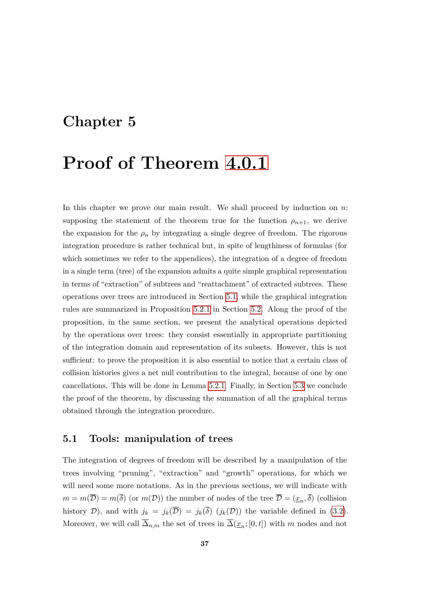# <span id="page-44-0"></span>**Chapter 5**

# **Proof of Theorem [4.0.1](#page-36-1)**

In this chapter we prove our main result. We shall proceed by induction on *n*: supposing the statement of the theorem true for the function  $\rho_{n+1}$ , we derive the expansion for the  $\rho_n$  by integrating a single degree of freedom. The rigorous integration procedure is rather technical but, in spite of lengthiness of formulas (for which sometimes we refer to the appendices), the integration of a degree of freedom in a single term (tree) of the expansion admits a quite simple graphical representation in terms of "extraction" of subtrees and "reattachment" of extracted subtrees. These operations over trees are introduced in Section [5.1,](#page-44-1) while the graphical integration rules are summarized in Proposition [5.2.1](#page-48-0) in Section [5.2.](#page-47-0) Along the proof of the proposition, in the same section, we present the analytical operations depicted by the operations over trees: they consist essentially in appropriate partitioning of the integration domain and representation of its subsets. However, this is not sufficient: to prove the proposition it is also essential to notice that a certain class of collision histories gives a net null contribution to the integral, because of one by one cancellations. This will be done in Lemma [5.2.1.](#page-52-0) Finally, in Section [5.3](#page-54-0) we conclude the proof of the theorem, by discussing the summation of all the graphical terms obtained through the integration procedure.

## <span id="page-44-1"></span>**5.1 Tools: manipulation of trees**

The integration of degrees of freedom will be described by a manipulation of the trees involving "pruning", "extraction" and "growth" operations, for which we will need some more notations. As in the previous sections, we will indicate with  $m = m(\overline{D}) = m(\overline{\delta})$  (or  $m(D)$ ) the number of nodes of the tree  $\overline{D} = (\underline{x}_n, \overline{\delta})$  (collision history D), and with  $j_k = j_k(\overline{D}) = j_k(\overline{\delta})$  ( $j_k(D)$ ) the variable defined in [\(3.2\)](#page-29-1). Moreover, we will call  $\overline{\Delta}_{n,m}$  the set of trees in  $\overline{\Delta}(\underline{x}_n;[0,t])$  with *m* nodes and not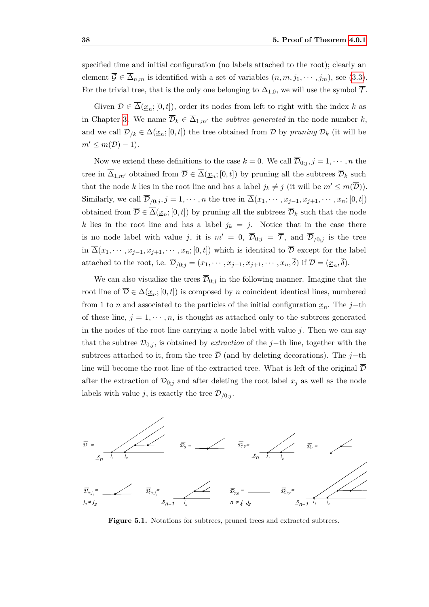specified time and initial configuration (no labels attached to the root); clearly an element  $\overline{\mathcal{G}} \in \overline{\Delta}_{n,m}$  is identified with a set of variables  $(n, m, j_1, \dots, j_m)$ , see [\(3.3\)](#page-29-2). For the trivial tree, that is the only one belonging to  $\overline{\Delta}_{1,0}$ , we will use the symbol  $\overline{\mathcal{T}}$ .

Given  $\overline{\mathcal{D}} \in \overline{\Delta}(x_n;[0,t])$ , order its nodes from left to right with the index k as in Chapter [3.](#page-26-0) We name  $\overline{\mathcal{D}}_k \in \overline{\Delta}_{1,m'}$  the *subtree generated* in the node number *k*, and we call  $\overline{\mathcal{D}}_{k} \in \overline{\Delta}(\underline{x}_n; [0, t])$  the tree obtained from  $\overline{\mathcal{D}}$  by *pruning*  $\overline{\mathcal{D}}_k$  (it will be  $m' \leq m(\overline{\mathcal{D}}) - 1$ .

Now we extend these definitions to the case  $k = 0$ . We call  $\overline{\mathcal{D}}_{0:i}, j = 1, \cdots, n$  the tree in  $\overline{\Delta}_{1,m'}$  obtained from  $\overline{\mathcal{D}} \in \overline{\Delta}(\underline{x}_n;[0,t])$  by pruning all the subtrees  $\overline{\mathcal{D}}_k$  such that the node *k* lies in the root line and has a label  $j_k \neq j$  (it will be  $m' \leq m(\overline{D})$ ). Similarly, we call  $\overline{\mathcal{D}}_{/0;j}, j = 1, \cdots, n$  the tree in  $\Delta(x_1, \cdots, x_{j-1}, x_{j+1}, \cdots, x_n; [0, t])$ obtained from  $\overline{\mathcal{D}} \in \overline{\Delta}(\underline{x}_n; [0, t])$  by pruning all the subtrees  $\overline{\mathcal{D}}_k$  such that the node *k* lies in the root line and has a label  $j_k = j$ . Notice that in the case there is no node label with value *j*, it is  $m' = 0$ ,  $\overline{\mathcal{D}}_{0;j} = \overline{\mathcal{T}}$ , and  $\overline{\mathcal{D}}_{/0;j}$  is the tree in  $\overline{\Delta}(x_1,\dots,x_{j-1},x_{j+1},\dots,x_n;[0,t])$  which is identical to  $\overline{\mathcal{D}}$  except for the label attached to the root, i.e.  $\overline{\mathcal{D}}_{/0;j} = (x_1, \dots, x_{j-1}, x_{j+1}, \dots, x_n, \overline{\delta})$  if  $\overline{\mathcal{D}} = (\underline{x}_n, \overline{\delta})$ .

We can also visualize the trees  $\overline{\mathcal{D}}_{0,j}$  in the following manner. Imagine that the root line of  $\overline{\mathcal{D}} \in \overline{\Delta}(\underline{x}_n; [0, t])$  is composed by *n* coincident identical lines, numbered from 1 to *n* and associated to the particles of the initial configuration  $x_n$ . The *j*−th of these line,  $j = 1, \dots, n$ , is thought as attached only to the subtrees generated in the nodes of the root line carrying a node label with value  $j$ . Then we can say that the subtree  $\overline{\mathcal{D}}_{0,i}$ , is obtained by *extraction* of the *j*−th line, together with the subtrees attached to it, from the tree  $\overline{\mathcal{D}}$  (and by deleting decorations). The *j*−th line will become the root line of the extracted tree. What is left of the original  $\overline{\mathcal{D}}$ after the extraction of  $\overline{\mathcal{D}}_{0,j}$  and after deleting the root label  $x_j$  as well as the node labels with value *j*, is exactly the tree  $\overline{\mathcal{D}}_{/0,j}$ .



**Figure 5.1.** Notations for subtrees, pruned trees and extracted subtrees.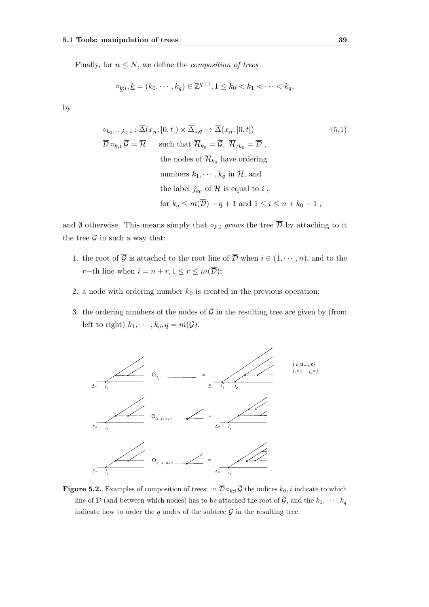Finally, for  $n \leq N$ , we define the *composition of trees* 

$$
\circ_{k;i}, \underline{k} = (k_0, \cdots, k_q) \in \mathbb{Z}^{q+1}, 1 \le k_0 < k_1 < \cdots < k_q
$$

by

$$
\circ_{k_0,\dots,k_q;i} : \overline{\Delta}(\underline{x}_n;[0,t]) \times \overline{\Delta}_{1,q} \to \overline{\Delta}(\underline{x}_n;[0,t])
$$
(5.1)  

$$
\overline{\mathcal{D}} \circ_{\underline{k},i} \overline{\mathcal{G}} = \overline{\mathcal{H}} \quad \text{such that } \overline{\mathcal{H}}_{k_0} = \overline{\mathcal{G}}, \overline{\mathcal{H}}_{/k_0} = \overline{\mathcal{D}},
$$
  
the nodes of  $\overline{\mathcal{H}}_{k_0}$  have ordering  
numbers  $k_1, \dots, k_q$  in  $\overline{\mathcal{H}},$  and  
the label  $j_{k_0}$  of  $\overline{\mathcal{H}}$  is equal to  $i$ ,  
for  $k_q \leq m(\overline{\mathcal{D}}) + q + 1$  and  $1 \leq i \leq n + k_0 - 1$ ,

and  $\emptyset$  otherwise. This means simply that  $\circ_{k,i}$  *grows* the tree  $\overline{\mathcal{D}}$  by attaching to it the tree  $\overline{\mathcal{G}}$  in such a way that:

- 1. the root of  $\overline{\mathcal{G}}$  is attached to the root line of  $\overline{\mathcal{D}}$  when  $i \in (1, \dots, n)$ , and to the *r*−th line when  $i = n + r, 1 \le r \le m(\overline{\mathcal{D}});$
- 2. a node with ordering number  $k_0$  is created in the previous operation;
- 3. the ordering numbers of the nodes of  $\overline{\mathcal{G}}$  in the resulting tree are given by (from left to right)  $k_1, \dots, k_q, q = m(\overline{G})$ .



**Figure 5.2.** Examples of composition of trees: in  $\overline{\mathcal{D}} \circ_{k,i} \overline{\mathcal{G}}$  the indices  $k_0, i$  indicate to which line of  $\overline{\mathcal{D}}$  (and between which nodes) has to be attached the root of  $\overline{\mathcal{G}}$ , and the  $k_1, \cdots, k_q$ indicate how to order the *q* nodes of the subtree  $\overline{\mathcal{G}}$  in the resulting tree.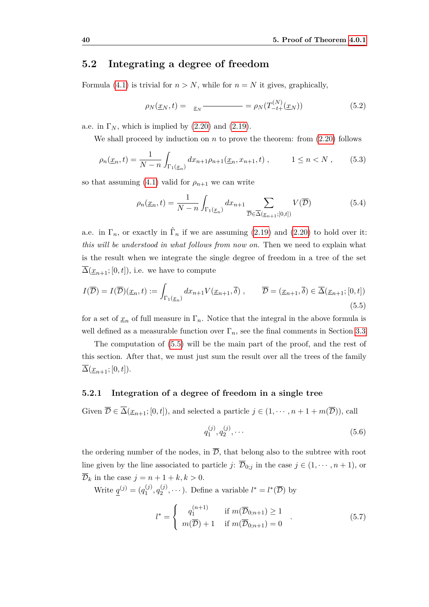## <span id="page-47-0"></span>**5.2 Integrating a degree of freedom**

Formula [\(4.1\)](#page-36-0) is trivial for  $n > N$ , while for  $n = N$  it gives, graphically,

$$
\rho_N(\underline{x}_N, t) = \underline{x}_N \longrightarrow \rho_N(T_{-t+}^{(N)}(\underline{x}_N)) \tag{5.2}
$$

a.e. in  $\Gamma_N$ , which is implied by  $(2.20)$  and  $(2.19)$ .

We shall proceed by induction on  $n$  to prove the theorem: from  $(2.20)$  follows

$$
\rho_n(\underline{x}_n, t) = \frac{1}{N - n} \int_{\Gamma_1(\underline{x}_n)} dx_{n+1} \rho_{n+1}(\underline{x}_n, x_{n+1}, t) , \qquad 1 \le n < N , \qquad (5.3)
$$

so that assuming [\(4.1\)](#page-36-0) valid for  $\rho_{n+1}$  we can write

<span id="page-47-2"></span>
$$
\rho_n(\underline{x}_n, t) = \frac{1}{N - n} \int_{\Gamma_1(\underline{x}_n)} dx_{n+1} \sum_{\overline{\mathcal{D}} \in \overline{\Delta}(\underline{x}_{n+1}; [0, t])} V(\overline{\mathcal{D}})
$$
(5.4)

a.e. in  $\Gamma_n$ , or exactly in  $\hat{\Gamma}_n$  if we are assuming [\(2.19\)](#page-19-0) and [\(2.20\)](#page-19-1) to hold over it: *this will be understood in what follows from now on.* Then we need to explain what is the result when we integrate the single degree of freedom in a tree of the set  $\Delta(\underline{x}_{n+1};[0,t]),$  i.e. we have to compute

<span id="page-47-1"></span>
$$
I(\overline{\mathcal{D}}) = I(\overline{\mathcal{D}})(\underline{x}_n, t) := \int_{\Gamma_1(\underline{x}_n)} dx_{n+1} V(\underline{x}_{n+1}, \overline{\delta}), \qquad \overline{\mathcal{D}} = (\underline{x}_{n+1}, \overline{\delta}) \in \overline{\Delta}(\underline{x}_{n+1}; [0, t])
$$
\n(5.5)

for a set of  $\underline{x}_n$  of full measure in  $\Gamma_n$ . Notice that the integral in the above formula is well defined as a measurable function over  $\Gamma_n$ , see the final comments in Section [3.3.](#page-31-0)

The computation of [\(5.5\)](#page-47-1) will be the main part of the proof, and the rest of this section. After that, we must just sum the result over all the trees of the family  $\overline{\Delta}(\underline{x}_{n+1};[0,t]).$ 

#### **5.2.1 Integration of a degree of freedom in a single tree**

Given  $\overline{\mathcal{D}} \in \overline{\Delta}(\underline{x}_{n+1};[0,t])$ , and selected a particle  $j \in (1,\dots,n+1+m(\overline{\mathcal{D}}))$ , call

$$
q_1^{(j)}, q_2^{(j)}, \cdots \tag{5.6}
$$

the ordering number of the nodes, in  $\overline{D}$ , that belong also to the subtree with root line given by the line associated to particle *j*:  $\overline{\mathcal{D}}_{0,j}$  in the case  $j \in (1, \dots, n+1)$ , or  $\overline{\mathcal{D}}_k$  in the case  $j = n + 1 + k, k > 0$ .

Write  $q^{(j)} = (q_1^{(j)})$  $q_1^{(j)}, q_2^{(j)}$  $\mathcal{L}_2^{(j)}, \dots$ ). Define a variable  $l^* = l^*(\overline{\mathcal{D}})$  by

$$
l^* = \begin{cases} q_1^{(n+1)} & \text{if } m(\overline{\mathcal{D}}_{0;n+1}) \ge 1 \\ m(\overline{\mathcal{D}}) + 1 & \text{if } m(\overline{\mathcal{D}}_{0;n+1}) = 0 \end{cases} .
$$
 (5.7)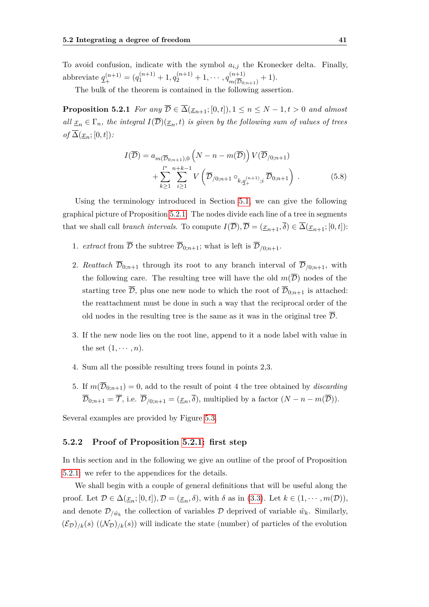To avoid confusion, indicate with the symbol  $a_{i,j}$  the Kronecker delta. Finally, abbreviate  $q^{(n+1)}$  $\mathcal{L}_{+}^{(n+1)} = (q_1^{(n+1)} + 1, q_2^{(n+1)} + 1, \cdots, q_{m(\overline{\mathcal{D}}_0)}^{(n+1)}$  $\frac{n+1}{m(\overline{\mathcal{D}}_{0;n+1})}+1).$ 

The bulk of the theorem is contained in the following assertion.

**Proposition 5.2.1** *For any*  $\overline{\mathcal{D}} \in \overline{\Delta}(\underline{x}_{n+1};[0,t]), 1 \leq n \leq N-1, t > 0$  *and almost all*  $x_n \in \Gamma_n$ , the integral  $I(\overline{\mathcal{D}})(x_n,t)$  is given by the following sum of values of trees  $of \overline{\Delta}(\underline{x}_n;[0,t])$ :

<span id="page-48-1"></span><span id="page-48-0"></span>
$$
I(\overline{\mathcal{D}}) = a_{m(\overline{\mathcal{D}}_{0;n+1}),0} \left( N - n - m(\overline{\mathcal{D}}) \right) V(\overline{\mathcal{D}}_{/0;n+1}) + \sum_{k \ge 1}^{l^*} \sum_{i \ge 1}^{n+k-1} V\left( \overline{\mathcal{D}}_{/0;n+1} \circ_{k,\underline{q}_{+}^{(n+1)};i} \overline{\mathcal{D}}_{0;n+1} \right) .
$$
 (5.8)

Using the terminology introduced in Section [5.1,](#page-44-1) we can give the following graphical picture of Proposition [5.2.1.](#page-48-0) The nodes divide each line of a tree in segments that we shall call *branch intervals*. To compute  $I(\overline{\mathcal{D}}), \overline{\mathcal{D}} = (\underline{x}_{n+1}, \overline{\delta}) \in \overline{\Delta}(\underline{x}_{n+1}; [0, t])$ :

- 1. *extract* from  $\overline{\mathcal{D}}$  the subtree  $\overline{\mathcal{D}}_{0;n+1}$ ; what is left is  $\overline{\mathcal{D}}_{/0;n+1}$ .
- 2. *Reattach*  $\overline{\mathcal{D}}_{0,n+1}$  through its root to any branch interval of  $\overline{\mathcal{D}}_{0,n+1}$ , with the following care. The resulting tree will have the old  $m(\overline{D})$  nodes of the starting tree  $\overline{\mathcal{D}}$ , plus one new node to which the root of  $\overline{\mathcal{D}}_{0:n+1}$  is attached: the reattachment must be done in such a way that the reciprocal order of the old nodes in the resulting tree is the same as it was in the original tree  $\mathcal{D}$ .
- 3. If the new node lies on the root line, append to it a node label with value in the set  $(1, \cdots, n)$ .
- 4. Sum all the possible resulting trees found in points 2,3.
- 5. If  $m(\overline{\mathcal{D}}_{0:n+1}) = 0$ , add to the result of point 4 the tree obtained by *discarding*  $\overline{\mathcal{D}}_{0,n+1} = \overline{\mathcal{T}}$ , i.e.  $\overline{\mathcal{D}}_{0,n+1} = (\underline{x}_n, \overline{\delta})$ , multiplied by a factor  $(N - n - m(\overline{\mathcal{D}}))$ .

Several examples are provided by Figure [5.3.](#page-49-0)

#### **5.2.2 Proof of Proposition [5.2.1:](#page-48-0) first step**

In this section and in the following we give an outline of the proof of Proposition [5.2.1:](#page-48-0) we refer to the appendices for the details.

We shall begin with a couple of general definitions that will be useful along the proof. Let  $\mathcal{D} \in \Delta(\underline{x}_n; [0, t]), \mathcal{D} = (\underline{x}_n, \delta)$ , with  $\delta$  as in (3.[3\)](#page-29-2). Let  $k \in (1, \dots, m(\mathcal{D}))$ , and denote  $\mathcal{D}_{/\hat{w}_k}$  the collection of variables  $\mathcal{D}$  deprived of variable  $\hat{w}_k$ . Similarly,  $(\mathcal{E}_D)_{k}(s)$   $((\mathcal{N}_D)_{k}(s))$  will indicate the state (number) of particles of the evolution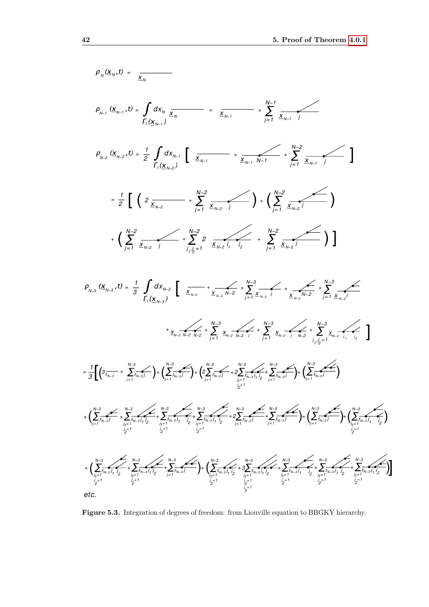<span id="page-49-0"></span>

**Figure 5.3.** Integration of degrees of freedom: from Liouville equation to BBGKY hierarchy.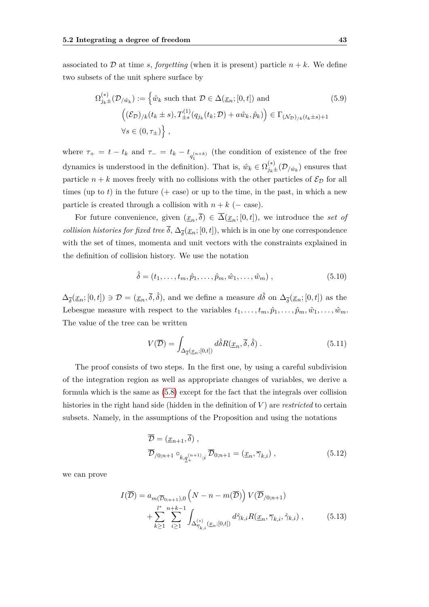associated to  $\mathcal{D}$  at time *s*, *forgetting* (when it is present) particle  $n + k$ . We define two subsets of the unit sphere surface by

$$
\Omega_{j_k \pm}^{(*)}(\mathcal{D}_{j\hat{w}_k}) := \left\{ \hat{w}_k \text{ such that } \mathcal{D} \in \Delta(\underline{x}_n; [0, t]) \text{ and } \right\}
$$
\n
$$
\left( (\mathcal{E}_{\mathcal{D}})_{/k}(t_k \pm s), T_{\pm s}^{(1)}(q_{j_k}(t_k; \mathcal{D}) + a\hat{w}_k, \hat{p}_k) \right) \in \Gamma_{(\mathcal{N}_{\mathcal{D}})_{/k}(t_k \pm s) + 1}
$$
\n
$$
\forall s \in (0, \tau_{\pm}) \right\},
$$
\n(5.9)

where  $\tau_+ = t - t_k$  and  $\tau_- = t_k - t_{q_1^{(n+k)}}$  (the condition of existence of the free dynamics is understood in the definition). That is,  $\hat{w}_k \in \Omega_{j_k \pm}^{(*)}(\mathcal{D}_{/\hat{w}_k})$  ensures that particle  $n + k$  moves freely with no collisions with the other particles of  $\mathcal{E}_{\mathcal{D}}$  for all times (up to  $t$ ) in the future ( $+$  case) or up to the time, in the past, in which a new particle is created through a collision with  $n + k$  ( $-$  case).

For future convenience, given  $(\underline{x}_n, \overline{\delta}) \in \overline{\Delta}(\underline{x}_n; [0, t])$ , we introduce the *set of collision histories for fixed tree*  $\delta$ ,  $\Delta_{\overline{\delta}}(\underline{x}_n; [0, t])$ , which is in one by one correspondence with the set of times, momenta and unit vectors with the constraints explained in the definition of collision history. We use the notation

$$
\hat{\delta} = (t_1, \dots, t_m, \hat{p}_1, \dots, \hat{p}_m, \hat{w}_1, \dots, \hat{w}_m), \qquad (5.10)
$$

 $\Delta_{\overline{\delta}}(\underline{x}_n;[0,t]) \ni \mathcal{D} = (\underline{x}_n,\overline{\delta},\hat{\delta}),$  and we define a measure  $d\hat{\delta}$  on  $\Delta_{\overline{\delta}}(\underline{x}_n;[0,t])$  as the Lebesgue measure with respect to the variables  $t_1, \ldots, t_m, \hat{p}_1, \ldots, \hat{p}_m, \hat{w}_1, \ldots, \hat{w}_m$ . The value of the tree can be written

<span id="page-50-0"></span>
$$
V(\overline{\mathcal{D}}) = \int_{\Delta_{\overline{\delta}}(\underline{x}_n;[0,t])} d\hat{\delta} R(\underline{x}_n, \overline{\delta}, \hat{\delta}) . \tag{5.11}
$$

The proof consists of two steps. In the first one, by using a careful subdivision of the integration region as well as appropriate changes of variables, we derive a formula which is the same as [\(5.8\)](#page-48-1) except for the fact that the integrals over collision histories in the right hand side (hidden in the definition of *V* ) are *restricted* to certain subsets. Namely, in the assumptions of the Proposition and using the notations

<span id="page-50-2"></span>
$$
\overline{\mathcal{D}} = (\underline{x}_{n+1}, \overline{\delta}),
$$
  
\n
$$
\overline{\mathcal{D}}_{/0; n+1} \circ_{k, \underline{q}_+^{(n+1)}; i} \overline{\mathcal{D}}_{0; n+1} = (\underline{x}_n, \overline{\gamma}_{k, i}),
$$
\n(5.12)

we can prove

<span id="page-50-1"></span>
$$
I(\overline{\mathcal{D}}) = a_{m(\overline{\mathcal{D}}_{0;n+1}),0} \left( N - n - m(\overline{\mathcal{D}}) \right) V(\overline{\mathcal{D}}_{/0;n+1}) + \sum_{k \ge 1}^{l^*} \sum_{i \ge 1}^{n+k-1} \int_{\Delta_{\overline{\gamma}_{k,i}}^{(*)}(\underline{x}_n;[0,t])} d\hat{\gamma}_{k,i} R(\underline{x}_n, \overline{\gamma}_{k,i}, \hat{\gamma}_{k,i}), \qquad (5.13)
$$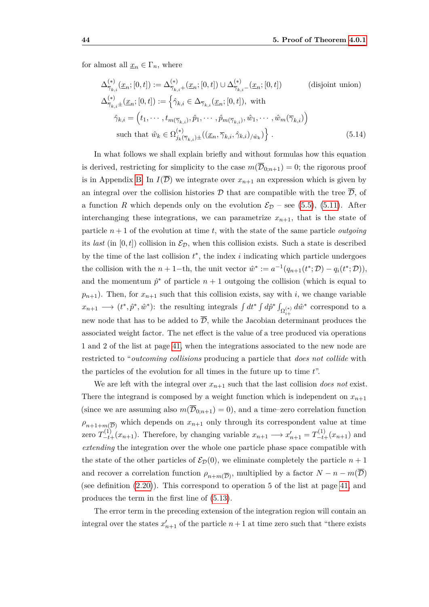for almost all  $\underline{x}_n \in \Gamma_n$ , where

<span id="page-51-0"></span>
$$
\Delta_{\overline{\gamma}_{k,i}}^{(*)}(\underline{x}_n;[0,t]) := \Delta_{\overline{\gamma}_{k,i}+}^{(*)}(\underline{x}_n;[0,t]) \cup \Delta_{\overline{\gamma}_{k,i}+}^{(*)}(\underline{x}_n;[0,t])
$$
 (disjoint union)  
\n
$$
\Delta_{\overline{\gamma}_{k,i}\pm}^{(*)}(\underline{x}_n;[0,t]) := \left\{ \hat{\gamma}_{k,i} \in \Delta_{\overline{\gamma}_{k,i}}(\underline{x}_n;[0,t]), \text{ with}
$$
  
\n
$$
\hat{\gamma}_{k,i} = (t_1, \cdots, t_{m(\overline{\gamma}_{k,i})}, \hat{p}_1, \cdots, \hat{p}_{m(\overline{\gamma}_{k,i})}, \hat{w}_1, \cdots, \hat{w}_m(\overline{\gamma}_{k,i}) \right\}
$$
 such that  $\hat{w}_k \in \Omega_{j_k(\overline{\gamma}_{k,i})\pm}^{(*)}((\underline{x}_n, \overline{\gamma}_{k,i}, \hat{\gamma}_{k,i})_{/\hat{w}_k}) \right\}.$  (5.14)

In what follows we shall explain briefly and without formulas how this equation is derived, restricting for simplicity to the case  $m(\overline{\mathcal{D}}_{0:n+1}) = 0$ ; the rigorous proof is in Appendix [B.](#page-92-0) In  $I(\overline{\mathcal{D}})$  we integrate over  $x_{n+1}$  an expression which is given by an integral over the collision histories D that are compatible with the tree  $\overline{\mathcal{D}}$ , of a function *R* which depends only on the evolution  $\mathcal{E}_{\mathcal{D}}$  – see [\(5.5\)](#page-47-1), [\(5.11\)](#page-50-0). After interchanging these integrations, we can parametrize  $x_{n+1}$ , that is the state of particle  $n+1$  of the evolution at time t, with the state of the same particle *outgoing* its *last* (in  $[0, t]$ ) collision in  $\mathcal{E}_{\mathcal{D}}$ , when this collision exists. Such a state is described by the time of the last collision  $t^*$ , the index  $i$  indicating which particle undergoes the collision with the  $n + 1$ -th, the unit vector  $\hat{w}^* := a^{-1}(q_{n+1}(t^*; \mathcal{D}) - q_i(t^*; \mathcal{D}))$ , and the momentum  $\hat{p}^*$  of particle  $n+1$  outgoing the collision (which is equal to  $p_{n+1}$ ). Then, for  $x_{n+1}$  such that this collision exists, say with *i*, we change variable  $x_{n+1} \longrightarrow (t^*, \hat{p}^*, \hat{w}^*)$ : the resulting integrals  $\int dt^* \int d\hat{p}^* \int_{\Omega_{i+}^{(*)}} d\hat{w}^*$  correspond to a new node that has to be added to  $\overline{\mathcal{D}}$ , while the Jacobian determinant produces the associated weight factor. The net effect is the value of a tree produced via operations 1 and 2 of the list at page [41,](#page-48-0) when the integrations associated to the new node are restricted to "*outcoming collisions* producing a particle that *does not collide* with the particles of the evolution for all times in the future up to time *t*".

We are left with the integral over  $x_{n+1}$  such that the last collision *does not* exist. There the integrand is composed by a weight function which is independent on  $x_{n+1}$ (since we are assuming also  $m(\overline{\mathcal{D}}_{0:n+1}) = 0$ ), and a time–zero correlation function  $\rho_{n+1+m(\overline{D})}$  which depends on  $x_{n+1}$  only through its correspondent value at time zero  $T_{-t+}^{(1)}(x_{n+1})$ . Therefore, by changing variable  $x_{n+1} \longrightarrow x'_{n+1} = T_{-t+}^{(1)}(x_{n+1})$  and *extending* the integration over the whole one particle phase space compatible with the state of the other particles of  $\mathcal{E}_{\mathcal{D}}(0)$ , we eliminate completely the particle  $n+1$ and recover a correlation function  $\rho_{n+m(\overline{\mathcal{D}})}$ , multiplied by a factor  $N - n - m(\overline{\mathcal{D}})$ (see definition [\(2.20\)](#page-19-1)). This correspond to operation 5 of the list at page [41,](#page-48-0) and produces the term in the first line of [\(5.13\)](#page-50-1).

The error term in the preceding extension of the integration region will contain an integral over the states  $x'_{n+1}$  of the particle  $n+1$  at time zero such that "there exists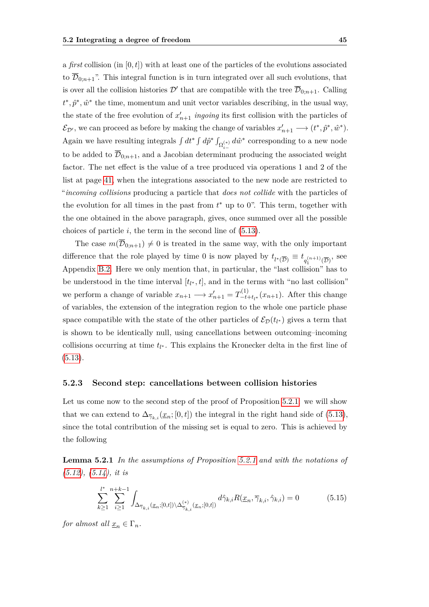a *first* collision (in [0*, t*]) with at least one of the particles of the evolutions associated to  $\overline{\mathcal{D}}_{0:n+1}$ ". This integral function is in turn integrated over all such evolutions, that is over all the collision histories  $\mathcal{D}'$  that are compatible with the tree  $\overline{\mathcal{D}}_{0,n+1}$ . Calling  $t^*, \hat{p}^*, \hat{w}^*$  the time, momentum and unit vector variables describing, in the usual way, the state of the free evolution of  $x'_{n+1}$  *ingoing* its first collision with the particles of  $\mathcal{E}_{\mathcal{D}'},$  we can proceed as before by making the change of variables  $x'_{n+1} \longrightarrow (t^*, \hat{p}^*, \hat{w}^*).$ Again we have resulting integrals  $\int dt^* \int d\hat{p}^* \int_{\Omega_{i-}^{(*)}} d\hat{w}^*$  corresponding to a new node to be added to  $\overline{\mathcal{D}}_{0:n+1}$ , and a Jacobian determinant producing the associated weight factor. The net effect is the value of a tree produced via operations 1 and 2 of the list at page [41,](#page-48-0) when the integrations associated to the new node are restricted to "*incoming collisions* producing a particle that *does not collide* with the particles of the evolution for all times in the past from  $t^*$  up to 0". This term, together with the one obtained in the above paragraph, gives, once summed over all the possible choices of particle  $i$ , the term in the second line of  $(5.13)$ .

The case  $m(\overline{\mathcal{D}}_{0:n+1}) \neq 0$  is treated in the same way, with the only important difference that the role played by time 0 is now played by  $t_{l^*(\overline{D})} \equiv t_{q_1^{(n+1)}(\overline{D})}$ , see Appendix [B.2.](#page-97-0) Here we only mention that, in particular, the "last collision" has to be understood in the time interval  $[t_{l^*}, t]$ , and in the terms with "no last collision" we perform a change of variable  $x_{n+1} \longrightarrow x'_{n+1} = T_{-t}^{(1)}$  $\frac{f(1)}{-t+t}$ <sub>*t*</sub><sup>*t*</sup></sup> $(x_{n+1})$ . After this change of variables, the extension of the integration region to the whole one particle phase space compatible with the state of the other particles of  $\mathcal{E}_{\mathcal{D}}(t_{l^*})$  gives a term that is shown to be identically null, using cancellations between outcoming–incoming collisions occurring at time  $t_{l^*}$ . This explains the Kronecker delta in the first line of  $(5.13).$  $(5.13).$ 

#### **5.2.3 Second step: cancellations between collision histories**

Let us come now to the second step of the proof of Proposition [5.2.1:](#page-48-0) we will show that we can extend to  $\Delta_{\overline{\gamma}_k}$ ,  $(\underline{x}_n; [0, t])$  the integral in the right hand side of [\(5.13\)](#page-50-1), since the total contribution of the missing set is equal to zero. This is achieved by the following

<span id="page-52-0"></span>**Lemma 5.2.1** *In the assumptions of Proposition [5.2.1](#page-48-0) and with the notations of [\(5.12\)](#page-50-2), [\(5.14\)](#page-51-0), it is*

<span id="page-52-1"></span>
$$
\sum_{k\geq 1}^{l^*} \sum_{i\geq 1}^{n+k-1} \int_{\Delta_{\overline{\gamma}_{k,i}}(x_n;[0,t]) \backslash \Delta_{\overline{\gamma}_{k,i}}^{(*)}(x_n;[0,t])} d\hat{\gamma}_{k,i} R(x_n, \overline{\gamma}_{k,i}, \hat{\gamma}_{k,i}) = 0 \tag{5.15}
$$

*for almost all*  $\underline{x}_n \in \Gamma_n$ *.*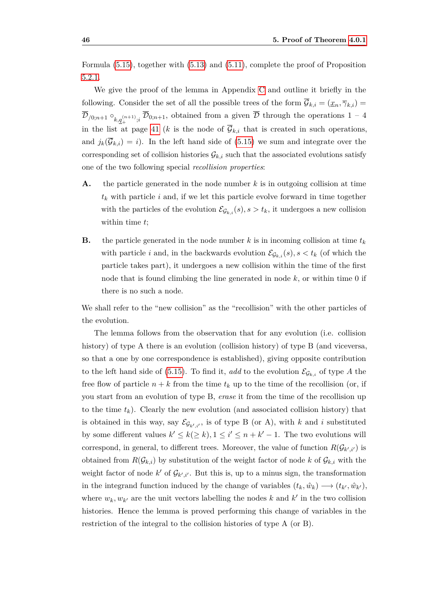Formula [\(5.15\)](#page-52-1), together with [\(5.13\)](#page-50-1) and [\(5.11\)](#page-50-0), complete the proof of Proposition [5.2.1.](#page-48-0)

We give the proof of the lemma in Appendix [C](#page-102-0) and outline it briefly in the following. Consider the set of all the possible trees of the form  $\overline{\mathcal{G}}_{k,i} = (\underline{x}_n, \overline{\gamma}_{k,i})$  $\overline{\mathcal{D}}$ <sub>/0;*n*+1</sub> °<sub>k,</sub><sub>q</sub><sub>(*n*+1)</sup>;*i*</sub>  $\overline{\mathcal{D}}$ <sub>0</sub>;*n*+1, obtained from a given  $\overline{\mathcal{D}}$  through the operations 1 – 4 in the list at page [41](#page-48-0) (*k* is the node of  $\overline{\mathcal{G}}_{k,i}$  that is created in such operations, and  $j_k(\overline{\mathcal{G}}_{k,i}) = i$ ). In the left hand side of [\(5.15\)](#page-52-1) we sum and integrate over the corresponding set of collision histories  $\mathcal{G}_{k,i}$  such that the associated evolutions satisfy one of the two following special *recollision properties*:

- **A.** the particle generated in the node number *k* is in outgoing collision at time *t<sup>k</sup>* with particle *i* and, if we let this particle evolve forward in time together with the particles of the evolution  $\mathcal{E}_{\mathcal{G}_{k,i}}(s), s > t_k$ , it undergoes a new collision within time *t*;
- **B.** the particle generated in the node number  $k$  is in incoming collision at time  $t_k$ with particle *i* and, in the backwards evolution  $\mathcal{E}_{\mathcal{G}_{k,i}}(s)$ ,  $s < t_k$  (of which the particle takes part), it undergoes a new collision within the time of the first node that is found climbing the line generated in node *k*, or within time 0 if there is no such a node.

We shall refer to the "new collision" as the "recollision" with the other particles of the evolution.

The lemma follows from the observation that for any evolution (i.e. collision history) of type A there is an evolution (collision history) of type B (and viceversa, so that a one by one correspondence is established), giving opposite contribution to the left hand side of [\(5.15\)](#page-52-1). To find it, *add* to the evolution  $\mathcal{E}_{\mathcal{G}_{k,i}}$  of type A the free flow of particle  $n + k$  from the time  $t_k$  up to the time of the recollision (or, if you start from an evolution of type B, *erase* it from the time of the recollision up to the time  $t_k$ ). Clearly the new evolution (and associated collision history) that is obtained in this way, say  $\mathcal{E}_{\mathcal{G}_{k',i'}}$ , is of type B (or A), with *k* and *i* substituted by some different values  $k' \leq k(\geq k), 1 \leq i' \leq n + k' - 1$ . The two evolutions will correspond, in general, to different trees. Moreover, the value of function  $R(\mathcal{G}_{k',i'})$  is obtained from  $R(\mathcal{G}_{k,i})$  by substitution of the weight factor of node k of  $\mathcal{G}_{k,i}$  with the weight factor of node  $k'$  of  $\mathcal{G}_{k',i'}$ . But this is, up to a minus sign, the transformation in the integrand function induced by the change of variables  $(t_k, \hat{w}_k) \rightarrow (t_{k'}, \hat{w}_{k'})$ , where  $w_k, w_{k'}$  are the unit vectors labelling the nodes  $k$  and  $k'$  in the two collision histories. Hence the lemma is proved performing this change of variables in the restriction of the integral to the collision histories of type A (or B).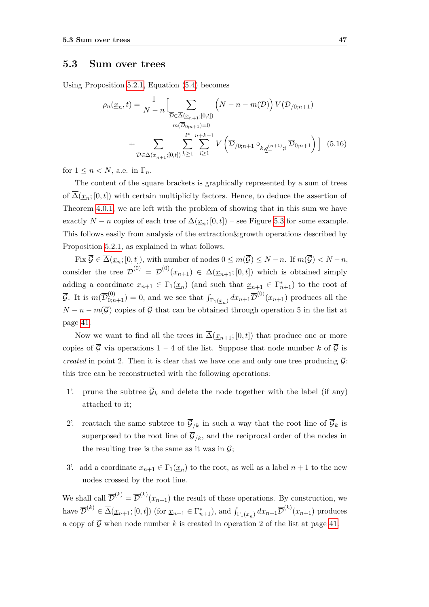### <span id="page-54-0"></span>**5.3 Sum over trees**

Using Proposition [5.2.1,](#page-48-0) Equation [\(5.4\)](#page-47-2) becomes

<span id="page-54-1"></span>
$$
\rho_n(\underline{x}_n, t) = \frac{1}{N - n} \Big[ \sum_{\overline{\mathcal{D}} \in \overline{\Delta}(\underline{x}_{n+1}; [0, t])} \left( N - n - m(\overline{\mathcal{D}}) \right) V(\overline{\mathcal{D}}_{/0; n+1})
$$
  
\n
$$
+ \sum_{\overline{\mathcal{D}} \in \overline{\Delta}(\underline{x}_{n+1}; [0, t])} \sum_{k \ge 1} \sum_{i \ge 1}^{l^*} \sum_{i \ge 1}^{n+k-1} V\left( \overline{\mathcal{D}}_{/0; n+1} \circ_{k, \underline{q}_+^{(n+1)}; i} \overline{\mathcal{D}}_{0; n+1} \right) \Big] (5.16)
$$

for  $1 \leq n \leq N$ , a.e. in  $\Gamma_n$ .

The content of the square brackets is graphically represented by a sum of trees of  $\overline{\Delta}(\underline{x}_n;[0,t])$  with certain multiplicity factors. Hence, to deduce the assertion of Theorem [4.0.1,](#page-36-1) we are left with the problem of showing that in this sum we have exactly *N* − *n* copies of each tree of  $\overline{\Delta}(\underline{x}_n; [0, t])$  – see Figure [5.3](#page-49-0) for some example. This follows easily from analysis of the extraction&growth operations described by Proposition [5.2.1,](#page-48-0) as explained in what follows.

Fix  $\overline{\mathcal{G}} \in \overline{\Delta}(\underline{x}_n; [0, t])$ , with number of nodes  $0 \leq m(\overline{\mathcal{G}}) \leq N - n$ . If  $m(\overline{\mathcal{G}}) < N - n$ , consider the tree  $\overline{\mathcal{D}}^{(0)} = \overline{\mathcal{D}}^{(0)}(x_{n+1}) \in \overline{\Delta}(\underline{x}_{n+1}; [0, t])$  which is obtained simply adding a coordinate  $x_{n+1} \in \Gamma_1(\underline{x}_n)$  (and such that  $\underline{x}_{n+1} \in \Gamma_{n+1}^*$ ) to the root of  $\overline{\mathcal{G}}$ . It is  $m(\overline{\mathcal{D}}_{0;n+1}^{(0)})=0$ , and we see that  $\int_{\Gamma_1(\underline{x}_n)} dx_{n+1} \overline{\mathcal{D}}^{(0)}(x_{n+1})$  produces all the  $N - n - m(\overline{G})$  copies of  $\overline{G}$  that can be obtained through operation 5 in the list at page [41.](#page-48-0)

Now we want to find all the trees in  $\overline{\Delta}(\underline{x}_{n+1};[0,t])$  that produce one or more copies of  $\overline{G}$  via operations 1 – 4 of the list. Suppose that node number *k* of  $\overline{G}$  is *created* in point 2. Then it is clear that we have one and only one tree producing  $\overline{G}$ : this tree can be reconstructed with the following operations:

- 1'. prune the subtree  $\overline{\mathcal{G}}_k$  and delete the node together with the label (if any) attached to it;
- 2'. reattach the same subtree to  $\overline{\mathcal{G}}_{k}$  in such a way that the root line of  $\overline{\mathcal{G}}_{k}$  is superposed to the root line of  $\overline{\mathcal{G}}_{/k}$ , and the reciprocal order of the nodes in the resulting tree is the same as it was in  $\overline{G}$ ;
- 3'. add a coordinate  $x_{n+1} \in \Gamma_1(\underline{x}_n)$  to the root, as well as a label  $n+1$  to the new nodes crossed by the root line.

We shall call  $\overline{\mathcal{D}}^{(k)} = \overline{\mathcal{D}}^{(k)}(x_{n+1})$  the result of these operations. By construction, we have  $\overline{\mathcal{D}}^{(k)} \in \overline{\Delta}(\underline{x}_{n+1}; [0, t])$  (for  $\underline{x}_{n+1} \in \Gamma_{n+1}^*$ ), and  $\int_{\Gamma_1(\underline{x}_n)} dx_{n+1} \overline{\mathcal{D}}^{(k)}(x_{n+1})$  produces a copy of  $\overline{G}$  when node number *k* is created in operation 2 of the list at page [41.](#page-48-0)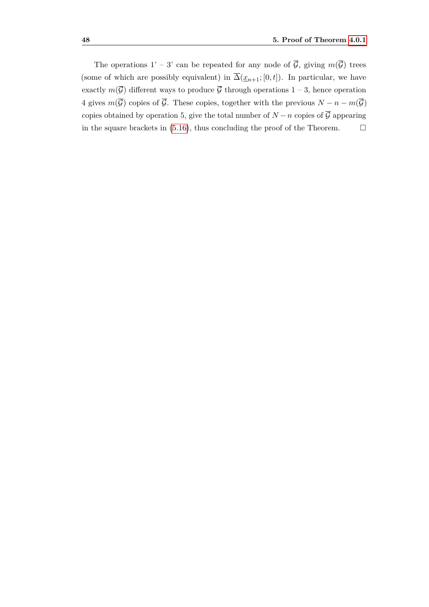The operations 1' – 3' can be repeated for any node of  $\overline{\mathcal{G}}$ , giving  $m(\overline{\mathcal{G}})$  trees (some of which are possibly equivalent) in  $\overline{\Delta}(\underline{x}_{n+1};[0,t])$ . In particular, we have exactly  $m(\overline{\mathcal{G}})$  different ways to produce  $\overline{\mathcal{G}}$  through operations  $1-3$ , hence operation 4 gives  $m(\overline{G})$  copies of  $\overline{G}$ . These copies, together with the previous  $N - n - m(\overline{G})$ copies obtained by operation 5, give the total number of  $N - n$  copies of  $\overline{G}$  appearing in the square brackets in [\(5.16\)](#page-54-1), thus concluding the proof of the Theorem.  $\Box$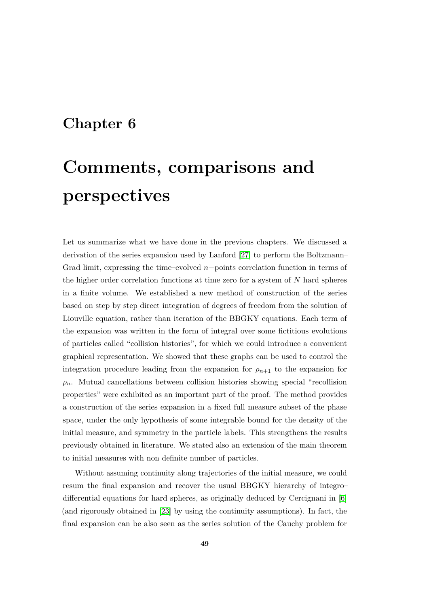# **Chapter 6**

# **Comments, comparisons and perspectives**

Let us summarize what we have done in the previous chapters. We discussed a derivation of the series expansion used by Lanford [\[27\]](#page-114-0) to perform the Boltzmann– Grad limit, expressing the time–evolved *n*−points correlation function in terms of the higher order correlation functions at time zero for a system of *N* hard spheres in a finite volume. We established a new method of construction of the series based on step by step direct integration of degrees of freedom from the solution of Liouville equation, rather than iteration of the BBGKY equations. Each term of the expansion was written in the form of integral over some fictitious evolutions of particles called "collision histories", for which we could introduce a convenient graphical representation. We showed that these graphs can be used to control the integration procedure leading from the expansion for  $\rho_{n+1}$  to the expansion for  $\rho_n$ . Mutual cancellations between collision histories showing special "recollision" properties" were exhibited as an important part of the proof. The method provides a construction of the series expansion in a fixed full measure subset of the phase space, under the only hypothesis of some integrable bound for the density of the initial measure, and symmetry in the particle labels. This strengthens the results previously obtained in literature. We stated also an extension of the main theorem to initial measures with non definite number of particles.

Without assuming continuity along trajectories of the initial measure, we could resum the final expansion and recover the usual BBGKY hierarchy of integro– differential equations for hard spheres, as originally deduced by Cercignani in [\[6\]](#page-112-1) (and rigorously obtained in [\[23\]](#page-113-0) by using the continuity assumptions). In fact, the final expansion can be also seen as the series solution of the Cauchy problem for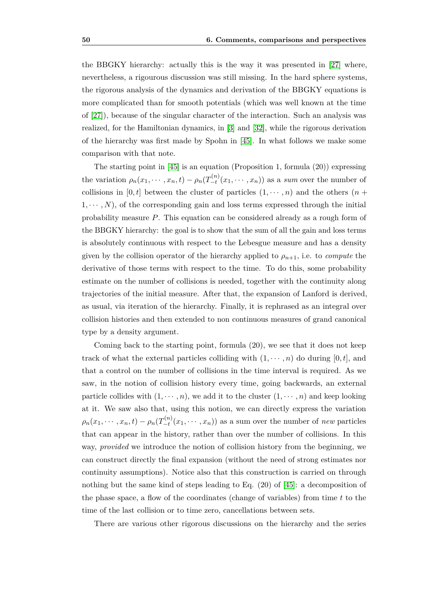the BBGKY hierarchy: actually this is the way it was presented in [\[27\]](#page-114-0) where, nevertheless, a rigourous discussion was still missing. In the hard sphere systems, the rigorous analysis of the dynamics and derivation of the BBGKY equations is more complicated than for smooth potentials (which was well known at the time of [\[27\]](#page-114-0)), because of the singular character of the interaction. Such an analysis was realized, for the Hamiltonian dynamics, in [\[3\]](#page-112-2) and [\[32\]](#page-114-2), while the rigorous derivation of the hierarchy was first made by Spohn in [\[45\]](#page-115-0). In what follows we make some comparison with that note.

The starting point in  $[45]$  is an equation (Proposition 1, formula  $(20)$ ) expressing the variation  $\rho_n(x_1, \dots, x_n, t) - \rho_n(T_{-t}^{(n)})$  $\left( \begin{array}{c} \n u^{(n)}(x_1, \dots, x_n) \n \end{array} \right)$  as a *sum* over the number of collisions in  $[0, t]$  between the cluster of particles  $(1, \dots, n)$  and the others  $(n +$  $1, \dots, N$ , of the corresponding gain and loss terms expressed through the initial probability measure *P*. This equation can be considered already as a rough form of the BBGKY hierarchy: the goal is to show that the sum of all the gain and loss terms is absolutely continuous with respect to the Lebesgue measure and has a density given by the collision operator of the hierarchy applied to  $\rho_{n+1}$ , i.e. to *compute* the derivative of those terms with respect to the time. To do this, some probability estimate on the number of collisions is needed, together with the continuity along trajectories of the initial measure. After that, the expansion of Lanford is derived, as usual, via iteration of the hierarchy. Finally, it is rephrased as an integral over collision histories and then extended to non continuous measures of grand canonical type by a density argument.

Coming back to the starting point, formula (20), we see that it does not keep track of what the external particles colliding with  $(1, \dots, n)$  do during  $[0, t]$ , and that a control on the number of collisions in the time interval is required. As we saw, in the notion of collision history every time, going backwards, an external particle collides with  $(1, \dots, n)$ , we add it to the cluster  $(1, \dots, n)$  and keep looking at it. We saw also that, using this notion, we can directly express the variation  $\rho_n(x_1,\cdots,x_n,t)-\rho_n(T^{(n)}_{-t})$  $\left( \begin{matrix} \n x_1 \\ -t \n \end{matrix} \right)$  (*x*<sub>1</sub>, · · · , *x<sub>n</sub>*)) as a sum over the number of *new* particles that can appear in the history, rather than over the number of collisions. In this way, *provided* we introduce the notion of collision history from the beginning, we can construct directly the final expansion (without the need of strong estimates nor continuity assumptions). Notice also that this construction is carried on through nothing but the same kind of steps leading to Eq. (20) of [\[45\]](#page-115-0): a decomposition of the phase space, a flow of the coordinates (change of variables) from time *t* to the time of the last collision or to time zero, cancellations between sets.

There are various other rigorous discussions on the hierarchy and the series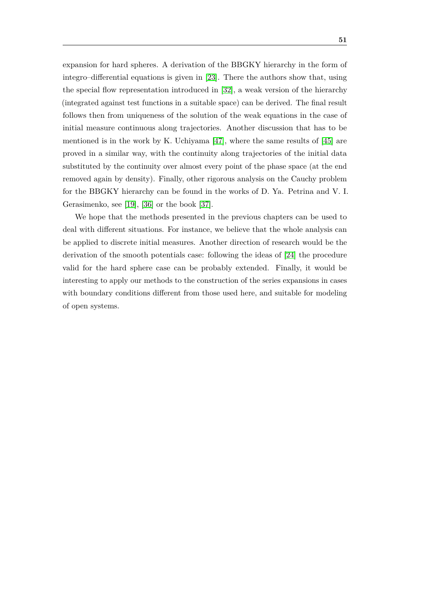expansion for hard spheres. A derivation of the BBGKY hierarchy in the form of integro–differential equations is given in [\[23\]](#page-113-0). There the authors show that, using the special flow representation introduced in [\[32\]](#page-114-2), a weak version of the hierarchy (integrated against test functions in a suitable space) can be derived. The final result follows then from uniqueness of the solution of the weak equations in the case of initial measure continuous along trajectories. Another discussion that has to be mentioned is in the work by K. Uchiyama [\[47\]](#page-115-1), where the same results of [\[45\]](#page-115-0) are proved in a similar way, with the continuity along trajectories of the initial data substituted by the continuity over almost every point of the phase space (at the end removed again by density). Finally, other rigorous analysis on the Cauchy problem for the BBGKY hierarchy can be found in the works of D. Ya. Petrina and V. I. Gerasimenko, see [\[19\]](#page-113-1), [\[36\]](#page-115-2) or the book [\[37\]](#page-115-3).

We hope that the methods presented in the previous chapters can be used to deal with different situations. For instance, we believe that the whole analysis can be applied to discrete initial measures. Another direction of research would be the derivation of the smooth potentials case: following the ideas of [\[24\]](#page-114-1) the procedure valid for the hard sphere case can be probably extended. Finally, it would be interesting to apply our methods to the construction of the series expansions in cases with boundary conditions different from those used here, and suitable for modeling of open systems.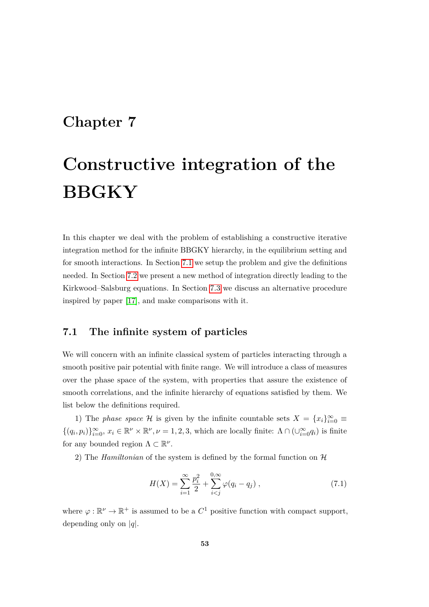# **Chapter 7**

# **Constructive integration of the BBGKY**

In this chapter we deal with the problem of establishing a constructive iterative integration method for the infinite BBGKY hierarchy, in the equilibrium setting and for smooth interactions. In Section [7.1](#page-60-0) we setup the problem and give the definitions needed. In Section [7.2](#page-62-0) we present a new method of integration directly leading to the Kirkwood–Salsburg equations. In Section [7.3](#page-70-0) we discuss an alternative procedure inspired by paper [\[17\]](#page-113-2), and make comparisons with it.

## <span id="page-60-0"></span>**7.1 The infinite system of particles**

We will concern with an infinite classical system of particles interacting through a smooth positive pair potential with finite range. We will introduce a class of measures over the phase space of the system, with properties that assure the existence of smooth correlations, and the infinite hierarchy of equations satisfied by them. We list below the definitions required.

1) The *phase space* H is given by the infinite countable sets  $X = \{x_i\}_{i=0}^{\infty}$  $\{(q_i, p_i)\}_{i=0}^{\infty}, x_i \in \mathbb{R}^{\nu} \times \mathbb{R}^{\nu}, \nu = 1, 2, 3$ , which are locally finite:  $\Lambda \cap (\cup_{i=0}^{\infty} q_i)$  is finite for any bounded region  $\Lambda \subset \mathbb{R}^{\nu}$ .

2) The *Hamiltonian* of the system is defined by the formal function on  $H$ 

$$
H(X) = \sum_{i=1}^{\infty} \frac{p_i^2}{2} + \sum_{i < j}^{0, \infty} \varphi(q_i - q_j) \tag{7.1}
$$

where  $\varphi : \mathbb{R}^{\nu} \to \mathbb{R}^+$  is assumed to be a  $C^1$  positive function with compact support, depending only on |*q*|.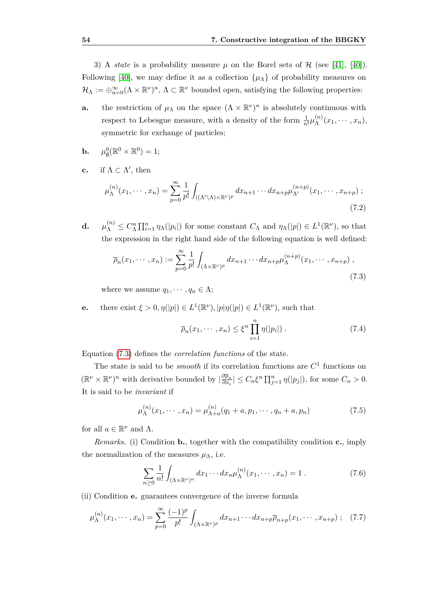3) A *state* is a probability measure  $\mu$  on the Borel sets of  $\mathcal{H}$  (see [\[41\]](#page-115-4), [\[40\]](#page-115-5)). Following [\[40\]](#page-115-5), we may define it as a collection  $\{\mu_{\Lambda}\}\$  of probability measures on  $\mathcal{H}_{\Lambda} := \bigoplus_{n=0}^{\infty} (\Lambda \times \mathbb{R}^{\nu})^n, \, \Lambda \subset \mathbb{R}^{\nu}$  bounded open, satisfying the following properties:

- **a.** the restriction of  $\mu_{\Lambda}$  on the space  $({\Lambda} \times \mathbb{R}^{\nu})^n$  is absolutely continuous with respect to Lebesgue measure, with a density of the form  $\frac{1}{n!} \mu_{\Lambda}^{(n)}$  $\chi_{\Lambda}^{(n)}(x_1,\cdots,x_n),$ symmetric for exchange of particles;
- **b.**  $\mu_{\emptyset}^0(\mathbb{R}^0 \times \mathbb{R}^0) = 1;$
- **c.** if  $\Lambda \subset \Lambda'$ , then

$$
\mu_{\Lambda}^{(n)}(x_1, \cdots, x_n) = \sum_{p=0}^{\infty} \frac{1}{p!} \int_{((\Lambda' \setminus \Lambda) \times \mathbb{R}^{\nu})^p} dx_{n+1} \cdots dx_{n+p} \mu_{\Lambda'}^{(n+p)}(x_1, \cdots, x_{n+p}) ;
$$
\n(7.2)

**d.** *µ*  $C_{\Lambda}^{(n)} \leq C_{\Lambda}^n \prod_{i=1}^n \eta_{\Lambda}(|p_i|)$  for some constant  $C_{\Lambda}$  and  $\eta_{\Lambda}(|p|) \in L^1(\mathbb{R}^{\nu})$ , so that the expression in the right hand side of the following equation is well defined:

<span id="page-61-0"></span>
$$
\overline{\rho}_n(x_1,\dots,x_n) := \sum_{p=0}^{\infty} \frac{1}{p!} \int_{(\Lambda \times \mathbb{R}^{\nu})^p} dx_{n+1} \cdots dx_{n+p} \mu_{\Lambda}^{(n+p)}(x_1,\dots,x_{n+p}), \qquad (7.3)
$$

where we assume  $q_1, \dots, q_n \in \Lambda$ ;

**e.** there exist  $\xi > 0, \eta(|p|) \in L^1(\mathbb{R}^{\nu}), |p|\eta(|p|) \in L^1(\mathbb{R}^{\nu}),$  such that

$$
\overline{\rho}_n(x_1,\dots,x_n) \le \xi^n \prod_{i=1}^n \eta(|p_i|) . \tag{7.4}
$$

Equation [\(7.3\)](#page-61-0) defines the *correlation functions* of the state.

The state is said to be *smooth* if its correlation functions are *C* 1 functions on  $(\mathbb{R}^{\nu} \times \mathbb{R}^{\nu})^n$  with derivative bounded by  $\left| \frac{\partial \bar{\rho}_n}{\partial x} \right|$  $\frac{\partial \overline{\rho}_n}{\partial x_i}$  |  $\leq C_n \xi^n \prod_{j=1}^n \eta(|p_j|)$ , for some  $C_n > 0$ . It is said to be *invariant* if

$$
\mu_{\Lambda}^{(n)}(x_1, \cdots, x_n) = \mu_{\Lambda + a}^{(n)}(q_1 + a, p_1, \cdots, q_n + a, p_n)
$$
\n(7.5)

for all  $a \in \mathbb{R}^{\nu}$  and  $\Lambda$ .

*Remarks.* (i) Condition **b.**, together with the compatibility condition **c.**, imply the normalization of the measures  $\mu_{\Lambda}$ , i.e.

$$
\sum_{n\geq 0} \frac{1}{n!} \int_{(\Lambda \times \mathbb{R}^{\nu})^n} dx_1 \cdots dx_n \mu_{\Lambda}^{(n)}(x_1, \cdots, x_n) = 1.
$$
 (7.6)

(ii) Condition **e.** guarantees convergence of the inverse formula

$$
\mu_{\Lambda}^{(n)}(x_1, \cdots, x_n) = \sum_{p=0}^{\infty} \frac{(-1)^p}{p!} \int_{(\Lambda \times \mathbb{R}^{\nu})^p} dx_{n+1} \cdots dx_{n+p} \overline{\rho}_{n+p}(x_1, \cdots, x_{n+p}) ; \quad (7.7)
$$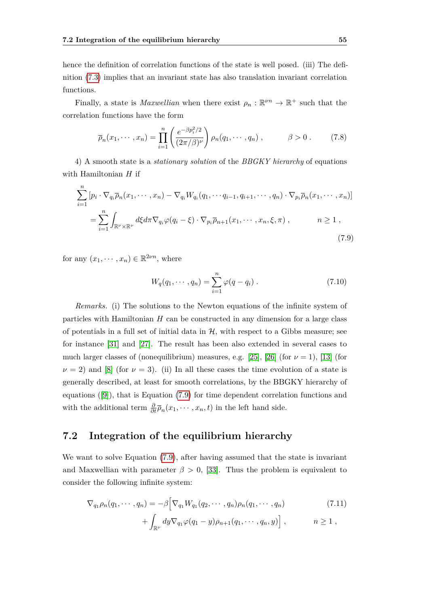hence the definition of correlation functions of the state is well posed. (iii) The definition [\(7.3\)](#page-61-0) implies that an invariant state has also translation invariant correlation functions.

Finally, a state is *Maxwellian* when there exist  $\rho_n : \mathbb{R}^{n} \to \mathbb{R}^+$  such that the correlation functions have the form

<span id="page-62-3"></span>
$$
\overline{\rho}_n(x_1, \cdots, x_n) = \prod_{i=1}^n \left( \frac{e^{-\beta p_i^2/2}}{(2\pi/\beta)^{\nu}} \right) \rho_n(q_1, \cdots, q_n) , \qquad \beta > 0 . \qquad (7.8)
$$

4) A smooth state is a *stationary solution* of the *BBGKY hierarchy* of equations with Hamiltonian *H* if

<span id="page-62-1"></span>
$$
\sum_{i=1}^{n} \left[ p_i \cdot \nabla_{q_i} \overline{\rho}_n(x_1, \dots, x_n) - \nabla_{q_i} W_{q_i}(q_1, \dots, q_{i-1}, q_{i+1}, \dots, q_n) \cdot \nabla_{p_i} \overline{\rho}_n(x_1, \dots, x_n) \right]
$$
\n
$$
= \sum_{i=1}^{n} \int_{\mathbb{R}^{\nu} \times \mathbb{R}^{\nu}} d\xi d\pi \nabla_{q_i} \varphi(q_i - \xi) \cdot \nabla_{p_i} \overline{\rho}_{n+1}(x_1, \dots, x_n, \xi, \pi), \qquad n \ge 1,
$$
\n(7.9)

for any  $(x_1, \dots, x_n) \in \mathbb{R}^{2\nu n}$ , where

$$
W_q(q_1, \cdots, q_n) = \sum_{i=1}^n \varphi(q - q_i) . \qquad (7.10)
$$

*Remarks.* (i) The solutions to the Newton equations of the infinite system of particles with Hamiltonian *H* can be constructed in any dimension for a large class of potentials in a full set of initial data in  $H$ , with respect to a Gibbs measure; see for instance [\[31\]](#page-114-3) and [\[27\]](#page-114-0). The result has been also extended in several cases to much larger classes of (nonequilibrium) measures, e.g. [\[25\]](#page-114-4), [\[26\]](#page-114-5) (for  $\nu = 1$ ), [\[13\]](#page-113-3) (for  $\nu = 2$ ) and [\[8\]](#page-112-3) (for  $\nu = 3$ ). (ii) In all these cases the time evolution of a state is generally described, at least for smooth correlations, by the BBGKY hierarchy of equations ([\[9\]](#page-112-4)), that is Equation [\(7.9\)](#page-62-1) for time dependent correlation functions and with the additional term  $\frac{\partial}{\partial t} \overline{\rho}_n(x_1, \dots, x_n, t)$  in the left hand side.

## <span id="page-62-0"></span>**7.2 Integration of the equilibrium hierarchy**

We want to solve Equation [\(7.9\)](#page-62-1), after having assumed that the state is invariant and Maxwellian with parameter  $\beta > 0$ , [\[33\]](#page-114-6). Thus the problem is equivalent to consider the following infinite system:

<span id="page-62-2"></span>
$$
\nabla_{q_1}\rho_n(q_1,\cdots,q_n) = -\beta \Big[\nabla_{q_1} W_{q_1}(q_2,\cdots,q_n)\rho_n(q_1,\cdots,q_n) \Big] + \int_{\mathbb{R}^{\nu}} dy \nabla_{q_1}\varphi(q_1-y)\rho_{n+1}(q_1,\cdots,q_n,y) \Big] , \qquad n \ge 1 ,
$$
\n(7.11)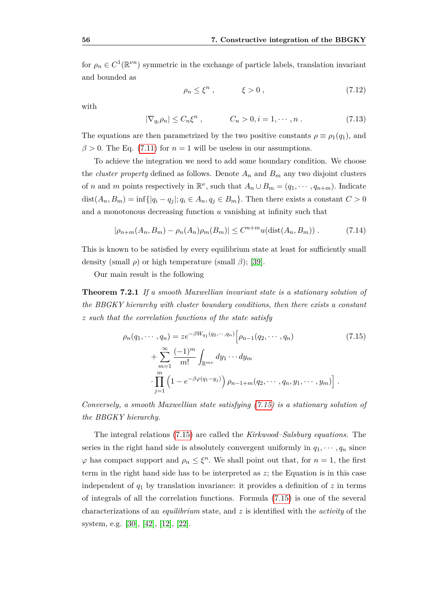for  $\rho_n \in C^1(\mathbb{R}^{\nu n})$  symmetric in the exchange of particle labels, translation invariant and bounded as

<span id="page-63-2"></span>
$$
\rho_n \le \xi^n \,, \qquad \xi > 0 \,, \tag{7.12}
$$

with

<span id="page-63-3"></span>
$$
|\nabla_{q_i}\rho_n| \le C_n \xi^n , \qquad C_n > 0, i = 1, \cdots, n . \qquad (7.13)
$$

The equations are then parametrized by the two positive constants  $\rho \equiv \rho_1(q_1)$ , and  $\beta$  > 0. The Eq. [\(7.11\)](#page-62-2) for  $n = 1$  will be useless in our assumptions.

To achieve the integration we need to add some boundary condition. We choose the *cluster property* defined as follows. Denote  $A_n$  and  $B_m$  any two disjoint clusters of *n* and *m* points respectively in  $\mathbb{R}^{\nu}$ , such that  $A_n \cup B_m = (q_1, \dots, q_{n+m})$ . Indicate dist $(A_n, B_m) = \inf\{|q_i - q_j|; q_i \in A_n, q_j \in B_m\}$ . Then there exists a constant  $C > 0$ and a monotonous decreasing function *u* vanishing at infinity such that

<span id="page-63-4"></span><span id="page-63-1"></span>
$$
|\rho_{n+m}(A_n, B_m) - \rho_n(A_n)\rho_m(B_m)| \le C^{n+m} u(\text{dist}(A_n, B_m)).
$$
 (7.14)

This is known to be satisfied by every equilibrium state at least for sufficiently small density (small *ρ*) or high temperature (small *β*); [\[39\]](#page-115-6).

Our main result is the following

**Theorem 7.2.1** *If a smooth Maxwellian invariant state is a stationary solution of the BBGKY hierarchy with cluster boundary conditions, then there exists a constant z such that the correlation functions of the state satisfy*

<span id="page-63-0"></span>
$$
\rho_n(q_1, \dots, q_n) = z e^{-\beta W_{q_1}(q_2, \dots, q_n)} \Big[ \rho_{n-1}(q_2, \dots, q_n) \Big]
$$
\n
$$
+ \sum_{m=1}^{\infty} \frac{(-1)^m}{m!} \int_{\mathbb{R}^{m\nu}} dy_1 \dots dy_m
$$
\n
$$
\cdot \prod_{j=1}^m \left(1 - e^{-\beta \varphi(q_1 - y_j)}\right) \rho_{n-1+m}(q_2, \dots, q_n, y_1, \dots, y_m) \Big].
$$
\n(7.15)

*Conversely, a smooth Maxwellian state satisfying [\(7.15\)](#page-63-0) is a stationary solution of the BBGKY hierarchy.*

The integral relations [\(7.15\)](#page-63-0) are called the *Kirkwood–Salsburg equations*. The series in the right hand side is absolutely convergent uniformly in  $q_1, \dots, q_n$  since  $\varphi$  has compact support and  $\rho_n \leq \xi^n$ . We shall point out that, for  $n = 1$ , the first term in the right hand side has to be interpreted as *z*; the Equation is in this case independent of  $q_1$  by translation invariance: it provides a definition of  $z$  in terms of integrals of all the correlation functions. Formula [\(7.15\)](#page-63-0) is one of the several characterizations of an *equilibrium* state, and *z* is identified with the *activity* of the system, e.g. [\[30\]](#page-114-7), [\[42\]](#page-115-7), [\[12\]](#page-113-4), [\[22\]](#page-113-5).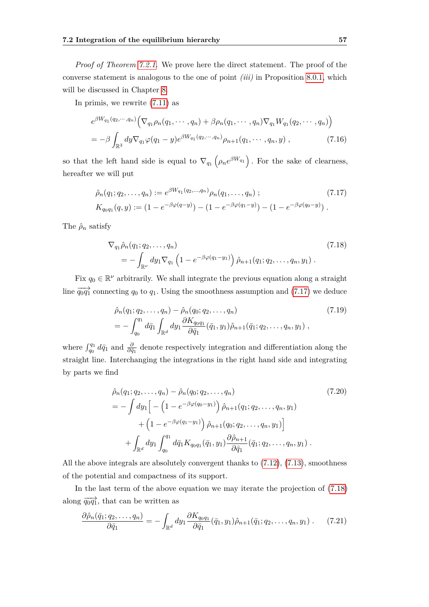*Proof of Theorem [7.2.1.](#page-63-1)* We prove here the direct statement. The proof of the converse statement is analogous to the one of point *(iii)* in Proposition [8.0.1,](#page-82-0) which will be discussed in Chapter [8.](#page-80-0)

In primis, we rewrite [\(7.11\)](#page-62-2) as

$$
e^{\beta W_{q_1}(q_2,\cdots,q_n)} \Big(\nabla_{q_1}\rho_n(q_1,\cdots,q_n) + \beta \rho_n(q_1,\cdots,q_n)\nabla_{q_1} W_{q_1}(q_2,\cdots,q_n)\Big) = -\beta \int_{\mathbb{R}^3} dy \nabla_{q_1} \varphi(q_1-y) e^{\beta W_{q_1}(q_2,\cdots,q_n)} \rho_{n+1}(q_1,\cdots,q_n,y) , \qquad (7.16)
$$

so that the left hand side is equal to  $\nabla_{q_1}(\rho_n e^{\beta W_{q_1}})$ . For the sake of clearness, hereafter we will put

<span id="page-64-0"></span>
$$
\hat{\rho}_n(q_1; q_2, \dots, q_n) := e^{\beta W_{q_1}(q_2, \dots, q_n)} \rho_n(q_1, \dots, q_n) ; \tag{7.17}
$$
\n
$$
K_{q_0q_1}(q, y) := (1 - e^{-\beta \varphi(q-y)}) - (1 - e^{-\beta \varphi(q_1-y)}) - (1 - e^{-\beta \varphi(q_0-y)}) .
$$

The  $\hat{\rho}_n$  satisfy

<span id="page-64-1"></span>
$$
\nabla_{q_1} \hat{\rho}_n(q_1; q_2, \dots, q_n) = - \int_{\mathbb{R}^{\nu}} dy_1 \nabla_{q_1} \left( 1 - e^{-\beta \varphi(q_1 - y_1)} \right) \hat{\rho}_{n+1}(q_1; q_2, \dots, q_n, y_1) .
$$
\n(7.18)

Fix  $q_0 \in \mathbb{R}^{\nu}$  arbitrarily. We shall integrate the previous equation along a straight line  $\overrightarrow{q_0q_1}$  connecting  $q_0$  to  $q_1$ . Using the smoothness assumption and [\(7.17\)](#page-64-0) we deduce

<span id="page-64-3"></span>
$$
\hat{\rho}_n(q_1; q_2, \dots, q_n) - \hat{\rho}_n(q_0; q_2, \dots, q_n) \tag{7.19}
$$
\n
$$
= -\int_{q_0}^{q_1} d\bar{q}_1 \int_{\mathbb{R}^d} dy_1 \frac{\partial K_{q_0 q_1}}{\partial \bar{q}_1} (\bar{q}_1, y_1) \hat{\rho}_{n+1}(\bar{q}_1; q_2, \dots, q_n, y_1) ,
$$

where  $\int_{q_0}^{q_1} d\bar{q}_1$  and  $\frac{\partial}{\partial \bar{q}_1}$  denote respectively integration and differentiation along the straight line. Interchanging the integrations in the right hand side and integrating by parts we find

<span id="page-64-2"></span>
$$
\hat{\rho}_n(q_1; q_2, \dots, q_n) - \hat{\rho}_n(q_0; q_2, \dots, q_n) \tag{7.20}
$$
\n
$$
= -\int dy_1 \Big[ -\left(1 - e^{-\beta \varphi(q_0 - y_1)}\right) \hat{\rho}_{n+1}(q_1; q_2, \dots, q_n, y_1) + \left(1 - e^{-\beta \varphi(q_1 - y_1)}\right) \hat{\rho}_{n+1}(q_0; q_2, \dots, q_n, y_1) \Big] + \int_{\mathbb{R}^d} dy_1 \int_{q_0}^{q_1} d\bar{q}_1 K_{q_0 q_1}(\bar{q}_1, y_1) \frac{\partial \hat{\rho}_{n+1}}{\partial \bar{q}_1}(\bar{q}_1; q_2, \dots, q_n, y_1) \,.
$$

All the above integrals are absolutely convergent thanks to [\(7.12\)](#page-63-2), [\(7.13\)](#page-63-3), smoothness of the potential and compactness of its support.

In the last term of the above equation we may iterate the projection of [\(7.18\)](#page-64-1) along  $\overrightarrow{q_0q_1}$ , that can be written as

<span id="page-64-4"></span>
$$
\frac{\partial \hat{\rho}_n(\bar{q}_1; q_2, \dots, q_n)}{\partial \bar{q}_1} = -\int_{\mathbb{R}^d} dy_1 \frac{\partial K_{q_0 q_1}}{\partial \bar{q}_1} (\bar{q}_1, y_1) \hat{\rho}_{n+1}(\bar{q}_1; q_2, \dots, q_n, y_1) . \tag{7.21}
$$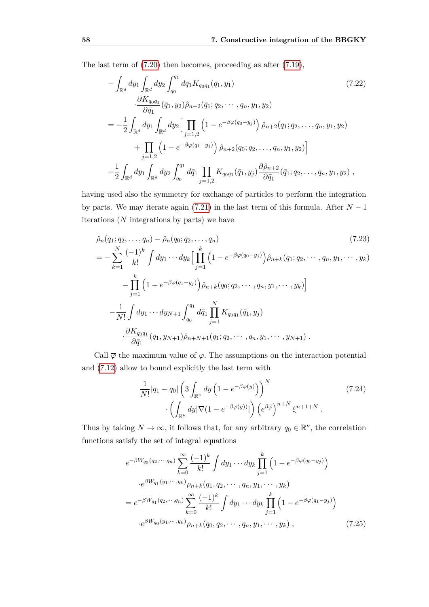The last term of [\(7.20\)](#page-64-2) then becomes, proceeding as after [\(7.19\)](#page-64-3),

$$
-\int_{\mathbb{R}^d} dy_1 \int_{\mathbb{R}^d} dy_2 \int_{q_0}^{q_1} d\bar{q}_1 K_{q_0 q_1}(\bar{q}_1, y_1)
$$
\n
$$
\frac{\partial K_{q_0 q_1}}{\partial \bar{q}_1}(\bar{q}_1, y_2) \hat{\rho}_{n+2}(\bar{q}_1; q_2, \cdots, q_n, y_1, y_2)
$$
\n
$$
=-\frac{1}{2} \int_{\mathbb{R}^d} dy_1 \int_{\mathbb{R}^d} dy_2 \Big[ \prod_{j=1,2} \left(1 - e^{-\beta \varphi(q_0 - y_j)}\right) \hat{\rho}_{n+2}(q_1; q_2, \ldots, q_n, y_1, y_2)
$$
\n
$$
+\prod_{j=1,2} \left(1 - e^{-\beta \varphi(q_1 - y_j)}\right) \hat{\rho}_{n+2}(q_0; q_2, \ldots, q_n, y_1, y_2)\Big]
$$
\n
$$
+\frac{1}{2} \int_{\mathbb{R}^d} dy_1 \int_{\mathbb{R}^d} dy_2 \int_{q_0}^{q_1} d\bar{q}_1 \prod_{j=1,2} K_{q_0 q_1}(\bar{q}_1, y_j) \frac{\partial \hat{\rho}_{n+2}}{\partial \bar{q}_1}(\bar{q}_1; q_2, \ldots, q_n, y_1, y_2),
$$
\n(7.22)

having used also the symmetry for exchange of particles to perform the integration by parts. We may iterate again [\(7.21\)](#page-64-4) in the last term of this formula. After  $N-1$ iterations (*N* integrations by parts) we have

$$
\hat{\rho}_n(q_1; q_2, \dots, q_n) - \hat{\rho}_n(q_0; q_2, \dots, q_n)
$$
\n
$$
= -\sum_{k=1}^N \frac{(-1)^k}{k!} \int dy_1 \cdots dy_k \Big[ \prod_{j=1}^k \left( 1 - e^{-\beta \varphi(q_0 - y_j)} \right) \hat{\rho}_{n+k}(q_1; q_2, \dots, q_n, y_1, \dots, y_k)
$$
\n
$$
- \prod_{j=1}^k \left( 1 - e^{-\beta \varphi(q_1 - y_j)} \right) \hat{\rho}_{n+k}(q_0; q_2, \dots, q_n, y_1, \dots, y_k) \Big]
$$
\n
$$
- \frac{1}{N!} \int dy_1 \cdots dy_{N+1} \int_{q_0}^{q_1} d\bar{q}_1 \prod_{j=1}^N K_{q_0 q_1}(\bar{q}_1, y_j)
$$
\n
$$
\cdot \frac{\partial K_{q_0 q_1}}{\partial \bar{q}_1} (\bar{q}_1, y_{N+1}) \hat{\rho}_{n+N+1}(\bar{q}_1; q_2, \dots, q_n, y_1, \dots, y_{N+1}).
$$
\n(7.23)

Call  $\overline{\varphi}$  the maximum value of  $\varphi$ . The assumptions on the interaction potential and [\(7.12\)](#page-63-2) allow to bound explicitly the last term with

$$
\frac{1}{N!} |q_1 - q_0| \left( 3 \int_{\mathbb{R}^\nu} dy \left( 1 - e^{-\beta \varphi(y)} \right) \right)^N \cdot \left( \int_{\mathbb{R}^\nu} dy |\nabla (1 - e^{-\beta \varphi(y)})| \right) \left( e^{\beta \overline{\varphi}} \right)^{n+N} \xi^{n+1+N} .
$$
\n(7.24)

Thus by taking  $N \to \infty$ , it follows that, for any arbitrary  $q_0 \in \mathbb{R}^{\nu}$ , the correlation functions satisfy the set of integral equations

<span id="page-65-0"></span>
$$
e^{-\beta W_{q_0}(q_2,\cdots,q_n)} \sum_{k=0}^{\infty} \frac{(-1)^k}{k!} \int dy_1 \cdots dy_k \prod_{j=1}^k \left(1 - e^{-\beta \varphi(q_0 - y_j)}\right)
$$

$$
\cdot e^{\beta W_{q_1}(y_1,\cdots,y_k)} \rho_{n+k}(q_1, q_2, \cdots, q_n, y_1, \cdots, y_k)
$$

$$
= e^{-\beta W_{q_1}(q_2,\cdots,q_n)} \sum_{k=0}^{\infty} \frac{(-1)^k}{k!} \int dy_1 \cdots dy_k \prod_{j=1}^k \left(1 - e^{-\beta \varphi(q_1 - y_j)}\right)
$$

$$
\cdot e^{\beta W_{q_0}(y_1,\cdots,y_k)} \rho_{n+k}(q_0, q_2, \cdots, q_n, y_1, \cdots, y_k), \qquad (7.25)
$$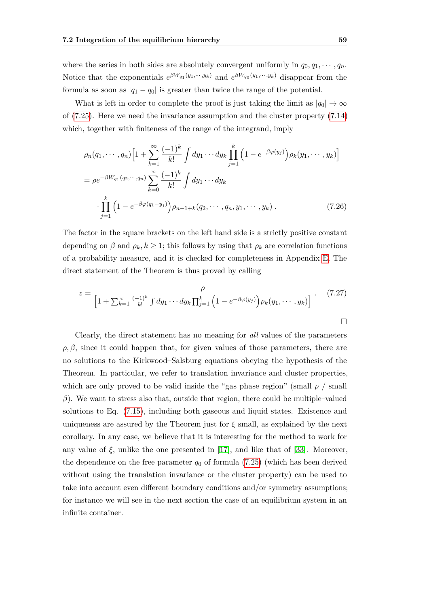where the series in both sides are absolutely convergent uniformly in  $q_0, q_1, \dots, q_n$ . Notice that the exponentials  $e^{\beta W_{q_1}(y_1,\dots,y_k)}$  and  $e^{\beta W_{q_0}(y_1,\dots,y_k)}$  disappear from the formula as soon as  $|q_1 - q_0|$  is greater than twice the range of the potential.

What is left in order to complete the proof is just taking the limit as  $|q_0| \to \infty$ of [\(7.25\)](#page-65-0). Here we need the invariance assumption and the cluster property [\(7.14\)](#page-63-4) which, together with finiteness of the range of the integrand, imply

$$
\rho_n(q_1, \dots, q_n) \left[ 1 + \sum_{k=1}^{\infty} \frac{(-1)^k}{k!} \int dy_1 \dots dy_k \prod_{j=1}^k \left( 1 - e^{-\beta \varphi(y_j)} \right) \rho_k(y_1, \dots, y_k) \right]
$$
  
= 
$$
\rho e^{-\beta W_{q_1}(q_2, \dots, q_n)} \sum_{k=0}^{\infty} \frac{(-1)^k}{k!} \int dy_1 \dots dy_k
$$
  

$$
\cdot \prod_{j=1}^k \left( 1 - e^{-\beta \varphi(q_1 - y_j)} \right) \rho_{n-1+k}(q_2, \dots, q_n, y_1, \dots, y_k) . \tag{7.26}
$$

The factor in the square brackets on the left hand side is a strictly positive constant depending on  $\beta$  and  $\rho_k, k \geq 1$ ; this follows by using that  $\rho_k$  are correlation functions of a probability measure, and it is checked for completeness in Appendix [E.](#page-108-0) The direct statement of the Theorem is thus proved by calling

<span id="page-66-1"></span>
$$
z = \frac{\rho}{\left[1 + \sum_{k=1}^{\infty} \frac{(-1)^k}{k!} \int dy_1 \cdots dy_k \prod_{j=1}^k \left(1 - e^{-\beta \varphi(y_j)}\right) \rho_k(y_1, \cdots, y_k)\right]}.
$$
 (7.27)

<span id="page-66-0"></span>Clearly, the direct statement has no meaning for *all* values of the parameters  $\rho$ ,  $\beta$ , since it could happen that, for given values of those parameters, there are no solutions to the Kirkwood–Salsburg equations obeying the hypothesis of the Theorem. In particular, we refer to translation invariance and cluster properties, which are only proved to be valid inside the "gas phase region" (small  $\rho$  / small *β*). We want to stress also that, outside that region, there could be multiple–valued solutions to Eq. [\(7.15\)](#page-63-0), including both gaseous and liquid states. Existence and uniqueness are assured by the Theorem just for  $\xi$  small, as explained by the next corollary. In any case, we believe that it is interesting for the method to work for any value of  $\xi$ , unlike the one presented in [\[17\]](#page-113-2), and like that of [\[33\]](#page-114-6). Moreover, the dependence on the free parameter  $q_0$  of formula [\(7.25\)](#page-65-0) (which has been derived without using the translation invariance or the cluster property) can be used to take into account even different boundary conditions and/or symmetry assumptions; for instance we will see in the next section the case of an equilibrium system in an infinite container.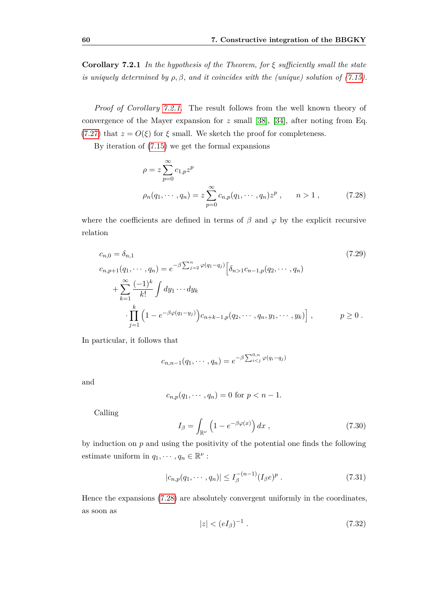**Corollary 7.2.1** *In the hypothesis of the Theorem, for ξ sufficiently small the state is uniquely determined by*  $\rho$ ,  $\beta$ , and *it coincides with the (unique) solution of [\(7.15\)](#page-63-0).* 

*Proof of Corollary [7.2.1.](#page-66-0)* The result follows from the well known theory of convergence of the Mayer expansion for *z* small [\[38\]](#page-115-8), [\[34\]](#page-114-8), after noting from Eq. [\(7.27\)](#page-66-1) that  $z = O(\xi)$  for  $\xi$  small. We sketch the proof for completeness.

By iteration of [\(7.15\)](#page-63-0) we get the formal expansions

<span id="page-67-0"></span>
$$
\rho = z \sum_{p=0}^{\infty} c_{1,p} z^p
$$
  
\n
$$
\rho_n(q_1, \dots, q_n) = z \sum_{p=0}^{\infty} c_{n,p}(q_1, \dots, q_n) z^p, \qquad n > 1,
$$
\n(7.28)

where the coefficients are defined in terms of  $\beta$  and  $\varphi$  by the explicit recursive relation

<span id="page-67-2"></span>
$$
c_{n,0} = \delta_{n,1}
$$
\n
$$
c_{n,p+1}(q_1, \dots, q_n) = e^{-\beta \sum_{j=2}^n \varphi(q_1 - q_j)} \left[ \delta_{n>1} c_{n-1,p}(q_2, \dots, q_n) + \sum_{k=1}^\infty \frac{(-1)^k}{k!} \int dy_1 \dots dy_k
$$
\n
$$
\cdot \prod_{j=1}^k \left( 1 - e^{-\beta \varphi(q_1 - y_j)} \right) c_{n+k-1,p}(q_2, \dots, q_n, y_1, \dots, y_k) \right], \qquad p \ge 0.
$$
\n
$$
(7.29)
$$

In particular, it follows that

$$
c_{n,n-1}(q_1,\cdots,q_n)=e^{-\beta\sum_{i
$$

and

$$
c_{n,p}(q_1, \dots, q_n) = 0
$$
 for  $p < n - 1$ .

Calling

$$
I_{\beta} = \int_{\mathbb{R}^{\nu}} \left( 1 - e^{-\beta \varphi(x)} \right) dx , \qquad (7.30)
$$

by induction on *p* and using the positivity of the potential one finds the following estimate uniform in  $q_1, \dots, q_n \in \mathbb{R}^{\nu}$ :

$$
|c_{n,p}(q_1,\dots,q_n)| \le I_{\beta}^{-(n-1)}(I_{\beta}e)^p.
$$
 (7.31)

Hence the expansions [\(7.28\)](#page-67-0) are absolutely convergent uniformly in the coordinates, as soon as

<span id="page-67-1"></span>
$$
|z| < (eI_{\beta})^{-1} \tag{7.32}
$$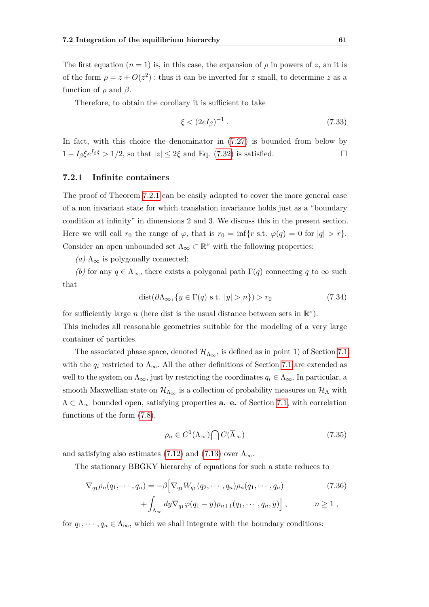The first equation  $(n = 1)$  is, in this case, the expansion of  $\rho$  in powers of z, an it is of the form  $\rho = z + O(z^2)$ : thus it can be inverted for *z* small, to determine *z* as a function of  $\rho$  and  $\beta$ .

Therefore, to obtain the corollary it is sufficient to take

<span id="page-68-0"></span>
$$
\xi < (2eI_{\beta})^{-1} \tag{7.33}
$$

In fact, with this choice the denominator in [\(7.27\)](#page-66-1) is bounded from below by  $1 - I_\beta \xi e^{I_\beta \xi} > 1/2$ , so that  $|z| < 2\xi$  and Eq. [\(7.32\)](#page-67-1) is satisfied.

#### **7.2.1 Infinite containers**

The proof of Theorem [7.2.1](#page-63-1) can be easily adapted to cover the more general case of a non invariant state for which translation invariance holds just as a "boundary condition at infinity" in dimensions 2 and 3*.* We discuss this in the present section. Here we will call  $r_0$  the range of  $\varphi$ , that is  $r_0 = \inf\{r \text{ s.t. } \varphi(q) = 0 \text{ for } |q| > r\}.$ Consider an open unbounded set  $\Lambda_{\infty} \subset \mathbb{R}^{\nu}$  with the following properties:

 $(a)$  Λ<sub>∞</sub> is polygonally connected;

*(b)* for any  $q \in \Lambda_{\infty}$ , there exists a polygonal path  $\Gamma(q)$  connecting *q* to  $\infty$  such that

$$
dist(\partial \Lambda_{\infty}, \{y \in \Gamma(q) \text{ s.t. } |y| > n\}) > r_0 \tag{7.34}
$$

for sufficiently large *n* (here dist is the usual distance between sets in  $\mathbb{R}^{\nu}$ ).

This includes all reasonable geometries suitable for the modeling of a very large container of particles.

The associated phase space, denoted  $\mathcal{H}_{\Lambda_{\infty}}$ , is defined as in point 1) of Section [7.1](#page-60-0) with the  $q_i$  restricted to  $\Lambda_{\infty}$ . All the other definitions of Section [7.1](#page-60-0) are extended as well to the system on  $\Lambda_{\infty}$ , just by restricting the coordinates  $q_i \in \Lambda_{\infty}$ . In particular, a smooth Maxwellian state on  $\mathcal{H}_{\Lambda_{\infty}}$  is a collection of probability measures on  $\mathcal{H}_{\Lambda}$  with  $\Lambda \subset \Lambda_{\infty}$  bounded open, satisfying properties **a.**–**e.** of Section [7.1,](#page-60-0) with correlation functions of the form [\(7.8\)](#page-62-3),

$$
\rho_n \in C^1(\Lambda_\infty) \bigcap C(\overline{\Lambda}_\infty) \tag{7.35}
$$

and satisfying also estimates [\(7.12\)](#page-63-2) and [\(7.13\)](#page-63-3) over  $\Lambda_{\infty}$ .

The stationary BBGKY hierarchy of equations for such a state reduces to

$$
\nabla_{q_1}\rho_n(q_1,\cdots,q_n) = -\beta \Big[\nabla_{q_1}W_{q_1}(q_2,\cdots,q_n)\rho_n(q_1,\cdots,q_n) + \int_{\Lambda_{\infty}} dy \nabla_{q_1}\varphi(q_1-y)\rho_{n+1}(q_1,\cdots,q_n,y)\Big],
$$
\n(7.36)

for  $q_1, \dots, q_n \in \Lambda_\infty$ , which we shall integrate with the boundary conditions: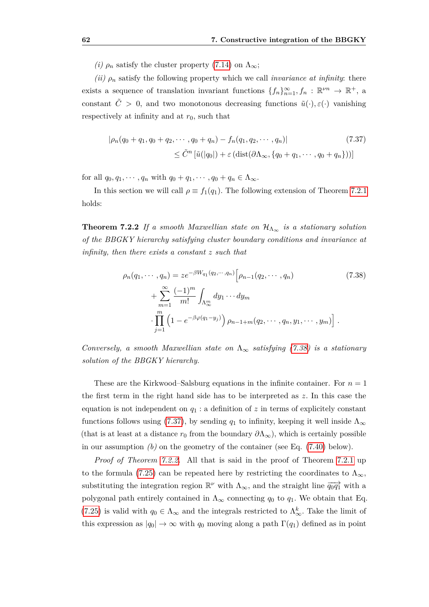*(i)*  $\rho_n$  satisfy the cluster property [\(7.14\)](#page-63-4) on  $\Lambda_{\infty}$ ;

*(ii)*  $\rho_n$  satisfy the following property which we call *invariance at infinity*: there exists a sequence of translation invariant functions  $\{f_n\}_{n=1}^{\infty}, f_n : \mathbb{R}^{\nu n} \to \mathbb{R}^+$ , a constant  $\tilde{C} > 0$ , and two monotonous decreasing functions  $\tilde{u}(\cdot), \varepsilon(\cdot)$  vanishing respectively at infinity and at  $r_0$ , such that

<span id="page-69-1"></span>
$$
|\rho_n(q_0 + q_1, q_0 + q_2, \cdots, q_0 + q_n) - f_n(q_1, q_2, \cdots, q_n)|
$$
\n
$$
\leq \tilde{C}^n \left[ \tilde{u}(|q_0|) + \varepsilon \left( \text{dist}(\partial \Lambda_\infty, \{q_0 + q_1, \cdots, q_0 + q_n\}) \right) \right]
$$
\n(7.37)

for all  $q_0, q_1, \dots, q_n$  with  $q_0 + q_1, \dots, q_0 + q_n \in \Lambda_\infty$ .

<span id="page-69-2"></span>In this section we will call  $\rho \equiv f_1(q_1)$ . The following extension of Theorem [7.2.1](#page-63-1) holds:

**Theorem 7.2.2** *If a smooth Maxwellian state on*  $\mathcal{H}_{\Lambda_{\infty}}$  *is a stationary solution of the BBGKY hierarchy satisfying cluster boundary conditions and invariance at infinity, then there exists a constant z such that*

<span id="page-69-0"></span>
$$
\rho_n(q_1, \dots, q_n) = z e^{-\beta W_{q_1}(q_2, \dots, q_n)} \left[ \rho_{n-1}(q_2, \dots, q_n) \right]
$$
\n
$$
+ \sum_{m=1}^{\infty} \frac{(-1)^m}{m!} \int_{\Lambda_{\infty}^m} dy_1 \dots dy_m
$$
\n
$$
\cdot \prod_{j=1}^m \left( 1 - e^{-\beta \varphi(q_1 - y_j)} \right) \rho_{n-1+m}(q_2, \dots, q_n, y_1, \dots, y_m) \right].
$$
\n(7.38)

*Conversely, a smooth Maxwellian state on*  $\Lambda_{\infty}$  *satisfying [\(7.38\)](#page-69-0) is a stationary solution of the BBGKY hierarchy.*

These are the Kirkwood–Salsburg equations in the infinite container. For  $n=1$ the first term in the right hand side has to be interpreted as *z.* In this case the equation is not independent on  $q_1$ : a definition of  $z$  in terms of explicitely constant functions follows using [\(7.37\)](#page-69-1), by sending  $q_1$  to infinity, keeping it well inside  $\Lambda_{\infty}$ (that is at least at a distance  $r_0$  from the boundary  $\partial \Lambda_{\infty}$ ), which is certainly possible in our assumption *(b)* on the geometry of the container (see Eq. [\(7.40\)](#page-70-1) below).

*Proof of Theorem [7.2.2.](#page-69-2)* All that is said in the proof of Theorem [7.2.1](#page-63-1) up to the formula [\(7.25\)](#page-65-0) can be repeated here by restricting the coordinates to  $\Lambda_{\infty}$ , substituting the integration region  $\mathbb{R}^{\nu}$  with  $\Lambda_{\infty}$ , and the straight line  $\overrightarrow{q_0q_1}$  with a polygonal path entirely contained in  $\Lambda_{\infty}$  connecting  $q_0$  to  $q_1$ . We obtain that Eq. [\(7.25\)](#page-65-0) is valid with  $q_0 \in \Lambda_\infty$  and the integrals restricted to  $\Lambda_\infty^k$ . Take the limit of this expression as  $|q_0| \to \infty$  with  $q_0$  moving along a path  $\Gamma(q_1)$  defined as in point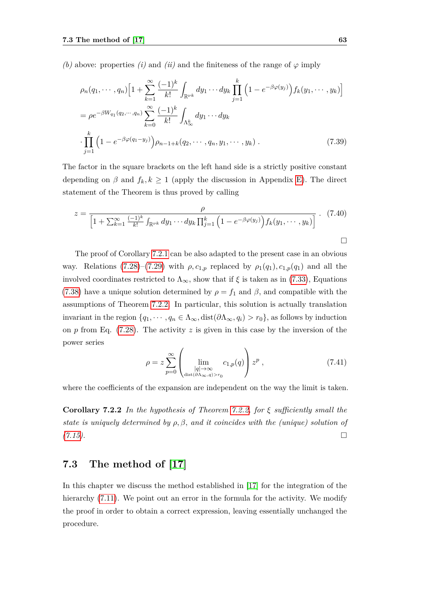*(b)* above: properties *(i)* and *(ii)* and the finiteness of the range of  $\varphi$  imply

$$
\rho_n(q_1, \dots, q_n) \left[ 1 + \sum_{k=1}^{\infty} \frac{(-1)^k}{k!} \int_{\mathbb{R}^{\nu k}} dy_1 \dots dy_k \prod_{j=1}^k \left( 1 - e^{-\beta \varphi(y_j)} \right) f_k(y_1, \dots, y_k) \right]
$$
  
\n
$$
= \rho e^{-\beta W_{q_1}(q_2, \dots, q_n)} \sum_{k=0}^{\infty} \frac{(-1)^k}{k!} \int_{\Lambda_{\infty}^k} dy_1 \dots dy_k
$$
  
\n
$$
\cdot \prod_{j=1}^k \left( 1 - e^{-\beta \varphi(q_1 - y_j)} \right) \rho_{n-1+k}(q_2, \dots, q_n, y_1, \dots, y_k) . \tag{7.39}
$$

The factor in the square brackets on the left hand side is a strictly positive constant depending on  $\beta$  and  $f_k, k \ge 1$  (apply the discussion in Appendix [E\)](#page-108-0). The direct statement of the Theorem is thus proved by calling

<span id="page-70-1"></span>
$$
z = \frac{\rho}{\left[1 + \sum_{k=1}^{\infty} \frac{(-1)^k}{k!} \int_{\mathbb{R}^{\nu k}} dy_1 \cdots dy_k \prod_{j=1}^k \left(1 - e^{-\beta \varphi(y_j)}\right) f_k(y_1, \cdots, y_k)\right]} \quad (7.40)
$$

The proof of Corollary [7.2.1](#page-66-0) can be also adapted to the present case in an obvious way. Relations [\(7.28\)](#page-67-0)–[\(7.29\)](#page-67-2) with  $\rho$ ,  $c_{1,p}$  replaced by  $\rho_1(q_1)$ ,  $c_{1,p}(q_1)$  and all the involved coordinates restricted to  $\Lambda_{\infty}$ , show that if  $\xi$  is taken as in [\(7.33\)](#page-68-0), Equations [\(7.38\)](#page-69-0) have a unique solution determined by  $\rho = f_1$  and  $\beta$ , and compatible with the assumptions of Theorem [7.2.2.](#page-69-2) In particular, this solution is actually translation invariant in the region  $\{q_1, \dots, q_n \in \Lambda_\infty, \text{dist}(\partial \Lambda_\infty, q_i) > r_0\}$ , as follows by induction on *p* from Eq. [\(7.28\)](#page-67-0). The activity *z* is given in this case by the inversion of the power series

$$
\rho = z \sum_{p=0}^{\infty} \left( \lim_{\substack{|q| \to \infty \\ \text{dist}(\partial \Lambda_\infty, q) > r_0}} c_{1,p}(q) \right) z^p , \qquad (7.41)
$$

where the coefficients of the expansion are independent on the way the limit is taken.

**Corollary 7.2.2** *In the hypothesis of Theorem [7.2.2,](#page-69-2) for ξ sufficiently small the state is uniquely determined by ρ, β, and it coincides with the (unique) solution of [\(7.15\)](#page-63-0).*

## <span id="page-70-0"></span>**7.3 The method of [\[17\]](#page-113-2)**

In this chapter we discuss the method established in [\[17\]](#page-113-2) for the integration of the hierarchy  $(7.11)$ . We point out an error in the formula for the activity. We modify the proof in order to obtain a correct expression, leaving essentially unchanged the procedure.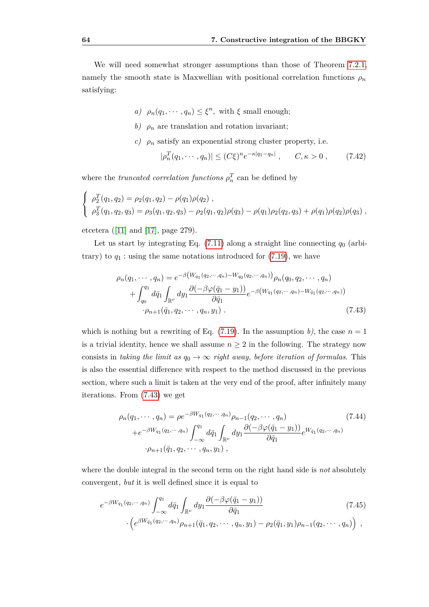We will need somewhat stronger assumptions than those of Theorem [7.2.1,](#page-63-1) namely the smooth state is Maxwellian with positional correlation functions  $\rho_n$ satisfying:

- *a)*  $\rho_n(q_1, \dots, q_n) \leq \xi^n$ , with  $\xi$  small enough;
- *b*)  $\rho_n$  are translation and rotation invariant;
- *c)*  $\rho_n$  satisfy an exponential strong cluster property, i.e.

$$
|\rho_n^T(q_1, \cdots, q_n)| \le (C\xi)^n e^{-\kappa |q_1 - q_n|}, \qquad C, \kappa > 0, \qquad (7.42)
$$

where the *truncated correlation functions*  $\rho_n^T$  can be defined by

$$
\begin{cases}\n\rho_2^T(q_1, q_2) = \rho_2(q_1, q_2) - \rho(q_1)\rho(q_2), \\
\rho_3^T(q_1, q_2, q_3) = \rho_3(q_1, q_2, q_3) - \rho_2(q_1, q_2)\rho(q_3) - \rho(q_1)\rho_2(q_2, q_3) + \rho(q_1)\rho(q_2)\rho(q_3)\n\end{cases}
$$

etcetera ([\[11\]](#page-113-6) and [\[17\]](#page-113-2), page 279).

Let us start by integrating Eq.  $(7.11)$  along a straight line connecting  $q_0$  (arbitrary) to  $q_1$ : using the same notations introduced for  $(7.19)$ , we have

<span id="page-71-0"></span>
$$
\rho_n(q_1, \dots, q_n) = e^{-\beta \left(W_{q_1}(q_2, \dots, q_n) - W_{q_0}(q_2, \dots, q_n)\right)} \rho_n(q_0, q_2, \dots, q_n)
$$

$$
+ \int_{q_0}^{q_1} d\bar{q}_1 \int_{\mathbb{R}^{\nu}} dy_1 \frac{\partial \left(-\beta \varphi(\bar{q}_1 - y_1)\right)}{\partial \bar{q}_1} e^{-\beta \left(W_{q_1}(q_2, \dots, q_n) - W_{\bar{q}_1}(q_2, \dots, q_n)\right)}
$$

$$
\cdot \rho_{n+1}(\bar{q}_1, q_2, \dots, q_n, y_1). \tag{7.43}
$$

which is nothing but a rewriting of Eq. [\(7.19\)](#page-64-3). In the assumption *b*), the case  $n = 1$ is a trivial identity, hence we shall assume  $n \geq 2$  in the following. The strategy now consists in *taking the limit as*  $q_0 \rightarrow \infty$  *right away, before iteration of formulas*. This is also the essential difference with respect to the method discussed in the previous section, where such a limit is taken at the very end of the proof, after infinitely many iterations. From [\(7.43\)](#page-71-0) we get

$$
\rho_n(q_1, \cdots, q_n) = \rho e^{-\beta W_{q_1}(q_2, \cdots, q_n)} \rho_{n-1}(q_2, \cdots, q_n)
$$
(7.44)  
+
$$
e^{-\beta W_{q_1}(q_2, \cdots, q_n)} \int_{-\infty}^{q_1} d\bar{q}_1 \int_{\mathbb{R}^{\nu}} dy_1 \frac{\partial(-\beta \varphi(\bar{q}_1 - y_1))}{\partial \bar{q}_1} e^{W_{\bar{q}_1}(q_2, \cdots, q_n)}
$$

$$
\cdot \rho_{n+1}(\bar{q}_1, q_2, \cdots, q_n, y_1),
$$

where the double integral in the second term on the right hand side is *not* absolutely convergent, *but* it is well defined since it is equal to

$$
e^{-\beta W_{q_1}(q_2,\cdots,q_n)} \int_{-\infty}^{q_1} d\bar{q}_1 \int_{\mathbb{R}^{\nu}} dy_1 \frac{\partial(-\beta \varphi(\bar{q}_1 - y_1))}{\partial \bar{q}_1} \cdot \left(e^{\beta W_{\bar{q}_1}(q_2,\cdots,q_n)} \rho_{n+1}(\bar{q}_1, q_2, \cdots, q_n, y_1) - \rho_2(\bar{q}_1, y_1) \rho_{n-1}(q_2, \cdots, q_n)\right) ,
$$
\n(7.45)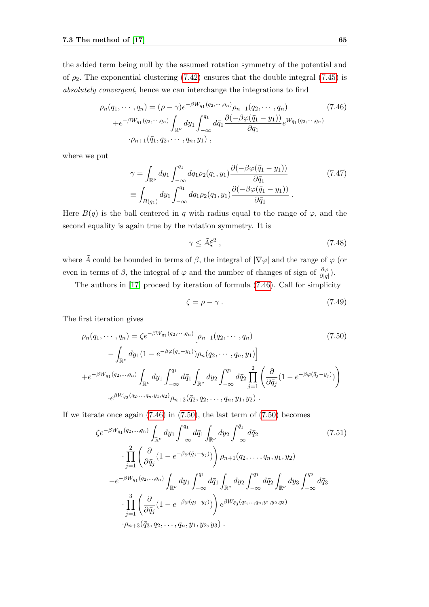the added term being null by the assumed rotation symmetry of the potential and of  $\rho_2$ . The exponential clustering [\(7.42\)](#page-71-0) ensures that the double integral [\(7.45\)](#page-71-1) is *absolutely convergent*, hence we can interchange the integrations to find

<span id="page-72-0"></span>
$$
\rho_n(q_1, \cdots, q_n) = (\rho - \gamma)e^{-\beta W_{q_1}(q_2, \cdots, q_n)} \rho_{n-1}(q_2, \cdots, q_n)
$$
\n
$$
+e^{-\beta W_{q_1}(q_2, \cdots, q_n)} \int_{\mathbb{R}^{\nu}} dy_1 \int_{-\infty}^{q_1} d\bar{q}_1 \frac{\partial(-\beta \varphi(\bar{q}_1 - y_1))}{\partial \bar{q}_1} e^{W_{\bar{q}_1}(q_2, \cdots, q_n)}
$$
\n
$$
\cdot \rho_{n+1}(\bar{q}_1, q_2, \cdots, q_n, y_1),
$$
\n(7.46)

where we put

$$
\gamma = \int_{\mathbb{R}^{\nu}} dy_1 \int_{-\infty}^{q_1} d\bar{q}_1 \rho_2(\bar{q}_1, y_1) \frac{\partial(-\beta \varphi(\bar{q}_1 - y_1))}{\partial \bar{q}_1} \n\equiv \int_{B(q_1)} dy_1 \int_{-\infty}^{q_1} d\bar{q}_1 \rho_2(\bar{q}_1, y_1) \frac{\partial(-\beta \varphi(\bar{q}_1 - y_1))}{\partial \bar{q}_1}.
$$
\n(7.47)

Here  $B(q)$  is the ball centered in q with radius equal to the range of  $\varphi$ , and the second equality is again true by the rotation symmetry. It is

$$
\gamma \le \tilde{A}\xi^2 \,,\tag{7.48}
$$

where  $\tilde{A}$  could be bounded in terms of  $\beta$ , the integral of  $|\nabla \varphi|$  and the range of  $\varphi$  (or even in terms of  $\beta$ , the integral of  $\varphi$  and the number of changes of sign of  $\frac{\partial \varphi}{\partial |q|}$ .

The authors in [\[17\]](#page-113-0) proceed by iteration of formula [\(7.46\)](#page-72-0). Call for simplicity

$$
\zeta = \rho - \gamma \tag{7.49}
$$

The first iteration gives

<span id="page-72-1"></span>
$$
\rho_n(q_1, \dots, q_n) = \zeta e^{-\beta W_{q_1}(q_2, \dots, q_n)} \left[ \rho_{n-1}(q_2, \dots, q_n) \right]
$$
\n
$$
- \int_{\mathbb{R}^{\nu}} dy_1 (1 - e^{-\beta \varphi(q_1 - y_1)}) \rho_n(q_2, \dots, q_n, y_1) \right]
$$
\n
$$
+ e^{-\beta W_{q_1}(q_2, \dots, q_n)} \int_{\mathbb{R}^{\nu}} dy_1 \int_{-\infty}^{q_1} d\bar{q}_1 \int_{\mathbb{R}^{\nu}} dy_2 \int_{-\infty}^{\bar{q}_1} d\bar{q}_2 \prod_{j=1}^2 \left( \frac{\partial}{\partial \bar{q}_j} (1 - e^{-\beta \varphi(\bar{q}_j - y_j)}) \right)
$$
\n
$$
\cdot e^{\beta W_{\bar{q}_2}(q_2, \dots, q_n, y_1, y_2)} \rho_{n+2}(\bar{q}_2, q_2, \dots, q_n, y_1, y_2) .
$$
\n(7.50)

If we iterate once again  $(7.46)$  in  $(7.50)$ , the last term of  $(7.50)$  becomes

<span id="page-72-2"></span>
$$
\zeta e^{-\beta W_{q_1}(q_2,...,q_n)} \int_{\mathbb{R}^{\nu}} dy_1 \int_{-\infty}^{q_1} d\bar{q}_1 \int_{\mathbb{R}^{\nu}} dy_2 \int_{-\infty}^{\bar{q}_1} d\bar{q}_2
$$
(7.51)  

$$
\cdot \prod_{j=1}^{2} \left( \frac{\partial}{\partial \bar{q}_j} (1 - e^{-\beta \varphi(\bar{q}_j - y_j)}) \right) \rho_{n+1}(q_2,...,q_n, y_1, y_2)
$$

$$
-e^{-\beta W_{q_1}(q_2,...,q_n)} \int_{\mathbb{R}^{\nu}} dy_1 \int_{-\infty}^{q_1} d\bar{q}_1 \int_{\mathbb{R}^{\nu}} dy_2 \int_{-\infty}^{\bar{q}_1} d\bar{q}_2 \int_{\mathbb{R}^{\nu}} dy_3 \int_{-\infty}^{\bar{q}_2} d\bar{q}_3
$$

$$
\cdot \prod_{j=1}^{3} \left( \frac{\partial}{\partial \bar{q}_j} (1 - e^{-\beta \varphi(\bar{q}_j - y_j)}) \right) e^{\beta W_{\bar{q}_3}(q_2,...,q_n, y_1, y_2, y_3)}
$$

$$
\cdot \rho_{n+3}(\bar{q}_3, q_2,...,q_n, y_1, y_2, y_3).
$$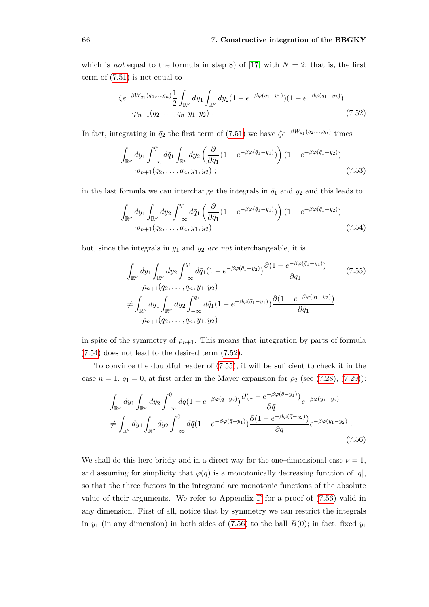which is *not* equal to the formula in step 8) of [\[17\]](#page-113-0) with  $N = 2$ ; that is, the first term of [\(7.51\)](#page-72-2) is not equal to

<span id="page-73-1"></span>
$$
\zeta e^{-\beta W_{q_1}(q_2,\dots,q_n)} \frac{1}{2} \int_{\mathbb{R}^{\nu}} dy_1 \int_{\mathbb{R}^{\nu}} dy_2 (1 - e^{-\beta \varphi(q_1 - y_1)}) (1 - e^{-\beta \varphi(q_1 - y_2)})
$$
  
·\rho\_{n+1}(q\_2,\dots,q\_n,y\_1,y\_2). (7.52)

In fact, integrating in  $\bar{q}_2$  the first term of [\(7.51\)](#page-72-2) we have  $\zeta e^{-\beta W_{q_1}(q_2,...,q_n)}$  times

$$
\int_{\mathbb{R}^{\nu}} dy_1 \int_{-\infty}^{q_1} d\bar{q}_1 \int_{\mathbb{R}^{\nu}} dy_2 \left( \frac{\partial}{\partial \bar{q}_1} (1 - e^{-\beta \varphi(\bar{q}_1 - y_1)}) \right) (1 - e^{-\beta \varphi(\bar{q}_1 - y_2)})
$$
\n
$$
\cdot \rho_{n+1}(q_2, \dots, q_n, y_1, y_2) ; \tag{7.53}
$$

in the last formula we can interchange the integrals in  $\bar{q}_1$  and  $y_2$  and this leads to

<span id="page-73-0"></span>
$$
\int_{\mathbb{R}^{\nu}} dy_1 \int_{\mathbb{R}^{\nu}} dy_2 \int_{-\infty}^{q_1} d\bar{q}_1 \left( \frac{\partial}{\partial \bar{q}_1} (1 - e^{-\beta \varphi(\bar{q}_1 - y_1)}) \right) (1 - e^{-\beta \varphi(\bar{q}_1 - y_2)})
$$
\n
$$
\cdot \rho_{n+1}(q_2, \dots, q_n, y_1, y_2) \tag{7.54}
$$

but, since the integrals in *y*<sup>1</sup> and *y*<sup>2</sup> *are not* interchangeable, it is

<span id="page-73-2"></span>
$$
\int_{\mathbb{R}^{\nu}} dy_1 \int_{\mathbb{R}^{\nu}} dy_2 \int_{-\infty}^{q_1} d\bar{q}_1 (1 - e^{-\beta \varphi(\bar{q}_1 - y_2)}) \frac{\partial (1 - e^{-\beta \varphi(\bar{q}_1 - y_1)})}{\partial \bar{q}_1} \qquad (7.55)
$$
\n
$$
\div \int_{\mathbb{R}^{\nu}} dy_1 \int_{\mathbb{R}^{\nu}} dy_2 \int_{-\infty}^{q_1} d\bar{q}_1 (1 - e^{-\beta \varphi(\bar{q}_1 - y_1)}) \frac{\partial (1 - e^{-\beta \varphi(\bar{q}_1 - y_2)})}{\partial \bar{q}_1} \qquad \frac{\partial (1 - e^{-\beta \varphi(\bar{q}_1 - y_2)})}{\partial \bar{q}_1} \qquad (7.56)
$$

in spite of the symmetry of  $\rho_{n+1}$ . This means that integration by parts of formula [\(7.54\)](#page-73-0) does not lead to the desired term [\(7.52\)](#page-73-1).

To convince the doubtful reader of [\(7.55\)](#page-73-2), it will be sufficient to check it in the case  $n = 1, q_1 = 0$ , at first order in the Mayer expansion for  $\rho_2$  (see [\(7.28\)](#page-67-0), [\(7.29\)](#page-67-1)):

<span id="page-73-3"></span>
$$
\int_{\mathbb{R}^{\nu}} dy_1 \int_{\mathbb{R}^{\nu}} dy_2 \int_{-\infty}^0 d\bar{q} (1 - e^{-\beta \varphi(\bar{q} - y_2)}) \frac{\partial (1 - e^{-\beta \varphi(\bar{q} - y_1)})}{\partial \bar{q}} e^{-\beta \varphi(y_1 - y_2)}
$$
\n
$$
\neq \int_{\mathbb{R}^{\nu}} dy_1 \int_{\mathbb{R}^{\nu}} dy_2 \int_{-\infty}^0 d\bar{q} (1 - e^{-\beta \varphi(\bar{q} - y_1)}) \frac{\partial (1 - e^{-\beta \varphi(\bar{q} - y_2)})}{\partial \bar{q}} e^{-\beta \varphi(y_1 - y_2)} .
$$
\n(7.56)

We shall do this here briefly and in a direct way for the one-dimensional case  $\nu = 1$ , and assuming for simplicity that  $\varphi(q)$  is a monotonically decreasing function of  $|q|$ , so that the three factors in the integrand are monotonic functions of the absolute value of their arguments. We refer to Appendix [F](#page-110-0) for a proof of [\(7.56\)](#page-73-3) valid in any dimension. First of all, notice that by symmetry we can restrict the integrals in  $y_1$  (in any dimension) in both sides of [\(7.56\)](#page-73-3) to the ball  $B(0)$ ; in fact, fixed  $y_1$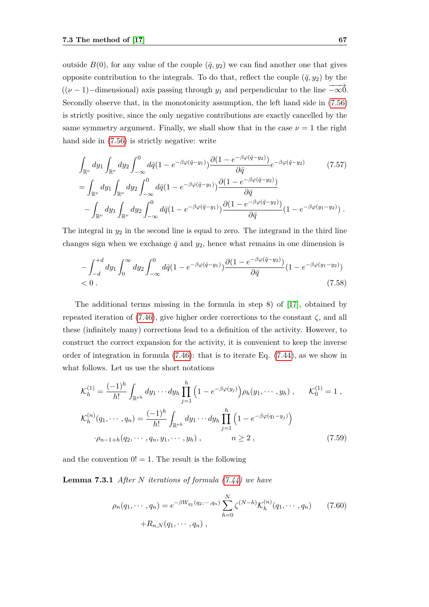outside  $B(0)$ , for any value of the couple  $(\bar{q}, y_2)$  we can find another one that gives opposite contribution to the integrals. To do that, reflect the couple  $(\bar{q}, y_2)$  by the  $((\nu-1)-{\rm dimensional})$  axis passing through *y*<sub>1</sub> and perpendicular to the line  $-\infty$ 0. Secondly observe that, in the monotonicity assumption, the left hand side in [\(7.56\)](#page-73-3) is strictly positive, since the only negative contributions are exactly cancelled by the same symmetry argument. Finally, we shall show that in the case  $\nu = 1$  the right hand side in [\(7.56\)](#page-73-3) is strictly negative: write

$$
\int_{\mathbb{R}^{\nu}} dy_1 \int_{\mathbb{R}^{\nu}} dy_2 \int_{-\infty}^0 d\bar{q} (1 - e^{-\beta \varphi(\bar{q} - y_1)}) \frac{\partial (1 - e^{-\beta \varphi(\bar{q} - y_2)})}{\partial \bar{q}} e^{-\beta \varphi(\bar{q} - y_2)} \n= \int_{\mathbb{R}^{\nu}} dy_1 \int_{\mathbb{R}^{\nu}} dy_2 \int_{-\infty}^0 d\bar{q} (1 - e^{-\beta \varphi(\bar{q} - y_1)}) \frac{\partial (1 - e^{-\beta \varphi(\bar{q} - y_2)})}{\partial \bar{q}} \n- \int_{\mathbb{R}^{\nu}} dy_1 \int_{\mathbb{R}^{\nu}} dy_2 \int_{-\infty}^0 d\bar{q} (1 - e^{-\beta \varphi(\bar{q} - y_1)}) \frac{\partial (1 - e^{-\beta \varphi(\bar{q} - y_2)})}{\partial \bar{q}} (1 - e^{-\beta \varphi(y_1 - y_2)}) .
$$
\n(7.57)

The integral in  $y_2$  in the second line is equal to zero. The integrand in the third line changes sign when we exchange  $\bar{q}$  and  $y_2$ , hence what remains in one dimension is

$$
-\int_{-d}^{+d} dy_1 \int_0^{\infty} dy_2 \int_{-\infty}^0 d\bar{q} (1 - e^{-\beta \varphi (\bar{q} - y_1)}) \frac{\partial (1 - e^{-\beta \varphi (\bar{q} - y_2)})}{\partial \bar{q}} (1 - e^{-\beta \varphi (y_1 - y_2)})
$$
  
< 0. (7.58)

The additional terms missing in the formula in step 8) of [\[17\]](#page-113-0), obtained by repeated iteration of  $(7.46)$ , give higher order corrections to the constant  $\zeta$ , and all these (infinitely many) corrections lead to a definition of the activity. However, to construct the correct expansion for the activity, it is convenient to keep the inverse order of integration in formula [\(7.46\)](#page-72-0): that is to iterate Eq. [\(7.44\)](#page-71-2), as we show in what follows. Let us use the short notations

$$
\mathcal{K}_h^{(1)} = \frac{(-1)^h}{h!} \int_{\mathbb{R}^{\nu h}} dy_1 \cdots dy_h \prod_{j=1}^h \left( 1 - e^{-\beta \varphi(y_j)} \right) \rho_h(y_1, \cdots, y_h) , \qquad \mathcal{K}_0^{(1)} = 1 ,
$$
  

$$
\mathcal{K}_h^{(n)}(q_1, \cdots, q_n) = \frac{(-1)^h}{h!} \int_{\mathbb{R}^{\nu h}} dy_1 \cdots dy_h \prod_{j=1}^h \left( 1 - e^{-\beta \varphi(q_1 - y_j)} \right)
$$
  

$$
\cdot \rho_{n-1+h}(q_2, \cdots, q_n, y_1, \cdots, y_h) , \qquad n \ge 2 , \qquad (7.59)
$$

and the convention  $0! = 1$ . The result is the following

**Lemma 7.3.1** *After N iterations of formula [\(7.44\)](#page-71-2) we have*

<span id="page-74-1"></span><span id="page-74-0"></span>
$$
\rho_n(q_1, \cdots, q_n) = e^{-\beta W_{q_1}(q_2, \cdots, q_n)} \sum_{h=0}^N \zeta^{(N-h)} \mathcal{K}_h^{(n)}(q_1, \cdots, q_n) \qquad (7.60)
$$

$$
+ R_{n,N}(q_1, \cdots, q_n) ,
$$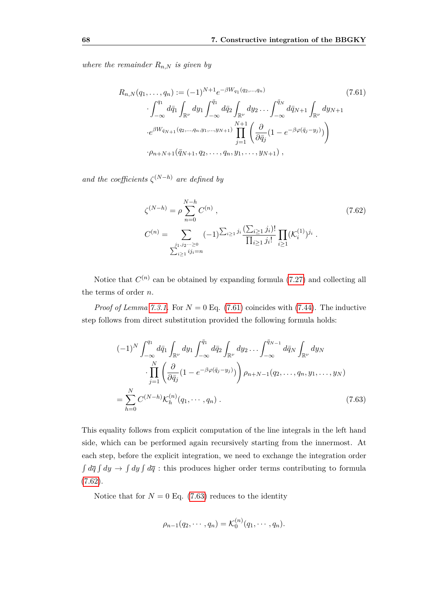*where the remainder*  $R_{n,N}$  *is given by* 

$$
R_{n,N}(q_1, \ldots, q_n) := (-1)^{N+1} e^{-\beta W_{q_1}(q_2, \ldots, q_n)}
$$
(7.61)  

$$
\cdot \int_{-\infty}^{q_1} d\bar{q}_1 \int_{\mathbb{R}^{\nu}} dy_1 \int_{-\infty}^{\bar{q}_1} d\bar{q}_2 \int_{\mathbb{R}^{\nu}} dy_2 \ldots \int_{-\infty}^{\bar{q}_N} d\bar{q}_{N+1} \int_{\mathbb{R}^{\nu}} dy_{N+1}
$$

$$
\cdot e^{\beta W_{\bar{q}_N+1}(q_2, \ldots, q_n, y_1, \ldots, y_{N+1})} \prod_{j=1}^{N+1} \left( \frac{\partial}{\partial \bar{q}_j} (1 - e^{-\beta \varphi(\bar{q}_j - y_j)}) \right)
$$

$$
\cdot \rho_{n+N+1}(\bar{q}_{N+1}, q_2, \ldots, q_n, y_1, \ldots, y_{N+1}),
$$
(7.61)

*and the coefficients*  $\zeta^{(N-h)}$  *are defined by* 

<span id="page-75-0"></span>
$$
\zeta^{(N-h)} = \rho \sum_{n=0}^{N-h} C^{(n)},
$$
\n
$$
C^{(n)} = \sum_{\substack{j_1, j_2 \cdots \geq 0 \\ \sum_{i \geq 1} i j_i = n}} (-1)^{\sum_{i \geq 1} j_i} \frac{(\sum_{i \geq 1} j_i)!}{\prod_{i \geq 1} j_i!} \prod_{i \geq 1} (K_i^{(1)})^{j_i}.
$$
\n(7.62)

Notice that  $C^{(n)}$  can be obtained by expanding formula  $(7.27)$  and collecting all the terms of order *n.*

*Proof of Lemma [7.3.1.](#page-74-0)* For  $N = 0$  Eq. [\(7.61\)](#page-74-1) coincides with [\(7.44\)](#page-71-2). The inductive step follows from direct substitution provided the following formula holds:

<span id="page-75-1"></span>
$$
(-1)^{N} \int_{-\infty}^{q_1} d\bar{q}_1 \int_{\mathbb{R}^{\nu}} dy_1 \int_{-\infty}^{\bar{q}_1} d\bar{q}_2 \int_{\mathbb{R}^{\nu}} dy_2 \dots \int_{-\infty}^{\bar{q}_{N-1}} d\bar{q}_N \int_{\mathbb{R}^{\nu}} dy_N
$$

$$
\cdot \prod_{j=1}^{N} \left( \frac{\partial}{\partial \bar{q}_j} (1 - e^{-\beta \varphi(\bar{q}_j - y_j)}) \right) \rho_{n+N-1}(q_2, \dots, q_n, y_1, \dots, y_N)
$$

$$
= \sum_{h=0}^{N} C^{(N-h)} \mathcal{K}_h^{(n)}(q_1, \dots, q_n) . \tag{7.63}
$$

This equality follows from explicit computation of the line integrals in the left hand side, which can be performed again recursively starting from the innermost. At each step, before the explicit integration, we need to exchange the integration order  $\int d\overline{q} \int dy \to \int dy \int d\overline{q}$ : this produces higher order terms contributing to formula [\(7.62\)](#page-75-0).

Notice that for  $N = 0$  Eq. [\(7.63\)](#page-75-1) reduces to the identity

$$
\rho_{n-1}(q_2, \cdots, q_n) = \mathcal{K}_0^{(n)}(q_1, \cdots, q_n).
$$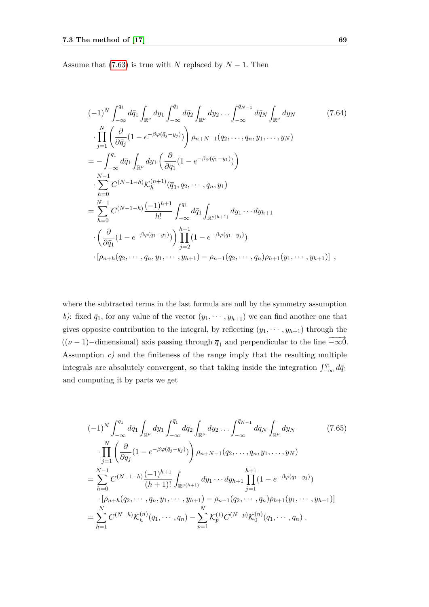Assume that [\(7.63\)](#page-75-1) is true with *N* replaced by  $N-1$ . Then

$$
(-1)^{N} \int_{-\infty}^{q_1} d\bar{q}_1 \int_{\mathbb{R}^{\nu}} dy_1 \int_{-\infty}^{\bar{q}_1} d\bar{q}_2 \int_{\mathbb{R}^{\nu}} dy_2 \dots \int_{-\infty}^{\bar{q}_{N-1}} d\bar{q}_N \int_{\mathbb{R}^{\nu}} dy_N
$$
(7.64)  
\n
$$
\cdot \prod_{j=1}^{N} \left( \frac{\partial}{\partial \bar{q}_j} (1 - e^{-\beta \varphi(\bar{q}_j - y_j)}) \right) \rho_{n+N-1}(q_2, \dots, q_n, y_1, \dots, y_N)
$$
  
\n
$$
= - \int_{-\infty}^{q_1} d\bar{q}_1 \int_{\mathbb{R}^{\nu}} dy_1 \left( \frac{\partial}{\partial \bar{q}_1} (1 - e^{-\beta \varphi(\bar{q}_1 - y_1)}) \right)
$$
  
\n
$$
\cdot \sum_{h=0}^{N-1} C^{(N-1-h)} \mathcal{K}_h^{(n+1)}(\bar{q}_1, q_2, \dots, q_n, y_1)
$$
  
\n
$$
= \sum_{h=0}^{N-1} C^{(N-1-h)} \frac{(-1)^{h+1}}{h!} \int_{-\infty}^{q_1} d\bar{q}_1 \int_{\mathbb{R}^{\nu(h+1)}} dy_1 \dots dy_{h+1}
$$
  
\n
$$
\cdot \left( \frac{\partial}{\partial \bar{q}_1} (1 - e^{-\beta \varphi(\bar{q}_1 - y_1)}) \right) \prod_{j=2}^{h+1} (1 - e^{-\beta \varphi(\bar{q}_1 - y_j)})
$$
  
\n
$$
\cdot [p_{n+h}(q_2, \dots, q_n, y_1, \dots, y_{h+1}) - p_{n-1}(q_2, \dots, q_n) p_{h+1}(y_1, \dots, y_{h+1})],
$$

where the subtracted terms in the last formula are null by the symmetry assumption *b*): fixed  $\bar{q}_1$ , for any value of the vector  $(y_1, \dots, y_{h+1})$  we can find another one that gives opposite contribution to the integral, by reflecting  $(y_1, \dots, y_{h+1})$  through the  $((\nu - 1)$ −dimensional) axis passing through  $\overline{q}_1$  and perpendicular to the line  $-\overrightarrow{\infty}$ . Assumption  $c$ ) and the finiteness of the range imply that the resulting multiple integrals are absolutely convergent, so that taking inside the integration  $\int_{-\infty}^{q_1} d\bar{q}_1$ and computing it by parts we get

<span id="page-76-0"></span>
$$
(-1)^{N} \int_{-\infty}^{q_1} d\bar{q}_1 \int_{\mathbb{R}^{\nu}} dy_1 \int_{-\infty}^{\bar{q}_1} d\bar{q}_2 \int_{\mathbb{R}^{\nu}} dy_2 \dots \int_{-\infty}^{\bar{q}_{N-1}} d\bar{q}_N \int_{\mathbb{R}^{\nu}} dy_N
$$
(7.65)  

$$
\cdot \prod_{j=1}^{N} \left( \frac{\partial}{\partial \bar{q}_j} (1 - e^{-\beta \varphi(\bar{q}_j - y_j)}) \right) \rho_{n+N-1}(q_2, \dots, q_n, y_1, \dots, y_N)
$$
  

$$
= \sum_{h=0}^{N-1} C^{(N-1-h)} \frac{(-1)^{h+1}}{(h+1)!} \int_{\mathbb{R}^{\nu(h+1)}} dy_1 \dots dy_{h+1} \prod_{j=1}^{h+1} (1 - e^{-\beta \varphi(q_1 - y_j)})
$$
  

$$
\cdot [\rho_{n+h}(q_2, \dots, q_n, y_1, \dots, y_{h+1}) - \rho_{n-1}(q_2, \dots, q_n) \rho_{h+1}(y_1, \dots, y_{h+1})]
$$
  

$$
= \sum_{h=1}^{N} C^{(N-h)} \mathcal{K}_h^{(n)}(q_1, \dots, q_n) - \sum_{p=1}^{N} \mathcal{K}_p^{(1)} C^{(N-p)} \mathcal{K}_0^{(n)}(q_1, \dots, q_n) .
$$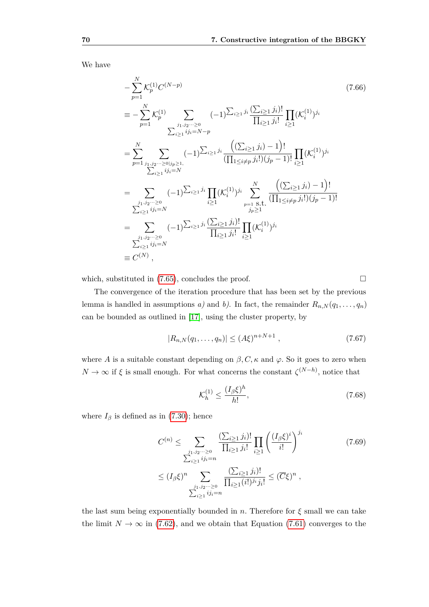We have

$$
-\sum_{p=1}^{N} \mathcal{K}_{p}^{(1)} C^{(N-p)} \qquad (7.66)
$$
\n
$$
\equiv -\sum_{p=1}^{N} \mathcal{K}_{p}^{(1)} \sum_{\substack{j_1, j_2, \dots \geq 0 \\ \sum_{i \geq 1} ij_i = N-p}} (-1)^{\sum_{i \geq 1} j_i} \frac{(\sum_{i \geq 1} j_i)!}{\prod_{i \geq 1} ji_i!} \prod_{i \geq 1} (\mathcal{K}_{i}^{(1)})^{j_i}
$$
\n
$$
= \sum_{p=1}^{N} \sum_{\substack{j_1, j_2, \dots \geq 0 \mid j_p \geq 1, \\ \sum_{i \geq 1} ij_i = N}} (-1)^{\sum_{i \geq 1} j_i} \frac{((\sum_{i \geq 1} j_i) - 1)!}{(\prod_{1 \leq i \neq p} j_i!)(j_p - 1)!} \prod_{i \geq 1} (\mathcal{K}_{i}^{(1)})^{j_i}
$$
\n
$$
= \sum_{\substack{j_1, j_2, \dots \geq 0 \\ \sum_{i \geq 1} ij_i = N}} (-1)^{\sum_{i \geq 1} j_i} \prod_{i \geq 1} (\mathcal{K}_{i}^{(1)})^{j_i} \sum_{\substack{p=1 \text{ s.t.} \\ j_p \geq 1}}^N \frac{((\sum_{i \geq 1} j_i) - 1)!}{(\prod_{1 \leq i \neq p} j_i!)(j_p - 1)!}
$$
\n
$$
= \sum_{\substack{j_1, j_2, \dots \geq 0 \\ \sum_{i \geq 1} ij_i = N}} (-1)^{\sum_{i \geq 1} j_i} \frac{(\sum_{i \geq 1} j_i)!}{\prod_{i \geq 1} j_i!} \prod_{i \geq 1} (\mathcal{K}_{i}^{(1)})^{j_i}
$$
\n
$$
\equiv C^{(N)},
$$
\n(7.66)

which, substituted in  $(7.65)$ , concludes the proof.

The convergence of the iteration procedure that has been set by the previous lemma is handled in assumptions *a)* and *b)*. In fact, the remainder  $R_{n,N}(q_1,\ldots,q_n)$ can be bounded as outlined in [\[17\]](#page-113-0), using the cluster property, by

<span id="page-77-0"></span>
$$
|R_{n,N}(q_1,\ldots,q_n)| \le (A\xi)^{n+N+1} \,,\tag{7.67}
$$

where *A* is a suitable constant depending on  $\beta$ , *C*,  $\kappa$  and  $\varphi$ . So it goes to zero when  $N \to \infty$  if  $\xi$  is small enough. For what concerns the constant  $\zeta^{(N-h)}$ , notice that

$$
\mathcal{K}_h^{(1)} \le \frac{(I_\beta \xi)^h}{h!},\tag{7.68}
$$

where  $I_\beta$  is defined as in [\(7.30\)](#page-67-2); hence

$$
C^{(n)} \leq \sum_{\substack{j_1, j_2 \cdots \geq 0 \\ \sum_{i \geq 1} i j_i = n}} \frac{(\sum_{i \geq 1} j_i)!}{\prod_{i \geq 1} j_i!} \prod_{i \geq 1} \left(\frac{(I_{\beta} \xi)^i}{i!}\right)^{j_i}
$$
  
 
$$
\leq (I_{\beta} \xi)^n \sum_{\substack{j_1, j_2 \cdots \geq 0 \\ \sum_{i \geq 1} i j_i = n}} \frac{(\sum_{i \geq 1} j_i)!}{\prod_{i \geq 1} (i!)^{j_i} j_i!} \leq (\overline{C} \xi)^n ,
$$
 (7.69)

the last sum being exponentially bounded in  $n$ . Therefore for  $\xi$  small we can take the limit  $N \to \infty$  in [\(7.62\)](#page-75-0), and we obtain that Equation [\(7.61\)](#page-74-1) converges to the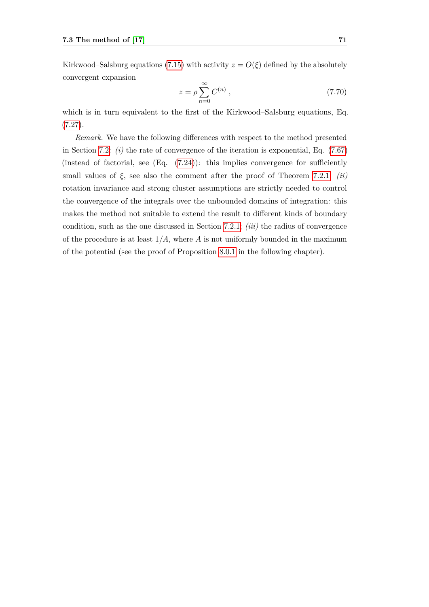Kirkwood–Salsburg equations [\(7.15\)](#page-63-0) with activity  $z = O(\xi)$  defined by the absolutely convergent expansion

$$
z = \rho \sum_{n=0}^{\infty} C^{(n)} \,, \tag{7.70}
$$

which is in turn equivalent to the first of the Kirkwood–Salsburg equations, Eq. [\(7.27\)](#page-66-0).

*Remark.* We have the following differences with respect to the method presented in Section [7.2:](#page-62-0) *(i)* the rate of convergence of the iteration is exponential, Eq. [\(7.67\)](#page-77-0) (instead of factorial, see  $(Eq. (7.24))$  $(Eq. (7.24))$  $(Eq. (7.24))$ : this implies convergence for sufficiently small values of *ξ,* see also the comment after the proof of Theorem [7.2.1;](#page-63-1) *(ii)* rotation invariance and strong cluster assumptions are strictly needed to control the convergence of the integrals over the unbounded domains of integration: this makes the method not suitable to extend the result to different kinds of boundary condition, such as the one discussed in Section [7.2.1;](#page-68-0) *(iii)* the radius of convergence of the procedure is at least  $1/A$ , where A is not uniformly bounded in the maximum of the potential (see the proof of Proposition [8.0.1](#page-82-0) in the following chapter).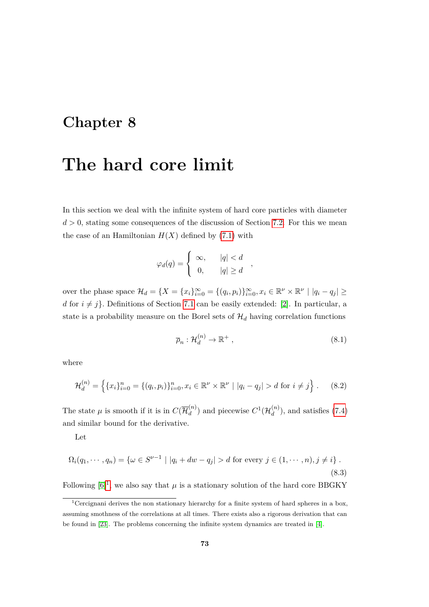### **Chapter 8**

## **The hard core limit**

In this section we deal with the infinite system of hard core particles with diameter  $d > 0$ , stating some consequences of the discussion of Section [7.2.](#page-62-0) For this we mean the case of an Hamiltonian  $H(X)$  defined by [\(7](#page-60-0).1) with

$$
\varphi_d(q) = \begin{cases} \infty, & |q| < d \\ 0, & |q| \ge d \end{cases},
$$

over the phase space  $\mathcal{H}_d = \{X = \{x_i\}_{i=0}^{\infty} = \{(q_i, p_i)\}_{i=0}^{\infty}, x_i \in \mathbb{R}^{\nu} \times \mathbb{R}^{\nu} \mid |q_i - q_j| \geq 0\}$ *d* for  $i \neq j$ }. Definitions of Section [7.1](#page-60-1) can be easily extended: [\[2\]](#page-112-0). In particular, a state is a probability measure on the Borel sets of  $\mathcal{H}_d$  having correlation functions

$$
\overline{\rho}_n : \mathcal{H}_d^{(n)} \to \mathbb{R}^+ ,\tag{8.1}
$$

where

$$
\mathcal{H}_d^{(n)} = \left\{ \{x_i\}_{i=0}^n = \{ (q_i, p_i) \}_{i=0}^n, x_i \in \mathbb{R}^\nu \times \mathbb{R}^\nu \mid |q_i - q_j| > d \text{ for } i \neq j \right\}. \tag{8.2}
$$

The state  $\mu$  is smooth if it is in  $C(\overline{\mathcal{H}}_d^{(n)})$  $\binom{n}{d}$  and piecewise  $C^1(\mathcal{H}_d^{(n)})$  $\binom{n}{d}$ , and satisfies [\(7.4\)](#page-61-0) and similar bound for the derivative.

Let

$$
\Omega_i(q_1, \cdots, q_n) = \{ \omega \in S^{\nu - 1} \mid |q_i + dw - q_j| > d \text{ for every } j \in (1, \cdots, n), j \neq i \}.
$$
\n(8.3)

Following  $[6]^1$  $[6]^1$  $[6]^1$ , we also say that  $\mu$  is a stationary solution of the hard core BBGKY

<span id="page-80-0"></span><sup>&</sup>lt;sup>1</sup>Cercignani derives the non stationary hierarchy for a finite system of hard spheres in a box, assuming smothness of the correlations at all times. There exists also a rigorous derivation that can be found in [\[23\]](#page-113-1). The problems concerning the infinite system dynamics are treated in [\[4\]](#page-112-2).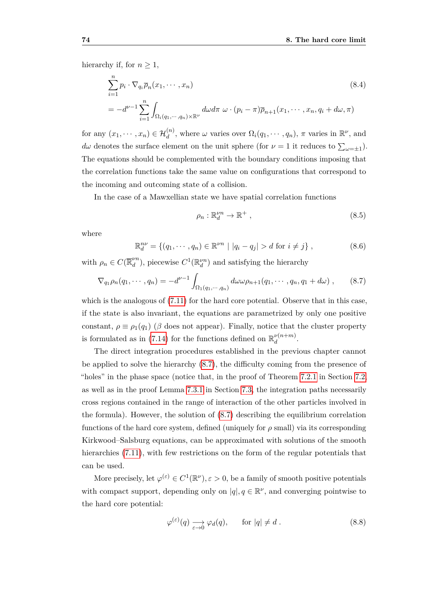hierarchy if, for  $n \geq 1$ ,

<span id="page-81-1"></span>
$$
\sum_{i=1}^{n} p_i \cdot \nabla_{q_i} \overline{\rho}_n(x_1, \dots, x_n)
$$
\n
$$
= -d^{\nu-1} \sum_{i=1}^{n} \int_{\Omega_i(q_1, \dots, q_n) \times \mathbb{R}^{\nu}} d\omega d\pi \ \omega \cdot (p_i - \pi) \overline{\rho}_{n+1}(x_1, \dots, x_n, q_i + d\omega, \pi)
$$
\n(8.4)

for any  $(x_1, \dots, x_n) \in \mathcal{H}_d^{(n)}$ , where  $\omega$  varies over  $\Omega_i(q_1, \dots, q_n)$ ,  $\pi$  varies in  $\mathbb{R}^{\nu}$ , and *d* $\omega$  denotes the surface element on the unit sphere (for  $\nu = 1$  it reduces to  $\sum_{\omega = \pm 1}$ ). The equations should be complemented with the boundary conditions imposing that the correlation functions take the same value on configurations that correspond to the incoming and outcoming state of a collision.

In the case of a Mawxellian state we have spatial correlation functions

$$
\rho_n: \mathbb{R}^{\nu n}_d \to \mathbb{R}^+ \,, \tag{8.5}
$$

where

$$
\mathbb{R}^{n\nu}_{d} = \{(q_1, \cdots, q_n) \in \mathbb{R}^{\nu n} \mid |q_i - q_j| > d \text{ for } i \neq j\},\tag{8.6}
$$

with  $\rho_n \in C(\overline{\mathbb{R}}_d^{\nu n})$  $\mathcal{L}_d^{\nu n}$ ), piecewise  $C^1(\mathbb{R}_d^{\nu n})$  and satisfying the hierarchy

<span id="page-81-0"></span>
$$
\nabla_{q_1} \rho_n(q_1, \cdots, q_n) = -d^{\nu-1} \int_{\Omega_1(q_1, \cdots, q_n)} d\omega \omega \rho_{n+1}(q_1, \cdots, q_n, q_1 + d\omega) , \qquad (8.7)
$$

which is the analogous of  $(7.11)$  for the hard core potential. Observe that in this case, if the state is also invariant, the equations are parametrized by only one positive constant,  $\rho \equiv \rho_1(q_1)$  ( $\beta$  does not appear). Finally, notice that the cluster property is formulated as in [\(7.14\)](#page-63-2) for the functions defined on  $\mathbb{R}^{\nu(n+m)}_d$  $\frac{\nu(n+m)}{d}$ .

The direct integration procedures established in the previous chapter cannot be applied to solve the hierarchy [\(8.7\)](#page-81-0), the difficulty coming from the presence of "holes" in the phase space (notice that, in the proof of Theorem [7.2.1](#page-63-1) in Section [7.2,](#page-62-0) as well as in the proof Lemma [7.3.1](#page-74-0) in Section [7.3,](#page-70-0) the integration paths necessarily cross regions contained in the range of interaction of the other particles involved in the formula). However, the solution of  $(8.7)$  describing the equilibrium correlation functions of the hard core system, defined (uniquely for  $\rho$  small) via its corresponding Kirkwood–Salsburg equations, can be approximated with solutions of the smooth hierarchies [\(7.11\)](#page-62-1), with few restrictions on the form of the regular potentials that can be used.

More precisely, let  $\varphi^{(\varepsilon)} \in C^1(\mathbb{R}^\nu)$ ,  $\varepsilon > 0$ , be a family of smooth positive potentials with compact support, depending only on  $|q|, q \in \mathbb{R}^{\nu}$ , and converging pointwise to the hard core potential:

$$
\varphi^{(\varepsilon)}(q) \xrightarrow[\varepsilon \to 0]{} \varphi_d(q), \qquad \text{for } |q| \neq d. \tag{8.8}
$$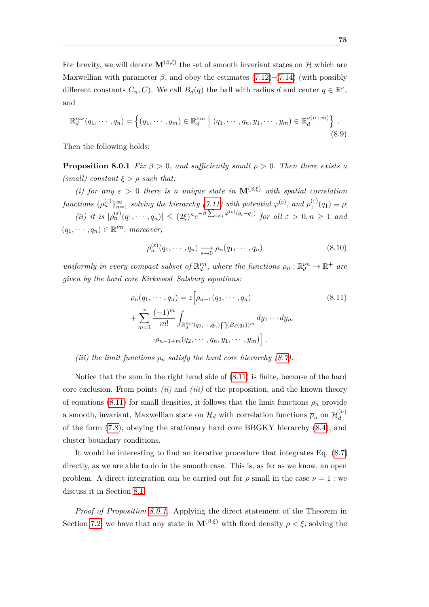For brevity, we will denote  $\mathbf{M}^{(\beta,\xi)}$  the set of smooth invariant states on H which are Maxwellian with parameter  $\beta$ , and obey the estimates [\(7.12\)](#page-63-3)–[\(7.14\)](#page-63-2) (with possibly different constants  $C_n, C$ ). We call  $B_d(q)$  the ball with radius *d* and center  $q \in \mathbb{R}^{\nu}$ , and

$$
\mathbb{R}^{m\nu}_{d}(q_1,\dots,q_n) = \left\{ (y_1,\dots,y_m) \in \mathbb{R}^{\nu m}_{d} \mid (q_1,\dots,q_n,y_1,\dots,y_m) \in \mathbb{R}^{\nu(n+m)}_{d} \right\}.
$$
\n(8.9)

<span id="page-82-0"></span>Then the following holds:

**Proposition 8.0.1** *Fix*  $\beta > 0$ *, and sufficiently small*  $\rho > 0$ *. Then there exists a (small) constant ξ > ρ such that:*

*(i) for any*  $\varepsilon > 0$  *there is a unique state in*  $\mathbf{M}^{(\beta,\xi)}$  *with spatial correlation*  $functions$   $\{\rho_n^{(\varepsilon)}\}_{n=1}^{\infty}$  *solving the hierarchy* [\(7.11\)](#page-62-1) with potential  $\varphi^{(\varepsilon)}$ , and  $\rho_1^{(\varepsilon)}$  $q_1^{(\varepsilon)}(q_1) \equiv \rho;$ (ii) it is  $|\rho_n^{(\varepsilon)}(q_1,\dots,q_n)| \leq (2\xi)^n e^{-\beta \sum_{i\neq j} \varphi^{(\varepsilon)}(q_i-q_j)}$  for all  $\varepsilon > 0, n \geq 1$  and  $(q_1, \dots, q_n) \in \mathbb{R}^{\nu n};$  *moreover*,

$$
\rho_n^{(\varepsilon)}(q_1, \cdots, q_n) \xrightarrow[\varepsilon \to 0]{} \rho_n(q_1, \cdots, q_n)
$$
\n(8.10)

*uniformly in every compact subset of*  $\mathbb{R}^{\nu n}_d$ , *where the functions*  $\rho_n : \mathbb{R}^{\nu n}_d \to \mathbb{R}^+$  are *given by the hard core Kirkwood–Salsburg equations:*

<span id="page-82-1"></span>
$$
\rho_n(q_1, \dots, q_n) = z \Big[ \rho_{n-1}(q_2, \dots, q_n) \qquad (8.11)
$$
  
+ 
$$
\sum_{m=1}^{\infty} \frac{(-1)^m}{m!} \int_{\mathbb{R}_d^{m\nu}(q_2, \dots, q_n)} \bigcap (B_d(q_1))^m dy_1 \dots dy_m
$$
  

$$
\cdot \rho_{n-1+m}(q_2, \dots, q_n, y_1, \dots, y_m) \Big].
$$

*(iii) the limit functions*  $\rho_n$  *satisfy the hard core hierarchy [\(8.7\)](#page-81-0).* 

Notice that the sum in the right hand side of [\(8.11\)](#page-82-1) is finite, because of the hard core exclusion. From points *(ii)* and *(iii)* of the proposition, and the known theory of equations [\(8.11\)](#page-82-1) for small densities, it follows that the limit functions  $\rho_n$  provide a smooth, invariant, Maxwellian state on  $\mathcal{H}_d$  with correlation functions  $\overline{\rho}_n$  on  $\mathcal{H}_d^{(n)}$ *d* of the form [\(7.8\)](#page-62-2), obeying the stationary hard core BBGKY hierarchy [\(8.4\)](#page-81-1), and cluster boundary conditions.

It would be interesting to find an iterative procedure that integrates Eq. [\(8.7\)](#page-81-0) directly, as we are able to do in the smooth case. This is, as far as we know, an open problem. A direct integration can be carried out for  $\rho$  small in the case  $\nu = 1$ : we discuss it in Section [8.1.](#page-85-0)

*Proof of Proposition [8.0.1.](#page-82-0)* Applying the direct statement of the Theorem in Section [7.2,](#page-62-0) we have that any state in  $\mathbf{M}^{(\beta,\xi)}$  with fixed density  $\rho < \xi$ , solving the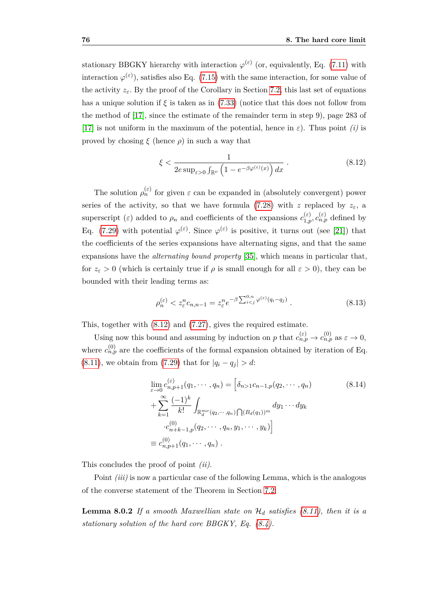stationary BBGKY hierarchy with interaction  $\varphi^{(\varepsilon)}$  (or, equivalently, Eq. [\(7.11\)](#page-62-1) with interaction  $\varphi^{(\varepsilon)}$ ), satisfies also Eq. [\(7.15\)](#page-63-0) with the same interaction, for some value of the activity  $z_{\varepsilon}$ . By the proof of the Corollary in Section [7.2,](#page-62-0) this last set of equations has a unique solution if  $\xi$  is taken as in [\(7.33\)](#page-68-1) (notice that this does not follow from the method of [\[17\]](#page-113-0), since the estimate of the remainder term in step 9), page 283 of [\[17\]](#page-113-0) is not uniform in the maximum of the potential, hence in *ε*). Thus point *(i)* is proved by chosing  $\xi$  (hence  $\rho$ ) in such a way that

<span id="page-83-0"></span>
$$
\xi < \frac{1}{2e\sup_{\varepsilon > 0} \int_{\mathbb{R}^{\nu}} \left( 1 - e^{-\beta \varphi^{(\varepsilon)}(x)} \right) dx} \,. \tag{8.12}
$$

The solution  $\rho_n^{(\varepsilon)}$  for given  $\varepsilon$  can be expanded in (absolutely convergent) power series of the activity, so that we have formula [\(7.28\)](#page-67-0) with *z* replaced by  $z_{\varepsilon}$ , a superscript (*ε*) added to  $\rho_n$  and coefficients of the expansions  $c_{1,p}^{(\varepsilon)}$ ,  $c_{n,p}^{(\varepsilon)}$  defined by Eq. [\(7.29\)](#page-67-1) with potential  $\varphi^{(\varepsilon)}$ . Since  $\varphi^{(\varepsilon)}$  is positive, it turns out (see [\[21\]](#page-113-2)) that the coefficients of the series expansions have alternating signs, and that the same expansions have the *alternating bound property* [\[35\]](#page-114-0), which means in particular that, for  $z_{\varepsilon} > 0$  (which is certainly true if  $\rho$  is small enough for all  $\varepsilon > 0$ ), they can be bounded with their leading terms as:

$$
\rho_n^{(\varepsilon)} < z_{\varepsilon}^n c_{n,n-1} = z_{\varepsilon}^n e^{-\beta \sum_{i < j}^{0,n} \varphi^{(\varepsilon)}(q_i - q_j)} \,. \tag{8.13}
$$

This, together with [\(8.12\)](#page-83-0) and [\(7.27\)](#page-66-0), gives the required estimate.

Using now this bound and assuming by induction on *p* that  $c_{n,p}^{(\varepsilon)} \to c_{n,p}^{(0)}$  as  $\varepsilon \to 0$ , where  $c_{n,p}^{(0)}$  are the coefficients of the formal expansion obtained by iteration of Eq. [\(8.11\)](#page-82-1), we obtain from [\(7.29\)](#page-67-1) that for  $|q_i - q_j| > d$ :

$$
\lim_{\varepsilon \to 0} c_{n,p+1}^{(\varepsilon)}(q_1, \dots, q_n) = \left[ \delta_{n>1} c_{n-1,p}(q_2, \dots, q_n) \right]
$$
\n
$$
+ \sum_{k=1}^{\infty} \frac{(-1)^k}{k!} \int_{\mathbb{R}_d^{m\nu}(q_2, \dots, q_n)} \bigcap (B_d(q_1))^m dy_1 \dots dy_k
$$
\n
$$
\cdot c_{n+k-1,p}^{(0)}(q_2, \dots, q_n, y_1, \dots, y_k) \bigg]
$$
\n
$$
\equiv c_{n,p+1}^{(0)}(q_1, \dots, q_n).
$$
\n
$$
(8.14)
$$

This concludes the proof of point *(ii)*.

Point *(iii)* is now a particular case of the following Lemma, which is the analogous of the converse statement of the Theorem in Section [7.2:](#page-62-0)

**Lemma 8.0.2** *If a smooth Maxwellian state on* H*<sup>d</sup> satisfies [\(8.11\)](#page-82-1), then it is a stationary solution of the hard core BBGKY, Eq. [\(8.4\)](#page-81-1).*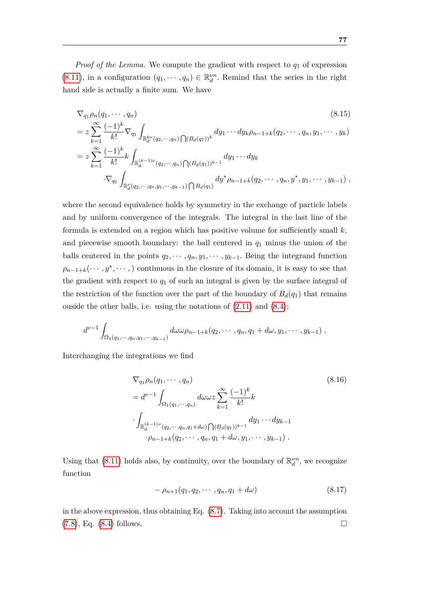*Proof of the Lemma.* We compute the gradient with respect to *q*<sup>1</sup> of expression [\(8.11\)](#page-82-1), in a configuration  $(q_1, \dots, q_n) \in \mathbb{R}^{\nu n}_d$ . Remind that the series in the right hand side is actually a finite sum. We have

$$
\nabla_{q_1} \rho_n(q_1, \dots, q_n) \qquad (8.15)
$$
\n
$$
= z \sum_{k=1}^{\infty} \frac{(-1)^k}{k!} \nabla_{q_1} \int_{\mathbb{R}_d^{k\nu}(q_2, \dots, q_n)} \bigcap (B_d(q_1))^k dy_1 \cdots dy_k \rho_{n-1+k}(q_2, \dots, q_n, y_1, \dots, y_k)
$$
\n
$$
= z \sum_{k=1}^{\infty} \frac{(-1)^k}{k!} k \int_{\mathbb{R}_d^{(k-1)\nu}(q_2, \dots, q_n)} \bigcap (B_d(q_1))^{k-1} dy_1 \cdots dy_k
$$
\n
$$
\cdot \nabla_{q_1} \int_{\mathbb{R}_d^{k}(q_2, \dots, q_n, y_1, \dots, y_{k-1})} \bigcap B_d(q_1) dy^* \rho_{n-1+k}(q_2, \dots, q_n, y^*, y_1, \dots, y_{k-1}),
$$
\n(8.15)

where the second equivalence holds by symmetry in the exchange of particle labels and by uniform convergence of the integrals. The integral in the last line of the formula is extended on a region which has positive volume for sufficiently small *k,* and piecewise smooth boundary: the ball centered in *q*<sup>1</sup> minus the union of the balls centered in the points  $q_2, \dots, q_n, y_1, \dots, y_{k-1}$ . Being the integrand function  $\rho_{n-1+k}(\cdots,y^*,\cdots)$  continuous in the closure of its domain, it is easy to see that the gradient with respect to  $q_1$  of such an integral is given by the surface integral of the restriction of the function over the part of the boundary of  $B_d(q_1)$  that remains ouside the other balls, i.e. using the notations of  $(2.11)$  and  $(8.4)$ :

$$
d^{\nu-1} \int_{\Omega_1(q_1,\dots,q_n,y_1,\dots,y_{k-1})} d\omega \omega \rho_{n-1+k}(q_2,\dots,q_n,q_1+d\omega,y_1,\dots,y_{k-1}).
$$

Interchanging the integrations we find

$$
\nabla_{q_1} \rho_n(q_1, \dots, q_n) \qquad (8.16)
$$
  
=  $d^{\nu-1} \int_{\Omega_1(q_1, \dots, q_n)} d\omega \omega z \sum_{k=1}^{\infty} \frac{(-1)^k}{k!} k$   

$$
\int_{\mathbb{R}_d^{(k-1)\nu}(q_2, \dots, q_n, q_1 + d\omega) \bigcap (B_d(q_1))^{k-1}} dy_1 \dots dy_{k-1}
$$
  

$$
\cdot \rho_{n-1+k}(q_2, \dots, q_n, q_1 + d\omega, y_1, \dots, y_{k-1}).
$$

Using that [\(8.11\)](#page-82-1) holds also, by continuity, over the boundary of  $\mathbb{R}^{\nu n}_{d}$ , we recognize function

$$
-\rho_{n+1}(q_1, q_2, \cdots, q_n, q_1 + d\omega) \tag{8.17}
$$

in the above expression, thus obtaining Eq. [\(8.7\)](#page-81-0). Taking into account the assumption  $(7.8)$  $(7.8)$ , Eq.  $(8.4)$  follows.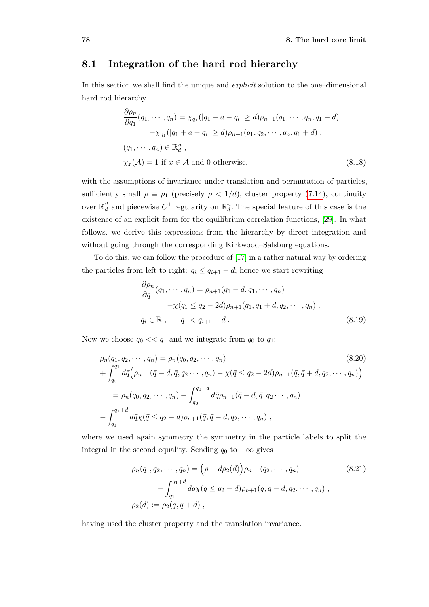#### <span id="page-85-0"></span>**8.1 Integration of the hard rod hierarchy**

In this section we shall find the unique and *explicit* solution to the one–dimensional hard rod hierarchy

<span id="page-85-2"></span>
$$
\frac{\partial \rho_n}{\partial q_1}(q_1, \dots, q_n) = \chi_{q_1}(|q_1 - a - q_i| \ge d)\rho_{n+1}(q_1, \dots, q_n, q_1 - d)
$$

$$
-\chi_{q_1}(|q_1 + a - q_i| \ge d)\rho_{n+1}(q_1, q_2, \dots, q_n, q_1 + d),
$$

$$
(q_1, \dots, q_n) \in \mathbb{R}_d^n,
$$

$$
\chi_x(\mathcal{A}) = 1 \text{ if } x \in \mathcal{A} \text{ and } 0 \text{ otherwise,}
$$

$$
(8.18)
$$

with the assumptions of invariance under translation and permutation of particles, sufficiently small  $\rho \equiv \rho_1$  (precisely  $\rho < 1/d$ ), cluster property [\(7.14\)](#page-63-2), continuity over  $\overline{\mathbb{R}}_d^n$  and piecewise  $C^1$  regularity on  $\mathbb{R}_d^n$ . The special feature of this case is the existence of an explicit form for the equilibrium correlation functions, [\[29\]](#page-114-1). In what follows, we derive this expressions from the hierarchy by direct integration and without going through the corresponding Kirkwood–Salsburg equations.

To do this, we can follow the procedure of [\[17\]](#page-113-0) in a rather natural way by ordering the particles from left to right:  $q_i \leq q_{i+1} - d$ ; hence we start rewriting

$$
\frac{\partial \rho_n}{\partial q_1}(q_1, \cdots, q_n) = \rho_{n+1}(q_1 - d, q_1, \cdots, q_n) \n- \chi(q_1 \le q_2 - 2d)\rho_{n+1}(q_1, q_1 + d, q_2, \cdots, q_n) ,\nq_i \in \mathbb{R} , \qquad q_1 < q_{i+1} - d .
$$
\n(8.19)

Now we choose  $q_0 \ll q_1$  and we integrate from  $q_0$  to  $q_1$ :

<span id="page-85-1"></span>
$$
\rho_n(q_1, q_2, \cdots, q_n) = \rho_n(q_0, q_2, \cdots, q_n)
$$
\n
$$
+ \int_{q_0}^{q_1} d\bar{q} \Big( \rho_{n+1}(\bar{q} - d, \bar{q}, q_2 \cdots, q_n) - \chi(\bar{q} \le q_2 - 2d) \rho_{n+1}(\bar{q}, \bar{q} + d, q_2, \cdots, q_n) \Big)
$$
\n
$$
= \rho_n(q_0, q_2, \cdots, q_n) + \int_{q_0}^{q_0 + d} d\bar{q} \rho_{n+1}(\bar{q} - d, \bar{q}, q_2 \cdots, q_n)
$$
\n
$$
- \int_{q_1}^{q_1 + d} d\bar{q} \chi(\bar{q} \le q_2 - d) \rho_{n+1}(\bar{q}, \bar{q} - d, q_2, \cdots, q_n) ,
$$
\n
$$
(8.20)
$$

where we used again symmetry the symmetry in the particle labels to split the integral in the second equality. Sending  $q_0$  to  $-\infty$  gives

$$
\rho_n(q_1, q_2, \cdots, q_n) = (\rho + d\rho_2(d)) \rho_{n-1}(q_2, \cdots, q_n)
$$
\n
$$
- \int_{q_1}^{q_1 + d} d\bar{q} \chi(\bar{q} \le q_2 - d) \rho_{n+1}(\bar{q}, \bar{q} - d, q_2, \cdots, q_n) ,
$$
\n
$$
\rho_2(d) := \rho_2(q, q + d) ,
$$
\n(8.21)

having used the cluster property and the translation invariance.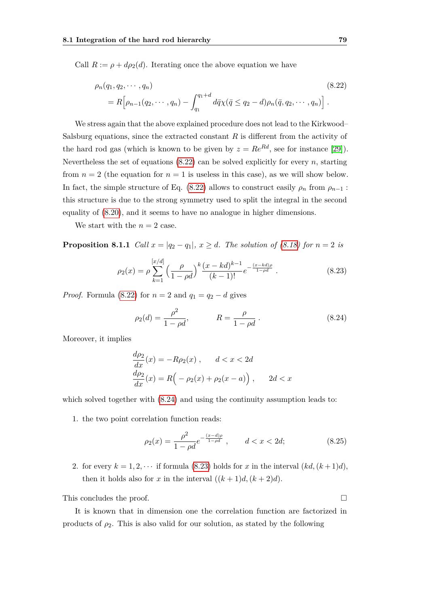Call  $R := \rho + d\rho_2(d)$ . Iterating once the above equation we have

<span id="page-86-0"></span>
$$
\rho_n(q_1, q_2, \cdots, q_n) = R \Big[ \rho_{n-1}(q_2, \cdots, q_n) - \int_{q_1}^{q_1 + d} d\bar{q} \chi(\bar{q} \le q_2 - d) \rho_n(\bar{q}, q_2, \cdots, q_n) \Big].
$$
\n(8.22)

We stress again that the above explained procedure does not lead to the Kirkwood– Salsburg equations, since the extracted constant  $R$  is different from the activity of the hard rod gas (which is known to be given by  $z = Re^{Rd}$ , see for instance [\[29\]](#page-114-1)). Nevertheless the set of equations  $(8.22)$  can be solved explicitly for every *n*, starting from  $n = 2$  (the equation for  $n = 1$  is useless in this case), as we will show below. In fact, the simple structure of Eq. [\(8.22\)](#page-86-0) allows to construct easily  $\rho_n$  from  $\rho_{n-1}$ : this structure is due to the strong symmetry used to split the integral in the second equality of [\(8.20\)](#page-85-1), and it seems to have no analogue in higher dimensions.

We start with the  $n = 2$  case.

**Proposition 8.1.1** *Call*  $x = |q_2 - q_1|, x \ge d$ *. The solution of [\(8.18\)](#page-85-2) for*  $n = 2$  *is* 

<span id="page-86-3"></span><span id="page-86-2"></span>
$$
\rho_2(x) = \rho \sum_{k=1}^{[x/d]} \left(\frac{\rho}{1-\rho d}\right)^k \frac{(x-kd)^{k-1}}{(k-1)!} e^{-\frac{(x-kd)\rho}{1-\rho d}}.
$$
\n(8.23)

*Proof.* Formula [\(8.22\)](#page-86-0) for  $n = 2$  and  $q_1 = q_2 - d$  gives

<span id="page-86-1"></span>
$$
\rho_2(d) = \frac{\rho^2}{1 - \rho d}, \qquad R = \frac{\rho}{1 - \rho d}.
$$
\n(8.24)

Moreover, it implies

$$
\frac{d\rho_2}{dx}(x) = -R\rho_2(x), \qquad d < x < 2d
$$
\n
$$
\frac{d\rho_2}{dx}(x) = R\left(-\rho_2(x) + \rho_2(x - a)\right), \qquad 2d < x
$$

which solved together with  $(8.24)$  and using the continuity assumption leads to:

1. the two point correlation function reads:

$$
\rho_2(x) = \frac{\rho^2}{1 - \rho d} e^{-\frac{(x - d)\rho}{1 - \rho d}}, \qquad d < x < 2d; \tag{8.25}
$$

2. for every  $k = 1, 2, \cdots$  if formula [\(8.23\)](#page-86-2) holds for *x* in the interval  $(kd, (k+1)d)$ , then it holds also for *x* in the interval  $((k+1)d, (k+2)d)$ .

This concludes the proof.

It is known that in dimension one the correlation function are factorized in products of  $\rho_2$ . This is also valid for our solution, as stated by the following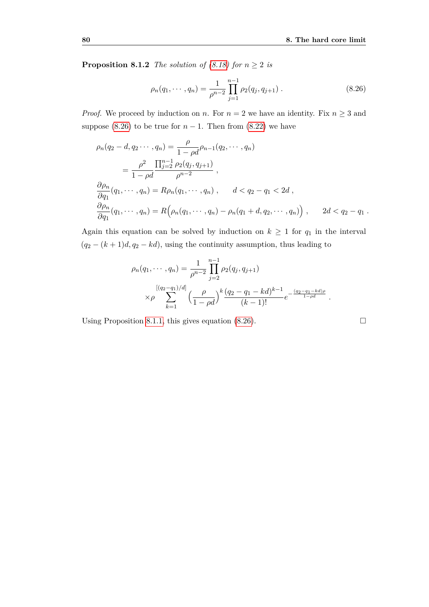**Proposition 8.1.2** *The solution of [\(8.18\)](#page-85-2) for*  $n \geq 2$  *is* 

<span id="page-87-0"></span>
$$
\rho_n(q_1, \cdots, q_n) = \frac{1}{\rho^{n-2}} \prod_{j=1}^{n-1} \rho_2(q_j, q_{j+1}). \qquad (8.26)
$$

*Proof.* We proceed by induction on *n*. For  $n = 2$  we have an identity. Fix  $n \geq 3$  and suppose [\(8.26\)](#page-87-0) to be true for  $n-1$ . Then from [\(8.22\)](#page-86-0) we have

$$
\rho_n(q_2 - d, q_2 \cdots, q_n) = \frac{\rho}{1 - \rho d} \rho_{n-1}(q_2, \cdots, q_n)
$$
  
= 
$$
\frac{\rho^2}{1 - \rho d} \frac{\prod_{j=2}^{n-1} \rho_2(q_j, q_{j+1})}{\rho^{n-2}},
$$
  

$$
\frac{\partial \rho_n}{\partial q_1}(q_1, \cdots, q_n) = R\rho_n(q_1, \cdots, q_n), \qquad d < q_2 - q_1 < 2d,
$$
  

$$
\frac{\partial \rho_n}{\partial q_1}(q_1, \cdots, q_n) = R\Big(\rho_n(q_1, \cdots, q_n) - \rho_n(q_1 + d, q_2, \cdots, q_n)\Big), \qquad 2d < q_2 - q_1.
$$

Again this equation can be solved by induction on  $k \geq 1$  for  $q_1$  in the interval  $(q_2 - (k+1)d, q_2 - kd)$ , using the continuity assumption, thus leading to

$$
\rho_n(q_1,\dots,q_n) = \frac{1}{\rho^{n-2}} \prod_{j=2}^{n-1} \rho_2(q_j,q_{j+1})
$$
  
\n
$$
\times \rho \sum_{k=1}^{[(q_2-q_1)/d]} \left(\frac{\rho}{1-\rho d}\right)^k \frac{(q_2-q_1-kd)^{k-1}}{(k-1)!} e^{-\frac{(q_2-q_1-kd)\rho}{1-\rho d}}.
$$

Using Proposition [8.1.1,](#page-86-3) this gives equation  $(8.26)$ .

$$
\Box
$$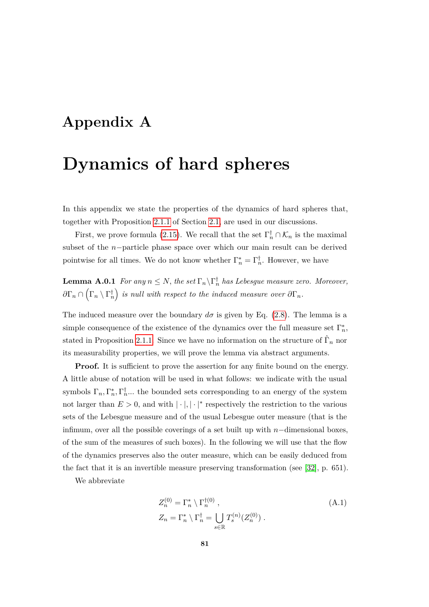## **Appendix A**

## **Dynamics of hard spheres**

In this appendix we state the properties of the dynamics of hard spheres that, together with Proposition [2.1.1](#page-16-0) of Section [2.1,](#page-14-0) are used in our discussions.

<span id="page-88-0"></span>First, we prove formula [\(2.15\)](#page-18-0). We recall that the set  $\Gamma_n^{\dagger} \cap \mathcal{K}_n$  is the maximal subset of the *n*−particle phase space over which our main result can be derived pointwise for all times. We do not know whether  $\Gamma_n^* = \Gamma_n^{\dagger}$ . However, we have

**Lemma A.0.1** *For any*  $n \leq N$ , *the set*  $\Gamma_n \backslash \Gamma_n^{\dagger}$  *has Lebesgue measure zero. Moreover*,  $\partial \Gamma_n \cap (\Gamma_n \setminus \Gamma_n^{\dagger})$  is null with respect to the induced measure over  $\partial \Gamma_n$ .

The induced measure over the boundary  $d\sigma$  is given by Eq. [\(2.8\)](#page-16-1). The lemma is a simple consequence of the existence of the dynamics over the full measure set  $\Gamma_n^*$ , stated in Proposition [2.1.1.](#page-16-0) Since we have no information on the structure of  $\hat{\Gamma}_n$  nor its measurability properties, we will prove the lemma via abstract arguments.

**Proof.** It is sufficient to prove the assertion for any finite bound on the energy. A little abuse of notation will be used in what follows: we indicate with the usual symbols  $\Gamma_n, \Gamma_n^*, \Gamma_n^{\dagger}$ ... the bounded sets corresponding to an energy of the system not larger than  $E > 0$ , and with  $|\cdot|, |\cdot|^*$  respectively the restriction to the various sets of the Lebesgue measure and of the usual Lebesgue outer measure (that is the infimum, over all the possible coverings of a set built up with *n*−dimensional boxes, of the sum of the measures of such boxes). In the following we will use that the flow of the dynamics preserves also the outer measure, which can be easily deduced from the fact that it is an invertible measure preserving transformation (see [\[32\]](#page-114-2), p. 651).

We abbreviate

$$
Z_n^{(0)} = \Gamma_n^* \setminus \Gamma_n^{\dagger(0)},
$$
  
\n
$$
Z_n = \Gamma_n^* \setminus \Gamma_n^{\dagger} = \bigcup_{s \in \mathbb{R}} T_s^{(n)}(Z_n^{(0)}).
$$
\n(A.1)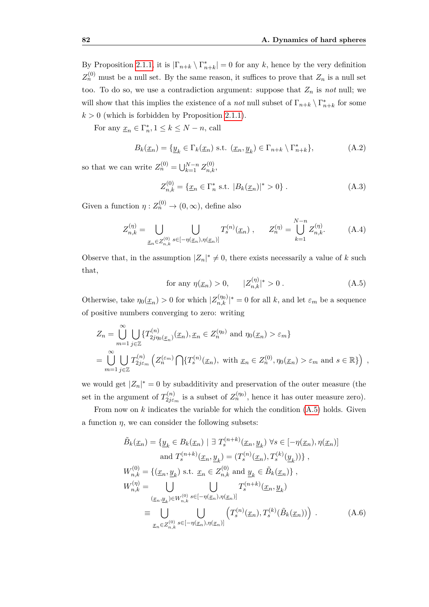By Proposition [2.1.1,](#page-16-0) it is  $|\Gamma_{n+k} \setminus \Gamma_{n+k}^*| = 0$  for any *k*, hence by the very definition  $Z_n^{(0)}$  must be a null set. By the same reason, it suffices to prove that  $Z_n$  is a null set too. To do so, we use a contradiction argument: suppose that  $Z_n$  is *not* null; we will show that this implies the existence of a *not* null subset of  $\Gamma_{n+k} \setminus \Gamma_{n+k}^*$  for some  $k > 0$  (which is forbidden by Proposition [2.1.1\)](#page-16-0).

For any  $\underline{x}_n \in \Gamma_n^*$ ,  $1 \leq k \leq N - n$ , call

$$
B_k(\underline{x}_n) = \{ \underline{y}_k \in \Gamma_k(\underline{x}_n) \text{ s.t. } (\underline{x}_n, \underline{y}_k) \in \Gamma_{n+k} \setminus \Gamma_{n+k}^* \},\tag{A.2}
$$

so that we can write  $Z_n^{(0)} = \bigcup_{k=1}^{N-n} Z_{n,k}^{(0)}$ ,

$$
Z_{n,k}^{(0)} = \{ \underline{x}_n \in \Gamma_n^* \text{ s.t. } |B_k(\underline{x}_n)|^* > 0 \} .
$$
 (A.3)

Given a function  $\eta: Z_n^{(0)} \to (0, \infty)$ , define also

$$
Z_{n,k}^{(\eta)} = \bigcup_{\underline{x}_n \in Z_{n,k}^{(0)}} \bigcup_{s \in [-\eta(\underline{x}_n), \eta(\underline{x}_n)]} T_s^{(n)}(\underline{x}_n) , \qquad Z_n^{(\eta)} = \bigcup_{k=1}^{N-n} Z_{n,k}^{(\eta)}.
$$
 (A.4)

Observe that, in the assumption  $|Z_n|^* \neq 0$ , there exists necessarily a value of *k* such that,

<span id="page-89-0"></span>for any 
$$
\eta(\underline{x}_n) > 0
$$
,  $|Z_{n,k}^{(\eta)}|^* > 0$ . (A.5)

Otherwise, take  $\eta_0(\underline{x}_n) > 0$  for which  $|Z_{n,k}^{(\eta_0)}|^* = 0$  for all *k*, and let  $\varepsilon_m$  be a sequence of positive numbers converging to zero: writing

<span id="page-89-1"></span>
$$
Z_n = \bigcup_{m=1}^{\infty} \bigcup_{j \in \mathbb{Z}} \{T_{2j\eta_0(\underline{x}_n)}^{(n)}(\underline{x}_n), \underline{x}_n \in Z_n^{(\eta_0)} \text{ and } \eta_0(\underline{x}_n) > \varepsilon_m \}
$$
  
= 
$$
\bigcup_{m=1}^{\infty} \bigcup_{j \in \mathbb{Z}} T_{2j\varepsilon_m}^{(n)} \left( Z_n^{(\varepsilon_m)} \bigcap \{ T_s^{(n)}(\underline{x}_n), \text{ with } \underline{x}_n \in Z_n^{(0)}, \eta_0(\underline{x}_n) > \varepsilon_m \text{ and } s \in \mathbb{R} \} \right),
$$

we would get  $|Z_n|^* = 0$  by subadditivity and preservation of the outer measure (the set in the argument of  $T_{2i\epsilon}^{(n)}$  $z_{j\epsilon_m}^{(n)}$  is a subset of  $Z_n^{(\eta_0)}$ , hence it has outer measure zero).

From now on  $k$  indicates the variable for which the condition  $(A.5)$  holds. Given a function *η*, we can consider the following subsets:

$$
\tilde{B}_{k}(\underline{x}_{n}) = \{ \underline{y}_{k} \in B_{k}(\underline{x}_{n}) \mid \exists T_{s}^{(n+k)}(\underline{x}_{n}, \underline{y}_{k}) \forall s \in [-\eta(\underline{x}_{n}), \eta(\underline{x}_{n})] \text{ and } T_{s}^{(n+k)}(\underline{x}_{n}, \underline{y}_{k}) = (T_{s}^{(n)}(\underline{x}_{n}), T_{s}^{(k)}(\underline{y}_{k})) \},
$$
\n
$$
W_{n,k}^{(0)} = \{ (\underline{x}_{n}, \underline{y}_{k}) \text{ s.t. } \underline{x}_{n} \in Z_{n,k}^{(0)} \text{ and } \underline{y}_{k} \in \tilde{B}_{k}(\underline{x}_{n}) \},
$$
\n
$$
W_{n,k}^{(\eta)} = \bigcup_{(\underline{x}_{n}, \underline{y}_{k}) \in W_{n,k}^{(0)}} \bigcup_{s \in [-\eta(\underline{x}_{n}), \eta(\underline{x}_{n})]} T_{s}^{(n+k)}(\underline{x}_{n}, \underline{y}_{k})
$$
\n
$$
\equiv \bigcup_{\underline{x}_{n} \in Z_{n,k}^{(0)}} \bigcup_{s \in [-\eta(\underline{x}_{n}), \eta(\underline{x}_{n})]} \left( T_{s}^{(n)}(\underline{x}_{n}), T_{s}^{(k)}(\tilde{B}_{k}(\underline{x}_{n})) \right) .
$$
\n(A.6)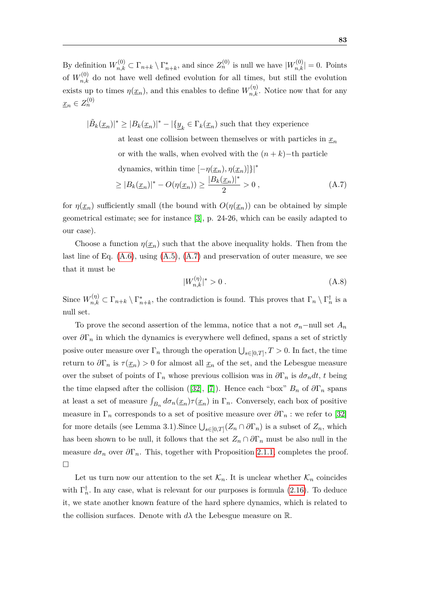By definition  $W_{n,k}^{(0)} \subset \Gamma_{n+k} \setminus \Gamma_{n+k}^*$ , and since  $Z_n^{(0)}$  is null we have  $|W_{n,k}^{(0)}| = 0$ . Points of  $W_{n,k}^{(0)}$  do not have well defined evolution for all times, but still the evolution exists up to times  $\eta(\underline{x}_n)$ , and this enables to define  $W_{n,k}^{(\eta)}$ . Notice now that for any  $x_n \in Z_n^{(0)}$ 

<span id="page-90-0"></span> $|\tilde{B}_k(\underline{x}_n)|^* \geq |B_k(\underline{x}_n)|^* - |\{\underline{y}_k \in \Gamma_k(\underline{x}_n) \text{ such that they experience}$ 

at least one collision between themselves or with particles in  $x_n$ or with the walls, when evolved with the  $(n + k)$ −th particle dynamics, within time  $[-n(x_n), n(x_n)]$ }|<sup>\*</sup>

$$
\geq |B_k(\underline{x}_n)|^* - O(\eta(\underline{x}_n)) \geq \frac{|B_k(\underline{x}_n)|^*}{2} > 0,
$$
\n(A.7)

for  $\eta(\underline{x}_n)$  sufficiently small (the bound with  $O(\eta(\underline{x}_n))$  can be obtained by simple geometrical estimate; see for instance [\[3\]](#page-112-3), p. 24-26, which can be easily adapted to our case).

Choose a function  $\eta(\underline{x}_n)$  such that the above inequality holds. Then from the last line of Eq.  $(A.6)$ , using  $(A.5)$ ,  $(A.7)$  and preservation of outer measure, we see that it must be

$$
|W_{n,k}^{(\eta)}|^* > 0.
$$
\n(A.8)

Since  $W_{n,k}^{(\eta)} \subset \Gamma_{n+k} \setminus \Gamma_{n+k}^*$ , the contradiction is found. This proves that  $\Gamma_n \setminus \Gamma_n^{\dagger}$  is a null set.

To prove the second assertion of the lemma, notice that a not  $\sigma_n$ -null set  $A_n$ over  $\partial\Gamma_n$  in which the dynamics is everywhere well defined, spans a set of strictly posive outer measure over  $\Gamma_n$  through the operation  $\bigcup_{s\in[0,T]}, T>0$ . In fact, the time return to  $\partial \Gamma_n$  is  $\tau(\underline{x}_n) > 0$  for almost all  $\underline{x}_n$  of the set, and the Lebesgue measure over the subset of points of  $\Gamma_n$  whose previous collision was in  $\partial \Gamma_n$  is  $d\sigma_n dt$ , t being the time elapsed after the collision ([\[32\]](#page-114-2), [\[7\]](#page-112-4)). Hence each "box"  $B_n$  of  $\partial \Gamma_n$  spans at least a set of measure  $\int_{B_n} d\sigma_n(\underline{x}_n) \tau(\underline{x}_n)$  in  $\Gamma_n$ . Conversely, each box of positive measure in  $\Gamma_n$  corresponds to a set of positive measure over  $\partial \Gamma_n$ : we refer to [\[32\]](#page-114-2) for more details (see Lemma 3.1).Since  $\bigcup_{s\in[0,T]} (Z_n \cap \partial \Gamma_n)$  is a subset of  $Z_n$ , which has been shown to be null, it follows that the set  $Z_n \cap \partial \Gamma_n$  must be also null in the measure  $d\sigma_n$  over  $\partial\Gamma_n$ . This, together with Proposition [2.1.1,](#page-16-0) completes the proof.  $\Box$ 

<span id="page-90-1"></span>Let us turn now our attention to the set  $\mathcal{K}_n$ . It is unclear whether  $\mathcal{K}_n$  coincides with  $\Gamma_n^{\dagger}$ . In any case, what is relevant for our purposes is formula [\(2.16\)](#page-18-1). To deduce it, we state another known feature of the hard sphere dynamics, which is related to the collision surfaces. Denote with  $d\lambda$  the Lebesgue measure on  $\mathbb R$ .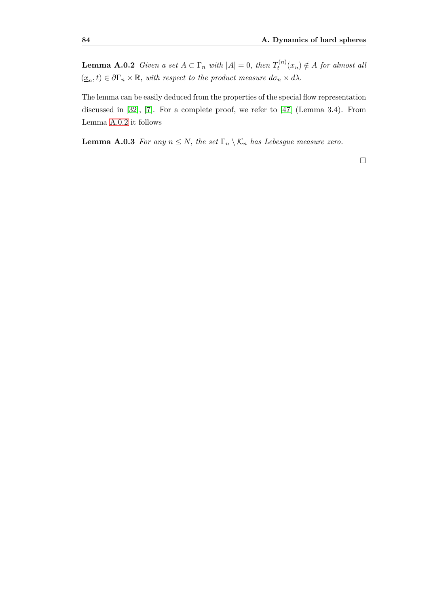**Lemma A.0.2** *Given a set*  $A \subset \Gamma_n$  *with*  $|A| = 0$ *, then*  $T_t^{(n)}$  $a_t^{(n)}(\underline{x}_n) \notin A$  *for almost all*  $(\underline{x}_n, t) \in \partial \Gamma_n \times \mathbb{R}$ , *with respect to the product measure*  $d\sigma_n \times d\lambda$ .

The lemma can be easily deduced from the properties of the special flow representation discussed in [\[32\]](#page-114-2), [\[7\]](#page-112-4). For a complete proof, we refer to [\[47\]](#page-115-0) (Lemma 3.4). From Lemma [A.0.2](#page-90-1) it follows

**Lemma A.0.3** *For any*  $n \leq N$ *, the set*  $\Gamma_n \setminus \mathcal{K}_n$  *has Lebesgue measure zero.* 

 $\Box$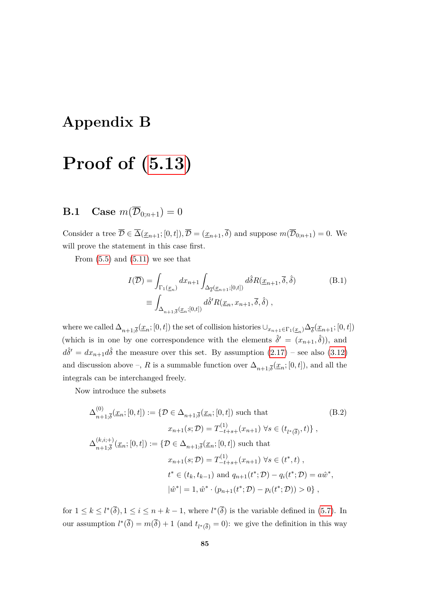### **Appendix B**

# **Proof of [\(5.13\)](#page-50-0)**

### **B.1** Case  $m(\overline{\mathcal{D}}_{0:n+1}) = 0$

Consider a tree  $\overline{\mathcal{D}} \in \overline{\Delta}(\underline{x}_{n+1};[0,t]), \overline{\mathcal{D}} = (\underline{x}_{n+1},\overline{\delta})$  and suppose  $m(\overline{\mathcal{D}}_{0;n+1}) = 0$ . We will prove the statement in this case first.

From  $(5.5)$  and  $(5.11)$  we see that

<span id="page-92-1"></span>
$$
I(\overline{\mathcal{D}}) = \int_{\Gamma_1(\underline{x}_n)} dx_{n+1} \int_{\Delta_{\overline{\delta}}(\underline{x}_{n+1};[0,t])} d\hat{\delta} R(\underline{x}_{n+1}, \overline{\delta}, \hat{\delta})
$$
(B.1)  

$$
\equiv \int_{\Delta_{n+1;\overline{\delta}}(\underline{x}_n;[0,t])} d\hat{\delta}' R(\underline{x}_n, x_{n+1}, \overline{\delta}, \hat{\delta}),
$$

where we called  $\Delta_{n+1,\overline{\delta}}(\underline{x}_n;[0,t])$  the set of collision histories  $\cup_{x_{n+1}\in\Gamma_1(\underline{x}_n)}\Delta_{\overline{\delta}}(\underline{x}_{n+1};[0,t])$ (which is in one by one correspondence with the elements  $\hat{\delta}' = (x_{n+1}, \hat{\delta})$ ), and  $d\hat{\delta}' = dx_{n+1}d\hat{\delta}$  the measure over this set. By assumption  $(2.17)$  – see also  $(3.12)$ and discussion above –, *R* is a summable function over  $\Delta_{n+1,\overline{\delta}}(\underline{x}_n;[0,t])$ , and all the integrals can be interchanged freely.

Now introduce the subsets

<span id="page-92-0"></span>
$$
\Delta_{n+1,\overline{\delta}}^{(0)}(\underline{x}_n;[0,t]) := \{ \mathcal{D} \in \Delta_{n+1,\overline{\delta}}(\underline{x}_n;[0,t]) \text{ such that } \qquad (B.2)
$$
  
\n
$$
x_{n+1}(s; \mathcal{D}) = T_{-t+s+}^{(1)}(x_{n+1}) \ \forall s \in (t_{l^*(\overline{\delta})}, t) \},
$$
  
\n
$$
\Delta_{n+1,\overline{\delta}}^{(k,i;+)}(\underline{x}_n;[0,t]) := \{ \mathcal{D} \in \Delta_{n+1,\overline{\delta}}(\underline{x}_n;[0,t]) \text{ such that }
$$
  
\n
$$
x_{n+1}(s; \mathcal{D}) = T_{-t+s+}^{(1)}(x_{n+1}) \ \forall s \in (t^*, t) ,
$$
  
\n
$$
t^* \in (t_k, t_{k-1}) \text{ and } q_{n+1}(t^*; \mathcal{D}) - q_i(t^*; \mathcal{D}) = a\hat{w}^*,
$$
  
\n
$$
|\hat{w}^*| = 1, \hat{w}^* \cdot (p_{n+1}(t^*; \mathcal{D}) - p_i(t^*; \mathcal{D})) > 0 \},
$$

for  $1 \leq k \leq l^*(\overline{\delta}), 1 \leq i \leq n+k-1$ , where  $l^*(\overline{\delta})$  is the variable defined in [\(5.7\)](#page-47-1). In our assumption  $l^*(\overline{\delta}) = m(\overline{\delta}) + 1$  (and  $t_{l^*(\overline{\delta})} = 0$ ): we give the definition in this way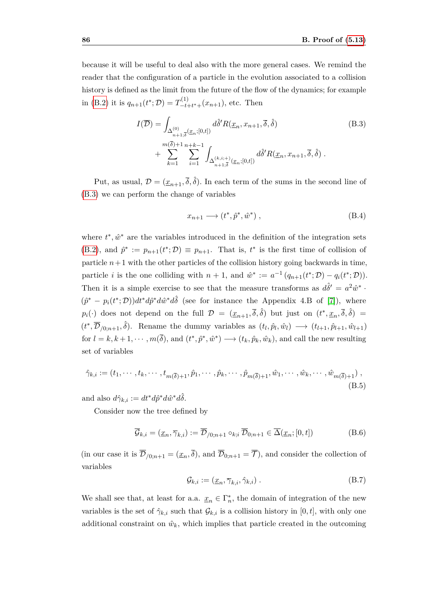because it will be useful to deal also with the more general cases. We remind the reader that the configuration of a particle in the evolution associated to a collision history is defined as the limit from the future of the flow of the dynamics; for example in [\(B.2\)](#page-92-0) it is  $q_{n+1}(t^*; \mathcal{D}) = T_{-t}^{(1)}$  $\frac{f^{(1)}}{-t+t^*+}(x_{n+1}),$  etc. Then

<span id="page-93-0"></span>
$$
I(\overline{\mathcal{D}}) = \int_{\Delta_{n+1,\overline{\delta}}^{(0)}(\underline{x}_n;[0,t])} d\hat{\delta}' R(\underline{x}_n, x_{n+1}, \overline{\delta}, \hat{\delta})
$$
(B.3)  
+ 
$$
\sum_{k=1}^{m(\overline{\delta})+1} \sum_{i=1}^{n+k-1} \int_{\Delta_{n+1,\overline{\delta}}^{(k,i;+)}(\underline{x}_n;[0,t])} d\hat{\delta}' R(\underline{x}_n, x_{n+1}, \overline{\delta}, \hat{\delta}) .
$$

Put, as usual,  $\mathcal{D} = (\underline{x}_{n+1}, \overline{\delta}, \hat{\delta})$ . In each term of the sums in the second line of [\(B.3\)](#page-93-0) we can perform the change of variables

$$
x_{n+1} \longrightarrow (t^*, \hat{p}^*, \hat{w}^*) , \qquad (B.4)
$$

where  $t^*, \hat{w}^*$  are the variables introduced in the definition of the integration sets [\(B.2\)](#page-92-0), and  $\hat{p}^* := p_{n+1}(t^*; \mathcal{D}) \equiv p_{n+1}$ . That is,  $t^*$  is the first time of collision of particle  $n+1$  with the other particles of the collision history going backwards in time. particle *i* is the one colliding with  $n + 1$ , and  $\hat{w}^* := a^{-1}(q_{n+1}(t^*; \mathcal{D}) - q_i(t^*; \mathcal{D}))$ . Then it is a simple exercise to see that the measure transforms as  $d\hat{\delta}^{\prime} = a^2 \hat{w}^*$ .  $(\hat{p}^* - p_i(t^*; \mathcal{D}))dt^*d\hat{p}^*d\hat{w}^*d\hat{\delta}$  (see for instance the Appendix 4.B of [\[7\]](#page-112-4)), where  $p_i(\cdot)$  does not depend on the full  $\mathcal{D} = (\underline{x}_{n+1}, \overline{\delta}, \hat{\delta})$  but just on  $(t^*, \underline{x}_n, \overline{\delta}, \hat{\delta})$  $(t^*, \overline{\mathcal{D}}_{/0;n+1}, \hat{\delta})$ . Rename the dummy variables as  $(t_l, \hat{p}_l, \hat{w}_l) \longrightarrow (t_{l+1}, \hat{p}_{l+1}, \hat{w}_{l+1})$ for  $l = k, k + 1, \dots, m(\overline{\delta})$ , and  $(t^*, \hat{p}^*, \hat{w}^*) \longrightarrow (t_k, \hat{p}_k, \hat{w}_k)$ , and call the new resulting set of variables

<span id="page-93-1"></span>
$$
\hat{\gamma}_{k,i} := (t_1, \cdots, t_k, \cdots, t_{m(\bar{\delta})+1}, \hat{p}_1, \cdots, \hat{p}_k, \cdots, \hat{p}_{m(\bar{\delta})+1}, \hat{w}_1, \cdots, \hat{w}_k, \cdots, \hat{w}_{m(\bar{\delta})+1}),
$$
\n(B.5)

and also  $d\hat{\gamma}_{k,i} := dt^* d\hat{p}^* d\hat{w}^* d\hat{\delta}.$ 

Consider now the tree defined by

<span id="page-93-2"></span>
$$
\overline{\mathcal{G}}_{k,i} = (\underline{x}_n, \overline{\gamma}_{k,i}) := \overline{\mathcal{D}}_{/0;n+1} \circ_{k;i} \overline{\mathcal{D}}_{0;n+1} \in \overline{\Delta}(\underline{x}_n; [0, t])
$$
(B.6)

(in our case it is  $\overline{\mathcal{D}}_{0,n+1} = (\underline{x}_n, \overline{\delta})$ , and  $\overline{\mathcal{D}}_{0,n+1} = \overline{\mathcal{T}}$ ), and consider the collection of variables

<span id="page-93-3"></span>
$$
\mathcal{G}_{k,i} := (\underline{x}_n, \overline{\gamma}_{k,i}, \hat{\gamma}_{k,i}) .
$$
\n(B.7)

We shall see that, at least for a.a.  $\underline{x}_n \in \Gamma_n^*$ , the domain of integration of the new variables is the set of  $\hat{\gamma}_{k,i}$  such that  $\mathcal{G}_{k,i}$  is a collision history in [0, t], with only one additional constraint on  $\hat{w}_k$ , which implies that particle created in the outcoming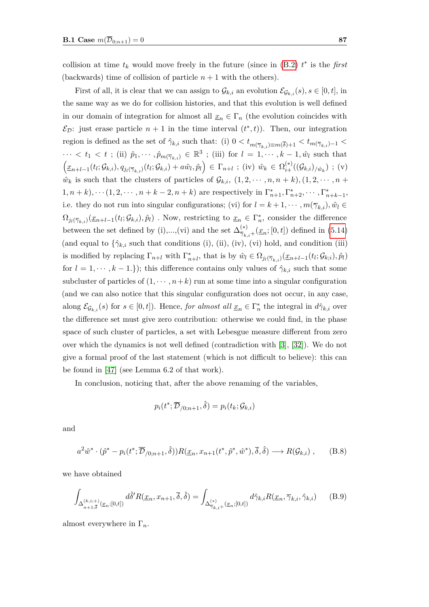collision at time  $t_k$  would move freely in the future (since in  $(B.2)$   $t^*$  is the *first* (backwards) time of collision of particle  $n + 1$  with the others).

First of all, it is clear that we can assign to  $\mathcal{G}_{k,i}$  an evolution  $\mathcal{E}_{\mathcal{G}_{k,i}}(s), s \in [0, t]$ , in the same way as we do for collision histories, and that this evolution is well defined in our domain of integration for almost all  $\underline{x}_n \in \Gamma_n$  (the evolution coincides with  $\mathcal{E}_{\mathcal{D}}$ : just erase particle  $n+1$  in the time interval  $(t^*,t)$ ). Then, our integration region is defined as the set of  $\hat{\gamma}_{k,i}$  such that: (i)  $0 < t_{m(\overline{\gamma}_{k,i}) \equiv m(\overline{\delta})+1} < t_{m(\overline{\gamma}_{k,i})-1} <$  $\cdots < t_1 < t$ ; (ii)  $\hat{p}_1, \cdots, \hat{p}_{m(\overline{\gamma}_{k,i})} \in \mathbb{R}^3$ ; (iii) for  $l = 1, \cdots, k-1, \hat{w}_l$  such that  $\left(\underline{x}_{n+l-1}(t_l;\mathcal{G}_{k,i}),q_{j_l(\overline{\gamma}_{k,i})}(t_l;\mathcal{G}_{k,i})+a\hat{w}_l,\hat{p}_l\right) \in \Gamma_{n+l} \; ; \; (iv) \; \hat{w}_k \in \Omega_{i+}^{(*)}((\mathcal{G}_{k,i})_{/\hat{w}_k}) \; ; \; (v)$  $\hat{w}_k$  is such that the clusters of particles of  $\mathcal{G}_{k,i}$ ,  $(1, 2, \dots, n, n+k)$ ,  $(1, 2, \dots, n+1)$  $(1, n+k), \dots (1, 2, \dots, n+k-2, n+k)$  are respectively in  $\Gamma_{n+1}^*, \Gamma_{n+2}^*, \dots, \Gamma_{n+k-1}^*,$ i.e. they do not run into singular configurations; (vi) for  $l = k + 1, \dots, m(\overline{\gamma}_{k,i}), \hat{w}_l \in$  $\Omega_{j_l(\overline{\gamma}_{k,i})}(\underline{x}_{n+l-1}(t_l;\mathcal{G}_{k,i}),\hat{p}_l)$  *.* Now, restricting to  $\underline{x}_n \in \Gamma_n^*$ , consider the difference between the set defined by (i),...,(vi) and the set  $\Delta_{\overline{\gamma}_{k,i}+}^{(*)}(x_n;[0,t])$  defined in [\(5.14\)](#page-51-0) (and equal to  $\{\hat{\gamma}_{k,i}\right.$  such that conditions (i), (ii), (iv), (vi) hold, and condition (iii) is modified by replacing  $\Gamma_{n+l}$  with  $\Gamma_{n+l}^*$ , that is by  $\hat{w}_l \in \Omega_{j_l(\overline{\gamma}_{k,i})}(\underline{x}_{n+l-1}(t_l;\mathcal{G}_{k,i}),\hat{p}_l)$ for  $l = 1, \dots, k - 1$ .}); this difference contains only values of  $\hat{\gamma}_{k,i}$  such that some subcluster of particles of  $(1, \dots, n+k)$  run at some time into a singular configuration (and we can also notice that this singular configuration does not occur, in any case, along  $\mathcal{E}_{\mathcal{G}_{k,i}}(s)$  for  $s \in [0,t]$ ). Hence, *for almost all*  $\underline{x}_n \in \Gamma_n^*$  the integral in  $d\hat{\gamma}_{k,i}$  over the difference set must give zero contribution: otherwise we could find, in the phase space of such cluster of particles, a set with Lebesgue measure different from zero over which the dynamics is not well defined (contradiction with [\[3\]](#page-112-3), [\[32\]](#page-114-2)). We do not give a formal proof of the last statement (which is not difficult to believe): this can be found in [\[47\]](#page-115-0) (see Lemma 6.2 of that work).

In conclusion, noticing that, after the above renaming of the variables,

$$
p_i(t^*; \overline{\mathcal{D}}_{/0; n+1}, \hat{\delta}) = p_i(t_k; \mathcal{G}_{k,i})
$$

and

$$
a^2\hat{w}^*\cdot(\hat{p}^* - p_i(t^*; \overline{\mathcal{D}}_{/0;n+1}, \hat{\delta}))R(\underline{x}_n, x_{n+1}(t^*, \hat{p}^*, \hat{w}^*), \overline{\delta}, \hat{\delta}) \longrightarrow R(\mathcal{G}_{k,i}), \quad (B.8)
$$

we have obtained

<span id="page-94-0"></span>
$$
\int_{\Delta_{n+1,\overline{\delta}}^{(k,i;+)}(x_n;[0,t])} d\widehat{\delta}' R(\underline{x}_n, x_{n+1}, \overline{\delta}, \widehat{\delta}) = \int_{\Delta_{\overline{\gamma}_{k,i}^+}^{(*)}(x_n;[0,t])} d\widehat{\gamma}_{k,i} R(\underline{x}_n, \overline{\gamma}_{k,i}, \widehat{\gamma}_{k,i}) \qquad (B.9)
$$

almost everywhere in Γ*n*.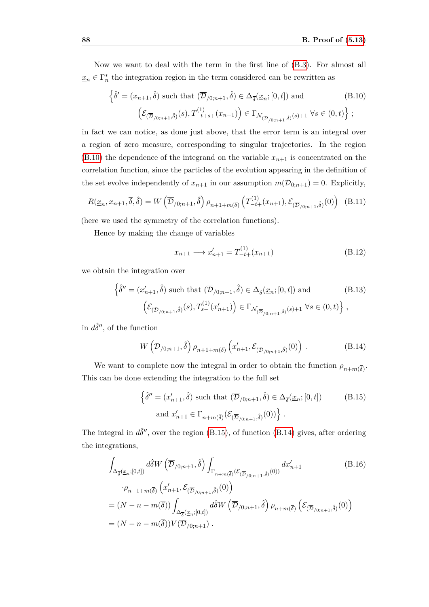Now we want to deal with the term in the first line of [\(B.3\)](#page-93-0). For almost all  $\underline{x}_n \in \Gamma_n^*$  the integration region in the term considered can be rewritten as

<span id="page-95-0"></span>
$$
\left\{\hat{\delta}^{\prime} = (x_{n+1}, \hat{\delta}) \text{ such that } (\overline{\mathcal{D}}_{/0;n+1}, \hat{\delta}) \in \Delta_{\overline{\delta}}(\underline{x}_n; [0, t]) \text{ and } (\text{B.10})\right.
$$

$$
\left(\mathcal{E}_{(\overline{\mathcal{D}}_{/0;n+1}, \hat{\delta})}(s), T_{-t+s+}^{(1)}(x_{n+1})\right) \in \Gamma_{\mathcal{N}_{(\overline{\mathcal{D}}_{/0;n+1}, \hat{\delta})}(s)+1} \,\forall s \in (0, t)\right\};
$$

in fact we can notice, as done just above, that the error term is an integral over a region of zero measure, corresponding to singular trajectories. In the region  $(B.10)$  the dependence of the integrand on the variable  $x_{n+1}$  is concentrated on the correlation function, since the particles of the evolution appearing in the definition of the set evolve independently of  $x_{n+1}$  in our assumption  $m(\overline{\mathcal{D}}_{0,n+1}) = 0$ . Explicitly,

$$
R(\underline{x}_n, x_{n+1}, \overline{\delta}, \widehat{\delta}) = W\left(\overline{\mathcal{D}}_{/0; n+1}, \widehat{\delta}\right) \rho_{n+1+m(\overline{\delta})} \left(T_{-t+}^{(1)}(x_{n+1}), \mathcal{E}_{(\overline{\mathcal{D}}_{/0; n+1}, \widehat{\delta})}(0)\right) \tag{B.11}
$$

(here we used the symmetry of the correlation functions).

Hence by making the change of variables

$$
x_{n+1} \longrightarrow x'_{n+1} = T^{(1)}_{-t+}(x_{n+1})
$$
\n(B.12)

we obtain the integration over

$$
\left\{\hat{\delta}'' = (x'_{n+1}, \hat{\delta}) \text{ such that } (\overline{\mathcal{D}}_{/0;n+1}, \hat{\delta}) \in \Delta_{\overline{\delta}}(\underline{x}_n; [0, t]) \text{ and } (\text{B.13})\right.
$$

$$
\left(\mathcal{E}_{(\overline{\mathcal{D}}_{/0;n+1},\hat{\delta})}(s), T_{s-}^{(1)}(x'_{n+1})\right) \in \Gamma_{\mathcal{N}_{(\overline{\mathcal{D}}_{/0;n+1},\hat{\delta})}(s)+1} \,\forall s \in (0, t)\right\},
$$

in  $d\hat{\delta}^{\prime\prime}$ , of the function

<span id="page-95-2"></span>
$$
W\left(\overline{\mathcal{D}}_{/0;n+1},\hat{\delta}\right)\rho_{n+1+m(\overline{\delta})}\left(x'_{n+1},\mathcal{E}_{(\overline{\mathcal{D}}_{/0;n+1},\hat{\delta})}(0)\right) \tag{B.14}
$$

We want to complete now the integral in order to obtain the function  $\rho_{n+m(\overline{\delta})}$ . This can be done extending the integration to the full set

<span id="page-95-1"></span>
$$
\left\{\hat{\delta}'' = (x'_{n+1}, \hat{\delta}) \text{ such that } (\overline{\mathcal{D}}_{/0;n+1}, \hat{\delta}) \in \Delta_{\overline{\delta}}(\underline{x}_n; [0, t])\right\}
$$
(B.15)  
and  $x'_{n+1} \in \Gamma_{n+m(\overline{\delta})}(\mathcal{E}_{(\overline{\mathcal{D}}_{/0;n+1}, \hat{\delta})}(0))\right\}.$ 

The integral in  $d\hat{\delta}''$ , over the region [\(B.15\)](#page-95-1), of function [\(B.14\)](#page-95-2) gives, after ordering the integrations,

$$
\int_{\Delta_{\overline{\delta}}(\underline{x}_{n};[0,t])} d\hat{\delta}W\left(\overline{\mathcal{D}}_{/0;n+1},\hat{\delta}\right) \int_{\Gamma_{n+m(\overline{\delta})}} (\mathcal{E}_{(\overline{\mathcal{D}}_{/0;n+1},\hat{\delta})}(0))} dx'_{n+1}
$$
\n
$$
\cdot \rho_{n+1+m(\overline{\delta})} \left(x'_{n+1}, \mathcal{E}_{(\overline{\mathcal{D}}_{/0;n+1},\hat{\delta})}(0)\right)
$$
\n
$$
= (N-n-m(\overline{\delta})) \int_{\Delta_{\overline{\delta}}(\underline{x}_{n};[0,t])} d\hat{\delta}W\left(\overline{\mathcal{D}}_{/0;n+1},\hat{\delta}\right) \rho_{n+m(\overline{\delta})} \left(\mathcal{E}_{(\overline{\mathcal{D}}_{/0;n+1},\hat{\delta})}(0)\right)
$$
\n
$$
= (N-n-m(\overline{\delta}))V(\overline{\mathcal{D}}_{/0;n+1}).
$$
\n(B.16)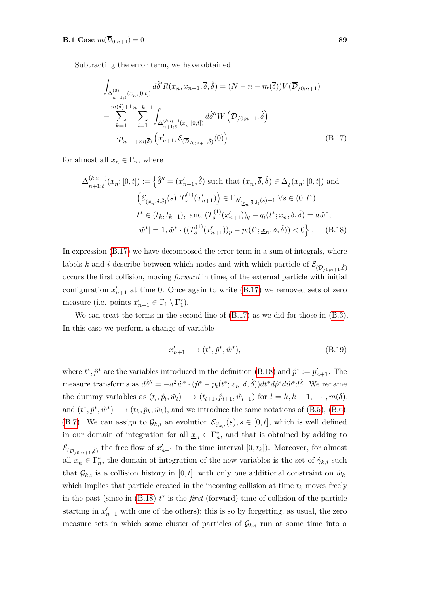Subtracting the error term, we have obtained

<span id="page-96-0"></span>
$$
\int_{\Delta_{n+1,\overline{\delta}}^{(0)}(\underline{x}_{n};[0,t])} d\hat{\delta}' R(\underline{x}_{n},x_{n+1},\overline{\delta},\hat{\delta}) = (N-n-m(\overline{\delta}))V(\overline{\mathcal{D}}_{/0;n+1})
$$
\n
$$
-\sum_{k=1}^{m(\overline{\delta})+1} \sum_{i=1}^{n+k-1} \int_{\Delta_{n+1,\overline{\delta}}^{(k,i,-)}(\underline{x}_{n};[0,t])} d\hat{\delta}'' W\left(\overline{\mathcal{D}}_{/0;n+1},\hat{\delta}\right)
$$
\n
$$
\cdot \rho_{n+1+m(\overline{\delta})} \left(x'_{n+1},\mathcal{E}_{(\overline{\mathcal{D}}_{/0;n+1},\hat{\delta})}(0)\right) \tag{B.17}
$$

for almost all  $\underline{x}_n \in \Gamma_n$ , where

<span id="page-96-1"></span>
$$
\Delta_{n+1,\overline{\delta}}^{(k,i;-)}(\underline{x}_n;[0,t]) := \left\{\hat{\delta}'' = (x'_{n+1},\hat{\delta}) \text{ such that } (\underline{x}_n,\overline{\delta},\hat{\delta}) \in \Delta_{\overline{\delta}}(\underline{x}_n;[0,t]) \text{ and}
$$

$$
\left(\mathcal{E}_{(\underline{x}_n,\overline{\delta},\hat{\delta})}(s), T_{s-}^{(1)}(x'_{n+1})\right) \in \Gamma_{\mathcal{N}_{(\underline{x}_n,\overline{\delta},\hat{\delta})}(s)+1} \,\forall s \in (0,t^*),
$$

$$
t^* \in (t_k, t_{k-1}), \text{ and } (T_{s-}^{(1)}(x'_{n+1}))_q - q_i(t^*; \underline{x}_n, \overline{\delta}, \hat{\delta}) = a\hat{w}^*,
$$

$$
|\hat{w}^*| = 1, \hat{w}^* \cdot ((T_{s-}^{(1)}(x'_{n+1}))_p - p_i(t^*; \underline{x}_n, \overline{\delta}, \hat{\delta})) < 0 \right\}.
$$
 (B.18)

In expression [\(B.17\)](#page-96-0) we have decomposed the error term in a sum of integrals, where labels *k* and *i* describe between which nodes and with which particle of  $\mathcal{E}_{(\overline{D}/0,n+1},\hat{\delta})$ occurs the first collision, moving *forward* in time, of the external particle with initial configuration  $x'_{n+1}$  at time 0. Once again to write [\(B.17\)](#page-96-0) we removed sets of zero measure (i.e. points  $x'_{n+1} \in \Gamma_1 \setminus \Gamma_1^*$ ).

We can treat the terms in the second line of  $(B.17)$  as we did for those in  $(B.3)$ . In this case we perform a change of variable

$$
x'_{n+1} \longrightarrow (t^*, \hat{p}^*, \hat{w}^*), \tag{B.19}
$$

where  $t^*, \hat{p}^*$  are the variables introduced in the definition [\(B.18\)](#page-96-1) and  $\hat{p}^* := p'_{n+1}$ . The measure transforms as  $d\hat{\delta}'' = -a^2 \hat{w}^* \cdot (\hat{p}^* - p_i(t^*; \underline{x}_n, \overline{\delta}, \hat{\delta})) dt^* d\hat{p}^* d\hat{w}^* d\hat{\delta}$ . We rename the dummy variables as  $(t_l, \hat{p}_l, \hat{w}_l) \longrightarrow (t_{l+1}, \hat{p}_{l+1}, \hat{w}_{l+1})$  for  $l = k, k+1, \dots, m(\delta)$ , and  $(t^*, \hat{p}^*, \hat{w}^*) \longrightarrow (t_k, \hat{p}_k, \hat{w}_k)$ , and we introduce the same notations of [\(B.5\)](#page-93-1), [\(B.6\)](#page-93-2), [\(B.7\)](#page-93-3). We can assign to  $\mathcal{G}_{k,i}$  an evolution  $\mathcal{E}_{\mathcal{G}_{k,i}}(s), s \in [0,t]$ , which is well defined in our domain of integration for all  $\underline{x}_n \in \Gamma_n^*$ , and that is obtained by adding to  $\mathcal{E}_{(\overline{\mathcal{D}}_{/0;n+1},\hat{\delta})}$  the free flow of  $x'_{n+1}$  in the time interval  $[0,t_k]$ ). Moreover, for almost all  $\underline{x}_n \in \Gamma_n^*$ , the domain of integration of the new variables is the set of  $\hat{\gamma}_{k,i}$  such that  $\mathcal{G}_{k,i}$  is a collision history in  $[0,t]$ , with only one additional constraint on  $\hat{w}_k$ , which implies that particle created in the incoming collision at time  $t_k$  moves freely in the past (since in [\(B.18\)](#page-96-1) *t* ∗ is the *first* (forward) time of collision of the particle starting in  $x'_{n+1}$  with one of the others); this is so by forgetting, as usual, the zero measure sets in which some cluster of particles of  $\mathcal{G}_{k,i}$  run at some time into a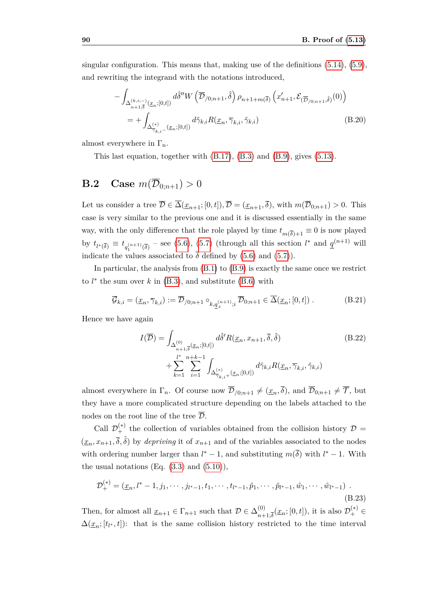singular configuration. This means that, making use of the definitions  $(5.14)$ ,  $(5.9)$ , and rewriting the integrand with the notations introduced,

$$
-\int_{\Delta_{n+1;\tilde{\delta}}^{(k,i;-)}(\underline{x}_{n};[0,t])} d\hat{\delta}'' W\left(\overline{\mathcal{D}}_{/0;n+1},\hat{\delta}\right) \rho_{n+1+m(\overline{\delta})} \left(x'_{n+1},\mathcal{E}_{(\overline{\mathcal{D}}_{/0;n+1},\hat{\delta})}(0)\right)
$$
  

$$
= + \int_{\Delta_{\overline{\gamma}_{k,i}-(\underline{x}_{n};[0,t])}} d\hat{\gamma}_{k,i} R(\underline{x}_{n},\overline{\gamma}_{k,i},\hat{\gamma}_{k,i})
$$
(B.20)

almost everywhere in Γ*n*.

This last equation, together with [\(B.17\)](#page-96-0), [\(B.3\)](#page-93-0) and [\(B.9\)](#page-94-0), gives [\(5.13\)](#page-50-0).

#### **B.2** Case  $m(\overline{\mathcal{D}}_{0:n+1}) > 0$

Let us consider a tree  $\overline{\mathcal{D}} \in \overline{\Delta}(\underline{x}_{n+1};[0,t]), \overline{\mathcal{D}} = (\underline{x}_{n+1},\overline{\delta})$ , with  $m(\overline{\mathcal{D}}_{0:n+1}) > 0$ . This case is very similar to the previous one and it is discussed essentially in the same way, with the only difference that the role played by time  $t_{m(\delta)+1} \equiv 0$  is now played by  $t_{l^*(\overline{\delta})} \equiv t_{q_1^{(n+1)}(\overline{\delta})}$  – see [\(5.6\)](#page-47-2), [\(5.7\)](#page-47-1) (through all this section  $l^*$  and  $q^{(n+1)}$  will indicate the values associated to  $\bar{\delta}$  defined by [\(5.6\)](#page-47-2) and [\(5.7\)](#page-47-1)).

In particular, the analysis from [\(B.1\)](#page-92-1) to [\(B.9\)](#page-94-0) is exactly the same once we restrict to  $l^*$  the sum over  $k$  in  $(B.3)$ , and substitute  $(B.6)$  with

<span id="page-97-1"></span>
$$
\overline{\mathcal{G}}_{k,i} = (\underline{x}_n, \overline{\gamma}_{k,i}) := \overline{\mathcal{D}}_{/0;n+1} \circ_{k,\underline{q}_+^{(n+1)};i} \overline{\mathcal{D}}_{0;n+1} \in \overline{\Delta}(\underline{x}_n; [0,t]) .
$$
 (B.21)

Hence we have again

(∗)

<span id="page-97-0"></span>
$$
I(\overline{\mathcal{D}}) = \int_{\Delta_{n+1,\overline{\delta}}^{(0)}(\underline{x}_n;[0,t])} d\hat{\delta}' R(\underline{x}_n, x_{n+1}, \overline{\delta}, \hat{\delta})
$$
(B.22)  
+ 
$$
\sum_{k=1}^{l^*} \sum_{i=1}^{n+k-1} \int_{\Delta_{\overline{\gamma}_{k,i}+}^{(*)}(\underline{x}_n;[0,t])} d\hat{\gamma}_{k,i} R(\underline{x}_n, \overline{\gamma}_{k,i}, \hat{\gamma}_{k,i})
$$

almost everywhere in  $\Gamma_n$ . Of course now  $\overline{\mathcal{D}}_{/0:n+1} \neq (\underline{x}_n, \overline{\delta})$ , and  $\overline{\mathcal{D}}_{0:n+1} \neq \overline{\mathcal{T}}$ , but they have a more complicated structure depending on the labels attached to the nodes on the root line of the tree  $\overline{\mathcal{D}}$ .

Call  $\mathcal{D}_{+}^{(*)}$  the collection of variables obtained from the collision history  $\mathcal{D} =$  $(x_n, x_{n+1}, \overline{\delta}, \hat{\delta})$  by *depriving* it of  $x_{n+1}$  and of the variables associated to the nodes with ordering number larger than  $l^* - 1$ , and substituting  $m(\overline{\delta})$  with  $l^* - 1$ . With the usual notations  $(Eq. (3.3)$  $(Eq. (3.3)$  and  $(5.10)$ ,

$$
\mathcal{D}_{+}^{(*)} = (\underline{x}_n, l^* - 1, j_1, \cdots, j_{l^* - 1}, t_1, \cdots, t_{l^* - 1}, \hat{p}_1, \cdots, \hat{p}_{l^* - 1}, \hat{w}_1, \cdots, \hat{w}_{l^* - 1})
$$
\n(B.23)

Then, for almost all  $\underline{x}_{n+1} \in \Gamma_{n+1}$  such that  $\mathcal{D} \in \Delta_{n+1}^{(0)}$  $_{n+1;\overline{\delta}}^{(0)}(\underline{x}_n;[0,t]),$  it is also  $\mathcal{D}_+^{(*)}$  ∈  $\Delta(\underline{x}_n; [t_{l^*}, t])$ : that is the same collision history restricted to the time interval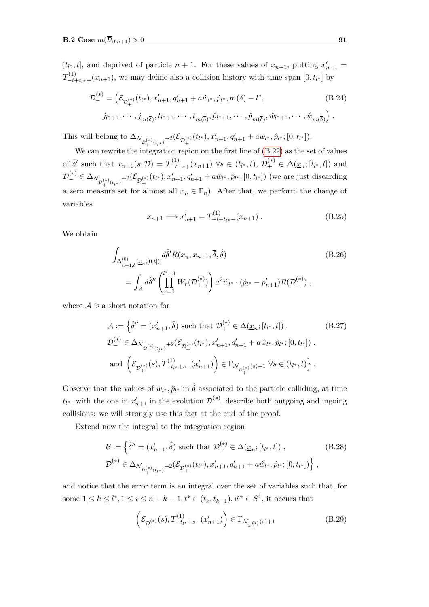$(t_{l^*}, t]$ , and deprived of particle  $n + 1$ . For these values of  $\underline{x}_{n+1}$ , putting  $x'_{n+1} =$  $T_{-t+t_{l^*}+}(x_{n+1})$ , we may define also a collision history with time span  $[0, t_{l^*}]$  by

$$
\mathcal{D}_{-}^{(*)} = \left( \mathcal{E}_{\mathcal{D}_{+}^{(*)}}(t_{l^{*}}), x'_{n+1}, q'_{n+1} + a\hat{w}_{l^{*}}, \hat{p}_{l^{*}}, m(\bar{\delta}) - l^{*}, \right. \tag{B.24}
$$
\n
$$
j_{l^{*}+1}, \cdots, j_{m(\bar{\delta})}, t_{l^{*}+1}, \cdots, t_{m(\bar{\delta})}, \hat{p}_{l^{*}+1}, \cdots, \hat{p}_{m(\bar{\delta})}, \hat{w}_{l^{*}+1}, \cdots, \hat{w}_{m(\bar{\delta})} \right).
$$

This will belong to  $\Delta_{\mathcal{N}_{\mathcal{D}_{+}^{(*)}(t_{l^*})}+2}(\mathcal{E}_{\mathcal{D}_{+}^{(*)}}(t_{l^*}), x'_{n+1}, q'_{n+1} + a\hat{w}_{l^*}, \hat{p}_{l^*}; [0, t_{l^*}]).$ 

We can rewrite the integration region on the first line of  $(B.22)$  as the set of values of  $\hat{\delta}'$  such that  $x_{n+1}(s;\mathcal{D}) = T_{-t+s+}^{(1)}(x_{n+1}) \,\forall s \in (t_{l^*},t), \,\mathcal{D}_+^{(*)} \in \Delta(\underline{x}_n;[t_{l^*},t])$  and  $\mathcal{D}_{-}^{(*)} \in \Delta_{\mathcal{N}_{\mathcal{D}_{+}^{(*)}(t_{l^*})}+2}(\mathcal{E}_{\mathcal{D}_{+}^{(*)}}(t_{l^*}),x_{n+1}',q_{n+1}'+a\hat{w}_{l^*},\hat{p}_{l^*};[0,t_{l^*}])$  (we are just discarding a zero measure set for almost all  $\underline{x}_n \in \Gamma_n$ ). After that, we perform the change of variables

$$
x_{n+1} \longrightarrow x'_{n+1} = T^{(1)}_{-t+t_{l^*}+}(x_{n+1}) . \tag{B.25}
$$

We obtain

<span id="page-98-0"></span>
$$
\int_{\Delta_{n+1,\overline{\delta}}^{(0)}(x_n;[0,t])} d\hat{\delta}' R(\underline{x}_n, x_{n+1}, \overline{\delta}, \hat{\delta})
$$
\n
$$
= \int_{\mathcal{A}} d\hat{\delta}'' \left( \prod_{r=1}^{l^* - 1} W_r(\mathcal{D}_+^{(*)}) \right) a^2 \hat{w}_{l^*} \cdot (\hat{p}_{l^*} - p'_{n+1}) R(\mathcal{D}_-^{(*)}),
$$
\n(B.26)

where  $A$  is a short notation for

$$
\mathcal{A} := \left\{ \hat{\delta}'' = (x'_{n+1}, \hat{\delta}) \text{ such that } \mathcal{D}_{+}^{(*)} \in \Delta(\underline{x}_{n}; [t_{l^*}, t]) ,\right\}
$$
\n
$$
\mathcal{D}_{-}^{(*)} \in \Delta_{\mathcal{N}_{\mathcal{D}_{+}^{(*)}(t_{l^*})} + 2}(\mathcal{E}_{\mathcal{D}_{+}^{(*)}}(t_{l^*}), x'_{n+1}, q'_{n+1} + a\hat{w}_{l^*}, \hat{p}_{l^*}; [0, t_{l^*}]) ,\right\}
$$
\n
$$
\text{and } \left( \mathcal{E}_{\mathcal{D}_{+}^{(*)}}(s), T_{-t_{l^*}+s-}^{(1)}(x'_{n+1}) \right) \in \Gamma_{\mathcal{N}_{\mathcal{D}_{+}^{(*)}}(s)+1} \ \forall s \in (t_{l^*}, t) \right\} .
$$

Observe that the values of  $\hat{w}_{l^*}, \hat{p}_{l^*}$  in  $\hat{\delta}$  associated to the particle colliding, at time  $t_{l^*}$ , with the one in  $x'_{n+1}$  in the evolution  $\mathcal{D}_{-}^{(*)}$ , describe both outgoing and ingoing collisions: we will strongly use this fact at the end of the proof.

Extend now the integral to the integration region

$$
\mathcal{B} := \left\{ \hat{\delta}'' = (x'_{n+1}, \hat{\delta}) \text{ such that } \mathcal{D}_+^{(*)} \in \Delta(\underline{x}_n; [t_{l^*}, t]) ,\right\}
$$
\n
$$
\mathcal{D}_-^{(*)} \in \Delta_{\mathcal{N}_{\mathcal{D}_+^{(*)}(t_{l^*})} + 2}(\mathcal{E}_{\mathcal{D}_+^{(*)}(t_{l^*})}, x'_{n+1}, q'_{n+1} + a\hat{w}_{l^*}, \hat{p}_{l^*}; [0, t_{l^*}]) \right\},
$$
\n(B.28)

and notice that the error term is an integral over the set of variables such that, for some  $1 \leq k \leq l^*, 1 \leq i \leq n+k-1, t^* \in (t_k, t_{k-1}), \hat{w}^* \in S^1$ , it occurs that

$$
\left(\mathcal{E}_{\mathcal{D}_{+}^{(*)}}(s), T_{-t_{l^{*}}+s-}^{(1)}(x'_{n+1})\right) \in \Gamma_{\mathcal{N}_{\mathcal{D}_{+}^{(*)}}(s)+1}
$$
\n(B.29)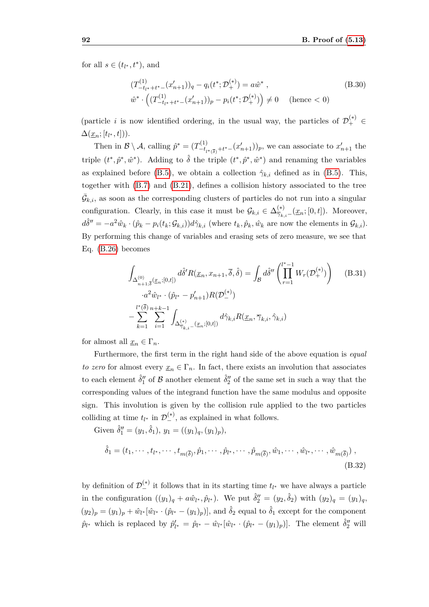for all  $s \in (t_{l^*}, t^*)$ , and

$$
(T_{-t_{l^*}+t^*}^{(1)} - (x'_{n+1}))_q - q_i(t^*; \mathcal{D}_+^{(*)}) = a\hat{w}^*,
$$
  
\n
$$
\hat{w}^* \cdot \left( (T_{-t_{l^*}+t^*}^{(1)} - (x'_{n+1}))_p - p_i(t^*; \mathcal{D}_+^{(*)}) \right) \neq 0 \quad \text{(hence } < 0)
$$
\n(B.30)

(particle *i* is now identified ordering, in the usual way, the particles of  $\mathcal{D}_{+}^{(*)} \in$  $\Delta(\underline{x}_n; [t_{l^*}, t]).$ 

Then in  $\mathcal{B} \setminus \mathcal{A}$ , calling  $\hat{p}^* = (T_{-t}^{(1)})$  $\left[ -t_{t*}^{(1)}(x_{n+1}) \right]$ , we can associate to  $x'_{n+1}$  the triple  $(t^*, \hat{p}^*, \hat{w}^*)$ . Adding to  $\hat{\delta}$  the triple  $(t^*, \hat{p}^*, \hat{w}^*)$  and renaming the variables as explained before [\(B.5\)](#page-93-1), we obtain a collection  $\hat{\gamma}_{k,i}$  defined as in (B.5). This, together with [\(B.7\)](#page-93-3) and [\(B.21\)](#page-97-1), defines a collision history associated to the tree  $\bar{G}_{k,i}$ , as soon as the corresponding clusters of particles do not run into a singular configuration. Clearly, in this case it must be  $\mathcal{G}_{k,i} \in \Delta_{\overline{\gamma}_{k,i} -}}^{(*)}(\underline{x}_n; [0, t])$ . Moreover,  $d\hat{\delta}'' = -a^2 \hat{w}_k \cdot (\hat{p}_k - p_i(t_k; \mathcal{G}_{k,i})) d\hat{\gamma}_{k,i}$  (where  $t_k, \hat{p}_k, \hat{w}_k$  are now the elements in  $\mathcal{G}_{k,i}$ ). By performing this change of variables and erasing sets of zero measure, we see that Eq. [\(B.26\)](#page-98-0) becomes

<span id="page-99-0"></span>
$$
\int_{\Delta_{n+1,\overline{\delta}}^{(0)}(\underline{x}_{n};[0,t])} d\hat{\delta}' R(\underline{x}_{n},x_{n+1},\overline{\delta},\hat{\delta}) = \int_{\mathcal{B}} d\hat{\delta}'' \left( \prod_{r=1}^{l^{*}-1} W_{r}(\mathcal{D}_{+}^{(*)}) \right) \quad (B.31)
$$

$$
\cdot a^{2} \hat{w}_{l^{*}} \cdot (\hat{p}_{l^{*}} - p'_{n+1}) R(\mathcal{D}_{-}^{(*)})
$$

$$
- \sum_{k=1}^{l^{*}(\overline{\delta})} \sum_{i=1}^{n+k-1} \int_{\Delta_{\overline{\gamma}_{k,i}}^{(*)}(\underline{x}_{n};[0,t])} d\hat{\gamma}_{k,i} R(\underline{x}_{n}, \overline{\gamma}_{k,i}, \hat{\gamma}_{k,i})
$$

for almost all  $\underline{x}_n \in \Gamma_n$ .

Furthermore, the first term in the right hand side of the above equation is *equal to zero* for almost every  $\underline{x}_n \in \Gamma_n$ . In fact, there exists an involution that associates to each element  $\hat{\delta}''_1$  of  $\mathcal B$  another element  $\hat{\delta}''_2$  of the same set in such a way that the corresponding values of the integrand function have the same modulus and opposite sign. This involution is given by the collision rule applied to the two particles colliding at time  $t_{l^*}$  in  $\mathcal{D}_{-}^{(*)}$ , as explained in what follows.

Given  $\hat{\delta}''_1 = (y_1, \hat{\delta}_1), y_1 = ((y_1)_q, (y_1)_p),$ 

$$
\hat{\delta}_1 = (t_1, \cdots, t_{l^*}, \cdots, t_{m(\overline{\delta})}, \hat{p}_1, \cdots, \hat{p}_{l^*}, \cdots, \hat{p}_{m(\overline{\delta})}, \hat{w}_1, \cdots, \hat{w}_{l^*}, \cdots, \hat{w}_{m(\overline{\delta})}),
$$
\n(B.32)

by definition of  $\mathcal{D}_{-}^{(*)}$  it follows that in its starting time  $t_{l^*}$  we have always a particle in the configuration  $((y_1)_q + a\hat{w}_{l^*}, \hat{p}_{l^*})$ . We put  $\hat{\delta}''_2 = (y_2, \hat{\delta}_2)$  with  $(y_2)_q = (y_1)_q$ ,  $(y_2)_p = (y_1)_p + \hat{w}_{l^*}[\hat{w}_{l^*} \cdot (\hat{p}_{l^*} - (y_1)_p)],$  and  $\hat{\delta}_2$  equal to  $\hat{\delta}_1$  except for the component  $\hat{p}_{l^*}$  which is replaced by  $\hat{p}'_{l^*} = \hat{p}_{l^*} - \hat{w}_{l^*}[\hat{w}_{l^*} \cdot (\hat{p}_{l^*} - (y_1)_p)].$  The element  $\hat{\delta}''_2$  will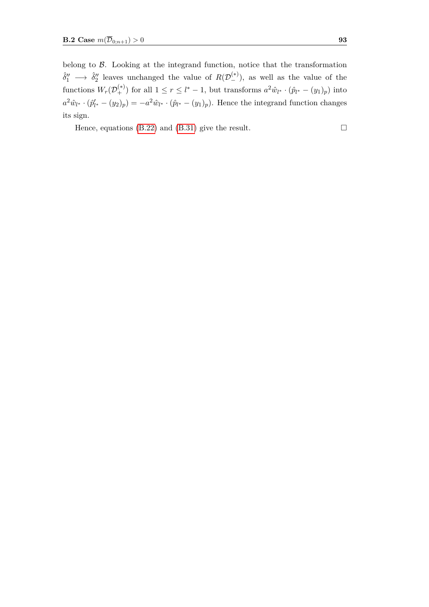belong to  $\beta$ . Looking at the integrand function, notice that the transformation  $\hat{\delta}''_1 \longrightarrow \hat{\delta}''_2$  leaves unchanged the value of  $R(\mathcal{D}_{-}^{(*)})$ , as well as the value of the functions  $W_r(\mathcal{D}_+^{(*)})$  for all  $1 \le r \le l^* - 1$ , but transforms  $a^2 \hat{w}_{l^*} \cdot (\hat{p}_{l^*} - (y_1)_p)$  into  $a^2 \hat{w}_{l^*} \cdot (\hat{p}'_{l^*} - (y_2)_p) = -a^2 \hat{w}_{l^*} \cdot (\hat{p}_{l^*} - (y_1)_p)$ . Hence the integrand function changes its sign.

Hence, equations [\(B.22\)](#page-97-0) and [\(B.31\)](#page-99-0) give the result.  $\Box$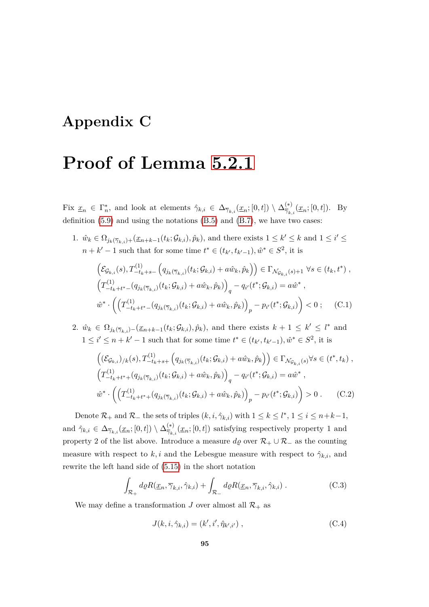## **Appendix C**

## **Proof of Lemma [5.2.1](#page-52-0)**

Fix  $\underline{x}_n \in \Gamma_n^*$ , and look at elements  $\hat{\gamma}_{k,i} \in \Delta_{\overline{\gamma}_{k,i}}(\underline{x}_n;[0,t]) \setminus \Delta_{\overline{\gamma}_k}^{(*)}$  $\frac{f^{*}}{\gamma_{k,i}}(\underline{x}_n;[0,t])$ . By definition  $(5.9)$  and using the notations  $(B.5)$  and  $(B.7)$ , we have two cases:

1.  $\hat{w}_k \in \Omega_{j_k(\overline{\gamma}_{k,i})+}(\underline{x}_{n+k-1}(t_k;\mathcal{G}_{k,i}),\hat{p}_k)$ , and there exists  $1 \leq k' \leq k$  and  $1 \leq i' \leq k$ *n* + *k*<sup> $′$ </sup> − 1 such that for some time  $t^*$  ∈  $(t_{k'}, t_{k'-1}), \hat{w}^*$  ∈  $S^2$ , it is

$$
\left(\mathcal{E}_{\mathcal{G}_{k,i}}(s), T_{-t_k+s-}^{(1)} \left(q_{j_k(\overline{\gamma}_{k,i})}(t_k; \mathcal{G}_{k,i}) + a\hat{w}_k, \hat{p}_k\right)\right) \in \Gamma_{\mathcal{N}_{\mathcal{G}_{k,i}}(s)+1} \,\forall s \in (t_k, t^*) ,
$$
\n
$$
\left(T_{-t_k+t^* - (q_{j_k(\overline{\gamma}_{k,i})}(t_k; \mathcal{G}_{k,i}) + a\hat{w}_k, \hat{p}_k)\right)_q - q_{i'}(t^*; \mathcal{G}_{k,i}) = a\hat{w}^* ,
$$
\n
$$
\hat{w}^* \cdot \left(\left(T_{-t_k+t^* - (q_{j_k(\overline{\gamma}_{k,i})}(t_k; \mathcal{G}_{k,i}) + a\hat{w}_k, \hat{p}_k)\right)_p - p_{i'}(t^*; \mathcal{G}_{k,i})\right) < 0 ; \quad \text{(C.1)}
$$

2.  $\hat{w}_k$  ∈  $\Omega_{j_k(\overline{\gamma}_{k,i})-}(\underline{x}_{n+k-1}(t_k;\mathcal{G}_{k,i}),\hat{p}_k)$ , and there exists  $k+1 \leq k' \leq l^*$  and  $1 \le i' \le n + k' - 1$  such that for some time  $t^* \in (t_{k'}, t_{k'-1}), \hat{w}^* \in S^2$ , it is

$$
\left( (\mathcal{E}_{\mathcal{G}_{k,i}})_{/k}(s), T_{-t_{k}+s+}^{(1)} \left( q_{j_{k}(\overline{\gamma}_{k,i})}(t_{k}; \mathcal{G}_{k,i}) + a\hat{w}_{k}, \hat{p}_{k} \right) \right) \in \Gamma_{\mathcal{N}_{\mathcal{G}_{k,i}}(s)} \forall s \in (t^{*}, t_{k}),
$$
\n
$$
\left( T_{-t_{k}+t^{*}+}(q_{j_{k}(\overline{\gamma}_{k,i})}(t_{k}; \mathcal{G}_{k,i}) + a\hat{w}_{k}, \hat{p}_{k}) \right)_{q} - q_{i'}(t^{*}; \mathcal{G}_{k,i}) = a\hat{w}^{*},
$$
\n
$$
\hat{w}^{*} \cdot \left( \left( T_{-t_{k}+t^{*}+}(q_{j_{k}(\overline{\gamma}_{k,i})}(t_{k}; \mathcal{G}_{k,i}) + a\hat{w}_{k}, \hat{p}_{k}) \right)_{p} - p_{i'}(t^{*}; \mathcal{G}_{k,i}) \right) > 0.
$$
\n(C.2)

Denote  $\mathcal{R}_+$  and  $\mathcal{R}_-$  the sets of triples  $(k, i, \hat{\gamma}_{k,i})$  with  $1 \leq k \leq l^*, 1 \leq i \leq n+k-1$ , and  $\hat{\gamma}_{k,i} \in \Delta_{\overline{\gamma}_{k,i}}(\underline{x}_n;[0,t]) \setminus \Delta_{\overline{\gamma}_k}^{(*)}$  $\frac{\partial}{\partial \gamma_{k,i}}(\underline{x}_n;[0,t])$  satisfying respectively property 1 and property 2 of the list above. Introduce a measure  $d\varrho$  over  $\mathcal{R}_+ \cup \mathcal{R}_-$  as the counting measure with respect to  $k, i$  and the Lebesgue measure with respect to  $\hat{\gamma}_{k,i}$ , and rewrite the left hand side of [\(5.15\)](#page-52-1) in the short notation

<span id="page-102-0"></span>
$$
\int_{\mathcal{R}_+} d\varrho R(\underline{x}_n, \overline{\gamma}_{k,i}, \hat{\gamma}_{k,i}) + \int_{\mathcal{R}_-} d\varrho R(\underline{x}_n, \overline{\gamma}_{k,i}, \hat{\gamma}_{k,i}) . \tag{C.3}
$$

We may define a transformation *J* over almost all  $\mathcal{R}_+$  as

$$
J(k, i, \hat{\gamma}_{k,i}) = (k', i', \hat{\eta}_{k',i'}) ,
$$
\n(C.4)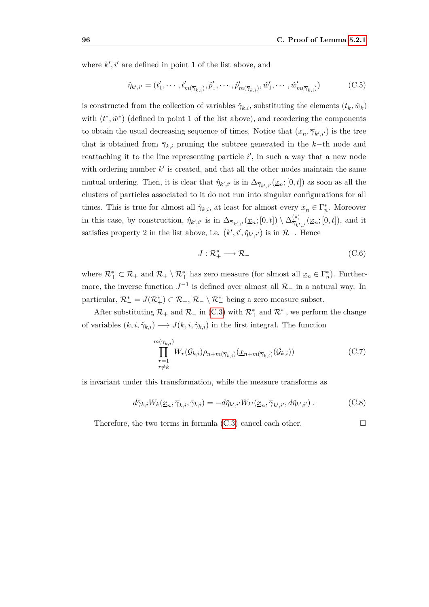where  $k', i'$  are defined in point 1 of the list above, and

$$
\hat{\eta}_{k',i'} = (t'_1, \cdots, t'_{m(\overline{\gamma}_{k,i})}, \hat{p}'_1, \cdots, \hat{p}'_{m(\overline{\gamma}_{k,i})}, \hat{w}'_1, \cdots, \hat{w}'_{m(\overline{\gamma}_{k,i})})
$$
(C.5)

is constructed from the collection of variables  $\hat{\gamma}_{k,i}$ , substituting the elements  $(t_k, \hat{w}_k)$ with  $(t^*, \hat{w}^*)$  (defined in point 1 of the list above), and reordering the components to obtain the usual decreasing sequence of times. Notice that  $(\underline{x}_n, \overline{\gamma}_{k',i'})$  is the tree that is obtained from  $\overline{\gamma}_{k,i}$  pruning the subtree generated in the *k*−th node and reattaching it to the line representing particle  $i'$ , in such a way that a new node with ordering number  $k'$  is created, and that all the other nodes maintain the same mutual ordering. Then, it is clear that  $\hat{\eta}_{k',i'}$  is in  $\Delta_{\overline{\gamma}_{k',i'}}(\underline{x}_n;[0,t])$  as soon as all the clusters of particles associated to it do not run into singular configurations for all times. This is true for almost all  $\hat{\gamma}_{k,i}$ , at least for almost every  $\underline{x}_n \in \Gamma_n^*$ . Moreover in this case, by construction,  $\hat{\eta}_{k',i'}$  is in  $\Delta_{\overline{\gamma}_{k',i'}}(\underline{x}_n;[0,t]) \setminus \Delta_{\overline{\gamma}_{k'}}^{(*)}$  $\frac{f^{*}}{\gamma_{k',i'}}(\underline{x}_n;[0,t]),$  and it satisfies property 2 in the list above, i.e.  $(k', i', \hat{\eta}_{k', i'})$  is in  $\mathcal{R}_-$ . Hence

$$
J: \mathcal{R}_+^* \longrightarrow \mathcal{R}_-\tag{C.6}
$$

where  $\mathcal{R}_+^* \subset \mathcal{R}_+$  and  $\mathcal{R}_+ \setminus \mathcal{R}_+^*$  has zero measure (for almost all  $\underline{x}_n \in \Gamma_n^*$ ). Furthermore, the inverse function  $J^{-1}$  is defined over almost all  $\mathcal{R}_-$  in a natural way. In particular,  $\mathcal{R}^*_- = J(\mathcal{R}^*_+) \subset \mathcal{R}_-, \mathcal{R}_-\setminus \mathcal{R}^*_-$  being a zero measure subset.

After substituting  $\mathcal{R}_+$  and  $\mathcal{R}_-$  in [\(C.3\)](#page-102-0) with  $\mathcal{R}_+^*$  and  $\mathcal{R}_-^*$ , we perform the change of variables  $(k, i, \hat{\gamma}_{k,i}) \longrightarrow J(k, i, \hat{\gamma}_{k,i})$  in the first integral. The function

$$
\prod_{\substack{r=1\\r\neq k}}^{m(\overline{\gamma}_{k,i})} W_r(\mathcal{G}_{k,i}) \rho_{n+m(\overline{\gamma}_{k,i})}(\underline{x}_{n+m(\overline{\gamma}_{k,i})}(\mathcal{G}_{k,i})) \tag{C.7}
$$

is invariant under this transformation, while the measure transforms as

$$
d\hat{\gamma}_{k,i}W_k(\underline{x}_n, \overline{\gamma}_{k,i}, \hat{\gamma}_{k,i}) = -d\hat{\eta}_{k',i'}W_{k'}(\underline{x}_n, \overline{\gamma}_{k',i'}, d\hat{\eta}_{k',i'}) . \tag{C.8}
$$

Therefore, the two terms in formula  $(C.3)$  cancel each other.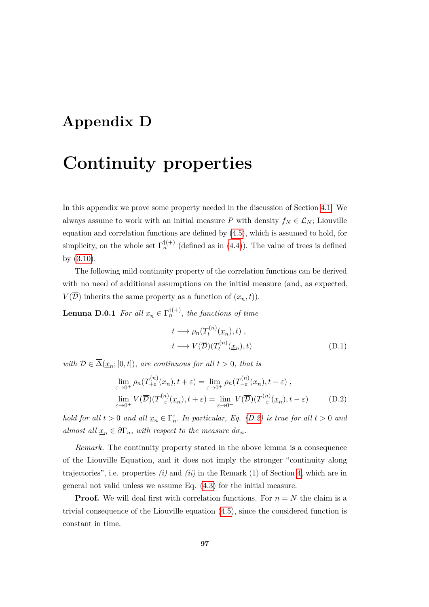## **Appendix D**

## **Continuity properties**

In this appendix we prove some property needed in the discussion of Section [4.1.](#page-39-0) We always assume to work with an initial measure *P* with density  $f_N \in \mathcal{L}_N$ ; Liouville equation and correlation functions are defined by [\(4.5\)](#page-38-0), which is assumed to hold, for simplicity, on the whole set  $\Gamma_n^{\dagger(+)}$  (defined as in [\(4.4\)](#page-38-1)). The value of trees is defined by [\(3.10\)](#page-32-0).

The following mild continuity property of the correlation functions can be derived with no need of additional assumptions on the initial measure (and, as expected,  $V(\overline{\mathcal{D}})$  inherits the same property as a function of  $(\underline{x}_n, t)$ .

**Lemma D.0.1** *For all*  $\underline{x}_n \in \Gamma_n^{\dagger(+)}$ *, the functions of time* 

<span id="page-104-1"></span>
$$
t \longrightarrow \rho_n(T_t^{(n)}(\underline{x}_n), t) ,
$$
  
\n
$$
t \longrightarrow V(\overline{\mathcal{D}})(T_t^{(n)}(\underline{x}_n), t)
$$
 (D.1)

*with*  $\overline{\mathcal{D}} \in \overline{\Delta}(\underline{x}_n; [0, t])$ *, are continuous for all*  $t > 0$ *, that is* 

<span id="page-104-0"></span>
$$
\lim_{\varepsilon \to 0^{+}} \rho_{n}(T_{+\varepsilon}^{(n)}(\underline{x}_{n}), t + \varepsilon) = \lim_{\varepsilon \to 0^{+}} \rho_{n}(T_{-\varepsilon}^{(n)}(\underline{x}_{n}), t - \varepsilon),
$$
  
\n
$$
\lim_{\varepsilon \to 0^{+}} V(\overline{\mathcal{D}})(T_{+\varepsilon}^{(n)}(\underline{x}_{n}), t + \varepsilon) = \lim_{\varepsilon \to 0^{+}} V(\overline{\mathcal{D}})(T_{-\varepsilon}^{(n)}(\underline{x}_{n}), t - \varepsilon)
$$
 (D.2)

*hold for all*  $t > 0$  *and all*  $\underline{x}_n \in \Gamma_n^{\dagger}$ . *In particular, Eq.* (*D.2) is true for all*  $t > 0$  *and almost all*  $\underline{x}_n \in \partial\Gamma_n$ , *with respect to the measure*  $d\sigma_n$ .

*Remark.* The continuity property stated in the above lemma is a consequence of the Liouville Equation, and it does not imply the stronger "continuity along trajectories", i.e. properties *(i)* and *(ii)* in the Remark (1) of Section [4,](#page-36-0) which are in general not valid unless we assume Eq. [\(4.3\)](#page-37-0) for the initial measure.

**Proof.** We will deal first with correlation functions. For  $n = N$  the claim is a trivial consequence of the Liouville equation [\(4.5\)](#page-38-0), since the considered function is constant in time.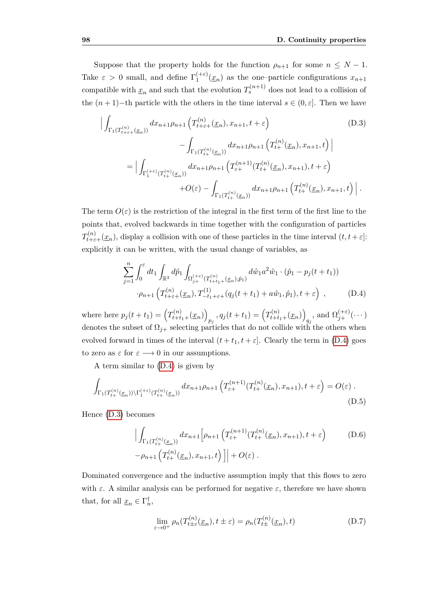Suppose that the property holds for the function  $\rho_{n+1}$  for some  $n \leq N-1$ . Take  $\varepsilon > 0$  small, and define  $\Gamma_1^{(+\varepsilon)}$  $\int_{1}^{(+\epsilon)} (\underline{x}_n)$  as the one-particle configurations  $x_{n+1}$ compatible with  $\underline{x}_n$  and such that the evolution  $T_s^{(n+1)}$  does not lead to a collision of the  $(n+1)-$ th particle with the others in the time interval  $s \in (0, \varepsilon]$ . Then we have

<span id="page-105-1"></span>
$$
\left| \int_{\Gamma_1(T_{t+\varepsilon+}^{(n)}(x_n))} dx_{n+1} \rho_{n+1} \left( T_{t+\varepsilon+}^{(n)}(x_n), x_{n+1}, t + \varepsilon \right) \right|
$$
\n
$$
- \int_{\Gamma_1(T_{t+}^{(n)}(x_n))} dx_{n+1} \rho_{n+1} \left( T_{t+}^{(n)}(x_n), x_{n+1}, t \right) \right|
$$
\n
$$
= \left| \int_{\Gamma_1^{(+\varepsilon)}(T_{t+}^{(n)}(x_n))} dx_{n+1} \rho_{n+1} \left( T_{\varepsilon+}^{(n+1)}(T_{t+}^{(n)}(x_n), x_{n+1}), t + \varepsilon \right) \right|
$$
\n
$$
+ O(\varepsilon) - \int_{\Gamma_1(T_{t+}^{(n)}(x_n))} dx_{n+1} \rho_{n+1} \left( T_{t+}^{(n)}(x_n), x_{n+1}, t \right) \right|.
$$
\n(D.3)

The term  $O(\varepsilon)$  is the restriction of the integral in the first term of the first line to the points that, evolved backwards in time together with the configuration of particles  $T_{t+\varepsilon+}^{(n)}(\underline{x}_n)$ , display a collision with one of these particles in the time interval  $(t, t+\varepsilon]$ : explicitly it can be written, with the usual change of variables, as

<span id="page-105-0"></span>
$$
\sum_{j=1}^{n} \int_{0}^{\varepsilon} dt_1 \int_{\mathbb{R}^3} d\hat{p}_1 \int_{\Omega_{j+}^{(+\varepsilon)}(T_{t+t_1+}^{(n)}(\underline{x}_n), \hat{p}_1)} d\hat{w}_1 a^2 \hat{w}_1 \cdot (\hat{p}_1 - p_j(t+t_1))
$$

$$
\cdot \rho_{n+1} \left( T_{t+\varepsilon+}^{(n)}(\underline{x}_n), T_{-t_1+\varepsilon+}^{(1)}(q_j(t+t_1) + a\hat{w}_1, \hat{p}_1), t + \varepsilon \right) , \qquad (D.4)
$$

where here  $p_j(t + t_1) = (T_{t + t_1 +}^{(n)}(\underline{x}_n))$  $p_j$ ,  $q_j(t+t_1) = (T_{t+t_1+}^{(n)}(x_n))$ *q<sub>j</sub>*, and  $\Omega_{j+}^{(+\varepsilon)}(\cdots)$ denotes the subset of  $\Omega_{i+}$  selecting particles that do not collide with the others when evolved forward in times of the interval  $(t + t_1, t + \varepsilon]$ . Clearly the term in [\(D.4\)](#page-105-0) goes to zero as  $\varepsilon$  for  $\varepsilon \longrightarrow 0$  in our assumptions.

A term similar to [\(D.4\)](#page-105-0) is given by

$$
\int_{\Gamma_1(T_{t+}^{(n)}(\underline{x}_n))\backslash\Gamma_1^{(+\varepsilon)}(T_{t+}^{(n)}(\underline{x}_n))} dx_{n+1}\rho_{n+1}\left(T_{\varepsilon+}^{(n+1)}(T_{t+}^{(n)}(\underline{x}_n),x_{n+1}),t+\varepsilon\right) = O(\varepsilon) .
$$
\n(D.5)

Hence [\(D.3\)](#page-105-1) becomes

$$
\left| \int_{\Gamma_1(T_{t+}^{(n)}(x_n))} dx_{n+1} \left[ \rho_{n+1} \left( T_{\varepsilon+}^{(n+1)}(T_{t+}^{(n)}(x_n), x_{n+1}), t + \varepsilon \right) \right] \right|
$$
\n
$$
- \rho_{n+1} \left( T_{t+}^{(n)}(x_n), x_{n+1}, t \right) \right] \left| + O(\varepsilon) \right|.
$$
\n(D.6)

Dominated convergence and the inductive assumption imply that this flows to zero with  $\varepsilon$ . A similar analysis can be performed for negative  $\varepsilon$ , therefore we have shown that, for all  $\underline{x}_n \in \Gamma_n^{\dagger}$ ,

<span id="page-105-2"></span>
$$
\lim_{\varepsilon \to 0^+} \rho_n(T_{t \pm \varepsilon}^{(n)}(\underline{x}_n), t \pm \varepsilon) = \rho_n(T_{t \pm}^{(n)}(\underline{x}_n), t)
$$
\n(D.7)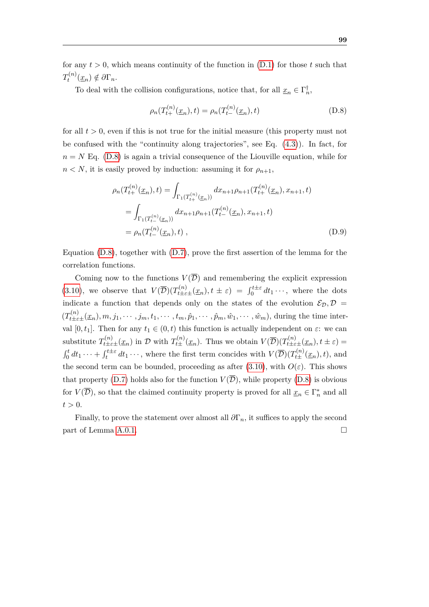for any  $t > 0$ , which means continuity of the function in  $(D.1)$  for those  $t$  such that  $T_t^{(n)}$  $\chi_t^{(n)}(\underline{x}_n) \notin \partial \Gamma_n$ .

To deal with the collision configurations, notice that, for all  $\underline{x}_n \in \Gamma_n^{\dagger}$ ,

<span id="page-106-0"></span>
$$
\rho_n(T_{t+}^{(n)}(\underline{x}_n), t) = \rho_n(T_{t-}^{(n)}(\underline{x}_n), t)
$$
\n(D.8)

for all  $t > 0$ , even if this is not true for the initial measure (this property must not be confused with the "continuity along trajectories", see Eq. [\(4.3\)](#page-37-0)). In fact, for  $n = N$  Eq. [\(D.8\)](#page-106-0) is again a trivial consequence of the Liouville equation, while for  $n < N$ , it is easily proved by induction: assuming it for  $\rho_{n+1}$ ,

$$
\rho_n(T_{t+}^{(n)}(\underline{x}_n), t) = \int_{\Gamma_1(T_{t+}^{(n)}(\underline{x}_n))} dx_{n+1} \rho_{n+1}(T_{t+}^{(n)}(\underline{x}_n), x_{n+1}, t)
$$
  
\n
$$
= \int_{\Gamma_1(T_{t-}^{(n)}(\underline{x}_n))} dx_{n+1} \rho_{n+1}(T_{t-}^{(n)}(\underline{x}_n), x_{n+1}, t)
$$
  
\n
$$
= \rho_n(T_{t-}^{(n)}(\underline{x}_n), t), \qquad (D.9)
$$

Equation [\(D.8\)](#page-106-0), together with [\(D.7\)](#page-105-2), prove the first assertion of the lemma for the correlation functions.

Coming now to the functions  $V(\overline{\mathcal{D}})$  and remembering the explicit expression [\(3.10\)](#page-32-0), we observe that  $V(\overline{\mathcal{D}})(T_{t\pm \varepsilon \pm}^{(n)}(\underline{x}_n), t \pm \varepsilon) = \int_0^{t\pm \varepsilon} dt_1 \cdots$ , where the dots indicate a function that depends only on the states of the evolution  $\mathcal{E}_{\mathcal{D}}, \mathcal{D} =$  $(T_{t\pm \varepsilon \pm}^{(n)}(\underline{x}_n), m, j_1, \cdots, j_m, t_1, \cdots, t_m, \hat{p}_1, \cdots, \hat{p}_m, \hat{w}_1, \cdots, \hat{w}_m)$ , during the time interval [0,  $t_1$ ]. Then for any  $t_1 \in (0, t)$  this function is actually independent on  $\varepsilon$ : we can substitute  $T_{t\pm \varepsilon\pm}^{(n)}(\underline{x}_n)$  in  $\mathcal D$  with  $T_{t\pm}^{(n)}(\underline{x}_n)$ . Thus we obtain  $V(\overline{\mathcal D})(T_{t\pm \varepsilon\pm}^{(n)}(\underline{x}_n),t\pm \varepsilon)=$  $\int_0^t dt_1 \cdots + \int_t^{t \pm \varepsilon} dt_1 \cdots$ , where the first term concides with  $V(\overline{\mathcal{D}})(T_{t \pm}^{(n)}(\underline{x}_n), t)$ , and the second term can be bounded, proceeding as after [\(3.10\)](#page-32-0), with  $O(\varepsilon)$ . This shows that property [\(D.7\)](#page-105-2) holds also for the function  $V(\overline{\mathcal{D}})$ , while property [\(D.8\)](#page-106-0) is obvious for  $V(\overline{\mathcal{D}})$ , so that the claimed continuity property is proved for all  $\underline{x}_n \in \Gamma_n^*$  and all  $t > 0$ .

Finally, to prove the statement over almost all  $\partial \Gamma_n$ , it suffices to apply the second part of Lemma [A.0.1.](#page-88-0)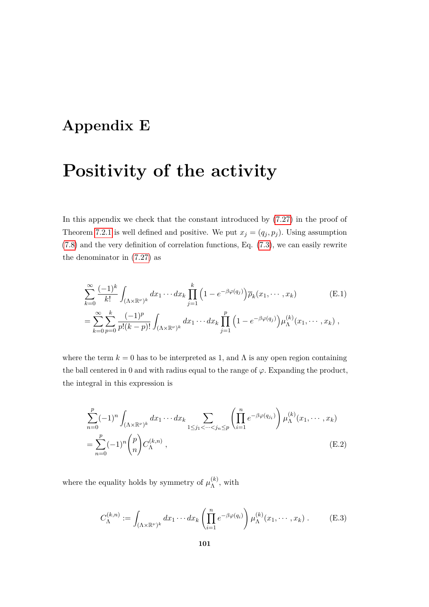### **Appendix E**

### **Positivity of the activity**

In this appendix we check that the constant introduced by [\(7.27\)](#page-66-0) in the proof of Theorem [7.2.1](#page-63-0) is well defined and positive. We put  $x_j = (q_j, p_j)$ . Using assumption [\(7.8\)](#page-62-0) and the very definition of correlation functions, Eq. [\(7.3\)](#page-61-0), we can easily rewrite the denominator in [\(7.27\)](#page-66-0) as

<span id="page-108-1"></span>
$$
\sum_{k=0}^{\infty} \frac{(-1)^k}{k!} \int_{(\Lambda \times \mathbb{R}^{\nu})^k} dx_1 \cdots dx_k \prod_{j=1}^k \left(1 - e^{-\beta \varphi(q_j)}\right) \overline{\rho}_k(x_1, \cdots, x_k)
$$
(E.1)  
= 
$$
\sum_{k=0}^{\infty} \sum_{p=0}^k \frac{(-1)^p}{p!(k-p)!} \int_{(\Lambda \times \mathbb{R}^{\nu})^k} dx_1 \cdots dx_k \prod_{j=1}^p \left(1 - e^{-\beta \varphi(q_j)}\right) \mu_{\Lambda}^{(k)}(x_1, \cdots, x_k),
$$

where the term  $k = 0$  has to be interpreted as 1, and  $\Lambda$  is any open region containing the ball centered in 0 and with radius equal to the range of  $\varphi$ . Expanding the product, the integral in this expression is

<span id="page-108-0"></span>
$$
\sum_{n=0}^{p} (-1)^n \int_{(\Lambda \times \mathbb{R}^{\nu})^k} dx_1 \cdots dx_k \sum_{1 \le j_1 < \cdots < j_n \le p} \left( \prod_{i=1}^n e^{-\beta \varphi(q_{j_i})} \right) \mu_{\Lambda}^{(k)}(x_1, \cdots, x_k)
$$
  
= 
$$
\sum_{n=0}^{p} (-1)^n {p \choose n} C_{\Lambda}^{(k,n)},
$$
(E.2)

where the equality holds by symmetry of  $\mu_{\lambda}^{(k)}$  $\Lambda^{(\kappa)}$ , with

$$
C_{\Lambda}^{(k,n)} := \int_{(\Lambda \times \mathbb{R}^{\nu})^k} dx_1 \cdots dx_k \left( \prod_{i=1}^n e^{-\beta \varphi(q_i)} \right) \mu_{\Lambda}^{(k)}(x_1, \cdots, x_k) . \tag{E.3}
$$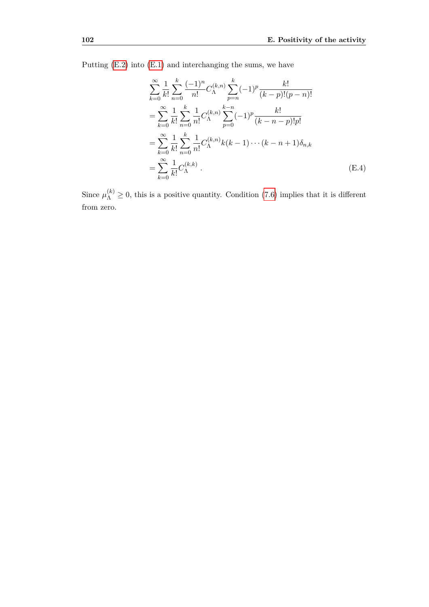Putting [\(E.2\)](#page-108-0) into [\(E.1\)](#page-108-1) and interchanging the sums, we have

$$
\sum_{k=0}^{\infty} \frac{1}{k!} \sum_{n=0}^{k} \frac{(-1)^n}{n!} C_{\Lambda}^{(k,n)} \sum_{p=n}^{k} (-1)^p \frac{k!}{(k-p)!(p-n)!}
$$
  
= 
$$
\sum_{k=0}^{\infty} \frac{1}{k!} \sum_{n=0}^{k} \frac{1}{n!} C_{\Lambda}^{(k,n)} \sum_{p=0}^{k-n} (-1)^p \frac{k!}{(k-n-p)!p!}
$$
  
= 
$$
\sum_{k=0}^{\infty} \frac{1}{k!} \sum_{n=0}^{k} \frac{1}{n!} C_{\Lambda}^{(k,n)} k(k-1) \cdots (k-n+1) \delta_{n,k}
$$
  
= 
$$
\sum_{k=0}^{\infty} \frac{1}{k!} C_{\Lambda}^{(k,k)}.
$$
 (E.4)

Since  $\mu_{\Lambda}^{(k)} \geq 0$ , this is a positive quantity. Condition [\(7.6\)](#page-61-1) implies that it is different from zero.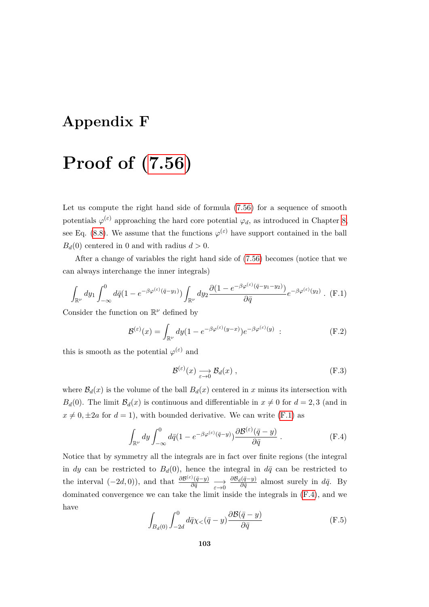#### **Appendix F**

# **Proof of [\(7.56\)](#page-73-0)**

Let us compute the right hand side of formula [\(7.56\)](#page-73-0) for a sequence of smooth potentials  $\varphi^{(\varepsilon)}$  approaching the hard core potential  $\varphi_d$ , as introduced in Chapter [8,](#page-80-0) see Eq. [\(8.8\)](#page-81-0). We assume that the functions  $\varphi^{(\varepsilon)}$  have support contained in the ball  $B_d(0)$  centered in 0 and with radius  $d > 0$ .

After a change of variables the right hand side of [\(7.56\)](#page-73-0) becomes (notice that we can always interchange the inner integrals)

<span id="page-110-0"></span>
$$
\int_{\mathbb{R}^{\nu}} dy_1 \int_{-\infty}^0 d\bar{q} (1 - e^{-\beta \varphi^{(\varepsilon)}(\bar{q} - y_1)}) \int_{\mathbb{R}^{\nu}} dy_2 \frac{\partial (1 - e^{-\beta \varphi^{(\varepsilon)}(\bar{q} - y_1 - y_2)})}{\partial \bar{q}} e^{-\beta \varphi^{(\varepsilon)}(y_2)} . (F.1)
$$

Consider the function on  $\mathbb{R}^{\nu}$  defined by

$$
\mathcal{B}^{(\varepsilon)}(x) = \int_{\mathbb{R}^{\nu}} dy (1 - e^{-\beta \varphi^{(\varepsilon)}(y - x)}) e^{-\beta \varphi^{(\varepsilon)}(y)} \quad . \tag{F.2}
$$

this is smooth as the potential  $\varphi^{(\varepsilon)}$  and

$$
\mathcal{B}^{(\varepsilon)}(x) \xrightarrow[\varepsilon \to 0]{} \mathcal{B}_d(x) , \qquad \qquad (\text{F.3})
$$

where  $\mathcal{B}_d(x)$  is the volume of the ball  $B_d(x)$  centered in *x* minus its intersection with *B<sub>d</sub>*(0). The limit  $B_d(x)$  is continuous and differentiable in  $x \neq 0$  for  $d = 2, 3$  (and in  $x \neq 0, \pm 2a$  for  $d = 1$ ), with bounded derivative. We can write [\(F.1\)](#page-110-0) as

<span id="page-110-1"></span>
$$
\int_{\mathbb{R}^{\nu}} dy \int_{-\infty}^{0} d\bar{q} (1 - e^{-\beta \varphi^{(\varepsilon)}(\bar{q} - y)}) \frac{\partial \mathcal{B}^{(\varepsilon)}(\bar{q} - y)}{\partial \bar{q}} .
$$
 (F.4)

Notice that by symmetry all the integrals are in fact over finite regions (the integral in *dy* can be restricted to  $B_d(0)$ , hence the integral in  $d\bar{q}$  can be restricted to the interval  $(-2d, 0)$ ), and that  $\frac{\partial \mathcal{B}^{(\varepsilon)}(\bar{q}-y)}{\partial \bar{q}} \longrightarrow_{\varepsilon \to 0} \frac{\partial \mathcal{B}_d(\bar{q}-y)}{\partial \bar{q}}$  $\frac{i(q-y)}{\partial \bar{q}}$  almost surely in  $d\bar{q}$ . By dominated convergence we can take the limit inside the integrals in [\(F.4\)](#page-110-1), and we have

$$
\int_{B_d(0)} \int_{-2d}^0 d\bar{q} \chi_{\lt}(\bar{q} - y) \frac{\partial \mathcal{B}(\bar{q} - y)}{\partial \bar{q}} \tag{F.5}
$$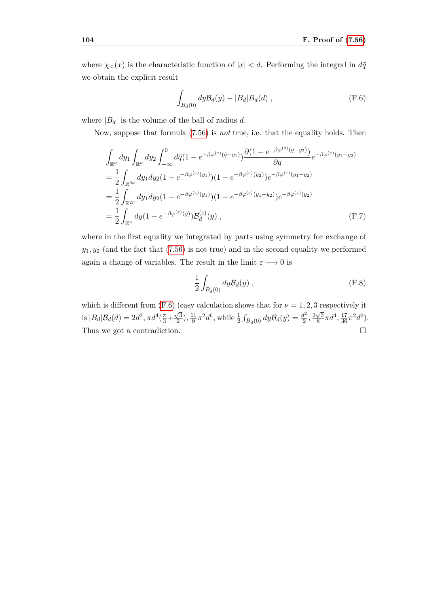where  $\chi$ <sub><</sub> $(x)$  is the characteristic function of  $|x|$  *< d*. Performing the integral in  $d\bar{q}$ we obtain the explicit result

<span id="page-111-0"></span>
$$
\int_{B_d(0)} dy \mathcal{B}_d(y) - |B_d| B_d(d) , \qquad \qquad (\text{F.6})
$$

where  $|B_d|$  is the volume of the ball of radius  $d$ .

Now, suppose that formula [\(7.56\)](#page-73-0) is *not* true, i.e. that the equality holds. Then

$$
\int_{\mathbb{R}^{\nu}} dy_1 \int_{\mathbb{R}^{\nu}} dy_2 \int_{-\infty}^0 d\bar{q} (1 - e^{-\beta \varphi^{(\varepsilon)}(\bar{q} - y_1)}) \frac{\partial (1 - e^{-\beta \varphi^{(\varepsilon)}(\bar{q} - y_2)})}{\partial \bar{q}} e^{-\beta \varphi^{(\varepsilon)}(y_1 - y_2)}
$$
\n
$$
= \frac{1}{2} \int_{\mathbb{R}^{2\nu}} dy_1 dy_2 (1 - e^{-\beta \varphi^{(\varepsilon)}(y_1)}) (1 - e^{-\beta \varphi^{(\varepsilon)}(y_2)}) e^{-\beta \varphi^{(\varepsilon)}(y_1 - y_2)}
$$
\n
$$
= \frac{1}{2} \int_{\mathbb{R}^{2\nu}} dy_1 dy_2 (1 - e^{-\beta \varphi^{(\varepsilon)}(y_1)}) (1 - e^{-\beta \varphi^{(\varepsilon)}(y_1 - y_2)}) e^{-\beta \varphi^{(\varepsilon)}(y_2)}
$$
\n
$$
= \frac{1}{2} \int_{\mathbb{R}^{\nu}} dy (1 - e^{-\beta \varphi^{(\varepsilon)}(y)}) \mathcal{B}_d^{(\varepsilon)}(y) , \qquad (F.7)
$$

where in the first equality we integrated by parts using symmetry for exchange of  $y_1, y_2$  (and the fact that  $(7.56)$  is not true) and in the second equality we performed again a change of variables. The result in the limit  $\varepsilon \longrightarrow 0$  is

$$
\frac{1}{2} \int_{B_d(0)} dy \mathcal{B}_d(y) , \qquad \qquad (\text{F.8})
$$

which is different from  $(F.6)$  (easy calculation shows that for  $\nu = 1, 2, 3$  respectively it is  $|B_d| \mathcal{B}_d(d) = 2d^2, \pi d^4(\frac{\pi}{3} +$  $\sqrt{3}$  $\frac{\sqrt{3}}{2}$ ),  $\frac{11}{9}$  $\frac{11}{9}\pi^2 d^6$ , while  $\frac{1}{2} \int_{B_d(0)} dy \mathcal{B}_d(y) = \frac{d^2}{2}$  $rac{d^2}{2}, \frac{3\sqrt{3}}{8}$  $\frac{\sqrt{3}}{8}\pi d^4$ ,  $\frac{17}{36}\pi^2d^6$ ). Thus we got a contradiction.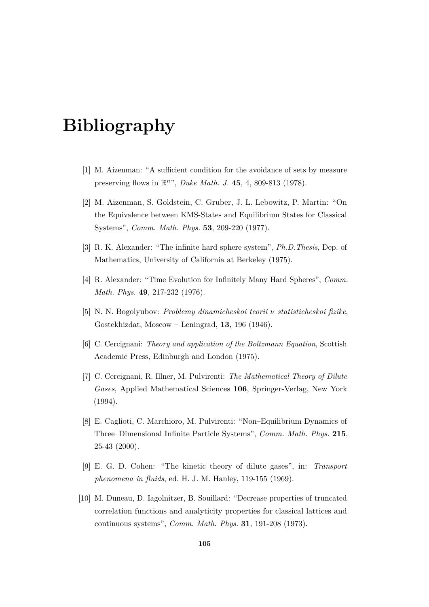# **Bibliography**

- [1] M. Aizenman: "A sufficient condition for the avoidance of sets by measure preserving flows in R *n* ", *Duke Math. J.* **45**, 4, 809-813 (1978).
- [2] M. Aizenman, S. Goldstein, C. Gruber, J. L. Lebowitz, P. Martin: "On the Equivalence between KMS-States and Equilibrium States for Classical Systems", *Comm. Math. Phys.* **53**, 209-220 (1977).
- [3] R. K. Alexander: "The infinite hard sphere system", *Ph.D.Thesis*, Dep. of Mathematics, University of California at Berkeley (1975).
- [4] R. Alexander: "Time Evolution for Infinitely Many Hard Spheres", *Comm. Math. Phys.* **49**, 217-232 (1976).
- [5] N. N. Bogolyubov: *Problemy dinamicheskoi teorii ν statisticheskoi fizike*, Gostekhizdat, Moscow – Leningrad, **13**, 196 (1946).
- [6] C. Cercignani: *Theory and application of the Boltzmann Equation*, Scottish Academic Press, Edinburgh and London (1975).
- [7] C. Cercignani, R. Illner, M. Pulvirenti: *The Mathematical Theory of Dilute Gases*, Applied Mathematical Sciences **106**, Springer-Verlag, New York (1994).
- [8] E. Caglioti, C. Marchioro, M. Pulvirenti: "Non–Equilibrium Dynamics of Three–Dimensional Infinite Particle Systems", *Comm. Math. Phys.* **215**, 25-43 (2000).
- [9] E. G. D. Cohen: "The kinetic theory of dilute gases", in: *Transport phenomena in fluids*, ed. H. J. M. Hanley, 119-155 (1969).
- [10] M. Duneau, D. Iagolnitzer, B. Souillard: "Decrease properties of truncated correlation functions and analyticity properties for classical lattices and continuous systems", *Comm. Math. Phys.* **31**, 191-208 (1973).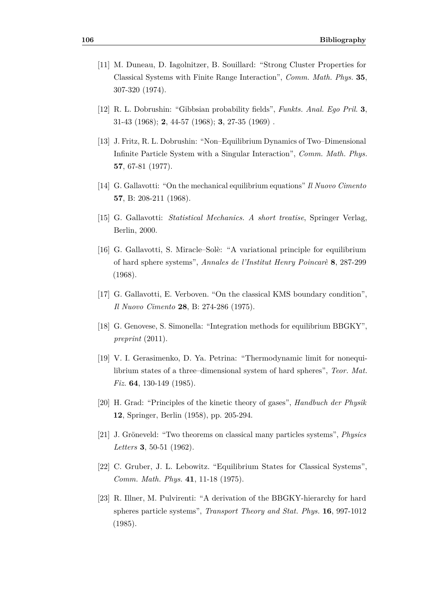- [11] M. Duneau, D. Iagolnitzer, B. Souillard: "Strong Cluster Properties for Classical Systems with Finite Range Interaction", *Comm. Math. Phys.* **35**, 307-320 (1974).
- [12] R. L. Dobrushin: "Gibbsian probability fields", *Funkts. Anal. Ego Pril.* **3**, 31-43 (1968); **2**, 44-57 (1968); **3**, 27-35 (1969) .
- [13] J. Fritz, R. L. Dobrushin: "Non–Equilibrium Dynamics of Two–Dimensional Infinite Particle System with a Singular Interaction", *Comm. Math. Phys.* **57**, 67-81 (1977).
- [14] G. Gallavotti: "On the mechanical equilibrium equations" *Il Nuovo Cimento* **57**, B: 208-211 (1968).
- [15] G. Gallavotti: *Statistical Mechanics. A short treatise*, Springer Verlag, Berlin, 2000.
- [16] G. Gallavotti, S. Miracle–Solè: "A variational principle for equilibrium of hard sphere systems", *Annales de l'Institut Henry Poincarè* **8**, 287-299 (1968).
- [17] G. Gallavotti, E. Verboven. "On the classical KMS boundary condition", *Il Nuovo Cimento* **28**, B: 274-286 (1975).
- [18] G. Genovese, S. Simonella: "Integration methods for equilibrium BBGKY", *preprint* (2011).
- [19] V. I. Gerasimenko, D. Ya. Petrina: "Thermodynamic limit for nonequilibrium states of a three–dimensional system of hard spheres", *Teor. Mat. Fiz.* **64**, 130-149 (1985).
- [20] H. Grad: "Principles of the kinetic theory of gases", *Handbuch der Physik* **12**, Springer, Berlin (1958), pp. 205-294.
- [21] J. Gröneveld: "Two theorems on classical many particles systems", *Physics Letters* **3**, 50-51 (1962).
- [22] C. Gruber, J. L. Lebowitz. "Equilibrium States for Classical Systems", *Comm. Math. Phys.* **41**, 11-18 (1975).
- [23] R. Illner, M. Pulvirenti: "A derivation of the BBGKY-hierarchy for hard spheres particle systems", *Transport Theory and Stat. Phys.* **16**, 997-1012 (1985).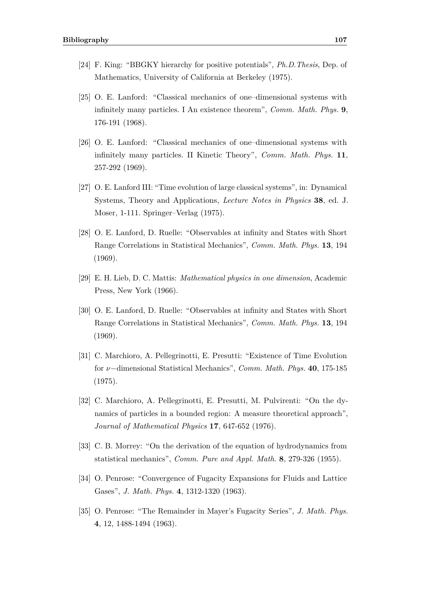- [24] F. King: "BBGKY hierarchy for positive potentials", *Ph.D.Thesis*, Dep. of Mathematics, University of California at Berkeley (1975).
- [25] O. E. Lanford: "Classical mechanics of one–dimensional systems with infinitely many particles. I An existence theorem", *Comm. Math. Phys.* **9**, 176-191 (1968).
- [26] O. E. Lanford: "Classical mechanics of one–dimensional systems with infinitely many particles. II Kinetic Theory", *Comm. Math. Phys.* **11**, 257-292 (1969).
- [27] O. E. Lanford III: "Time evolution of large classical systems", in: Dynamical Systems, Theory and Applications, *Lecture Notes in Physics* **38**, ed. J. Moser, 1-111. Springer–Verlag (1975).
- [28] O. E. Lanford, D. Ruelle: "Observables at infinity and States with Short Range Correlations in Statistical Mechanics", *Comm. Math. Phys.* **13**, 194 (1969).
- [29] E. H. Lieb, D. C. Mattis: *Mathematical physics in one dimension*, Academic Press, New York (1966).
- [30] O. E. Lanford, D. Ruelle: "Observables at infinity and States with Short Range Correlations in Statistical Mechanics", *Comm. Math. Phys.* **13**, 194 (1969).
- [31] C. Marchioro, A. Pellegrinotti, E. Presutti: "Existence of Time Evolution for *ν*−dimensional Statistical Mechanics", *Comm. Math. Phys.* **40**, 175-185 (1975).
- [32] C. Marchioro, A. Pellegrinotti, E. Presutti, M. Pulvirenti: "On the dynamics of particles in a bounded region: A measure theoretical approach", *Journal of Mathematical Physics* **17**, 647-652 (1976).
- [33] C. B. Morrey: "On the derivation of the equation of hydrodynamics from statistical mechanics", *Comm. Pure and Appl. Math.* **8**, 279-326 (1955).
- [34] O. Penrose: "Convergence of Fugacity Expansions for Fluids and Lattice Gases", *J. Math. Phys.* **4**, 1312-1320 (1963).
- [35] O. Penrose: "The Remainder in Mayer's Fugacity Series", *J. Math. Phys.* **4**, 12, 1488-1494 (1963).